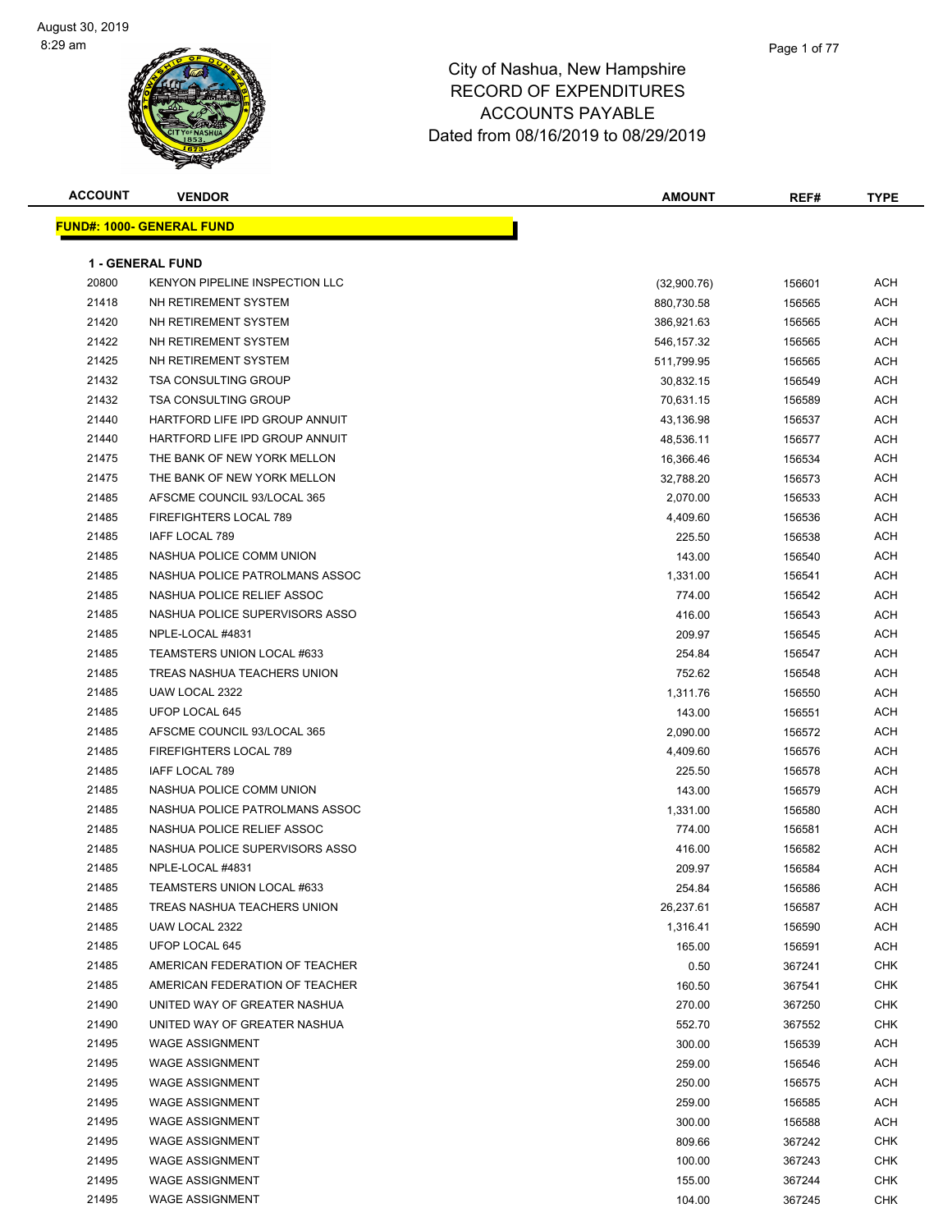| <b>ACCOUNT</b> | <b>VENDOR</b>                         | <b>AMOUNT</b> | REF#   | <b>TYPE</b> |
|----------------|---------------------------------------|---------------|--------|-------------|
|                | <b>FUND#: 1000- GENERAL FUND</b>      |               |        |             |
|                |                                       |               |        |             |
|                | <b>1 - GENERAL FUND</b>               |               |        |             |
| 20800          | <b>KENYON PIPELINE INSPECTION LLC</b> | (32,900.76)   | 156601 | ACH         |
| 21418          | NH RETIREMENT SYSTEM                  | 880,730.58    | 156565 | ACH         |
| 21420          | NH RETIREMENT SYSTEM                  | 386,921.63    | 156565 | ACH         |
| 21422          | NH RETIREMENT SYSTEM                  | 546,157.32    | 156565 | ACH         |
| 21425          | NH RETIREMENT SYSTEM                  | 511,799.95    | 156565 | ACH         |
| 21432          | <b>TSA CONSULTING GROUP</b>           | 30,832.15     | 156549 | ACH         |
| 21432          | <b>TSA CONSULTING GROUP</b>           | 70,631.15     | 156589 | ACH         |
| 21440          | HARTFORD LIFE IPD GROUP ANNUIT        | 43,136.98     | 156537 | ACH         |
| 21440          | HARTFORD LIFE IPD GROUP ANNUIT        | 48,536.11     | 156577 | ACH         |
| 21475          | THE BANK OF NEW YORK MELLON           | 16,366.46     | 156534 | ACH         |
| 21475          | THE BANK OF NEW YORK MELLON           | 32,788.20     | 156573 | ACH         |
| 21485          | AFSCME COUNCIL 93/LOCAL 365           | 2,070.00      | 156533 | ACH         |
| 21485          | <b>FIREFIGHTERS LOCAL 789</b>         | 4,409.60      | 156536 | ACH         |
| 21485          | IAFF LOCAL 789                        | 225.50        | 156538 | ACH         |
| 21485          | NASHUA POLICE COMM UNION              | 143.00        | 156540 | ACH         |
| 21485          | NASHUA POLICE PATROLMANS ASSOC        | 1,331.00      | 156541 | ACH         |
| 21485          | NASHUA POLICE RELIEF ASSOC            | 774.00        | 156542 | ACH         |
| 21485          | NASHUA POLICE SUPERVISORS ASSO        | 416.00        | 156543 | ACH         |
| 21485          | NPLE-LOCAL #4831                      | 209.97        | 156545 | ACH         |
| 21485          | TEAMSTERS UNION LOCAL #633            | 254.84        | 156547 | ACH         |
| 21485          | TREAS NASHUA TEACHERS UNION           | 752.62        | 156548 | ACH         |
| 21485          | UAW LOCAL 2322                        | 1,311.76      | 156550 | ACH         |
| 21485          | UFOP LOCAL 645                        | 143.00        | 156551 | ACH         |
| 21485          | AFSCME COUNCIL 93/LOCAL 365           | 2,090.00      | 156572 | ACH         |
| 21485          | FIREFIGHTERS LOCAL 789                | 4,409.60      | 156576 | ACH         |
| 21485          | IAFF LOCAL 789                        | 225.50        | 156578 | ACH         |
| 21485          | NASHUA POLICE COMM UNION              | 143.00        | 156579 | ACH         |
| 21485          | NASHUA POLICE PATROLMANS ASSOC        | 1,331.00      | 156580 | ACH         |
| 21485          | NASHUA POLICE RELIEF ASSOC            | 774.00        | 156581 | ACH         |
| 21485          | NASHUA POLICE SUPERVISORS ASSO        | 416.00        | 156582 | ACH         |
| 21485          | NPLE-LOCAL #4831                      | 209.97        | 156584 | ACH         |
| 21485          | TEAMSTERS UNION LOCAL #633            | 254.84        | 156586 | ACH         |
| 21485          | TREAS NASHUA TEACHERS UNION           | 26,237.61     | 156587 | ACH         |
| 21485          | UAW LOCAL 2322                        | 1,316.41      | 156590 | ACH         |
| 21485          | UFOP LOCAL 645                        | 165.00        | 156591 | ACH         |
| 21485          | AMERICAN FEDERATION OF TEACHER        | 0.50          | 367241 | <b>CHK</b>  |
| 21485          | AMERICAN FEDERATION OF TEACHER        | 160.50        | 367541 | <b>CHK</b>  |
| 21490          | UNITED WAY OF GREATER NASHUA          | 270.00        | 367250 | <b>CHK</b>  |
| 21490          | UNITED WAY OF GREATER NASHUA          | 552.70        | 367552 | <b>CHK</b>  |
| 21495          | <b>WAGE ASSIGNMENT</b>                | 300.00        | 156539 | ACH         |
| 21495          | <b>WAGE ASSIGNMENT</b>                | 259.00        | 156546 | ACH         |
| 21495          | <b>WAGE ASSIGNMENT</b>                | 250.00        | 156575 | ACH         |
| 21495          | <b>WAGE ASSIGNMENT</b>                | 259.00        | 156585 | ACH         |
| 21495          | <b>WAGE ASSIGNMENT</b>                | 300.00        | 156588 | ACH         |
| 21495          | <b>WAGE ASSIGNMENT</b>                | 809.66        | 367242 | <b>CHK</b>  |
| 21495          | <b>WAGE ASSIGNMENT</b>                | 100.00        | 367243 | <b>CHK</b>  |
| 21495          | <b>WAGE ASSIGNMENT</b>                | 155.00        | 367244 | <b>CHK</b>  |
| 21495          | <b>WAGE ASSIGNMENT</b>                | 104.00        | 367245 | <b>CHK</b>  |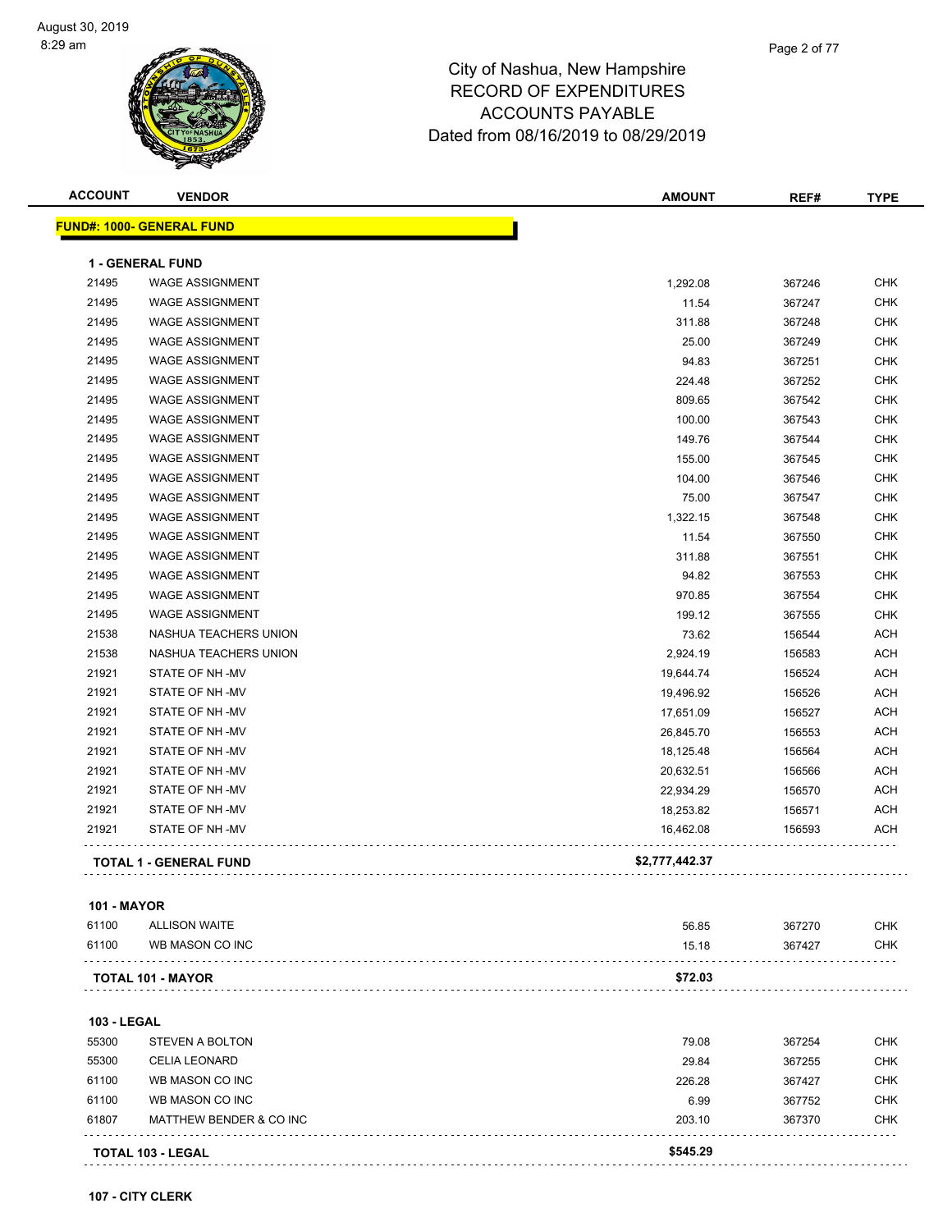| <b>ACCOUNT</b> | <b>VENDOR</b>                    | <b>AMOUNT</b>  | REF#   | <b>TYPE</b> |
|----------------|----------------------------------|----------------|--------|-------------|
|                | <b>FUND#: 1000- GENERAL FUND</b> |                |        |             |
|                | <b>1 - GENERAL FUND</b>          |                |        |             |
| 21495          | <b>WAGE ASSIGNMENT</b>           | 1,292.08       | 367246 | <b>CHK</b>  |
| 21495          | <b>WAGE ASSIGNMENT</b>           | 11.54          | 367247 | <b>CHK</b>  |
| 21495          | <b>WAGE ASSIGNMENT</b>           | 311.88         | 367248 | <b>CHK</b>  |
| 21495          | <b>WAGE ASSIGNMENT</b>           | 25.00          | 367249 | <b>CHK</b>  |
| 21495          | <b>WAGE ASSIGNMENT</b>           | 94.83          | 367251 | <b>CHK</b>  |
| 21495          | <b>WAGE ASSIGNMENT</b>           | 224.48         | 367252 | <b>CHK</b>  |
| 21495          | <b>WAGE ASSIGNMENT</b>           | 809.65         | 367542 | <b>CHK</b>  |
| 21495          | <b>WAGE ASSIGNMENT</b>           | 100.00         | 367543 | <b>CHK</b>  |
| 21495          | <b>WAGE ASSIGNMENT</b>           | 149.76         | 367544 | <b>CHK</b>  |
| 21495          | <b>WAGE ASSIGNMENT</b>           | 155.00         | 367545 | <b>CHK</b>  |
| 21495          | <b>WAGE ASSIGNMENT</b>           | 104.00         | 367546 | <b>CHK</b>  |
| 21495          | <b>WAGE ASSIGNMENT</b>           | 75.00          | 367547 | <b>CHK</b>  |
| 21495          | <b>WAGE ASSIGNMENT</b>           | 1,322.15       | 367548 | <b>CHK</b>  |
| 21495          | <b>WAGE ASSIGNMENT</b>           | 11.54          | 367550 | <b>CHK</b>  |
| 21495          | <b>WAGE ASSIGNMENT</b>           | 311.88         | 367551 | <b>CHK</b>  |
| 21495          | <b>WAGE ASSIGNMENT</b>           | 94.82          | 367553 | <b>CHK</b>  |
| 21495          | <b>WAGE ASSIGNMENT</b>           | 970.85         | 367554 | <b>CHK</b>  |
| 21495          | <b>WAGE ASSIGNMENT</b>           | 199.12         | 367555 | <b>CHK</b>  |
| 21538          | NASHUA TEACHERS UNION            | 73.62          | 156544 | <b>ACH</b>  |
| 21538          | NASHUA TEACHERS UNION            | 2,924.19       | 156583 | <b>ACH</b>  |
| 21921          | STATE OF NH-MV                   | 19,644.74      | 156524 | <b>ACH</b>  |
| 21921          | STATE OF NH-MV                   | 19,496.92      | 156526 | <b>ACH</b>  |
| 21921          | STATE OF NH -MV                  | 17,651.09      | 156527 | <b>ACH</b>  |
| 21921          | STATE OF NH-MV                   | 26,845.70      | 156553 | <b>ACH</b>  |
| 21921          | STATE OF NH -MV                  | 18,125.48      | 156564 | <b>ACH</b>  |
| 21921          | STATE OF NH-MV                   | 20,632.51      | 156566 | <b>ACH</b>  |
| 21921          | STATE OF NH -MV                  | 22,934.29      | 156570 | <b>ACH</b>  |
| 21921          | STATE OF NH -MV                  | 18,253.82      | 156571 | <b>ACH</b>  |
| 21921          | STATE OF NH -MV                  | 16,462.08      | 156593 | <b>ACH</b>  |
|                | <b>TOTAL 1 - GENERAL FUND</b>    | \$2,777,442.37 |        |             |

#### **101 - MAYOR**

| 61100 | ALLISON WAITE            | 56.85   | 367270 | СНК |
|-------|--------------------------|---------|--------|-----|
| 61100 | WB MASON CO INC          | 15.18   | 367427 | CHK |
|       | <b>TOTAL 101 - MAYOR</b> | \$72.03 |        |     |

#### **103 - LEGAL**

|       | <b>TOTAL 103 - LEGAL</b> | \$545.29 |        |            |
|-------|--------------------------|----------|--------|------------|
| 61807 | MATTHEW BENDER & CO INC  | 203.10   | 367370 | <b>CHK</b> |
| 61100 | WB MASON CO INC          | 6.99     | 367752 | <b>CHK</b> |
| 61100 | WB MASON CO INC          | 226.28   | 367427 | <b>CHK</b> |
| 55300 | <b>CELIA LEONARD</b>     | 29.84    | 367255 | <b>CHK</b> |
| 55300 | STEVEN A BOLTON          | 79.08    | 367254 | <b>CHK</b> |
|       |                          |          |        |            |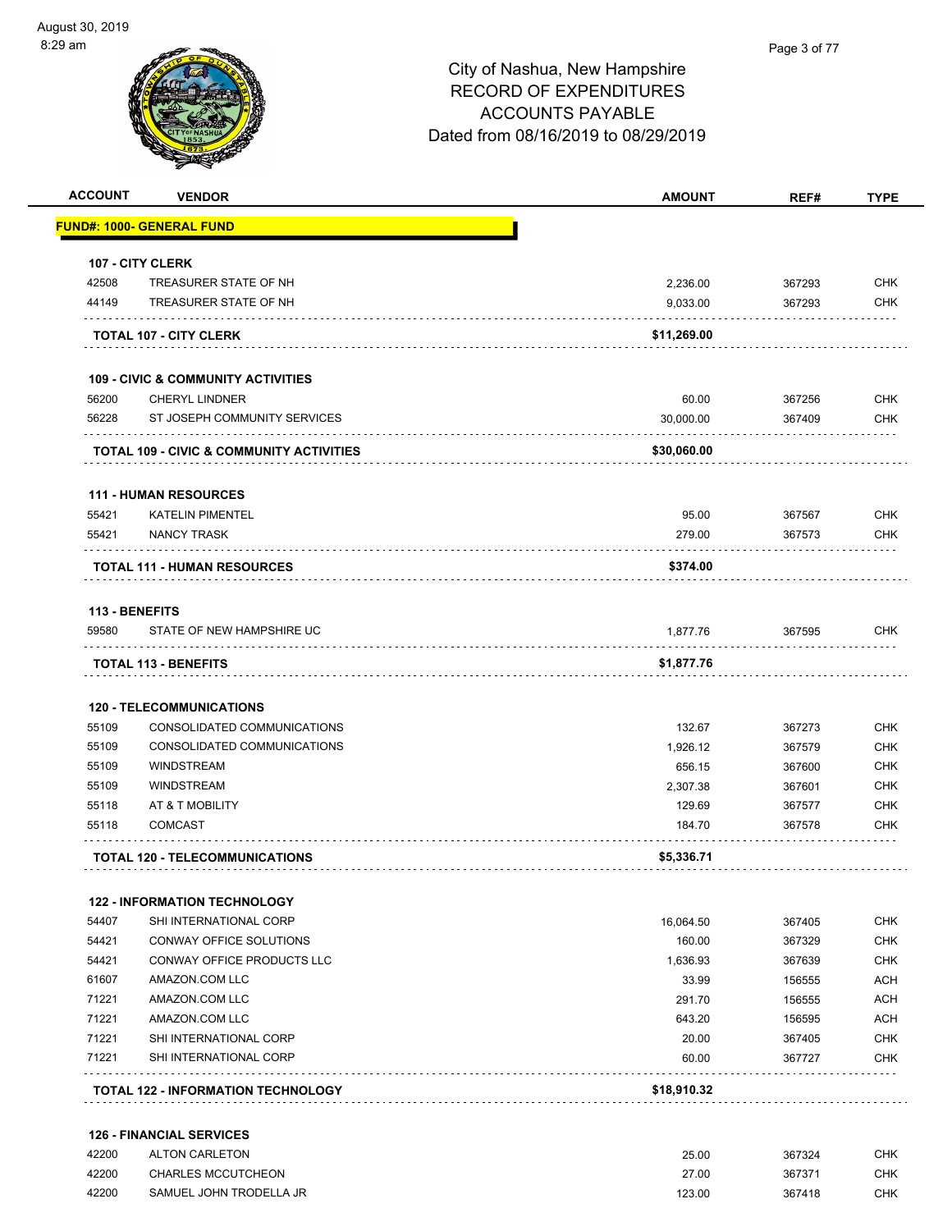|                | <b>VENDOR</b>                                       | <b>AMOUNT</b> | REF#   | <b>TYPE</b>                                                                                                  |
|----------------|-----------------------------------------------------|---------------|--------|--------------------------------------------------------------------------------------------------------------|
|                | FUND#: 1000- GENERAL FUND                           |               |        |                                                                                                              |
|                | 107 - CITY CLERK                                    |               |        |                                                                                                              |
| 42508          | TREASURER STATE OF NH                               | 2,236.00      | 367293 | <b>CHK</b>                                                                                                   |
| 44149          | TREASURER STATE OF NH                               | 9,033.00      | 367293 | <b>CHK</b>                                                                                                   |
|                | <b>TOTAL 107 - CITY CLERK</b>                       | \$11,269.00   |        |                                                                                                              |
|                | <b>109 - CIVIC &amp; COMMUNITY ACTIVITIES</b>       |               |        |                                                                                                              |
| 56200          | <b>CHERYL LINDNER</b>                               | 60.00         | 367256 | <b>CHK</b>                                                                                                   |
| 56228          | ST JOSEPH COMMUNITY SERVICES                        | 30,000.00     | 367409 | <b>CHK</b>                                                                                                   |
|                | <b>TOTAL 109 - CIVIC &amp; COMMUNITY ACTIVITIES</b> | \$30,060.00   |        |                                                                                                              |
|                | <b>111 - HUMAN RESOURCES</b>                        |               |        |                                                                                                              |
| 55421          | <b>KATELIN PIMENTEL</b>                             | 95.00         | 367567 | <b>CHK</b>                                                                                                   |
| 55421          | <b>NANCY TRASK</b>                                  | 279.00        | 367573 | <b>CHK</b>                                                                                                   |
|                | <b>TOTAL 111 - HUMAN RESOURCES</b>                  | \$374.00      |        |                                                                                                              |
| 113 - BENEFITS |                                                     |               |        |                                                                                                              |
| 59580          | STATE OF NEW HAMPSHIRE UC                           | 1,877.76      | 367595 | <b>CHK</b>                                                                                                   |
|                |                                                     |               |        |                                                                                                              |
|                |                                                     |               |        |                                                                                                              |
|                | <b>TOTAL 113 - BENEFITS</b>                         | \$1,877.76    |        |                                                                                                              |
|                | <b>120 - TELECOMMUNICATIONS</b>                     |               |        |                                                                                                              |
| 55109          | CONSOLIDATED COMMUNICATIONS                         | 132.67        | 367273 |                                                                                                              |
| 55109          | CONSOLIDATED COMMUNICATIONS                         | 1,926.12      | 367579 |                                                                                                              |
| 55109          | <b>WINDSTREAM</b>                                   | 656.15        | 367600 |                                                                                                              |
| 55109          | <b>WINDSTREAM</b>                                   | 2,307.38      | 367601 |                                                                                                              |
| 55118          | AT & T MOBILITY                                     | 129.69        | 367577 |                                                                                                              |
| 55118          | <b>COMCAST</b>                                      | 184.70        | 367578 | <b>CHK</b><br><b>CHK</b><br><b>CHK</b><br><b>CHK</b><br><b>CHK</b><br><b>CHK</b>                             |
|                | <b>TOTAL 120 - TELECOMMUNICATIONS</b>               | \$5,336.71    |        |                                                                                                              |
|                | <b>122 - INFORMATION TECHNOLOGY</b>                 |               |        |                                                                                                              |
| 54407          | SHI INTERNATIONAL CORP                              | 16,064.50     | 367405 |                                                                                                              |
| 54421          | CONWAY OFFICE SOLUTIONS                             | 160.00        | 367329 |                                                                                                              |
| 54421          | CONWAY OFFICE PRODUCTS LLC                          | 1,636.93      | 367639 |                                                                                                              |
| 61607          | AMAZON.COM LLC                                      | 33.99         | 156555 |                                                                                                              |
| 71221          | AMAZON.COM LLC                                      | 291.70        | 156555 |                                                                                                              |
| 71221          | AMAZON.COM LLC                                      | 643.20        | 156595 |                                                                                                              |
|                | SHI INTERNATIONAL CORP                              | 20.00         | 367405 |                                                                                                              |
| 71221<br>71221 | SHI INTERNATIONAL CORP                              | 60.00         | 367727 | <b>CHK</b><br><b>CHK</b><br><b>CHK</b><br><b>ACH</b><br><b>ACH</b><br><b>ACH</b><br><b>CHK</b><br><b>CHK</b> |

| 42200 | <b>ALTON CARLETON</b>     | 25.00  | 367324 | СНК |
|-------|---------------------------|--------|--------|-----|
| 42200 | <b>CHARLES MCCUTCHEON</b> | 27.00  | 367371 | СНК |
| 42200 | SAMUEL JOHN TRODELLA JR   | 123.00 | 367418 | СНК |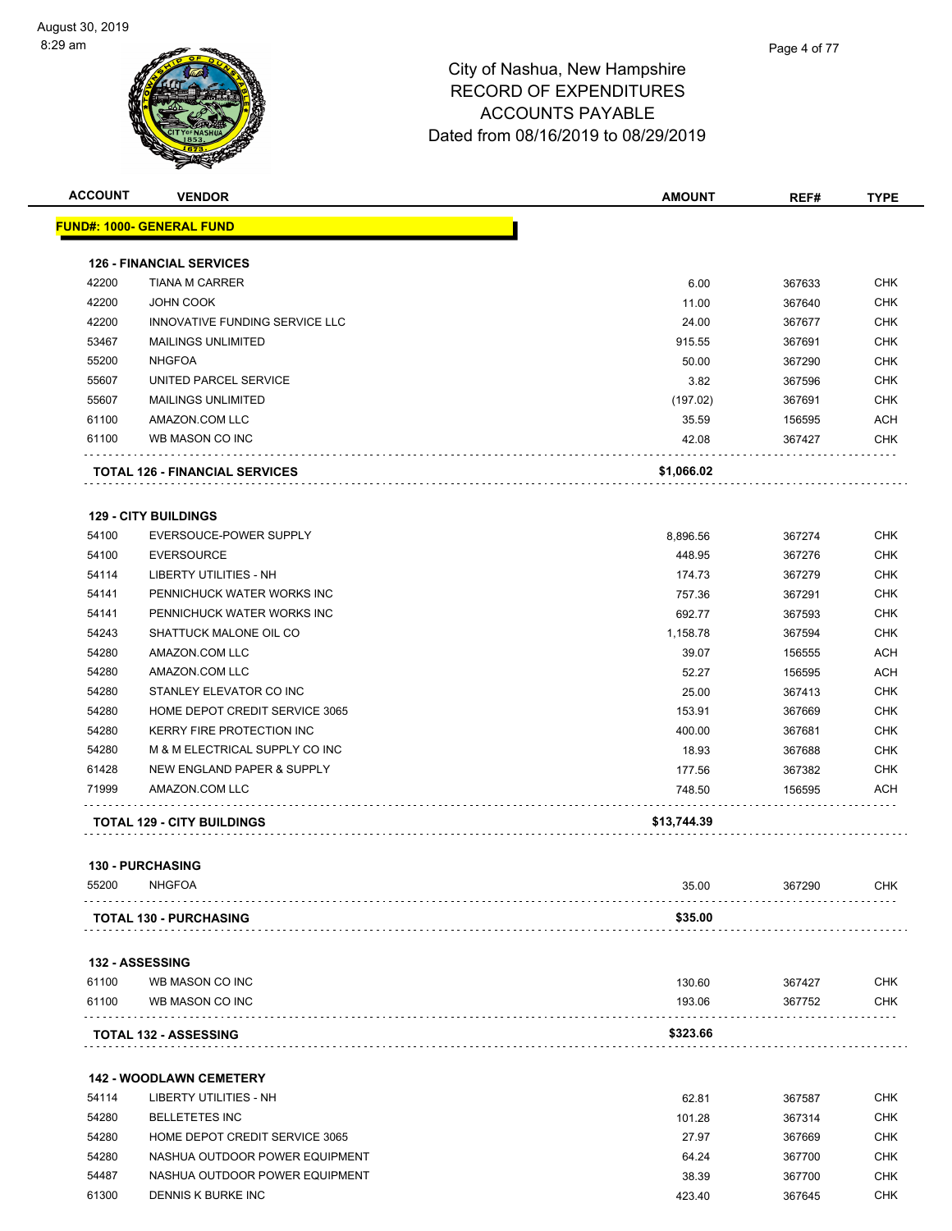

| <b>ACCOUNT</b> | <b>VENDOR</b>                                            | <b>AMOUNT</b>     | REF#   | <b>TYPE</b> |
|----------------|----------------------------------------------------------|-------------------|--------|-------------|
|                | <u> FUND#: 1000- GENERAL FUND</u>                        |                   |        |             |
|                |                                                          |                   |        |             |
| 42200          | <b>126 - FINANCIAL SERVICES</b><br><b>TIANA M CARRER</b> | 6.00              | 367633 | <b>CHK</b>  |
| 42200          | JOHN COOK                                                | 11.00             | 367640 | CHK         |
| 42200          | INNOVATIVE FUNDING SERVICE LLC                           | 24.00             | 367677 | <b>CHK</b>  |
| 53467          | <b>MAILINGS UNLIMITED</b>                                | 915.55            | 367691 | <b>CHK</b>  |
| 55200          | <b>NHGFOA</b>                                            | 50.00             | 367290 | <b>CHK</b>  |
| 55607          | UNITED PARCEL SERVICE                                    | 3.82              | 367596 | <b>CHK</b>  |
| 55607          | <b>MAILINGS UNLIMITED</b>                                |                   | 367691 | <b>CHK</b>  |
| 61100          | AMAZON.COM LLC                                           | (197.02)<br>35.59 | 156595 | <b>ACH</b>  |
| 61100          | WB MASON CO INC                                          |                   | 367427 |             |
|                |                                                          | 42.08             |        | CHK         |
|                | <b>TOTAL 126 - FINANCIAL SERVICES</b>                    | \$1,066.02        |        |             |
|                | <b>129 - CITY BUILDINGS</b>                              |                   |        |             |
| 54100          | EVERSOUCE-POWER SUPPLY                                   | 8,896.56          | 367274 | CHK         |
| 54100          | <b>EVERSOURCE</b>                                        | 448.95            | 367276 | <b>CHK</b>  |
| 54114          | LIBERTY UTILITIES - NH                                   | 174.73            | 367279 | <b>CHK</b>  |
| 54141          | PENNICHUCK WATER WORKS INC                               | 757.36            | 367291 | CHK         |
| 54141          | PENNICHUCK WATER WORKS INC                               | 692.77            | 367593 | <b>CHK</b>  |
| 54243          | SHATTUCK MALONE OIL CO                                   | 1,158.78          | 367594 | <b>CHK</b>  |
| 54280          | AMAZON.COM LLC                                           | 39.07             | 156555 | <b>ACH</b>  |
| 54280          | AMAZON.COM LLC                                           | 52.27             | 156595 | <b>ACH</b>  |
| 54280          | STANLEY ELEVATOR CO INC                                  | 25.00             | 367413 | CHK         |
| 54280          | HOME DEPOT CREDIT SERVICE 3065                           | 153.91            | 367669 | CHK         |
| 54280          | KERRY FIRE PROTECTION INC                                | 400.00            | 367681 | CHK         |
| 54280          | M & M ELECTRICAL SUPPLY CO INC                           | 18.93             | 367688 | <b>CHK</b>  |
| 61428          | NEW ENGLAND PAPER & SUPPLY                               | 177.56            | 367382 | <b>CHK</b>  |
| 71999          | AMAZON.COM LLC                                           | 748.50            | 156595 | <b>ACH</b>  |
|                | <b>TOTAL 129 - CITY BUILDINGS</b>                        | \$13,744.39       |        |             |
|                |                                                          |                   |        |             |
| 55200          | <b>130 - PURCHASING</b><br><b>NHGFOA</b>                 | 35.00             | 367290 | <b>CHK</b>  |
|                | <b>TOTAL 130 - PURCHASING</b>                            | \$35.00           |        |             |
|                |                                                          |                   |        |             |
|                | 132 - ASSESSING                                          |                   |        |             |
| 61100          | WB MASON CO INC                                          | 130.60            | 367427 | <b>CHK</b>  |
| 61100          | WB MASON CO INC                                          | 193.06            | 367752 | <b>CHK</b>  |
|                | <b>TOTAL 132 - ASSESSING</b>                             | \$323.66          |        |             |
|                | <b>142 - WOODLAWN CEMETERY</b>                           |                   |        |             |
| 54114          | LIBERTY UTILITIES - NH                                   | 62.81             | 367587 | <b>CHK</b>  |
| 54280          | <b>BELLETETES INC</b>                                    | 101.28            | 367314 | <b>CHK</b>  |
| 54280          | HOME DEPOT CREDIT SERVICE 3065                           | 27.97             | 367669 | CHK         |
| 54280          | NASHUA OUTDOOR POWER EQUIPMENT                           | 64.24             | 367700 | <b>CHK</b>  |
| 54487          | NASHUA OUTDOOR POWER EQUIPMENT                           | 38.39             | 367700 | <b>CHK</b>  |
| 61300          | DENNIS K BURKE INC                                       | 423.40            | 367645 | CHK         |
|                |                                                          |                   |        |             |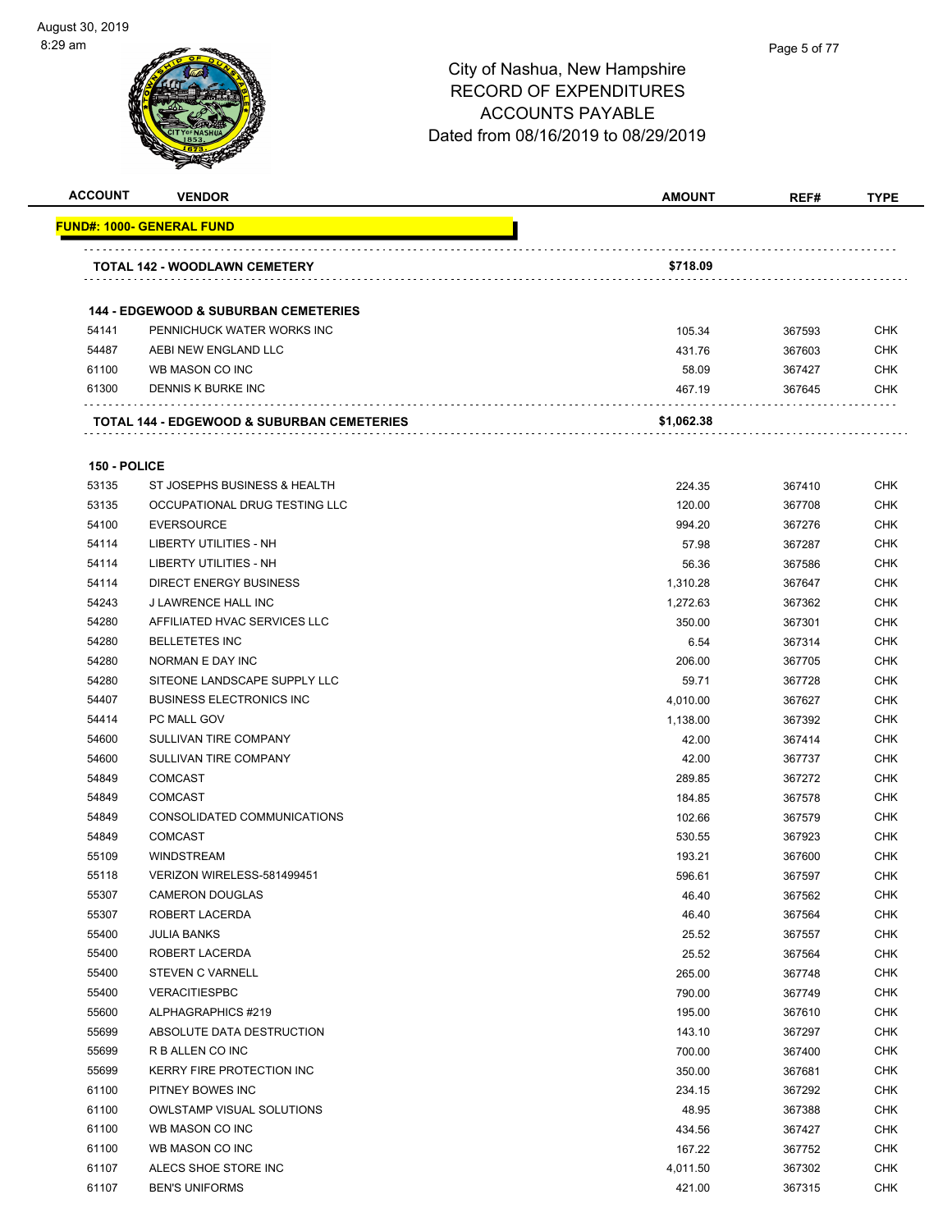# City of Nashua, New Hampshire RECORD OF EXPENDITURES

ACCOUNTS PAYABLE Dated from 08/16/2019 to 08/29/2019

| <b>ACCOUNT</b> | <b>VENDOR</b>                                         | AMOUNT     | REF#   | <b>TYPE</b> |
|----------------|-------------------------------------------------------|------------|--------|-------------|
|                | <b>FUND#: 1000- GENERAL FUND</b>                      |            |        |             |
|                |                                                       | \$718.09   |        |             |
|                | <b>TOTAL 142 - WOODLAWN CEMETERY</b>                  |            |        |             |
|                | <b>144 - EDGEWOOD &amp; SUBURBAN CEMETERIES</b>       |            |        |             |
| 54141          | PENNICHUCK WATER WORKS INC                            | 105.34     | 367593 | CHK         |
| 54487          | AEBI NEW ENGLAND LLC                                  | 431.76     | 367603 | <b>CHK</b>  |
| 61100          | WB MASON CO INC                                       | 58.09      | 367427 | CHK         |
| 61300          | DENNIS K BURKE INC                                    | 467.19     | 367645 | CHK         |
|                |                                                       |            |        |             |
|                | <b>TOTAL 144 - EDGEWOOD &amp; SUBURBAN CEMETERIES</b> | \$1,062.38 |        |             |
| 150 - POLICE   |                                                       |            |        |             |
| 53135          | ST JOSEPHS BUSINESS & HEALTH                          | 224.35     | 367410 | <b>CHK</b>  |
| 53135          | OCCUPATIONAL DRUG TESTING LLC                         | 120.00     | 367708 | <b>CHK</b>  |
| 54100          | <b>EVERSOURCE</b>                                     | 994.20     | 367276 | <b>CHK</b>  |
| 54114          | LIBERTY UTILITIES - NH                                | 57.98      | 367287 | CHK         |
| 54114          | <b>LIBERTY UTILITIES - NH</b>                         | 56.36      | 367586 | CHK         |
| 54114          | <b>DIRECT ENERGY BUSINESS</b>                         | 1,310.28   | 367647 | CHK         |
| 54243          | J LAWRENCE HALL INC                                   | 1,272.63   | 367362 | <b>CHK</b>  |
| 54280          | AFFILIATED HVAC SERVICES LLC                          | 350.00     | 367301 | CHK         |
| 54280          | <b>BELLETETES INC</b>                                 | 6.54       | 367314 | <b>CHK</b>  |
| 54280          | NORMAN E DAY INC                                      | 206.00     | 367705 | <b>CHK</b>  |
| 54280          | SITEONE LANDSCAPE SUPPLY LLC                          | 59.71      | 367728 | <b>CHK</b>  |
| 54407          | <b>BUSINESS ELECTRONICS INC</b>                       | 4,010.00   | 367627 | <b>CHK</b>  |
| 54414          | PC MALL GOV                                           | 1,138.00   | 367392 | <b>CHK</b>  |
| 54600          | SULLIVAN TIRE COMPANY                                 | 42.00      | 367414 | <b>CHK</b>  |
| 54600          | SULLIVAN TIRE COMPANY                                 | 42.00      | 367737 | CHK         |
| 54849          | <b>COMCAST</b>                                        | 289.85     | 367272 | CHK         |
| 54849          | <b>COMCAST</b>                                        | 184.85     | 367578 | <b>CHK</b>  |
| 54849          | CONSOLIDATED COMMUNICATIONS                           | 102.66     | 367579 | CHK         |
| 54849          | <b>COMCAST</b>                                        | 530.55     | 367923 | <b>CHK</b>  |
| 55109          | <b>WINDSTREAM</b>                                     | 193.21     | 367600 | <b>CHK</b>  |
| 55118          | VERIZON WIRELESS-581499451                            | 596.61     | 367597 | <b>CHK</b>  |
| 55307          | <b>CAMERON DOUGLAS</b>                                | 46.40      | 367562 | <b>CHK</b>  |
| 55307          | ROBERT LACERDA                                        | 46.40      | 367564 | <b>CHK</b>  |
| 55400          | <b>JULIA BANKS</b>                                    | 25.52      | 367557 | <b>CHK</b>  |
| 55400          | ROBERT LACERDA                                        | 25.52      | 367564 | <b>CHK</b>  |
| 55400          | <b>STEVEN C VARNELL</b>                               | 265.00     | 367748 | <b>CHK</b>  |
| 55400          | <b>VERACITIESPBC</b>                                  | 790.00     | 367749 | CHK         |
| 55600          | ALPHAGRAPHICS #219                                    | 195.00     | 367610 | <b>CHK</b>  |
| 55699          | ABSOLUTE DATA DESTRUCTION                             | 143.10     | 367297 | <b>CHK</b>  |
| 55699          | R B ALLEN CO INC                                      | 700.00     | 367400 | <b>CHK</b>  |
| 55699          | KERRY FIRE PROTECTION INC                             | 350.00     | 367681 | <b>CHK</b>  |
| 61100          | PITNEY BOWES INC                                      | 234.15     | 367292 | <b>CHK</b>  |
| 61100          | <b>OWLSTAMP VISUAL SOLUTIONS</b>                      | 48.95      | 367388 | <b>CHK</b>  |
| 61100          | WB MASON CO INC                                       | 434.56     | 367427 | <b>CHK</b>  |
| 61100          | WB MASON CO INC                                       | 167.22     | 367752 | <b>CHK</b>  |

61107 ALECS SHOE STORE INC 66 ALECS SHOE STORE INC 61107 BEN'S UNIFORMS CHK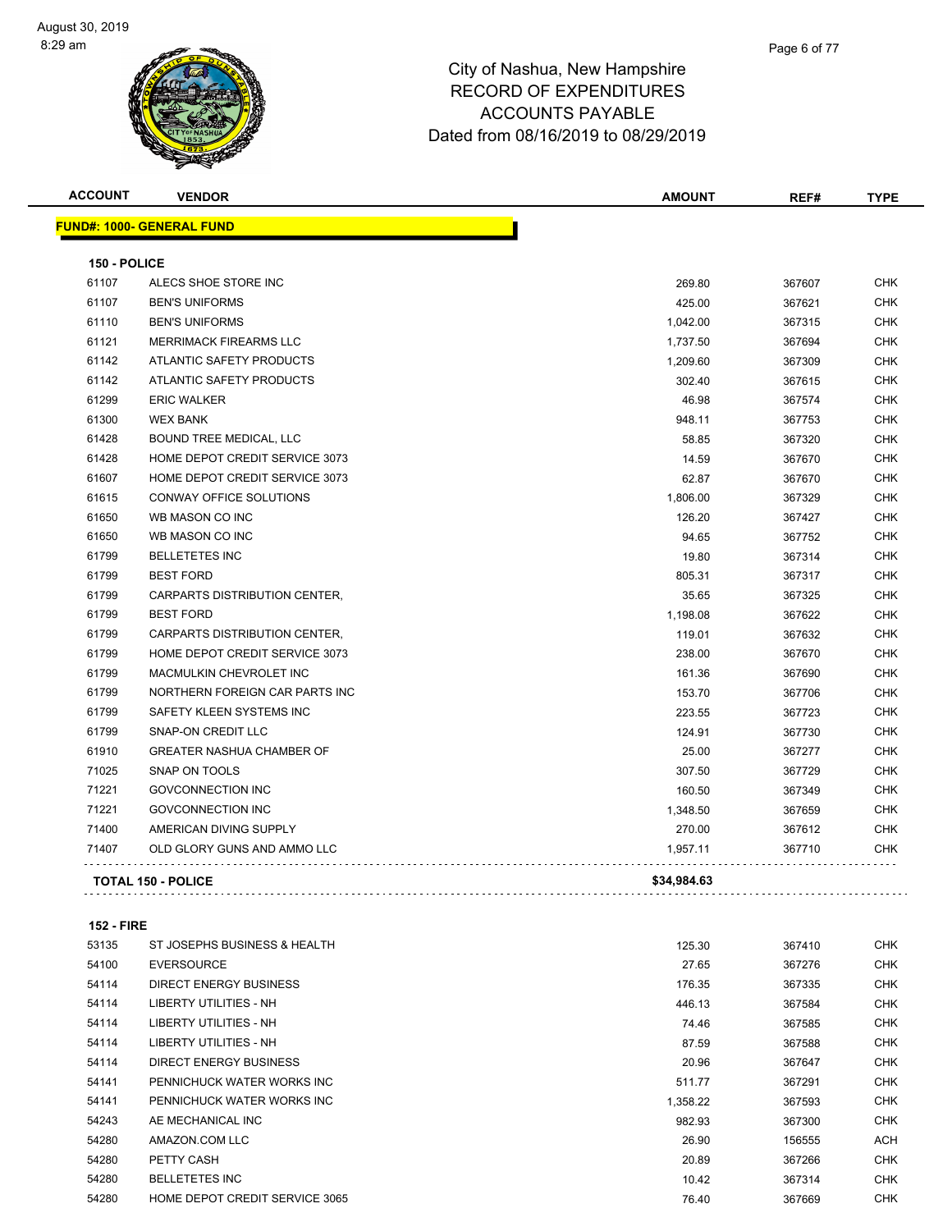| <b>ACCOUNT</b> | <b>VENDOR</b>                    | <b>AMOUNT</b> | REF#   | <b>TYPE</b> |
|----------------|----------------------------------|---------------|--------|-------------|
|                | <b>FUND#: 1000- GENERAL FUND</b> |               |        |             |
| 150 - POLICE   |                                  |               |        |             |
| 61107          | ALECS SHOE STORE INC             | 269.80        | 367607 | <b>CHK</b>  |
| 61107          | <b>BEN'S UNIFORMS</b>            | 425.00        | 367621 | <b>CHK</b>  |
| 61110          | <b>BEN'S UNIFORMS</b>            | 1,042.00      | 367315 | <b>CHK</b>  |
| 61121          | MERRIMACK FIREARMS LLC           | 1,737.50      | 367694 | <b>CHK</b>  |
| 61142          | ATLANTIC SAFETY PRODUCTS         | 1,209.60      | 367309 | <b>CHK</b>  |
| 61142          | ATLANTIC SAFETY PRODUCTS         | 302.40        | 367615 | <b>CHK</b>  |
| 61299          | <b>ERIC WALKER</b>               | 46.98         | 367574 | <b>CHK</b>  |
| 61300          | <b>WEX BANK</b>                  | 948.11        | 367753 | <b>CHK</b>  |
| 61428          | BOUND TREE MEDICAL, LLC          | 58.85         | 367320 | <b>CHK</b>  |
| 61428          | HOME DEPOT CREDIT SERVICE 3073   | 14.59         | 367670 | <b>CHK</b>  |
| 61607          | HOME DEPOT CREDIT SERVICE 3073   | 62.87         | 367670 | CHK         |
| 61615          | <b>CONWAY OFFICE SOLUTIONS</b>   | 1,806.00      | 367329 | <b>CHK</b>  |
| 61650          | WB MASON CO INC                  | 126.20        | 367427 | <b>CHK</b>  |
| 61650          | WB MASON CO INC                  | 94.65         | 367752 | CHK         |
| 61799          | <b>BELLETETES INC</b>            | 19.80         | 367314 | <b>CHK</b>  |
| 61799          | <b>BEST FORD</b>                 | 805.31        | 367317 | <b>CHK</b>  |
| 61799          | CARPARTS DISTRIBUTION CENTER,    | 35.65         | 367325 | <b>CHK</b>  |
| 61799          | <b>BEST FORD</b>                 | 1,198.08      | 367622 | <b>CHK</b>  |
| 61799          | CARPARTS DISTRIBUTION CENTER,    | 119.01        | 367632 | <b>CHK</b>  |
| 61799          | HOME DEPOT CREDIT SERVICE 3073   | 238.00        | 367670 | <b>CHK</b>  |
| 61799          | <b>MACMULKIN CHEVROLET INC</b>   | 161.36        | 367690 | <b>CHK</b>  |
| 61799          | NORTHERN FOREIGN CAR PARTS INC   | 153.70        | 367706 | <b>CHK</b>  |
| 61799          | SAFETY KLEEN SYSTEMS INC         | 223.55        | 367723 | <b>CHK</b>  |
| 61799          | <b>SNAP-ON CREDIT LLC</b>        | 124.91        | 367730 | <b>CHK</b>  |
| 61910          | <b>GREATER NASHUA CHAMBER OF</b> | 25.00         | 367277 | <b>CHK</b>  |
| 71025          | SNAP ON TOOLS                    | 307.50        | 367729 | CHK         |
| 71221          | <b>GOVCONNECTION INC</b>         | 160.50        | 367349 | <b>CHK</b>  |
| 71221          | <b>GOVCONNECTION INC</b>         | 1,348.50      | 367659 | CHK         |
| 71400          | AMERICAN DIVING SUPPLY           | 270.00        | 367612 | CHK         |
| 71407          | OLD GLORY GUNS AND AMMO LLC      | 1,957.11      | 367710 | CHK         |
|                | <b>TOTAL 150 - POLICE</b>        | \$34,984.63   |        |             |
|                |                                  |               |        |             |

**152 - FIRE**

| 53135 | ST JOSEPHS BUSINESS & HEALTH   | 125.30   | 367410 | <b>CHK</b> |
|-------|--------------------------------|----------|--------|------------|
| 54100 | <b>EVERSOURCE</b>              | 27.65    | 367276 | <b>CHK</b> |
| 54114 | DIRECT ENERGY BUSINESS         | 176.35   | 367335 | <b>CHK</b> |
| 54114 | LIBERTY UTILITIES - NH         | 446.13   | 367584 | <b>CHK</b> |
| 54114 | LIBERTY UTILITIES - NH         | 74.46    | 367585 | <b>CHK</b> |
| 54114 | LIBERTY UTILITIES - NH         | 87.59    | 367588 | <b>CHK</b> |
| 54114 | DIRECT ENERGY BUSINESS         | 20.96    | 367647 | <b>CHK</b> |
| 54141 | PENNICHUCK WATER WORKS INC     | 511.77   | 367291 | <b>CHK</b> |
| 54141 | PENNICHUCK WATER WORKS INC     | 1,358.22 | 367593 | <b>CHK</b> |
| 54243 | AE MECHANICAL INC              | 982.93   | 367300 | <b>CHK</b> |
| 54280 | AMAZON.COM LLC                 | 26.90    | 156555 | <b>ACH</b> |
| 54280 | PETTY CASH                     | 20.89    | 367266 | <b>CHK</b> |
| 54280 | <b>BELLETETES INC</b>          | 10.42    | 367314 | <b>CHK</b> |
| 54280 | HOME DEPOT CREDIT SERVICE 3065 | 76.40    | 367669 | <b>CHK</b> |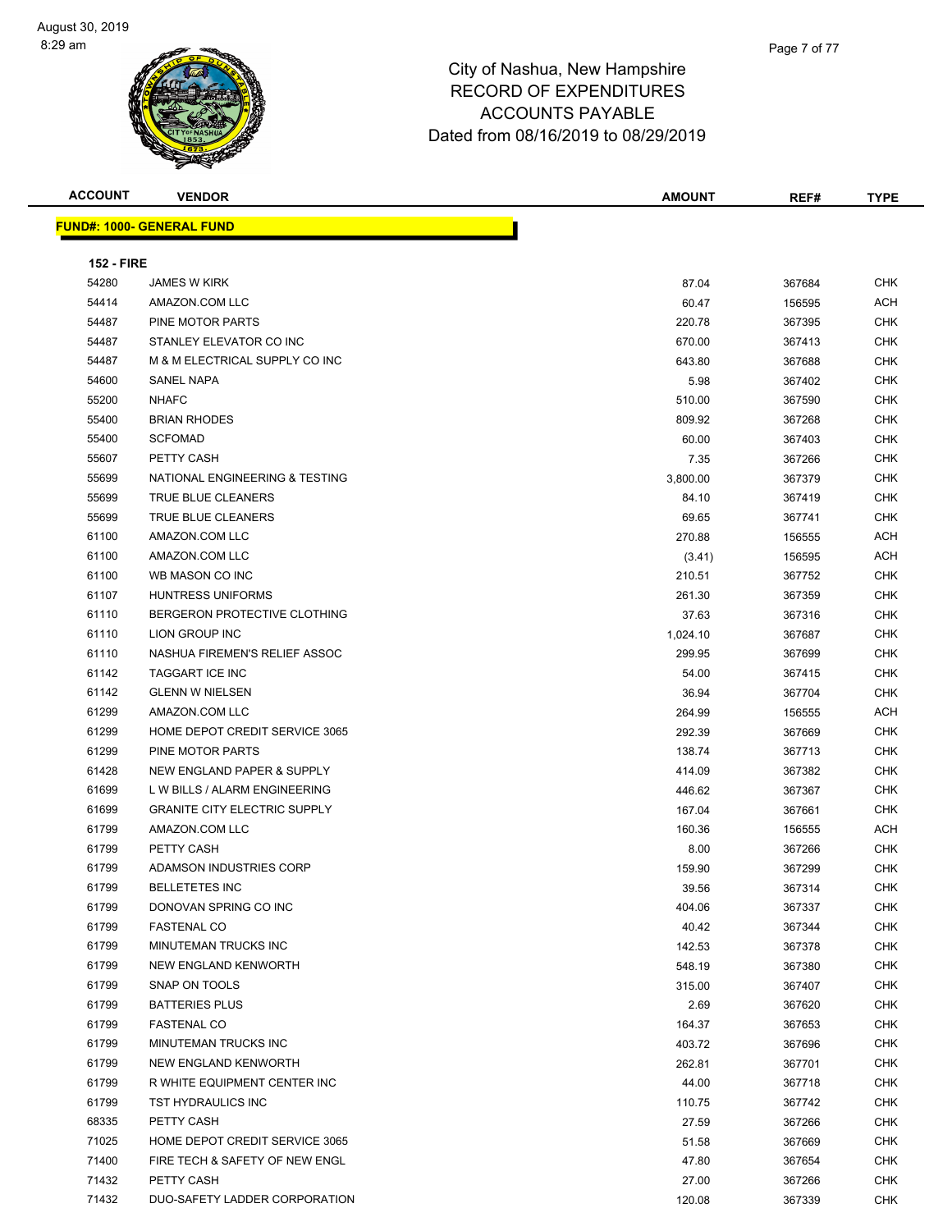

| <b>ACCOUNT</b>    | <b>VENDOR</b>                       | <b>AMOUNT</b> | REF#   | <b>TYPE</b> |
|-------------------|-------------------------------------|---------------|--------|-------------|
|                   | <u> FUND#: 1000- GENERAL FUND</u>   |               |        |             |
|                   |                                     |               |        |             |
| <b>152 - FIRE</b> |                                     |               |        |             |
| 54280             | <b>JAMES W KIRK</b>                 | 87.04         | 367684 | <b>CHK</b>  |
| 54414             | AMAZON.COM LLC                      | 60.47         | 156595 | ACH         |
| 54487             | PINE MOTOR PARTS                    | 220.78        | 367395 | <b>CHK</b>  |
| 54487             | STANLEY ELEVATOR CO INC             | 670.00        | 367413 | CHK         |
| 54487             | M & M ELECTRICAL SUPPLY CO INC      | 643.80        | 367688 | CHK         |
| 54600             | SANEL NAPA                          | 5.98          | 367402 | <b>CHK</b>  |
| 55200             | <b>NHAFC</b>                        | 510.00        | 367590 | CHK         |
| 55400             | <b>BRIAN RHODES</b>                 | 809.92        | 367268 | CHK         |
| 55400             | <b>SCFOMAD</b>                      | 60.00         | 367403 | CHK         |
| 55607             | PETTY CASH                          | 7.35          | 367266 | <b>CHK</b>  |
| 55699             | NATIONAL ENGINEERING & TESTING      | 3,800.00      | 367379 | <b>CHK</b>  |
| 55699             | TRUE BLUE CLEANERS                  | 84.10         | 367419 | <b>CHK</b>  |
| 55699             | TRUE BLUE CLEANERS                  | 69.65         | 367741 | <b>CHK</b>  |
| 61100             | AMAZON.COM LLC                      | 270.88        | 156555 | ACH         |
| 61100             | AMAZON.COM LLC                      | (3.41)        | 156595 | ACH         |
| 61100             | WB MASON CO INC                     | 210.51        | 367752 | CHK         |
| 61107             | <b>HUNTRESS UNIFORMS</b>            | 261.30        | 367359 | <b>CHK</b>  |
| 61110             | BERGERON PROTECTIVE CLOTHING        | 37.63         | 367316 | CHK         |
| 61110             | LION GROUP INC                      | 1,024.10      | 367687 | CHK         |
| 61110             | NASHUA FIREMEN'S RELIEF ASSOC       | 299.95        | 367699 | CHK         |
| 61142             | <b>TAGGART ICE INC</b>              | 54.00         | 367415 | CHK         |
| 61142             | <b>GLENN W NIELSEN</b>              | 36.94         | 367704 | <b>CHK</b>  |
| 61299             | AMAZON.COM LLC                      | 264.99        | 156555 | ACH         |
| 61299             | HOME DEPOT CREDIT SERVICE 3065      | 292.39        | 367669 | CHK         |
| 61299             | PINE MOTOR PARTS                    | 138.74        | 367713 | <b>CHK</b>  |
| 61428             | NEW ENGLAND PAPER & SUPPLY          | 414.09        | 367382 | <b>CHK</b>  |
| 61699             | L W BILLS / ALARM ENGINEERING       | 446.62        | 367367 | CHK         |
| 61699             | <b>GRANITE CITY ELECTRIC SUPPLY</b> |               |        | <b>CHK</b>  |
|                   |                                     | 167.04        | 367661 |             |
| 61799             | AMAZON.COM LLC                      | 160.36        | 156555 | ACH         |
| 61799             | PETTY CASH                          | 8.00          | 367266 | <b>CHK</b>  |
| 61799             | ADAMSON INDUSTRIES CORP             | 159.90        | 367299 | CHK         |
| 61799             | BELLETETES INC                      | 39.56         | 367314 | <b>CHK</b>  |
| 61799             | DONOVAN SPRING CO INC               | 404.06        | 367337 | <b>CHK</b>  |
| 61799             | <b>FASTENAL CO</b>                  | 40.42         | 367344 | <b>CHK</b>  |
| 61799             | MINUTEMAN TRUCKS INC                | 142.53        | 367378 | <b>CHK</b>  |
| 61799             | NEW ENGLAND KENWORTH                | 548.19        | 367380 | <b>CHK</b>  |
| 61799             | SNAP ON TOOLS                       | 315.00        | 367407 | <b>CHK</b>  |
| 61799             | <b>BATTERIES PLUS</b>               | 2.69          | 367620 | <b>CHK</b>  |
| 61799             | <b>FASTENAL CO</b>                  | 164.37        | 367653 | <b>CHK</b>  |
| 61799             | MINUTEMAN TRUCKS INC                | 403.72        | 367696 | <b>CHK</b>  |
| 61799             | NEW ENGLAND KENWORTH                | 262.81        | 367701 | <b>CHK</b>  |
| 61799             | R WHITE EQUIPMENT CENTER INC        | 44.00         | 367718 | <b>CHK</b>  |
| 61799             | TST HYDRAULICS INC                  | 110.75        | 367742 | <b>CHK</b>  |
| 68335             | PETTY CASH                          | 27.59         | 367266 | <b>CHK</b>  |
| 71025             | HOME DEPOT CREDIT SERVICE 3065      | 51.58         | 367669 | <b>CHK</b>  |
| 71400             | FIRE TECH & SAFETY OF NEW ENGL      | 47.80         | 367654 | <b>CHK</b>  |
| 71432             | PETTY CASH                          | 27.00         | 367266 | <b>CHK</b>  |
| 71432             | DUO-SAFETY LADDER CORPORATION       | 120.08        | 367339 | CHK         |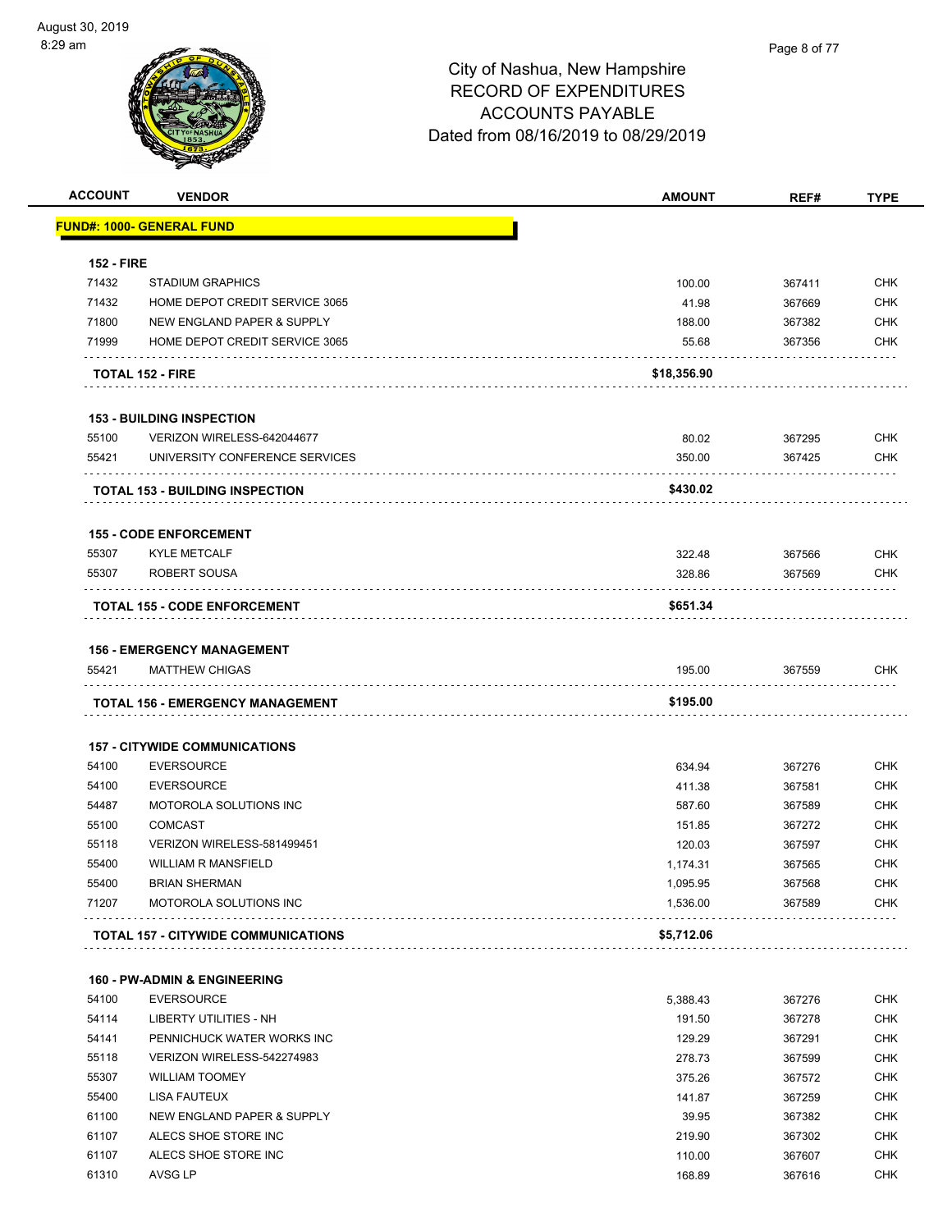

| <b>ACCOUNT</b>    | <b>VENDOR</b>                                              | <b>AMOUNT</b> | REF#   | <b>TYPE</b> |
|-------------------|------------------------------------------------------------|---------------|--------|-------------|
|                   | <u> FUND#: 1000- GENERAL FUND</u>                          |               |        |             |
| <b>152 - FIRE</b> |                                                            |               |        |             |
| 71432             | <b>STADIUM GRAPHICS</b>                                    | 100.00        | 367411 | <b>CHK</b>  |
| 71432             | HOME DEPOT CREDIT SERVICE 3065                             | 41.98         | 367669 | <b>CHK</b>  |
| 71800             | NEW ENGLAND PAPER & SUPPLY                                 | 188.00        | 367382 | <b>CHK</b>  |
| 71999             | HOME DEPOT CREDIT SERVICE 3065                             | 55.68         | 367356 | <b>CHK</b>  |
|                   | <b>TOTAL 152 - FIRE</b>                                    | \$18,356.90   |        |             |
|                   | <b>153 - BUILDING INSPECTION</b>                           |               |        |             |
| 55100             | VERIZON WIRELESS-642044677                                 | 80.02         | 367295 | <b>CHK</b>  |
| 55421             | UNIVERSITY CONFERENCE SERVICES                             | 350.00        | 367425 | <b>CHK</b>  |
|                   | <b>TOTAL 153 - BUILDING INSPECTION</b>                     | \$430.02      |        |             |
|                   | <b>155 - CODE ENFORCEMENT</b>                              |               |        |             |
| 55307             | <b>KYLE METCALF</b>                                        | 322.48        | 367566 | <b>CHK</b>  |
| 55307             | ROBERT SOUSA                                               | 328.86        | 367569 | <b>CHK</b>  |
|                   | <b>TOTAL 155 - CODE ENFORCEMENT</b>                        | \$651.34      |        |             |
|                   |                                                            |               |        |             |
| 55421             | <b>156 - EMERGENCY MANAGEMENT</b><br><b>MATTHEW CHIGAS</b> | 195.00        | 367559 | <b>CHK</b>  |
|                   |                                                            |               |        |             |
|                   | <b>TOTAL 156 - EMERGENCY MANAGEMENT</b>                    | \$195.00      |        |             |
|                   | <b>157 - CITYWIDE COMMUNICATIONS</b>                       |               |        |             |
| 54100             | <b>EVERSOURCE</b>                                          | 634.94        | 367276 | <b>CHK</b>  |
| 54100             | <b>EVERSOURCE</b>                                          | 411.38        | 367581 | <b>CHK</b>  |
| 54487             | MOTOROLA SOLUTIONS INC                                     | 587.60        | 367589 | <b>CHK</b>  |
| 55100             | <b>COMCAST</b>                                             | 151.85        | 367272 | <b>CHK</b>  |
| 55118             | VERIZON WIRELESS-581499451                                 | 120.03        | 367597 | <b>CHK</b>  |
| 55400             | <b>WILLIAM R MANSFIELD</b>                                 | 1,174.31      | 367565 | <b>CHK</b>  |
| 55400             | <b>BRIAN SHERMAN</b>                                       | 1,095.95      | 367568 | <b>CHK</b>  |
| 71207             | MOTOROLA SOLUTIONS INC                                     | 1,536.00      | 367589 | <b>CHK</b>  |
|                   | <b>TOTAL 157 - CITYWIDE COMMUNICATIONS</b>                 | \$5,712.06    |        |             |
|                   | <b>160 - PW-ADMIN &amp; ENGINEERING</b>                    |               |        |             |
| 54100             | <b>EVERSOURCE</b>                                          | 5,388.43      | 367276 | <b>CHK</b>  |
| 54114             | <b>LIBERTY UTILITIES - NH</b>                              | 191.50        | 367278 | <b>CHK</b>  |
| 54141             | PENNICHUCK WATER WORKS INC                                 | 129.29        | 367291 | <b>CHK</b>  |
| 55118             | VERIZON WIRELESS-542274983                                 | 278.73        | 367599 | <b>CHK</b>  |
| 55307             | <b>WILLIAM TOOMEY</b>                                      | 375.26        | 367572 | <b>CHK</b>  |
| 55400             | LISA FAUTEUX                                               | 141.87        | 367259 | <b>CHK</b>  |
| 61100             | NEW ENGLAND PAPER & SUPPLY                                 | 39.95         | 367382 | <b>CHK</b>  |
| 61107             | ALECS SHOE STORE INC                                       | 219.90        | 367302 | <b>CHK</b>  |
| 61107             | ALECS SHOE STORE INC                                       | 110.00        | 367607 | <b>CHK</b>  |
| 61310             | <b>AVSG LP</b>                                             | 168.89        | 367616 | <b>CHK</b>  |
|                   |                                                            |               |        |             |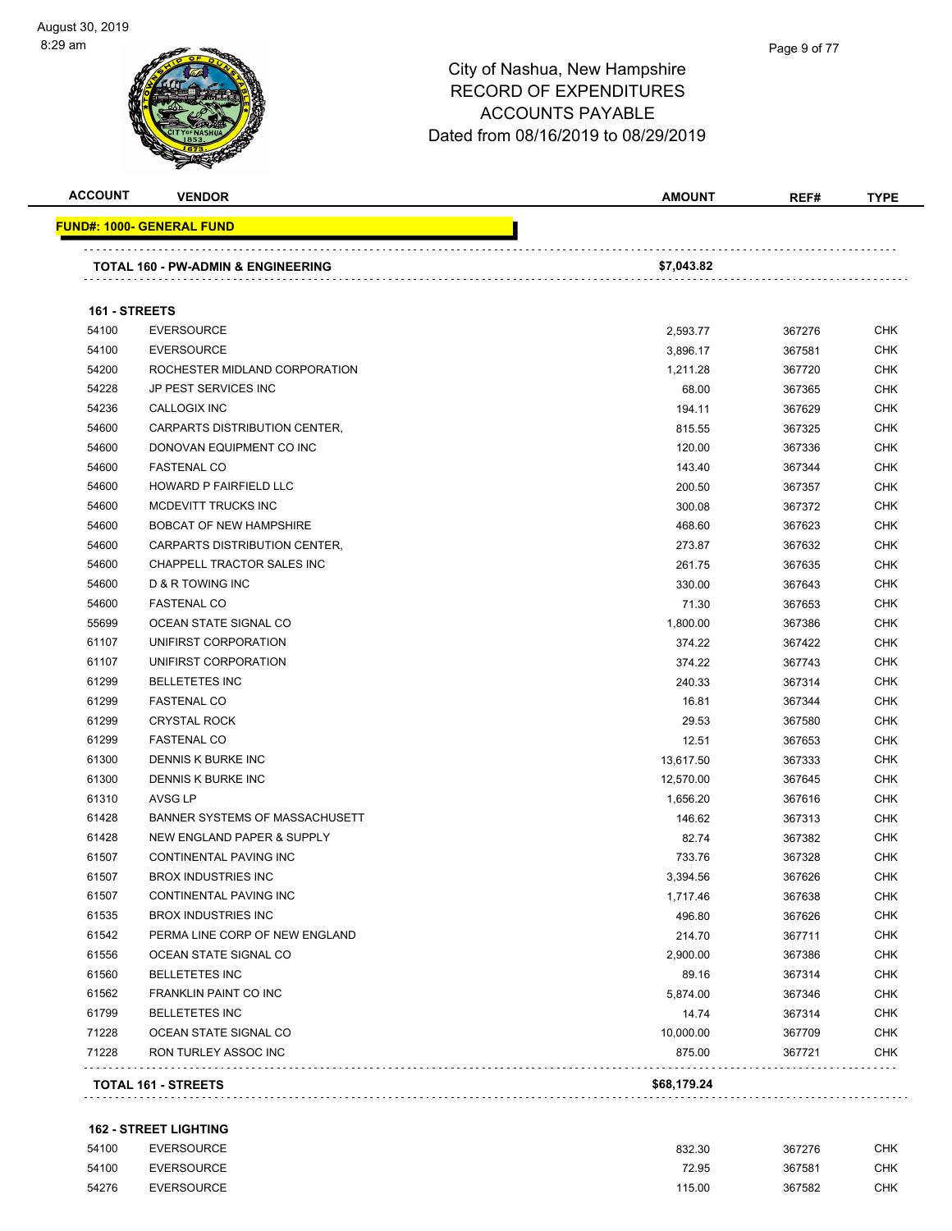| <b>ACCOUNT</b> | <b>VENDOR</b>                      | <b>AMOUNT</b> | REF#   | <b>TYPE</b> |
|----------------|------------------------------------|---------------|--------|-------------|
|                | <u> FUND#: 1000- GENERAL FUND</u>  |               |        |             |
|                | TOTAL 160 - PW-ADMIN & ENGINEERING | \$7,043.82    |        |             |
|                |                                    |               |        |             |
| 161 - STREETS  |                                    |               |        |             |
| 54100          | <b>EVERSOURCE</b>                  | 2,593.77      | 367276 | <b>CHK</b>  |
| 54100          | <b>EVERSOURCE</b>                  | 3,896.17      | 367581 | <b>CHK</b>  |
| 54200          | ROCHESTER MIDLAND CORPORATION      | 1,211.28      | 367720 | CHK         |
| 54228          | JP PEST SERVICES INC               | 68.00         | 367365 | <b>CHK</b>  |
| 54236          | CALLOGIX INC                       | 194.11        | 367629 | <b>CHK</b>  |
| 54600          | CARPARTS DISTRIBUTION CENTER,      | 815.55        | 367325 | <b>CHK</b>  |
| 54600          | DONOVAN EQUIPMENT CO INC           | 120.00        | 367336 | <b>CHK</b>  |
| 54600          | <b>FASTENAL CO</b>                 | 143.40        | 367344 | <b>CHK</b>  |
| 54600          | HOWARD P FAIRFIELD LLC             | 200.50        | 367357 | <b>CHK</b>  |
| 54600          | MCDEVITT TRUCKS INC                | 300.08        | 367372 | <b>CHK</b>  |
| 54600          | <b>BOBCAT OF NEW HAMPSHIRE</b>     | 468.60        | 367623 | <b>CHK</b>  |
| 54600          | CARPARTS DISTRIBUTION CENTER,      | 273.87        | 367632 | <b>CHK</b>  |
| 54600          | CHAPPELL TRACTOR SALES INC         | 261.75        | 367635 | <b>CHK</b>  |
| 54600          | D & R TOWING INC                   | 330.00        | 367643 | CHK         |
| 54600          | <b>FASTENAL CO</b>                 | 71.30         | 367653 | <b>CHK</b>  |
| 55699          | OCEAN STATE SIGNAL CO              | 1,800.00      | 367386 | <b>CHK</b>  |
| 61107          | UNIFIRST CORPORATION               | 374.22        | 367422 | <b>CHK</b>  |
| 61107          | UNIFIRST CORPORATION               | 374.22        | 367743 | <b>CHK</b>  |
| 61299          | <b>BELLETETES INC</b>              | 240.33        | 367314 | <b>CHK</b>  |
| 61299          | <b>FASTENAL CO</b>                 | 16.81         | 367344 | <b>CHK</b>  |
| 61299          | <b>CRYSTAL ROCK</b>                | 29.53         | 367580 | <b>CHK</b>  |
| 61299          | <b>FASTENAL CO</b>                 | 12.51         | 367653 | <b>CHK</b>  |
| 61300          | DENNIS K BURKE INC                 | 13,617.50     | 367333 | <b>CHK</b>  |
| 61300          | DENNIS K BURKE INC                 | 12,570.00     | 367645 | CHK         |
| 61310          | AVSG LP                            | 1,656.20      | 367616 | CHK         |
| 61428          | BANNER SYSTEMS OF MASSACHUSETT     | 146.62        | 367313 | <b>CHK</b>  |
| 61428          | NEW ENGLAND PAPER & SUPPLY         | 82.74         | 367382 | <b>CHK</b>  |
| 61507          | <b>CONTINENTAL PAVING INC</b>      | 733.76        | 367328 | <b>CHK</b>  |
| 61507          | <b>BROX INDUSTRIES INC</b>         | 3,394.56      | 367626 | <b>CHK</b>  |
| 61507          | CONTINENTAL PAVING INC             | 1,717.46      | 367638 | <b>CHK</b>  |
| 61535          | <b>BROX INDUSTRIES INC</b>         | 496.80        | 367626 | <b>CHK</b>  |
| 61542          | PERMA LINE CORP OF NEW ENGLAND     | 214.70        | 367711 | <b>CHK</b>  |
| 61556          | OCEAN STATE SIGNAL CO              | 2,900.00      | 367386 | <b>CHK</b>  |
| 61560          | <b>BELLETETES INC</b>              | 89.16         | 367314 | <b>CHK</b>  |
| 61562          | FRANKLIN PAINT CO INC              | 5,874.00      | 367346 | <b>CHK</b>  |
| 61799          | <b>BELLETETES INC</b>              | 14.74         | 367314 | <b>CHK</b>  |
| 71228          | OCEAN STATE SIGNAL CO              | 10,000.00     | 367709 | <b>CHK</b>  |
| 71228          | RON TURLEY ASSOC INC               | 875.00        | 367721 | <b>CHK</b>  |
|                |                                    |               |        |             |

### **162 - STREET LIGHTING**

| 54100 | <b>EVERSOURCE</b> | 832.30 | 367276 | <b>CHK</b> |
|-------|-------------------|--------|--------|------------|
| 54100 | <b>EVERSOURCE</b> | 72.95  | 367581 | СНК        |
| 54276 | <b>EVERSOURCE</b> | 115.00 | 367582 | <b>CHK</b> |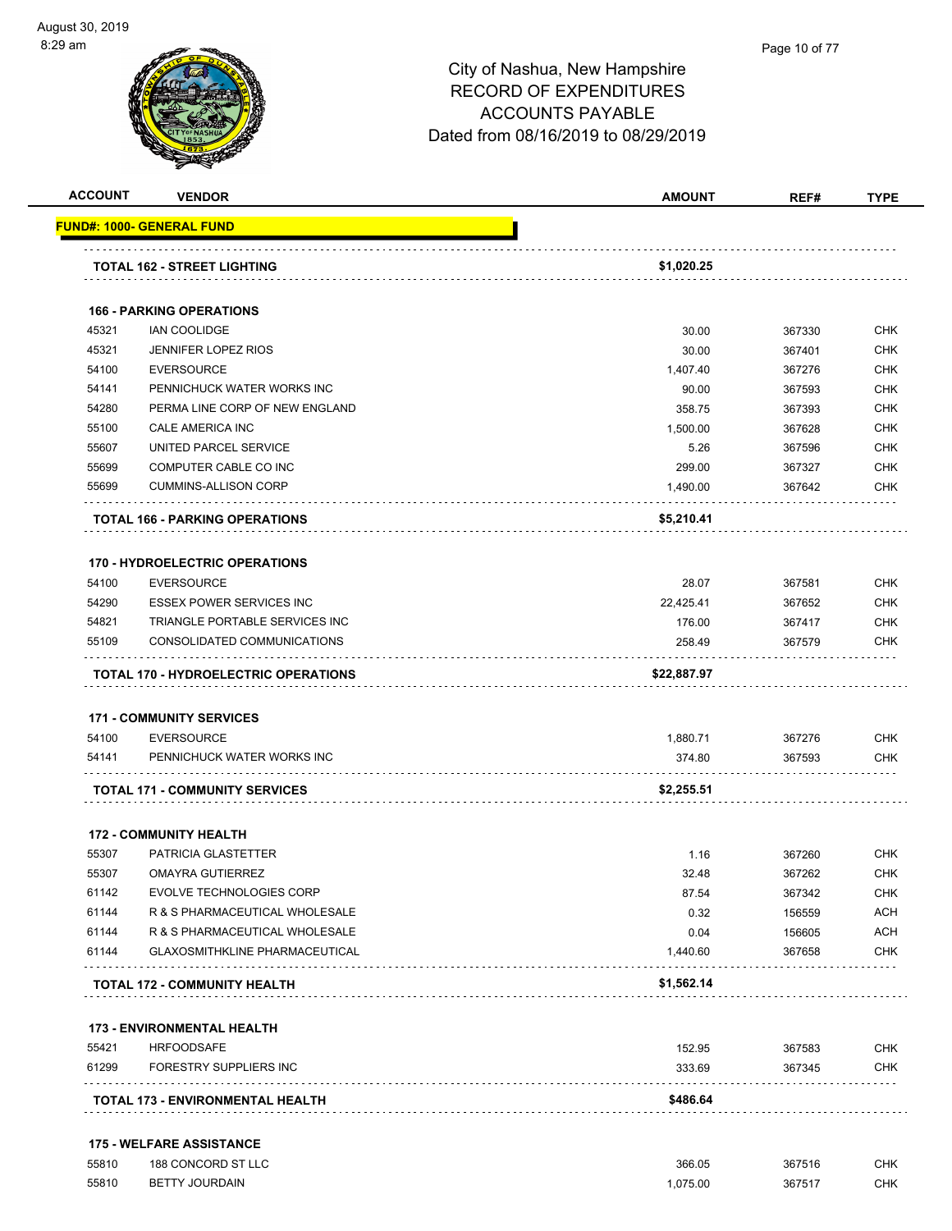#### Page 10 of 77

|                                                                      | <b>VENDOR</b>                               | <b>AMOUNT</b> | REF#   | <b>TYPE</b>                                                                                                  |
|----------------------------------------------------------------------|---------------------------------------------|---------------|--------|--------------------------------------------------------------------------------------------------------------|
|                                                                      | <u> FUND#: 1000- GENERAL FUND</u>           |               |        |                                                                                                              |
|                                                                      | <b>TOTAL 162 - STREET LIGHTING</b>          | \$1,020.25    |        |                                                                                                              |
|                                                                      |                                             |               |        |                                                                                                              |
|                                                                      | <b>166 - PARKING OPERATIONS</b>             |               |        |                                                                                                              |
| 45321                                                                | <b>IAN COOLIDGE</b>                         | 30.00         | 367330 | CHK                                                                                                          |
| 45321                                                                | <b>JENNIFER LOPEZ RIOS</b>                  | 30.00         | 367401 | <b>CHK</b>                                                                                                   |
| 54100                                                                | <b>EVERSOURCE</b>                           | 1,407.40      | 367276 | <b>CHK</b>                                                                                                   |
| 54141                                                                | PENNICHUCK WATER WORKS INC                  | 90.00         | 367593 | <b>CHK</b>                                                                                                   |
| 54280                                                                | PERMA LINE CORP OF NEW ENGLAND              | 358.75        | 367393 | <b>CHK</b>                                                                                                   |
| 55100                                                                | CALE AMERICA INC                            | 1,500.00      | 367628 | CHK                                                                                                          |
| 55607                                                                | UNITED PARCEL SERVICE                       | 5.26          | 367596 | <b>CHK</b>                                                                                                   |
| 55699                                                                | COMPUTER CABLE CO INC                       | 299.00        | 367327 | <b>CHK</b>                                                                                                   |
| 55699                                                                | <b>CUMMINS-ALLISON CORP</b>                 | 1,490.00      | 367642 | CHK                                                                                                          |
|                                                                      | <b>TOTAL 166 - PARKING OPERATIONS</b>       | \$5,210.41    |        |                                                                                                              |
|                                                                      | <b>170 - HYDROELECTRIC OPERATIONS</b>       |               |        |                                                                                                              |
| 54100                                                                | <b>EVERSOURCE</b>                           | 28.07         | 367581 | <b>CHK</b>                                                                                                   |
| 54290                                                                | <b>ESSEX POWER SERVICES INC</b>             | 22,425.41     | 367652 | <b>CHK</b>                                                                                                   |
| 54821                                                                | TRIANGLE PORTABLE SERVICES INC              | 176.00        | 367417 | <b>CHK</b>                                                                                                   |
| 55109                                                                | CONSOLIDATED COMMUNICATIONS                 | 258.49        | 367579 | <b>CHK</b>                                                                                                   |
|                                                                      | <b>TOTAL 170 - HYDROELECTRIC OPERATIONS</b> | \$22,887.97   |        |                                                                                                              |
|                                                                      |                                             |               |        |                                                                                                              |
|                                                                      |                                             |               |        |                                                                                                              |
|                                                                      | <b>171 - COMMUNITY SERVICES</b>             |               |        |                                                                                                              |
|                                                                      | <b>EVERSOURCE</b>                           | 1,880.71      | 367276 |                                                                                                              |
|                                                                      | PENNICHUCK WATER WORKS INC                  | 374.80        | 367593 |                                                                                                              |
|                                                                      | <b>TOTAL 171 - COMMUNITY SERVICES</b>       | \$2,255.51    |        |                                                                                                              |
|                                                                      | <b>172 - COMMUNITY HEALTH</b>               |               |        |                                                                                                              |
|                                                                      | PATRICIA GLASTETTER                         | 1.16          | 367260 |                                                                                                              |
|                                                                      | <b>OMAYRA GUTIERREZ</b>                     | 32.48         | 367262 |                                                                                                              |
|                                                                      | <b>EVOLVE TECHNOLOGIES CORP</b>             | 87.54         | 367342 |                                                                                                              |
|                                                                      | R & S PHARMACEUTICAL WHOLESALE              | 0.32          | 156559 |                                                                                                              |
|                                                                      | R & S PHARMACEUTICAL WHOLESALE              | 0.04          | 156605 |                                                                                                              |
|                                                                      | <b>GLAXOSMITHKLINE PHARMACEUTICAL</b>       | 1,440.60      | 367658 |                                                                                                              |
|                                                                      | <b>TOTAL 172 - COMMUNITY HEALTH</b>         | \$1,562.14    |        |                                                                                                              |
| 54100<br>54141<br>55307<br>55307<br>61142<br>61144<br>61144<br>61144 | <b>173 - ENVIRONMENTAL HEALTH</b>           |               |        |                                                                                                              |
|                                                                      | <b>HRFOODSAFE</b>                           | 152.95        | 367583 |                                                                                                              |
| 55421<br>61299                                                       | FORESTRY SUPPLIERS INC                      | 333.69        | 367345 | <b>CHK</b><br><b>CHK</b><br><b>CHK</b><br><b>CHK</b><br>CHK<br><b>ACH</b><br>ACH<br><b>CHK</b><br>CHK<br>CHK |

| 55810 | 188 CONCORD ST LLC    | 366.05  | 367516 | <b>CHK</b> |
|-------|-----------------------|---------|--------|------------|
| 55810 | <b>BETTY JOURDAIN</b> | .075.00 | 367517 | <b>CHK</b> |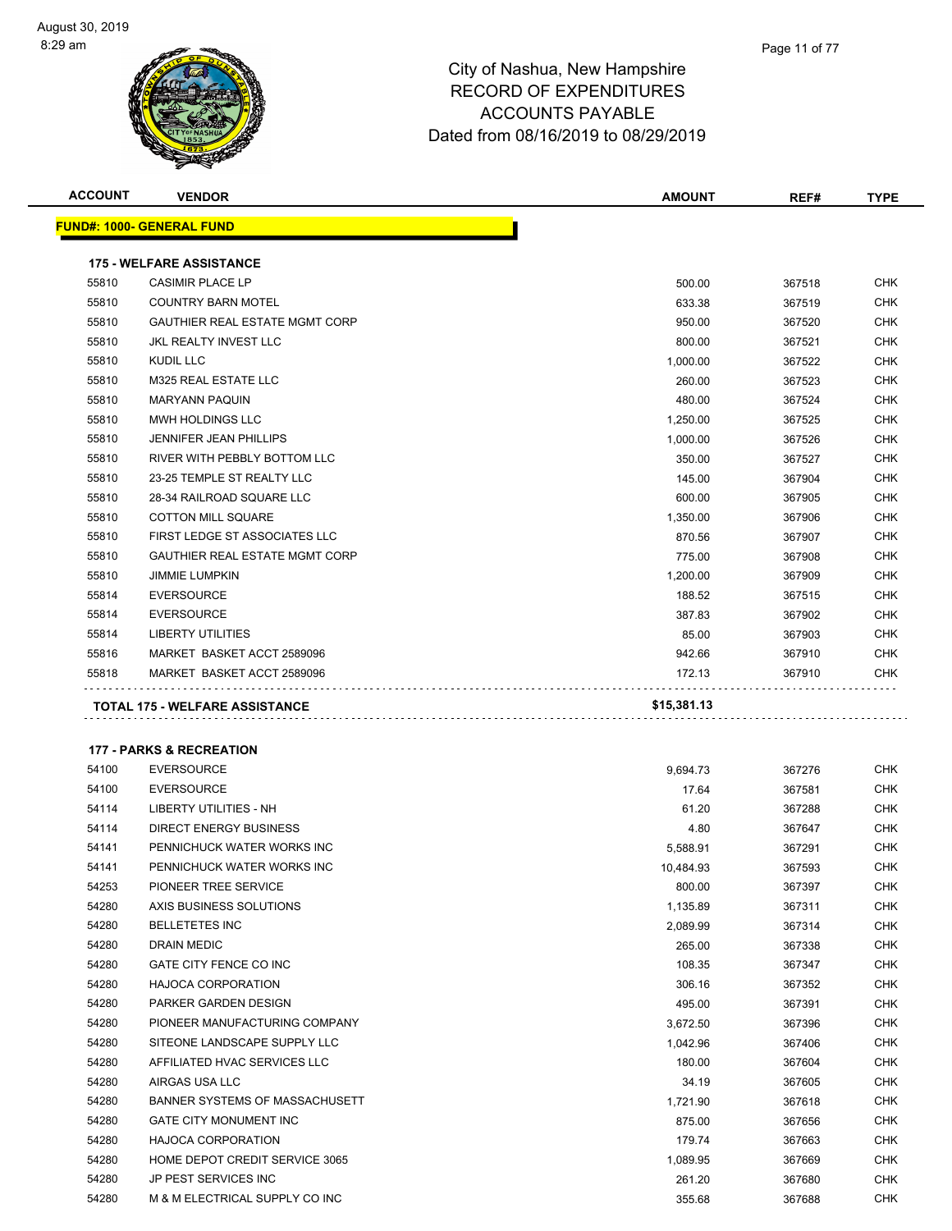

| <b>ACCOUNT</b> | <b>VENDOR</b>                                               | <b>AMOUNT</b>         | REF#             | <b>TYPE</b>       |
|----------------|-------------------------------------------------------------|-----------------------|------------------|-------------------|
|                | <u> FUND#: 1000- GENERAL FUND</u>                           |                       |                  |                   |
|                | <b>175 - WELFARE ASSISTANCE</b>                             |                       |                  |                   |
| 55810          | <b>CASIMIR PLACE LP</b>                                     | 500.00                | 367518           | CHK               |
| 55810          | <b>COUNTRY BARN MOTEL</b>                                   | 633.38                | 367519           | <b>CHK</b>        |
| 55810          | <b>GAUTHIER REAL ESTATE MGMT CORP</b>                       | 950.00                | 367520           | CHK               |
| 55810          | JKL REALTY INVEST LLC                                       | 800.00                | 367521           | <b>CHK</b>        |
| 55810          | KUDIL LLC                                                   | 1,000.00              | 367522           | <b>CHK</b>        |
| 55810          | M325 REAL ESTATE LLC                                        | 260.00                | 367523           | <b>CHK</b>        |
| 55810          | <b>MARYANN PAQUIN</b>                                       | 480.00                | 367524           | <b>CHK</b>        |
| 55810          | MWH HOLDINGS LLC                                            | 1,250.00              | 367525           | <b>CHK</b>        |
| 55810          | <b>JENNIFER JEAN PHILLIPS</b>                               | 1,000.00              | 367526           | <b>CHK</b>        |
| 55810          | RIVER WITH PEBBLY BOTTOM LLC                                | 350.00                | 367527           | <b>CHK</b>        |
| 55810          | 23-25 TEMPLE ST REALTY LLC                                  | 145.00                | 367904           | <b>CHK</b>        |
| 55810          | 28-34 RAILROAD SQUARE LLC                                   | 600.00                | 367905           | <b>CHK</b>        |
| 55810          | <b>COTTON MILL SQUARE</b>                                   | 1,350.00              | 367906           | CHK               |
| 55810          | FIRST LEDGE ST ASSOCIATES LLC                               | 870.56                | 367907           | <b>CHK</b>        |
| 55810          | <b>GAUTHIER REAL ESTATE MGMT CORP</b>                       | 775.00                | 367908           | <b>CHK</b>        |
| 55810          | <b>JIMMIE LUMPKIN</b>                                       | 1,200.00              | 367909           | <b>CHK</b>        |
| 55814          | <b>EVERSOURCE</b>                                           | 188.52                | 367515           | <b>CHK</b>        |
| 55814          | <b>EVERSOURCE</b>                                           | 387.83                | 367902           | CHK               |
| 55814          | <b>LIBERTY UTILITIES</b>                                    | 85.00                 | 367903           | CHK               |
| 55816          | MARKET BASKET ACCT 2589096                                  | 942.66                | 367910           | CHK               |
| 55818          | MARKET BASKET ACCT 2589096                                  | 172.13                | 367910           | CHK               |
|                |                                                             |                       |                  |                   |
|                | <b>177 - PARKS &amp; RECREATION</b>                         |                       |                  |                   |
| 54100          | <b>EVERSOURCE</b>                                           | 9,694.73              | 367276           | <b>CHK</b>        |
| 54100          | <b>EVERSOURCE</b>                                           | 17.64                 | 367581           | CHK               |
| 54114          | <b>LIBERTY UTILITIES - NH</b>                               | 61.20                 | 367288           | <b>CHK</b>        |
| 54114<br>54141 | <b>DIRECT ENERGY BUSINESS</b><br>PENNICHUCK WATER WORKS INC | 4.80                  | 367647           | <b>CHK</b><br>CHK |
| 54141          | PENNICHUCK WATER WORKS INC                                  | 5,588.91<br>10,484.93 | 367291<br>367593 | <b>CHK</b>        |
| 54253          | PIONEER TREE SERVICE                                        |                       | 367397           | <b>CHK</b>        |
| 54280          | AXIS BUSINESS SOLUTIONS                                     | 800.00<br>1,135.89    | 367311           | CHK               |
| 54280          | <b>BELLETETES INC</b>                                       | 2,089.99              | 367314           | CHK               |
| 54280          | DRAIN MEDIC                                                 | 265.00                | 367338           | CHK               |
| 54280          | GATE CITY FENCE CO INC                                      | 108.35                | 367347           | CHK               |
| 54280          | <b>HAJOCA CORPORATION</b>                                   | 306.16                | 367352           | CHK               |
| 54280          | PARKER GARDEN DESIGN                                        | 495.00                | 367391           | CHK               |
| 54280          | PIONEER MANUFACTURING COMPANY                               | 3,672.50              | 367396           | <b>CHK</b>        |
| 54280          | SITEONE LANDSCAPE SUPPLY LLC                                | 1,042.96              | 367406           | <b>CHK</b>        |
| 54280          | AFFILIATED HVAC SERVICES LLC                                | 180.00                | 367604           | CHK               |
| 54280          | AIRGAS USA LLC                                              | 34.19                 | 367605           | <b>CHK</b>        |
| 54280          | BANNER SYSTEMS OF MASSACHUSETT                              | 1,721.90              | 367618           | <b>CHK</b>        |
| 54280          | GATE CITY MONUMENT INC                                      | 875.00                | 367656           | CHK               |
| 54280          | <b>HAJOCA CORPORATION</b>                                   | 179.74                | 367663           | <b>CHK</b>        |
| 54280          | HOME DEPOT CREDIT SERVICE 3065                              | 1,089.95              | 367669           | CHK               |
| 54280          | JP PEST SERVICES INC                                        | 261.20                | 367680           | CHK               |
| 54280          | M & M ELECTRICAL SUPPLY CO INC                              | 355.68                | 367688           | <b>CHK</b>        |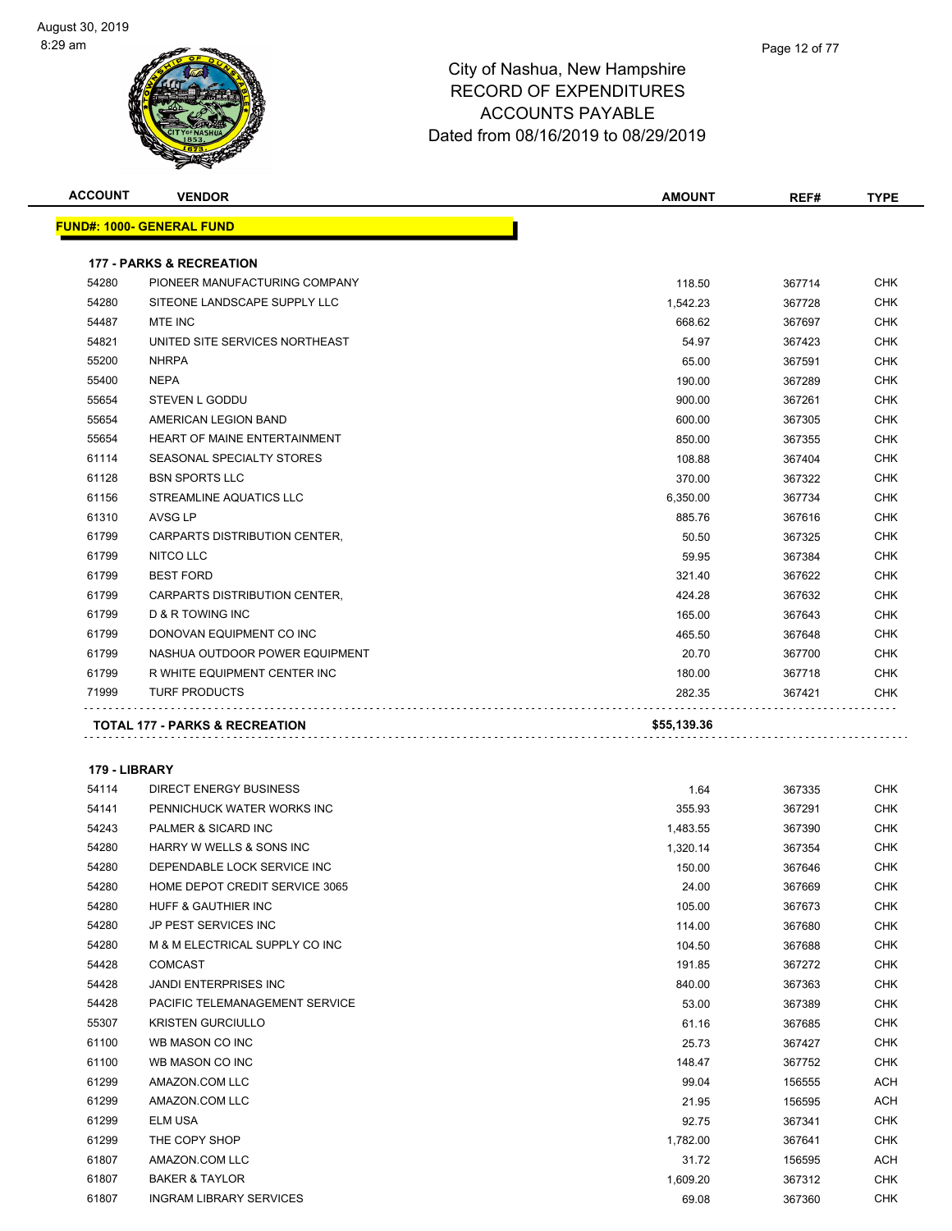

| <b>ACCOUNT</b> | <b>VENDOR</b>                       | <b>AMOUNT</b> | REF#   | <b>TYPE</b> |
|----------------|-------------------------------------|---------------|--------|-------------|
|                | <u> FUND#: 1000- GENERAL FUND</u>   |               |        |             |
|                |                                     |               |        |             |
|                | <b>177 - PARKS &amp; RECREATION</b> |               |        |             |
| 54280          | PIONEER MANUFACTURING COMPANY       | 118.50        | 367714 | <b>CHK</b>  |
| 54280          | SITEONE LANDSCAPE SUPPLY LLC        | 1,542.23      | 367728 | <b>CHK</b>  |
| 54487          | <b>MTE INC</b>                      | 668.62        | 367697 | <b>CHK</b>  |
| 54821          | UNITED SITE SERVICES NORTHEAST      | 54.97         | 367423 | <b>CHK</b>  |
| 55200          | <b>NHRPA</b>                        | 65.00         | 367591 | <b>CHK</b>  |
| 55400          | <b>NEPA</b>                         | 190.00        | 367289 | <b>CHK</b>  |
| 55654          | STEVEN L GODDU                      | 900.00        | 367261 | <b>CHK</b>  |
| 55654          | AMERICAN LEGION BAND                | 600.00        | 367305 | <b>CHK</b>  |
| 55654          | HEART OF MAINE ENTERTAINMENT        | 850.00        | 367355 | <b>CHK</b>  |
| 61114          | SEASONAL SPECIALTY STORES           | 108.88        | 367404 | <b>CHK</b>  |
| 61128          | <b>BSN SPORTS LLC</b>               | 370.00        | 367322 | <b>CHK</b>  |
| 61156          | STREAMLINE AQUATICS LLC             | 6,350.00      | 367734 | <b>CHK</b>  |
| 61310          | <b>AVSG LP</b>                      | 885.76        | 367616 | CHK         |
| 61799          | CARPARTS DISTRIBUTION CENTER,       | 50.50         | 367325 | <b>CHK</b>  |
| 61799          | NITCO LLC                           | 59.95         | 367384 | <b>CHK</b>  |
| 61799          | <b>BEST FORD</b>                    | 321.40        | 367622 | <b>CHK</b>  |
| 61799          | CARPARTS DISTRIBUTION CENTER,       | 424.28        | 367632 | <b>CHK</b>  |
| 61799          | D & R TOWING INC                    | 165.00        | 367643 | CHK         |
| 61799          | DONOVAN EQUIPMENT CO INC            | 465.50        | 367648 | CHK         |
| 61799          | NASHUA OUTDOOR POWER EQUIPMENT      | 20.70         | 367700 | CHK         |
| 61799          | R WHITE EQUIPMENT CENTER INC        | 180.00        | 367718 | <b>CHK</b>  |
| 71999          | <b>TURF PRODUCTS</b>                | 282.35        | 367421 | <b>CHK</b>  |
|                |                                     |               |        |             |
|                | TOTAL 177 - PARKS & RECREATION      | \$55,139.36   |        |             |
|                |                                     |               |        |             |
| 179 - LIBRARY  |                                     |               |        |             |
| 54114          | DIRECT ENERGY BUSINESS              | 1.64          | 367335 | <b>CHK</b>  |
| 54141          | PENNICHUCK WATER WORKS INC          | 355.93        | 367291 | <b>CHK</b>  |
| 54243          | PALMER & SICARD INC                 | 1,483.55      | 367390 | <b>CHK</b>  |
| 54280          | HARRY W WELLS & SONS INC            | 1,320.14      | 367354 | CHK         |
| 54280          | DEPENDABLE LOCK SERVICE INC         | 150.00        | 367646 | <b>CHK</b>  |
| 54280          | HOME DEPOT CREDIT SERVICE 3065      | 24.00         | 367669 | <b>CHK</b>  |
| 54280          | HUFF & GAUTHIER INC                 | 105.00        | 367673 | CHK         |
| 54280          | JP PEST SERVICES INC                | 114.00        | 367680 | <b>CHK</b>  |
| 54280          | M & M ELECTRICAL SUPPLY CO INC      | 104.50        | 367688 | <b>CHK</b>  |
| 54428          | <b>COMCAST</b>                      | 191.85        | 367272 | CHK         |
| 54428          | <b>JANDI ENTERPRISES INC</b>        | 840.00        | 367363 | <b>CHK</b>  |
| 54428          | PACIFIC TELEMANAGEMENT SERVICE      | 53.00         | 367389 | <b>CHK</b>  |
| 55307          | <b>KRISTEN GURCIULLO</b>            | 61.16         | 367685 | <b>CHK</b>  |
| 61100          | WB MASON CO INC                     | 25.73         | 367427 | <b>CHK</b>  |
| 61100          | WB MASON CO INC                     | 148.47        | 367752 | <b>CHK</b>  |
| 61299          | AMAZON.COM LLC                      | 99.04         | 156555 | <b>ACH</b>  |
| 61299          | AMAZON.COM LLC                      | 21.95         | 156595 | ACH         |
| 61299          | ELM USA                             | 92.75         | 367341 | <b>CHK</b>  |
| 61299          | THE COPY SHOP                       | 1,782.00      | 367641 | <b>CHK</b>  |
| 61807          | AMAZON.COM LLC                      | 31.72         | 156595 | <b>ACH</b>  |
| 61807          | <b>BAKER &amp; TAYLOR</b>           | 1,609.20      | 367312 | <b>CHK</b>  |
| 61807          | <b>INGRAM LIBRARY SERVICES</b>      | 69.08         | 367360 | <b>CHK</b>  |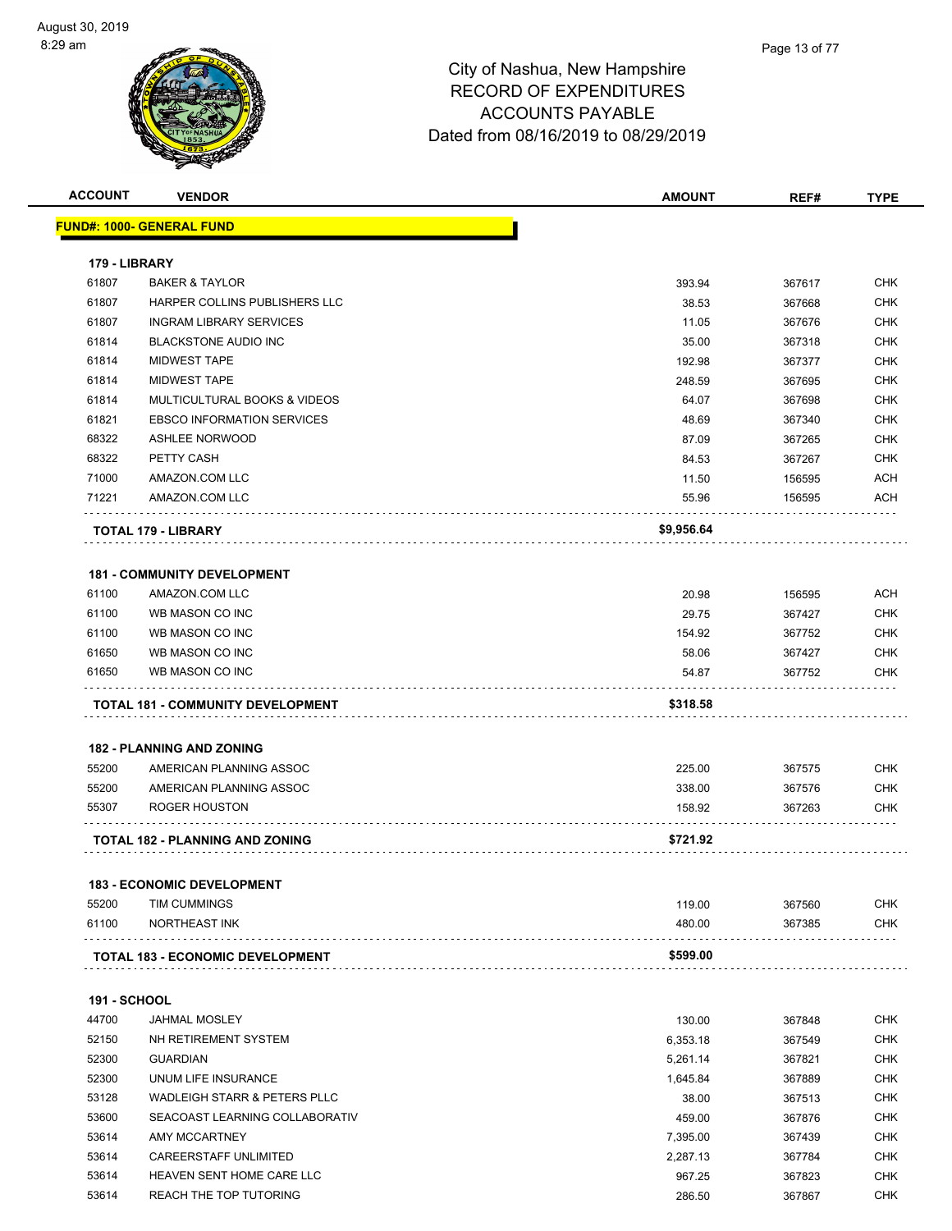

| <b>ACCOUNT</b>               | <b>VENDOR</b>                            | <b>AMOUNT</b> | REF#   | <b>TYPE</b> |
|------------------------------|------------------------------------------|---------------|--------|-------------|
|                              | <u> FUND#: 1000- GENERAL FUND</u>        |               |        |             |
|                              |                                          |               |        |             |
| 179 - LIBRARY                |                                          |               |        |             |
| 61807                        | <b>BAKER &amp; TAYLOR</b>                | 393.94        | 367617 | <b>CHK</b>  |
| 61807                        | HARPER COLLINS PUBLISHERS LLC            | 38.53         | 367668 | CHK         |
| 61807                        | <b>INGRAM LIBRARY SERVICES</b>           | 11.05         | 367676 | <b>CHK</b>  |
| 61814                        | <b>BLACKSTONE AUDIO INC</b>              | 35.00         | 367318 | <b>CHK</b>  |
| 61814                        | <b>MIDWEST TAPE</b>                      | 192.98        | 367377 | <b>CHK</b>  |
| 61814                        | <b>MIDWEST TAPE</b>                      | 248.59        | 367695 | <b>CHK</b>  |
| 61814                        | MULTICULTURAL BOOKS & VIDEOS             | 64.07         | 367698 | <b>CHK</b>  |
| 61821                        | <b>EBSCO INFORMATION SERVICES</b>        | 48.69         | 367340 | <b>CHK</b>  |
| 68322                        | <b>ASHLEE NORWOOD</b>                    | 87.09         | 367265 | <b>CHK</b>  |
| 68322                        | PETTY CASH                               | 84.53         | 367267 | <b>CHK</b>  |
| 71000                        | AMAZON.COM LLC                           | 11.50         | 156595 | <b>ACH</b>  |
| 71221                        | AMAZON.COM LLC                           | 55.96         | 156595 | ACH         |
|                              | TOTAL 179 - LIBRARY                      | \$9,956.64    |        |             |
|                              | <b>181 - COMMUNITY DEVELOPMENT</b>       |               |        |             |
| 61100                        | AMAZON.COM LLC                           | 20.98         | 156595 | ACH         |
| 61100                        | WB MASON CO INC                          | 29.75         | 367427 | <b>CHK</b>  |
| 61100                        | WB MASON CO INC                          | 154.92        | 367752 | <b>CHK</b>  |
| 61650                        | WB MASON CO INC                          | 58.06         | 367427 | <b>CHK</b>  |
| 61650                        | WB MASON CO INC                          | 54.87         | 367752 | CHK         |
|                              |                                          |               |        |             |
|                              | <b>TOTAL 181 - COMMUNITY DEVELOPMENT</b> | \$318.58      |        |             |
|                              | <b>182 - PLANNING AND ZONING</b>         |               |        |             |
| 55200                        | AMERICAN PLANNING ASSOC                  | 225.00        | 367575 | CHK         |
| 55200                        | AMERICAN PLANNING ASSOC                  | 338.00        | 367576 | CHK         |
| 55307                        | ROGER HOUSTON                            | 158.92        | 367263 | <b>CHK</b>  |
|                              |                                          |               |        |             |
|                              | <b>TOTAL 182 - PLANNING AND ZONING</b>   | \$721.92      |        |             |
|                              | <b>183 - ECONOMIC DEVELOPMENT</b>        |               |        |             |
| 55200                        | TIM CUMMINGS                             | 119.00        | 367560 | <b>CHK</b>  |
| 61100                        | <b>NORTHEAST INK</b>                     | 480.00        | 367385 | <b>CHK</b>  |
|                              | <b>TOTAL 183 - ECONOMIC DEVELOPMENT</b>  | \$599.00      |        |             |
|                              |                                          |               |        |             |
| <b>191 - SCHOOL</b><br>44700 | <b>JAHMAL MOSLEY</b>                     |               |        | CHK         |
|                              |                                          | 130.00        | 367848 |             |
| 52150                        | NH RETIREMENT SYSTEM                     | 6,353.18      | 367549 | <b>CHK</b>  |
| 52300                        | <b>GUARDIAN</b>                          | 5,261.14      | 367821 | CHK         |
| 52300                        | UNUM LIFE INSURANCE                      | 1,645.84      | 367889 | <b>CHK</b>  |
| 53128                        | <b>WADLEIGH STARR &amp; PETERS PLLC</b>  | 38.00         | 367513 | <b>CHK</b>  |
| 53600                        | SEACOAST LEARNING COLLABORATIV           | 459.00        | 367876 | <b>CHK</b>  |
| 53614                        | AMY MCCARTNEY                            | 7,395.00      | 367439 | <b>CHK</b>  |
| 53614                        | CAREERSTAFF UNLIMITED                    | 2,287.13      | 367784 | <b>CHK</b>  |
| 53614                        | HEAVEN SENT HOME CARE LLC                | 967.25        | 367823 | <b>CHK</b>  |
| 53614                        | REACH THE TOP TUTORING                   | 286.50        | 367867 | <b>CHK</b>  |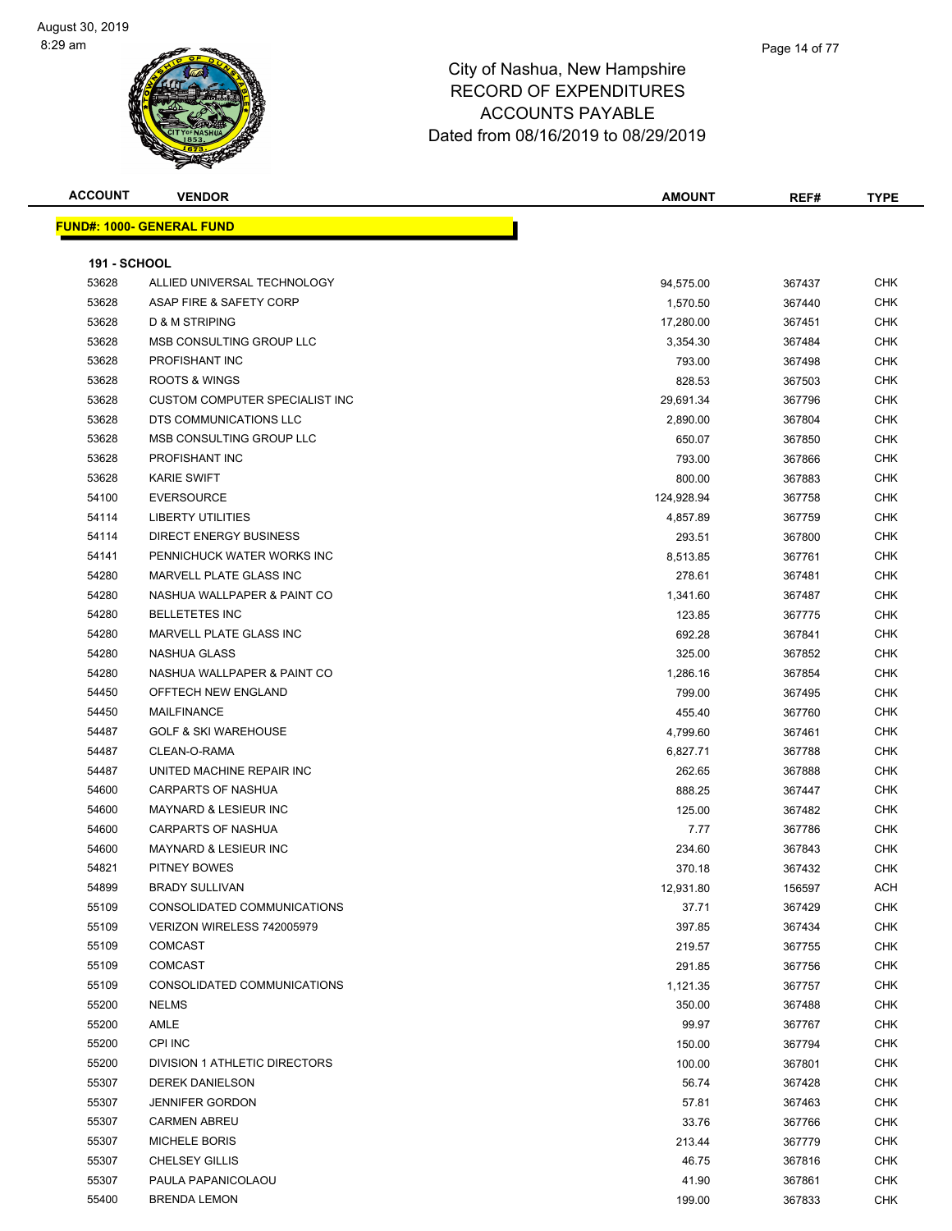

Page 14 of 77

| <b>ACCOUNT</b>      | <b>VENDOR</b>                             | <b>AMOUNT</b>      | REF#   | <b>TYPE</b>              |
|---------------------|-------------------------------------------|--------------------|--------|--------------------------|
|                     | <b>FUND#: 1000- GENERAL FUND</b>          |                    |        |                          |
|                     |                                           |                    |        |                          |
| <b>191 - SCHOOL</b> |                                           |                    |        |                          |
| 53628               | ALLIED UNIVERSAL TECHNOLOGY               | 94,575.00          | 367437 | <b>CHK</b>               |
| 53628               | ASAP FIRE & SAFETY CORP                   | 1,570.50           | 367440 | <b>CHK</b>               |
| 53628               | <b>D &amp; M STRIPING</b>                 | 17,280.00          | 367451 | <b>CHK</b>               |
| 53628               | MSB CONSULTING GROUP LLC                  | 3,354.30           | 367484 | CHK                      |
| 53628               | PROFISHANT INC                            | 793.00             | 367498 | <b>CHK</b>               |
| 53628               | <b>ROOTS &amp; WINGS</b>                  | 828.53             | 367503 | <b>CHK</b>               |
| 53628               | CUSTOM COMPUTER SPECIALIST INC            | 29,691.34          | 367796 | <b>CHK</b>               |
| 53628               | DTS COMMUNICATIONS LLC                    | 2,890.00           | 367804 | CHK                      |
| 53628               | MSB CONSULTING GROUP LLC                  | 650.07             | 367850 | <b>CHK</b>               |
| 53628               | PROFISHANT INC                            | 793.00             | 367866 | <b>CHK</b>               |
| 53628               | <b>KARIE SWIFT</b>                        | 800.00             | 367883 | <b>CHK</b>               |
| 54100               | <b>EVERSOURCE</b>                         | 124,928.94         | 367758 | <b>CHK</b>               |
| 54114               | <b>LIBERTY UTILITIES</b>                  | 4,857.89           | 367759 | <b>CHK</b>               |
| 54114               | <b>DIRECT ENERGY BUSINESS</b>             | 293.51             | 367800 | <b>CHK</b>               |
| 54141               | PENNICHUCK WATER WORKS INC                | 8,513.85           | 367761 | <b>CHK</b>               |
| 54280               | MARVELL PLATE GLASS INC                   | 278.61             | 367481 | CHK                      |
| 54280               | NASHUA WALLPAPER & PAINT CO               | 1,341.60           | 367487 | <b>CHK</b>               |
| 54280               | <b>BELLETETES INC</b>                     | 123.85             | 367775 | CHK                      |
| 54280               | <b>MARVELL PLATE GLASS INC</b>            | 692.28             | 367841 | CHK                      |
| 54280               | NASHUA GLASS                              | 325.00             | 367852 | <b>CHK</b>               |
| 54280               | NASHUA WALLPAPER & PAINT CO               |                    |        | <b>CHK</b>               |
| 54450               | OFFTECH NEW ENGLAND                       | 1,286.16<br>799.00 | 367854 | <b>CHK</b>               |
| 54450               | MAILFINANCE                               |                    | 367495 | <b>CHK</b>               |
|                     | <b>GOLF &amp; SKI WAREHOUSE</b>           | 455.40             | 367760 |                          |
| 54487<br>54487      |                                           | 4,799.60           | 367461 | <b>CHK</b><br><b>CHK</b> |
| 54487               | CLEAN-O-RAMA<br>UNITED MACHINE REPAIR INC | 6,827.71           | 367788 | CHK                      |
|                     | <b>CARPARTS OF NASHUA</b>                 | 262.65             | 367888 | <b>CHK</b>               |
| 54600<br>54600      | <b>MAYNARD &amp; LESIEUR INC</b>          | 888.25             | 367447 | <b>CHK</b>               |
|                     | <b>CARPARTS OF NASHUA</b>                 | 125.00             | 367482 |                          |
| 54600               |                                           | 7.77               | 367786 | <b>CHK</b>               |
| 54600               | <b>MAYNARD &amp; LESIEUR INC</b>          | 234.60             | 367843 | CHK                      |
| 54821               | PITNEY BOWES                              | 370.18             | 367432 | <b>CHK</b>               |
| 54899               | <b>BRADY SULLIVAN</b>                     | 12,931.80          | 156597 | ACH                      |
| 55109               | CONSOLIDATED COMMUNICATIONS               | 37.71              | 367429 | <b>CHK</b>               |
| 55109               | VERIZON WIRELESS 742005979                | 397.85             | 367434 | <b>CHK</b>               |
| 55109               | <b>COMCAST</b>                            | 219.57             | 367755 | <b>CHK</b>               |
| 55109               | <b>COMCAST</b>                            | 291.85             | 367756 | <b>CHK</b>               |
| 55109               | CONSOLIDATED COMMUNICATIONS               | 1,121.35           | 367757 | CHK                      |
| 55200               | <b>NELMS</b>                              | 350.00             | 367488 | <b>CHK</b>               |
| 55200               | AMLE                                      | 99.97              | 367767 | <b>CHK</b>               |
| 55200               | CPI INC                                   | 150.00             | 367794 | <b>CHK</b>               |
| 55200               | <b>DIVISION 1 ATHLETIC DIRECTORS</b>      | 100.00             | 367801 | <b>CHK</b>               |
| 55307               | <b>DEREK DANIELSON</b>                    | 56.74              | 367428 | CHK                      |
| 55307               | <b>JENNIFER GORDON</b>                    | 57.81              | 367463 | <b>CHK</b>               |
| 55307               | <b>CARMEN ABREU</b>                       | 33.76              | 367766 | <b>CHK</b>               |
| 55307               | <b>MICHELE BORIS</b>                      | 213.44             | 367779 | <b>CHK</b>               |
| 55307               | <b>CHELSEY GILLIS</b>                     | 46.75              | 367816 | <b>CHK</b>               |
| 55307               | PAULA PAPANICOLAOU                        | 41.90              | 367861 | <b>CHK</b>               |
| 55400               | <b>BRENDA LEMON</b>                       | 199.00             | 367833 | CHK                      |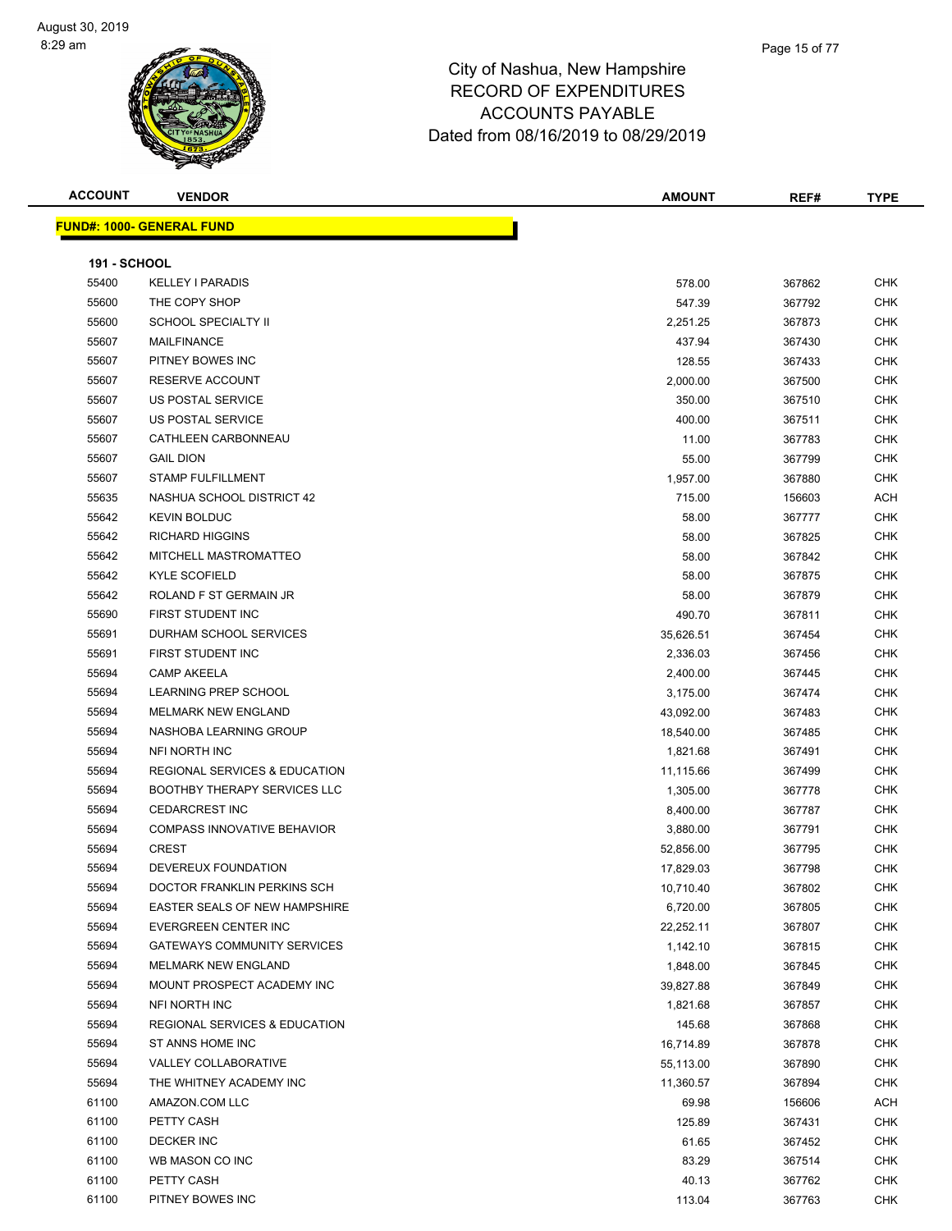#### Page 15 of 77

### City of Nashua, New Hampshire RECORD OF EXPENDITURES ACCOUNTS PAYABLE Dated from 08/16/2019 to 08/29/2019

|  | <b>ACCOUNT</b> |  |
|--|----------------|--|
|  |                |  |

| <b>ACCOUNT</b>      | <b>VENDOR</b>                    | <b>AMOUNT</b> | REF#   | <b>TYPE</b> |
|---------------------|----------------------------------|---------------|--------|-------------|
|                     | <b>FUND#: 1000- GENERAL FUND</b> |               |        |             |
|                     |                                  |               |        |             |
| <b>191 - SCHOOL</b> |                                  |               |        |             |
| 55400               | <b>KELLEY I PARADIS</b>          | 578.00        | 367862 | <b>CHK</b>  |
| 55600               | THE COPY SHOP                    | 547.39        | 367792 | <b>CHK</b>  |
| 55600               | <b>SCHOOL SPECIALTY II</b>       | 2,251.25      | 367873 | <b>CHK</b>  |
| 55607               | <b>MAILFINANCE</b>               | 437.94        | 367430 | <b>CHK</b>  |
| 55607               | PITNEY BOWES INC                 | 128.55        | 367433 | <b>CHK</b>  |
| 55607               | <b>RESERVE ACCOUNT</b>           | 2,000.00      | 367500 | <b>CHK</b>  |
| 55607               | US POSTAL SERVICE                | 350.00        | 367510 | <b>CHK</b>  |
| 55607               | US POSTAL SERVICE                | 400.00        | 367511 | <b>CHK</b>  |
| 55607               | CATHLEEN CARBONNEAU              | 11.00         | 367783 | <b>CHK</b>  |
| 55607               | <b>GAIL DION</b>                 | 55.00         | 367799 | <b>CHK</b>  |
| 55607               | <b>STAMP FULFILLMENT</b>         | 1,957.00      | 367880 | <b>CHK</b>  |
| 55635               | NASHUA SCHOOL DISTRICT 42        | 715.00        | 156603 | <b>ACH</b>  |
| 55642               | <b>KEVIN BOLDUC</b>              | 58.00         | 367777 | <b>CHK</b>  |
|                     |                                  |               |        |             |

| 55607 | <b>US POSTAL SERVICE</b>                 | 400.00    | 367511 | <b>CHK</b> |
|-------|------------------------------------------|-----------|--------|------------|
| 55607 | CATHLEEN CARBONNEAU                      | 11.00     | 367783 | <b>CHK</b> |
| 55607 | <b>GAIL DION</b>                         | 55.00     | 367799 | <b>CHK</b> |
| 55607 | <b>STAMP FULFILLMENT</b>                 | 1,957.00  | 367880 | <b>CHK</b> |
| 55635 | NASHUA SCHOOL DISTRICT 42                | 715.00    | 156603 | <b>ACH</b> |
| 55642 | <b>KEVIN BOLDUC</b>                      | 58.00     | 367777 | <b>CHK</b> |
| 55642 | <b>RICHARD HIGGINS</b>                   | 58.00     | 367825 | <b>CHK</b> |
| 55642 | MITCHELL MASTROMATTEO                    | 58.00     | 367842 | <b>CHK</b> |
| 55642 | <b>KYLE SCOFIELD</b>                     | 58.00     | 367875 | <b>CHK</b> |
| 55642 | ROLAND F ST GERMAIN JR                   | 58.00     | 367879 | <b>CHK</b> |
| 55690 | FIRST STUDENT INC                        | 490.70    | 367811 | <b>CHK</b> |
| 55691 | <b>DURHAM SCHOOL SERVICES</b>            | 35,626.51 | 367454 | <b>CHK</b> |
| 55691 | FIRST STUDENT INC                        | 2,336.03  | 367456 | <b>CHK</b> |
| 55694 | <b>CAMP AKEELA</b>                       | 2,400.00  | 367445 | <b>CHK</b> |
| 55694 | <b>LEARNING PREP SCHOOL</b>              | 3,175.00  | 367474 | <b>CHK</b> |
| 55694 | MELMARK NEW ENGLAND                      | 43,092.00 | 367483 | <b>CHK</b> |
| 55694 | NASHOBA LEARNING GROUP                   | 18,540.00 | 367485 | <b>CHK</b> |
| 55694 | NFI NORTH INC                            | 1,821.68  | 367491 | <b>CHK</b> |
| 55694 | REGIONAL SERVICES & EDUCATION            | 11,115.66 | 367499 | <b>CHK</b> |
| 55694 | <b>BOOTHBY THERAPY SERVICES LLC</b>      | 1,305.00  | 367778 | <b>CHK</b> |
| 55694 | <b>CEDARCREST INC</b>                    | 8,400.00  | 367787 | <b>CHK</b> |
| 55694 | <b>COMPASS INNOVATIVE BEHAVIOR</b>       | 3,880.00  | 367791 | <b>CHK</b> |
| 55694 | <b>CREST</b>                             | 52,856.00 | 367795 | <b>CHK</b> |
| 55694 | DEVEREUX FOUNDATION                      | 17,829.03 | 367798 | <b>CHK</b> |
| 55694 | DOCTOR FRANKLIN PERKINS SCH              | 10,710.40 | 367802 | <b>CHK</b> |
| 55694 | <b>EASTER SEALS OF NEW HAMPSHIRE</b>     | 6,720.00  | 367805 | <b>CHK</b> |
| 55694 | EVERGREEN CENTER INC                     | 22,252.11 | 367807 | <b>CHK</b> |
| 55694 | <b>GATEWAYS COMMUNITY SERVICES</b>       | 1,142.10  | 367815 | <b>CHK</b> |
| 55694 | MELMARK NEW ENGLAND                      | 1,848.00  | 367845 | <b>CHK</b> |
| 55694 | MOUNT PROSPECT ACADEMY INC               | 39,827.88 | 367849 | <b>CHK</b> |
| 55694 | NFI NORTH INC                            | 1,821.68  | 367857 | <b>CHK</b> |
| 55694 | <b>REGIONAL SERVICES &amp; EDUCATION</b> | 145.68    | 367868 | <b>CHK</b> |
| 55694 | ST ANNS HOME INC                         | 16,714.89 | 367878 | <b>CHK</b> |
| 55694 | VALLEY COLLABORATIVE                     | 55,113.00 | 367890 | <b>CHK</b> |
| 55694 | THE WHITNEY ACADEMY INC                  | 11,360.57 | 367894 | <b>CHK</b> |
| 61100 | AMAZON.COM LLC                           | 69.98     | 156606 | <b>ACH</b> |
| 61100 | PETTY CASH                               | 125.89    | 367431 | <b>CHK</b> |
| 61100 | <b>DECKER INC</b>                        | 61.65     | 367452 | <b>CHK</b> |
| 61100 | WB MASON CO INC                          | 83.29     | 367514 | <b>CHK</b> |
| 61100 | PETTY CASH                               | 40.13     | 367762 | <b>CHK</b> |
| 61100 | PITNEY BOWES INC                         | 113.04    | 367763 | <b>CHK</b> |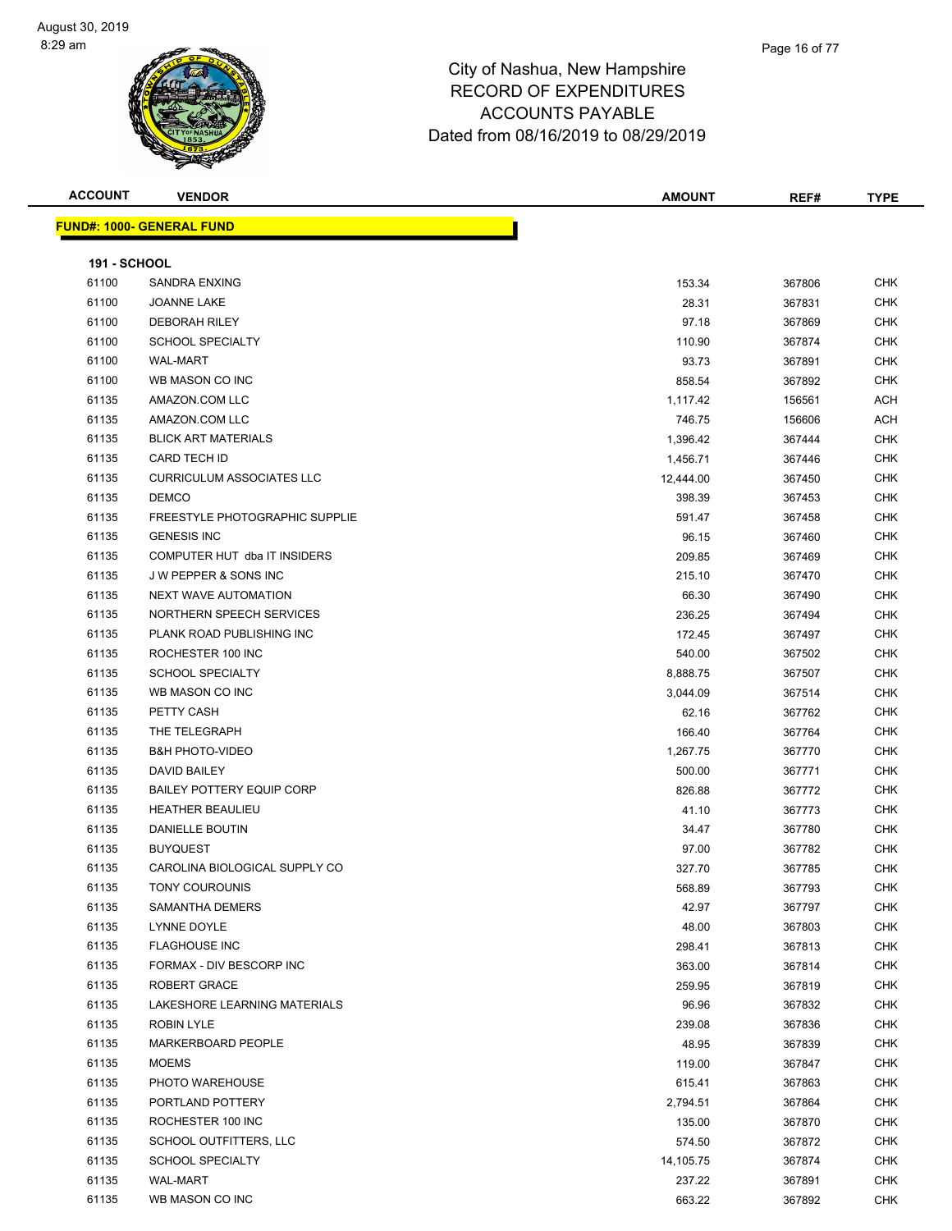

| <b>ACCOUNT</b>      | <b>VENDOR</b>                      | <b>AMOUNT</b> | REF#   | <b>TYPE</b>              |
|---------------------|------------------------------------|---------------|--------|--------------------------|
|                     | <u> FUND#: 1000- GENERAL FUND</u>  |               |        |                          |
|                     |                                    |               |        |                          |
| <b>191 - SCHOOL</b> |                                    |               |        |                          |
| 61100               | <b>SANDRA ENXING</b>               | 153.34        | 367806 | <b>CHK</b>               |
| 61100               | JOANNE LAKE                        | 28.31         | 367831 | <b>CHK</b>               |
| 61100               | <b>DEBORAH RILEY</b>               | 97.18         | 367869 | <b>CHK</b>               |
| 61100               | <b>SCHOOL SPECIALTY</b>            | 110.90        | 367874 | <b>CHK</b>               |
| 61100               | <b>WAL-MART</b>                    | 93.73         | 367891 | CHK                      |
| 61100               | WB MASON CO INC                    | 858.54        | 367892 | <b>CHK</b>               |
| 61135               | AMAZON.COM LLC                     | 1,117.42      | 156561 | ACH                      |
| 61135               | AMAZON.COM LLC                     | 746.75        | 156606 | ACH                      |
| 61135               | <b>BLICK ART MATERIALS</b>         | 1,396.42      | 367444 | CHK                      |
| 61135               | <b>CARD TECH ID</b>                | 1,456.71      | 367446 | CHK                      |
| 61135               | <b>CURRICULUM ASSOCIATES LLC</b>   | 12,444.00     | 367450 | CHK                      |
| 61135               | <b>DEMCO</b>                       | 398.39        | 367453 | <b>CHK</b>               |
| 61135               | FREESTYLE PHOTOGRAPHIC SUPPLIE     | 591.47        | 367458 | CHK                      |
| 61135               | <b>GENESIS INC</b>                 | 96.15         | 367460 | <b>CHK</b>               |
| 61135               | COMPUTER HUT dba IT INSIDERS       | 209.85        | 367469 | <b>CHK</b>               |
| 61135               | <b>JW PEPPER &amp; SONS INC</b>    | 215.10        | 367470 | CHK                      |
| 61135               | <b>NEXT WAVE AUTOMATION</b>        | 66.30         | 367490 | CHK                      |
| 61135               | NORTHERN SPEECH SERVICES           | 236.25        | 367494 | <b>CHK</b>               |
| 61135               | PLANK ROAD PUBLISHING INC          | 172.45        | 367497 | <b>CHK</b>               |
| 61135               | ROCHESTER 100 INC                  | 540.00        | 367502 | <b>CHK</b>               |
| 61135               | <b>SCHOOL SPECIALTY</b>            | 8,888.75      | 367507 | CHK                      |
| 61135               | WB MASON CO INC                    | 3,044.09      | 367514 | CHK                      |
| 61135               | PETTY CASH                         | 62.16         | 367762 | CHK                      |
| 61135               | THE TELEGRAPH                      | 166.40        | 367764 | <b>CHK</b>               |
| 61135               | <b>B&amp;H PHOTO-VIDEO</b>         | 1,267.75      | 367770 | <b>CHK</b>               |
| 61135               | DAVID BAILEY                       | 500.00        | 367771 | <b>CHK</b>               |
| 61135               | <b>BAILEY POTTERY EQUIP CORP</b>   | 826.88        | 367772 | <b>CHK</b>               |
| 61135               | <b>HEATHER BEAULIEU</b>            | 41.10         | 367773 | <b>CHK</b>               |
| 61135               | DANIELLE BOUTIN                    | 34.47         | 367780 | <b>CHK</b>               |
| 61135               | <b>BUYQUEST</b>                    | 97.00         | 367782 | <b>CHK</b>               |
| 61135               | CAROLINA BIOLOGICAL SUPPLY CO      | 327.70        | 367785 | <b>CHK</b>               |
| 61135               | TONY COUROUNIS                     | 568.89        | 367793 | <b>CHK</b>               |
| 61135               | SAMANTHA DEMERS                    | 42.97         | 367797 | CHK                      |
| 61135               | LYNNE DOYLE                        | 48.00         | 367803 | <b>CHK</b>               |
| 61135               | <b>FLAGHOUSE INC</b>               | 298.41        | 367813 | <b>CHK</b>               |
| 61135               | FORMAX - DIV BESCORP INC           | 363.00        |        | <b>CHK</b>               |
| 61135               | ROBERT GRACE                       |               | 367814 |                          |
| 61135               | LAKESHORE LEARNING MATERIALS       | 259.95        | 367819 | <b>CHK</b><br><b>CHK</b> |
| 61135               |                                    | 96.96         | 367832 |                          |
|                     | ROBIN LYLE                         | 239.08        | 367836 | <b>CHK</b>               |
| 61135               | MARKERBOARD PEOPLE<br><b>MOEMS</b> | 48.95         | 367839 | <b>CHK</b>               |
| 61135               |                                    | 119.00        | 367847 | <b>CHK</b>               |
| 61135               | PHOTO WAREHOUSE                    | 615.41        | 367863 | <b>CHK</b>               |
| 61135               | PORTLAND POTTERY                   | 2,794.51      | 367864 | CHK                      |
| 61135               | ROCHESTER 100 INC                  | 135.00        | 367870 | <b>CHK</b>               |
| 61135               | SCHOOL OUTFITTERS, LLC             | 574.50        | 367872 | CHK                      |
| 61135               | <b>SCHOOL SPECIALTY</b>            | 14,105.75     | 367874 | <b>CHK</b>               |
| 61135               | WAL-MART                           | 237.22        | 367891 | <b>CHK</b>               |
| 61135               | WB MASON CO INC                    | 663.22        | 367892 | CHK                      |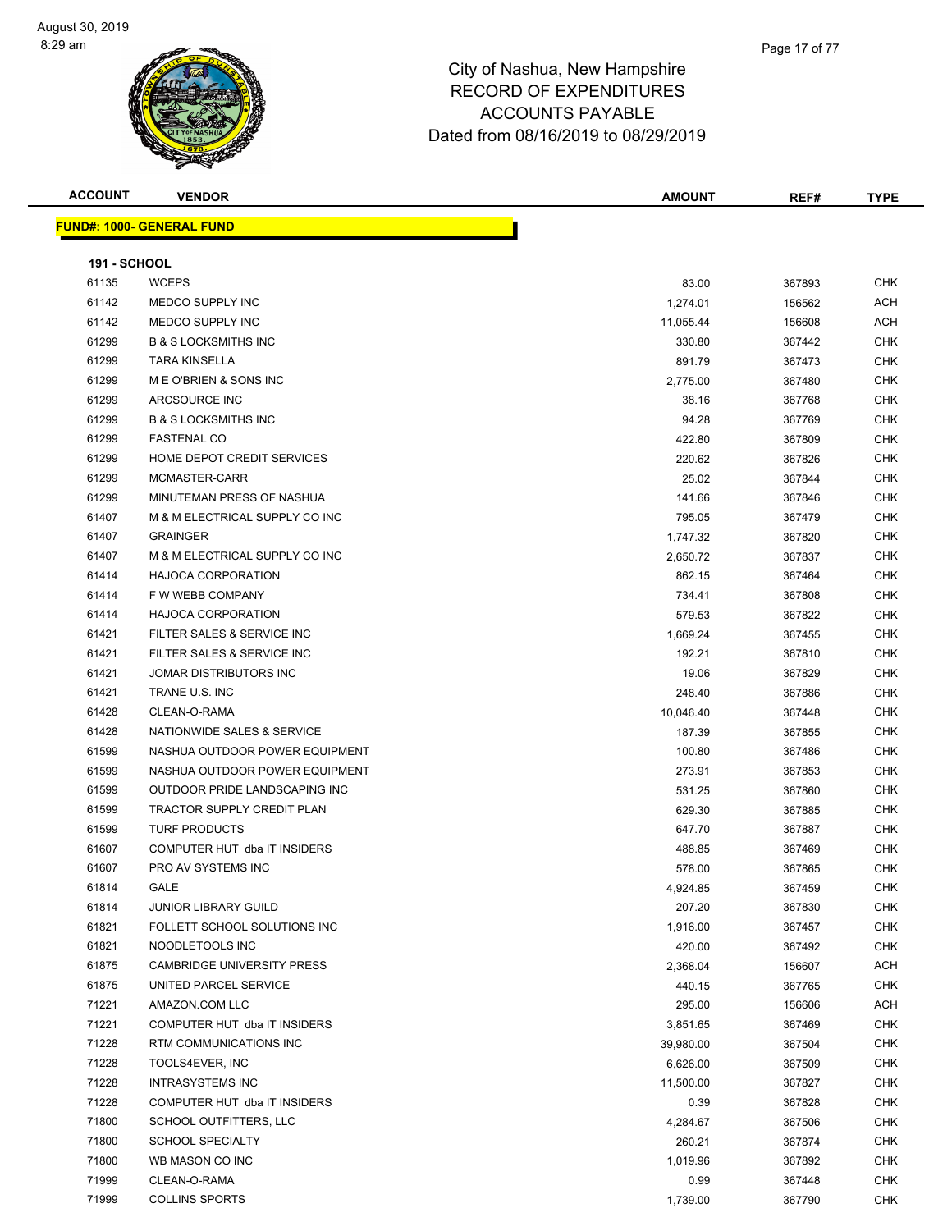

| <b>ACCOUNT</b>      | <b>VENDOR</b>                     | <b>AMOUNT</b> | REF#   | <b>TYPE</b> |
|---------------------|-----------------------------------|---------------|--------|-------------|
|                     | <u> FUND#: 1000- GENERAL FUND</u> |               |        |             |
|                     |                                   |               |        |             |
| <b>191 - SCHOOL</b> |                                   |               |        |             |
| 61135               | <b>WCEPS</b>                      | 83.00         | 367893 | <b>CHK</b>  |
| 61142               | MEDCO SUPPLY INC                  | 1,274.01      | 156562 | ACH         |
| 61142               | MEDCO SUPPLY INC                  | 11,055.44     | 156608 | ACH         |
| 61299               | <b>B &amp; S LOCKSMITHS INC</b>   | 330.80        | 367442 | CHK         |
| 61299               | <b>TARA KINSELLA</b>              | 891.79        | 367473 | CHK         |
| 61299               | M E O'BRIEN & SONS INC            | 2,775.00      | 367480 | CHK         |
| 61299               | ARCSOURCE INC                     | 38.16         | 367768 | CHK         |
| 61299               | <b>B &amp; S LOCKSMITHS INC</b>   | 94.28         | 367769 | <b>CHK</b>  |
| 61299               | <b>FASTENAL CO</b>                | 422.80        | 367809 | CHK         |
| 61299               | HOME DEPOT CREDIT SERVICES        | 220.62        | 367826 | <b>CHK</b>  |
| 61299               | MCMASTER-CARR                     | 25.02         | 367844 | CHK         |
| 61299               | MINUTEMAN PRESS OF NASHUA         | 141.66        | 367846 | <b>CHK</b>  |
| 61407               | M & M ELECTRICAL SUPPLY CO INC    | 795.05        | 367479 | <b>CHK</b>  |
| 61407               | <b>GRAINGER</b>                   | 1,747.32      | 367820 | CHK         |
| 61407               | M & M ELECTRICAL SUPPLY CO INC    | 2,650.72      | 367837 | CHK         |
| 61414               | <b>HAJOCA CORPORATION</b>         | 862.15        | 367464 | CHK         |
| 61414               | F W WEBB COMPANY                  | 734.41        | 367808 | CHK         |
| 61414               | <b>HAJOCA CORPORATION</b>         | 579.53        | 367822 | CHK         |
| 61421               | FILTER SALES & SERVICE INC        | 1,669.24      | 367455 | <b>CHK</b>  |
| 61421               | FILTER SALES & SERVICE INC        | 192.21        | 367810 | CHK         |
| 61421               | JOMAR DISTRIBUTORS INC            | 19.06         | 367829 | CHK         |
| 61421               | TRANE U.S. INC                    | 248.40        | 367886 | CHK         |
| 61428               | CLEAN-O-RAMA                      | 10,046.40     | 367448 | CHK         |
| 61428               | NATIONWIDE SALES & SERVICE        | 187.39        | 367855 | CHK         |
| 61599               | NASHUA OUTDOOR POWER EQUIPMENT    | 100.80        | 367486 | CHK         |
| 61599               | NASHUA OUTDOOR POWER EQUIPMENT    | 273.91        | 367853 | CHK         |
| 61599               | OUTDOOR PRIDE LANDSCAPING INC     | 531.25        | 367860 | CHK         |
| 61599               | TRACTOR SUPPLY CREDIT PLAN        | 629.30        | 367885 | CHK         |
| 61599               | <b>TURF PRODUCTS</b>              | 647.70        | 367887 | <b>CHK</b>  |
| 61607               | COMPUTER HUT dba IT INSIDERS      | 488.85        | 367469 | <b>CHK</b>  |
| 61607               | PRO AV SYSTEMS INC                | 578.00        | 367865 | CHK         |
| 61814               | GALE                              | 4,924.85      | 367459 | <b>CHK</b>  |
| 61814               | <b>JUNIOR LIBRARY GUILD</b>       | 207.20        | 367830 | CHK         |
| 61821               | FOLLETT SCHOOL SOLUTIONS INC      | 1,916.00      | 367457 | <b>CHK</b>  |
| 61821               | NOODLETOOLS INC                   | 420.00        | 367492 | <b>CHK</b>  |
| 61875               | CAMBRIDGE UNIVERSITY PRESS        | 2,368.04      | 156607 | ACH         |
| 61875               | UNITED PARCEL SERVICE             | 440.15        | 367765 | <b>CHK</b>  |
| 71221               | AMAZON.COM LLC                    | 295.00        | 156606 | ACH         |
| 71221               | COMPUTER HUT dba IT INSIDERS      | 3,851.65      | 367469 | <b>CHK</b>  |
| 71228               | RTM COMMUNICATIONS INC            | 39,980.00     | 367504 | <b>CHK</b>  |
| 71228               | TOOLS4EVER, INC                   | 6,626.00      | 367509 | <b>CHK</b>  |
| 71228               | <b>INTRASYSTEMS INC</b>           | 11,500.00     | 367827 | <b>CHK</b>  |
| 71228               | COMPUTER HUT dba IT INSIDERS      | 0.39          | 367828 | <b>CHK</b>  |
| 71800               | SCHOOL OUTFITTERS, LLC            | 4,284.67      | 367506 | <b>CHK</b>  |
| 71800               | <b>SCHOOL SPECIALTY</b>           | 260.21        | 367874 | <b>CHK</b>  |
| 71800               | WB MASON CO INC                   | 1,019.96      | 367892 | CHK         |
| 71999               | CLEAN-O-RAMA                      | 0.99          | 367448 | <b>CHK</b>  |
| 71999               | <b>COLLINS SPORTS</b>             | 1,739.00      | 367790 | <b>CHK</b>  |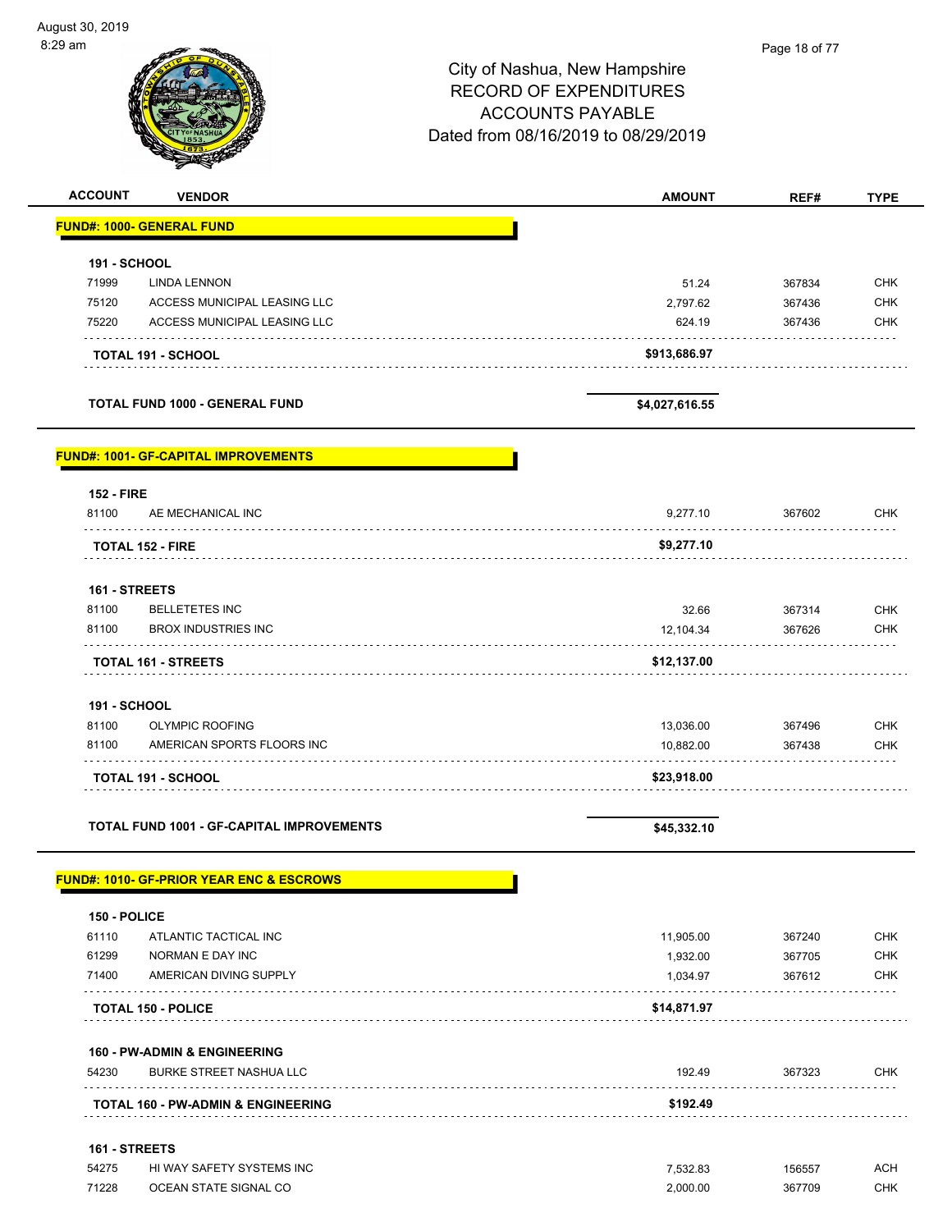| 29 am                  |                                                      |                                     | Page 18 of 77 |             |
|------------------------|------------------------------------------------------|-------------------------------------|---------------|-------------|
|                        |                                                      | City of Nashua, New Hampshire       |               |             |
|                        |                                                      | <b>RECORD OF EXPENDITURES</b>       |               |             |
|                        |                                                      | <b>ACCOUNTS PAYABLE</b>             |               |             |
|                        |                                                      |                                     |               |             |
|                        |                                                      | Dated from 08/16/2019 to 08/29/2019 |               |             |
|                        |                                                      |                                     |               |             |
| <b>ACCOUNT</b>         | <b>VENDOR</b>                                        | <b>AMOUNT</b>                       | REF#          | <b>TYPE</b> |
|                        | <b>FUND#: 1000- GENERAL FUND</b>                     |                                     |               |             |
| <b>191 - SCHOOL</b>    |                                                      |                                     |               |             |
| 71999                  | <b>LINDA LENNON</b>                                  | 51.24                               | 367834        | <b>CHK</b>  |
| 75120                  | ACCESS MUNICIPAL LEASING LLC                         | 2,797.62                            | 367436        | <b>CHK</b>  |
| 75220                  | ACCESS MUNICIPAL LEASING LLC                         | 624.19                              | 367436        | <b>CHK</b>  |
|                        |                                                      |                                     |               |             |
|                        | <b>TOTAL 191 - SCHOOL</b>                            | \$913,686.97                        |               |             |
|                        | TOTAL FUND 1000 - GENERAL FUND                       | \$4,027,616.55                      |               |             |
|                        | <u> FUND#: 1001- GF-CAPITAL IMPROVEMENTS</u>         |                                     |               |             |
| <b>152 - FIRE</b>      |                                                      |                                     |               |             |
| 81100                  | AE MECHANICAL INC                                    | 9,277.10                            | 367602        | <b>CHK</b>  |
|                        | <b>TOTAL 152 - FIRE</b>                              | \$9,277.10                          |               |             |
|                        |                                                      |                                     |               |             |
| 161 - STREETS<br>81100 | <b>BELLETETES INC</b>                                |                                     |               | <b>CHK</b>  |
|                        |                                                      | 32.66                               | 367314        |             |
| 81100                  | <b>BROX INDUSTRIES INC</b>                           | 12,104.34                           | 367626        | <b>CHK</b>  |
|                        | <b>TOTAL 161 - STREETS</b>                           | \$12,137.00                         |               |             |
| <b>191 - SCHOOL</b>    |                                                      |                                     |               |             |
| 81100                  | OLYMPIC ROOFING                                      | 13,036.00                           | 367496        | <b>CHK</b>  |
| 81100                  | AMERICAN SPORTS FLOORS INC                           | 10,882.00                           | 367438        | <b>CHK</b>  |
|                        | <b>TOTAL 191 - SCHOOL</b>                            | \$23,918.00                         |               |             |
|                        |                                                      |                                     |               |             |
|                        | <b>TOTAL FUND 1001 - GF-CAPITAL IMPROVEMENTS</b>     | \$45,332.10                         |               |             |
|                        | <u> FUND#: 1010- GF-PRIOR YEAR ENC &amp; ESCROWS</u> |                                     |               |             |
| 150 - POLICE           |                                                      |                                     |               |             |
| 61110                  | ATLANTIC TACTICAL INC                                | 11,905.00                           | 367240        | <b>CHK</b>  |
| 61299                  | NORMAN E DAY INC                                     | 1,932.00                            | 367705        | <b>CHK</b>  |
| 71400                  | AMERICAN DIVING SUPPLY                               | 1,034.97                            | 367612        | <b>CHK</b>  |
|                        | <b>TOTAL 150 - POLICE</b>                            | \$14,871.97                         |               |             |
|                        | <b>160 - PW-ADMIN &amp; ENGINEERING</b>              |                                     |               |             |
| 54230                  | <b>BURKE STREET NASHUA LLC</b>                       | 192.49                              | 367323        | CHK         |
|                        | <b>TOTAL 160 - PW-ADMIN &amp; ENGINEERING</b>        | \$192.49                            |               |             |
| 161 - STREETS          |                                                      |                                     |               |             |
| 54275                  | HI WAY SAFETY SYSTEMS INC                            | 7,532.83                            | 156557        | <b>ACH</b>  |
| 71228                  | OCEAN STATE SIGNAL CO                                | 2,000.00                            | 367709        | CHK         |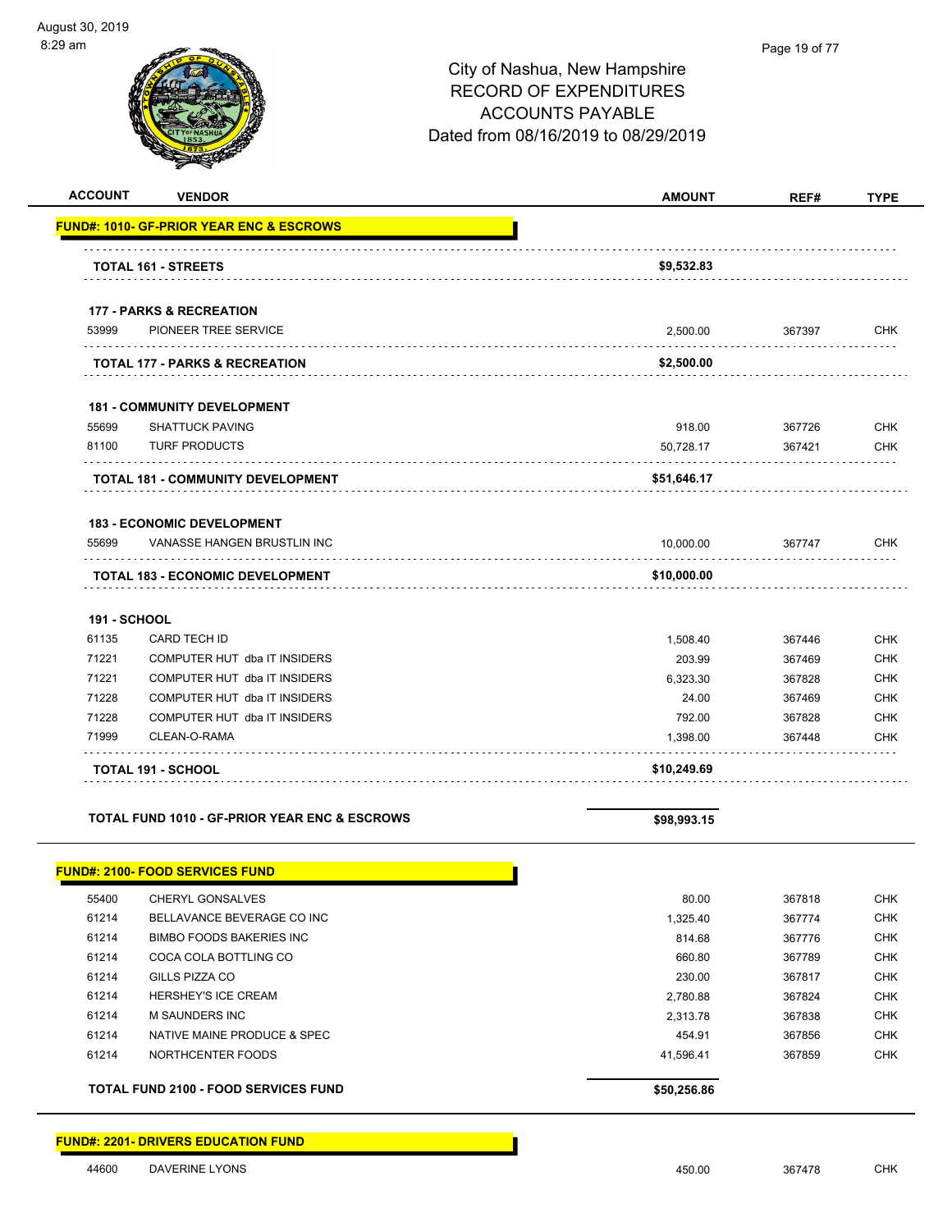$\overline{a}$   $\overline{a}$ 

-

|                                                          | City of Nashua, New Hampshire<br><b>RECORD OF EXPENDITURES</b><br><b>ACCOUNTS PAYABLE</b><br>Dated from 08/16/2019 to 08/29/2019 |        |             |
|----------------------------------------------------------|----------------------------------------------------------------------------------------------------------------------------------|--------|-------------|
| <b>ACCOUNT</b><br><b>VENDOR</b>                          | <b>AMOUNT</b>                                                                                                                    | REF#   | <b>TYPE</b> |
| <u> UND#: 1010- GF-PRIOR YEAR ENC &amp; ESCROWS</u>      |                                                                                                                                  |        |             |
| <b>TOTAL 161 - STREETS</b>                               | \$9,532.83                                                                                                                       |        |             |
| <b>177 - PARKS &amp; RECREATION</b>                      |                                                                                                                                  |        |             |
| 53999<br>PIONEER TREE SERVICE                            | 2,500.00                                                                                                                         | 367397 | <b>CHK</b>  |
| TOTAL 177 - PARKS & RECREATION                           | \$2,500.00                                                                                                                       |        |             |
| <b>181 - COMMUNITY DEVELOPMENT</b>                       |                                                                                                                                  |        |             |
| 55699<br><b>SHATTUCK PAVING</b>                          | 918.00                                                                                                                           | 367726 | <b>CHK</b>  |
| 81100<br><b>TURF PRODUCTS</b><br>.                       | 50,728.17                                                                                                                        | 367421 | <b>CHK</b>  |
| <b>TOTAL 181 - COMMUNITY DEVELOPMENT</b>                 | \$51,646.17                                                                                                                      |        |             |
| <b>183 - ECONOMIC DEVELOPMENT</b>                        |                                                                                                                                  |        |             |
| 55699<br>VANASSE HANGEN BRUSTLIN INC                     | 10,000.00                                                                                                                        | 367747 | CHK         |
| <b>TOTAL 183 - ECONOMIC DEVELOPMENT</b>                  | \$10,000.00                                                                                                                      |        |             |
| <b>191 - SCHOOL</b>                                      |                                                                                                                                  |        |             |
| 61135<br>CARD TECH ID                                    | 1,508.40                                                                                                                         | 367446 | <b>CHK</b>  |
| 71221<br>COMPUTER HUT dba IT INSIDERS                    | 203.99                                                                                                                           | 367469 | <b>CHK</b>  |
| 71221<br>COMPUTER HUT dba IT INSIDERS                    | 6,323.30                                                                                                                         | 367828 | <b>CHK</b>  |
| 71228<br>COMPUTER HUT dba IT INSIDERS                    | 24.00                                                                                                                            | 367469 | <b>CHK</b>  |
| 71228<br>COMPUTER HUT dba IT INSIDERS                    | 792.00                                                                                                                           | 367828 | <b>CHK</b>  |
| 71999<br>CLEAN-O-RAMA                                    | 1,398.00                                                                                                                         | 367448 | <b>CHK</b>  |
| TOTAL 191 - SCHOOL                                       | \$10,249.69                                                                                                                      |        |             |
| <b>TOTAL FUND 1010 - GF-PRIOR YEAR ENC &amp; ESCROWS</b> | \$98,993.15                                                                                                                      |        |             |

|       | <b>FUND#: 2100- FOOD SERVICES FUND</b>      |             |        |            |
|-------|---------------------------------------------|-------------|--------|------------|
| 55400 | CHERYL GONSALVES                            | 80.00       | 367818 | <b>CHK</b> |
| 61214 | BELLAVANCE BEVERAGE CO INC                  | 1.325.40    | 367774 | <b>CHK</b> |
| 61214 | BIMBO FOODS BAKERIES INC                    | 814.68      | 367776 | <b>CHK</b> |
| 61214 | COCA COLA BOTTLING CO                       | 660.80      | 367789 | <b>CHK</b> |
| 61214 | GILLS PIZZA CO                              | 230.00      | 367817 | <b>CHK</b> |
| 61214 | <b>HERSHEY'S ICE CREAM</b>                  | 2.780.88    | 367824 | <b>CHK</b> |
| 61214 | M SAUNDERS INC                              | 2.313.78    | 367838 | <b>CHK</b> |
| 61214 | NATIVE MAINE PRODUCE & SPEC                 | 454.91      | 367856 | <b>CHK</b> |
| 61214 | NORTHCENTER FOODS                           | 41.596.41   | 367859 | <b>CHK</b> |
|       | <b>TOTAL FUND 2100 - FOOD SERVICES FUND</b> | \$50,256.86 |        |            |

#### **FUND#: 2201- DRIVERS EDUCATION FUND**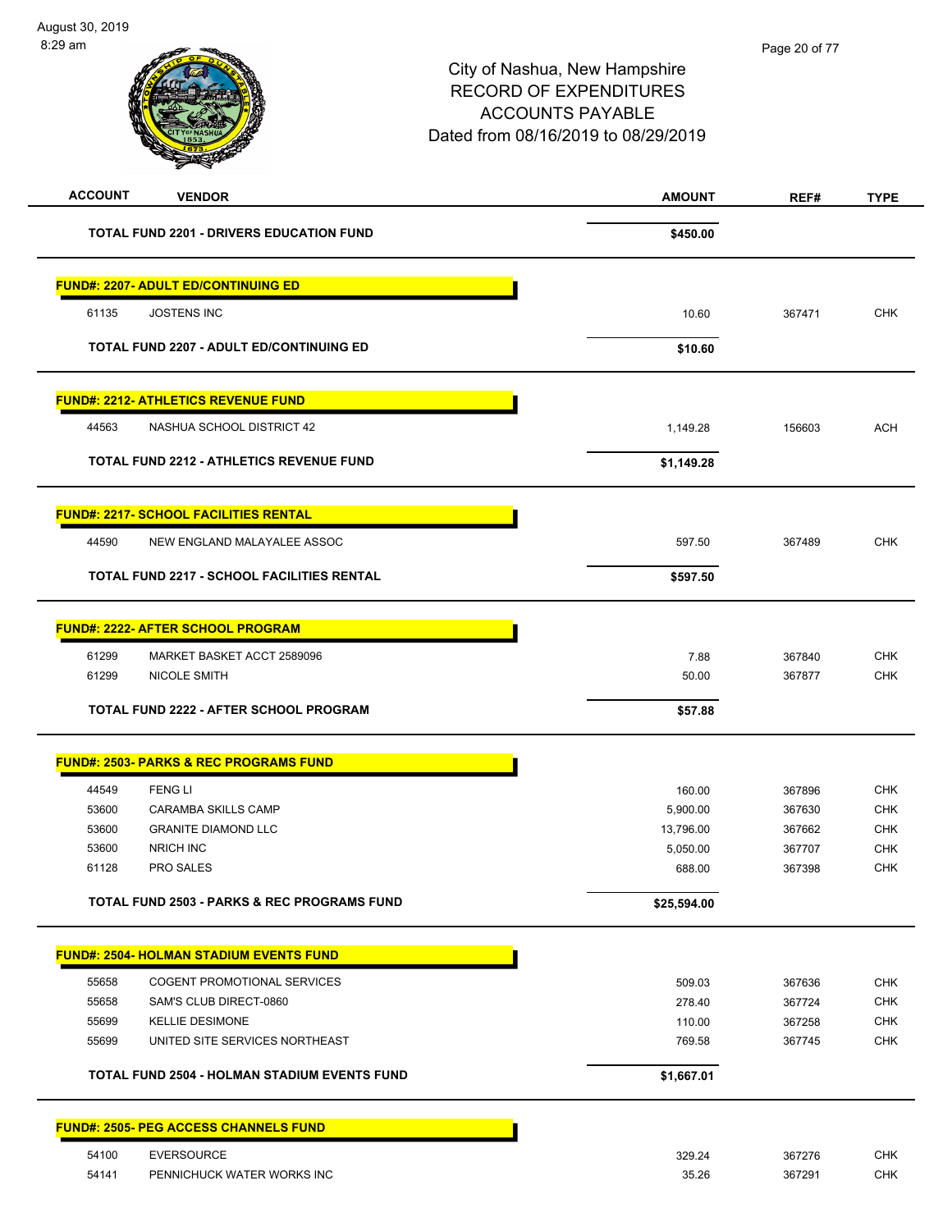| <b>TOTAL FUND 2201 - DRIVERS EDUCATION FUND</b>        | \$450.00    |        |            |
|--------------------------------------------------------|-------------|--------|------------|
| <b>FUND#: 2207- ADULT ED/CONTINUING ED</b>             |             |        |            |
| 61135<br><b>JOSTENS INC</b>                            | 10.60       | 367471 | <b>CHK</b> |
| <b>TOTAL FUND 2207 - ADULT ED/CONTINUING ED</b>        | \$10.60     |        |            |
| <b>FUND#: 2212- ATHLETICS REVENUE FUND</b>             |             |        |            |
| 44563<br>NASHUA SCHOOL DISTRICT 42                     | 1,149.28    | 156603 | <b>ACH</b> |
| <b>TOTAL FUND 2212 - ATHLETICS REVENUE FUND</b>        | \$1,149.28  |        |            |
| <b>FUND#: 2217- SCHOOL FACILITIES RENTAL</b>           |             |        |            |
| 44590<br>NEW ENGLAND MALAYALEE ASSOC                   | 597.50      | 367489 | <b>CHK</b> |
| <b>TOTAL FUND 2217 - SCHOOL FACILITIES RENTAL</b>      | \$597.50    |        |            |
| <b>FUND#: 2222- AFTER SCHOOL PROGRAM</b>               |             |        |            |
| 61299<br>MARKET BASKET ACCT 2589096                    | 7.88        | 367840 | <b>CHK</b> |
| 61299<br>NICOLE SMITH                                  | 50.00       | 367877 | <b>CHK</b> |
| <b>TOTAL FUND 2222 - AFTER SCHOOL PROGRAM</b>          | \$57.88     |        |            |
| <b>FUND#: 2503- PARKS &amp; REC PROGRAMS FUND</b>      |             |        |            |
| 44549<br><b>FENG LI</b>                                | 160.00      | 367896 | <b>CHK</b> |
| 53600<br><b>CARAMBA SKILLS CAMP</b>                    | 5,900.00    | 367630 | <b>CHK</b> |
| 53600<br><b>GRANITE DIAMOND LLC</b>                    | 13,796.00   | 367662 | <b>CHK</b> |
| NRICH INC<br>53600                                     | 5,050.00    | 367707 | <b>CHK</b> |
| 61128<br><b>PRO SALES</b>                              | 688.00      | 367398 | <b>CHK</b> |
| <b>TOTAL FUND 2503 - PARKS &amp; REC PROGRAMS FUND</b> | \$25,594.00 |        |            |
| <b>FUND#: 2504- HOLMAN STADIUM EVENTS FUND</b>         |             |        |            |
| 55658<br><b>COGENT PROMOTIONAL SERVICES</b>            | 509.03      | 367636 | <b>CHK</b> |
| 55658<br>SAM'S CLUB DIRECT-0860                        | 278.40      | 367724 | <b>CHK</b> |
| 55699<br><b>KELLIE DESIMONE</b>                        | 110.00      | 367258 | <b>CHK</b> |
| 55699<br>UNITED SITE SERVICES NORTHEAST                | 769.58      | 367745 | <b>CHK</b> |
| TOTAL FUND 2504 - HOLMAN STADIUM EVENTS FUND           | \$1,667.01  |        |            |
| <b>FUND#: 2505- PEG ACCESS CHANNELS FUND</b>           |             |        |            |
| <b>EVERSOURCE</b><br>54100                             | 329.24      | 367276 | <b>CHK</b> |
| 54141<br>PENNICHUCK WATER WORKS INC                    | 35.26       | 367291 | <b>CHK</b> |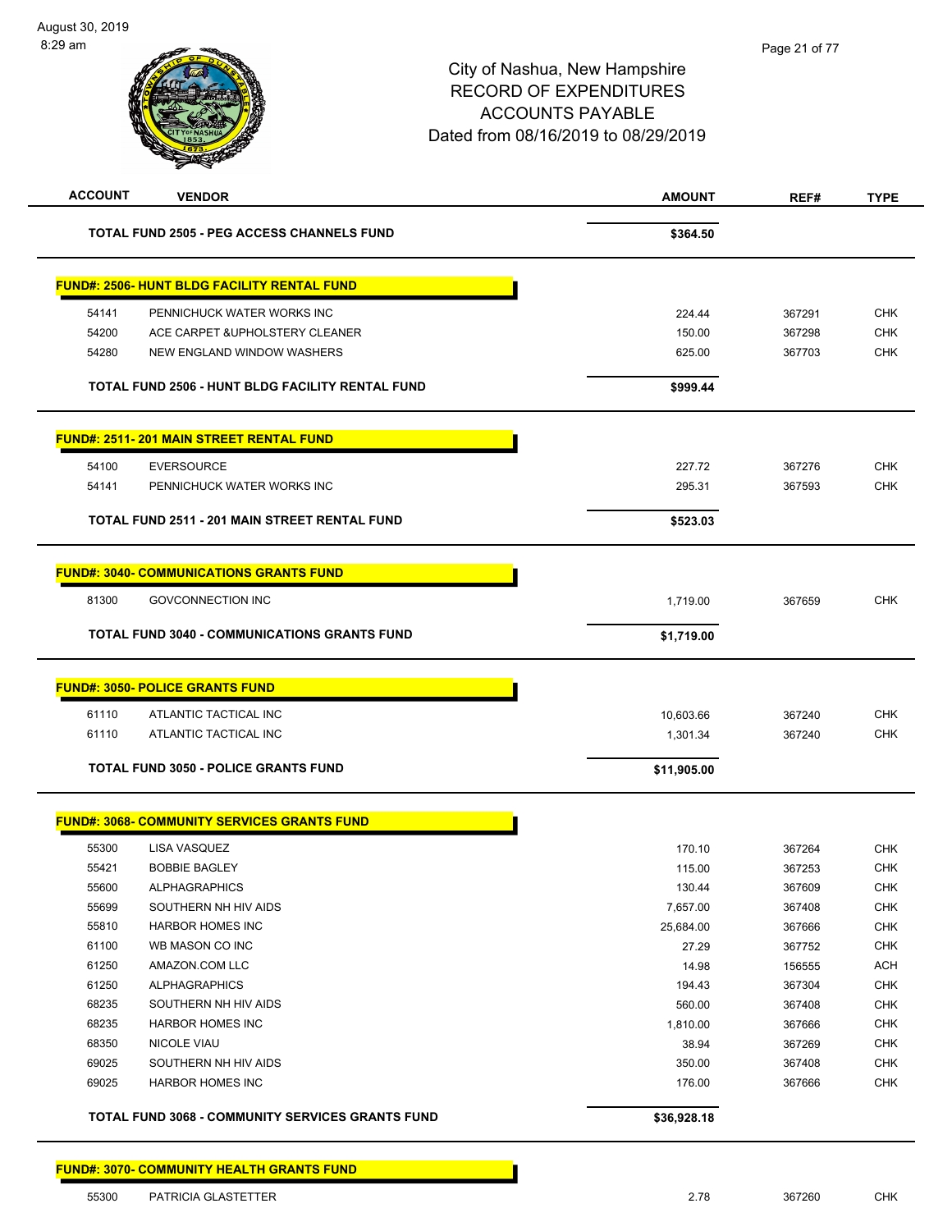| <b>ACCOUNT</b> | <b>VENDOR</b>                                           | <b>AMOUNT</b> | REF#   | <b>TYPE</b> |
|----------------|---------------------------------------------------------|---------------|--------|-------------|
|                | <b>TOTAL FUND 2505 - PEG ACCESS CHANNELS FUND</b>       | \$364.50      |        |             |
|                | <b>FUND#: 2506- HUNT BLDG FACILITY RENTAL FUND</b>      |               |        |             |
| 54141          | PENNICHUCK WATER WORKS INC                              | 224.44        | 367291 | <b>CHK</b>  |
| 54200          | ACE CARPET & UPHOLSTERY CLEANER                         | 150.00        | 367298 | <b>CHK</b>  |
| 54280          | <b>NEW ENGLAND WINDOW WASHERS</b>                       | 625.00        | 367703 | <b>CHK</b>  |
|                | <b>TOTAL FUND 2506 - HUNT BLDG FACILITY RENTAL FUND</b> | \$999.44      |        |             |
|                | <b>FUND#: 2511-201 MAIN STREET RENTAL FUND</b>          |               |        |             |
| 54100          | <b>EVERSOURCE</b>                                       | 227.72        | 367276 | <b>CHK</b>  |
| 54141          | PENNICHUCK WATER WORKS INC                              | 295.31        | 367593 | <b>CHK</b>  |
|                | <b>TOTAL FUND 2511 - 201 MAIN STREET RENTAL FUND</b>    | \$523.03      |        |             |
|                | <b>FUND#: 3040- COMMUNICATIONS GRANTS FUND</b>          |               |        |             |
| 81300          | <b>GOVCONNECTION INC</b>                                | 1,719.00      | 367659 | <b>CHK</b>  |
|                | <b>TOTAL FUND 3040 - COMMUNICATIONS GRANTS FUND</b>     | \$1,719.00    |        |             |
|                | <b>FUND#: 3050- POLICE GRANTS FUND</b>                  |               |        |             |
|                |                                                         |               |        |             |
| 61110          | ATLANTIC TACTICAL INC                                   | 10,603.66     | 367240 | <b>CHK</b>  |
| 61110          | ATLANTIC TACTICAL INC                                   | 1,301.34      | 367240 | <b>CHK</b>  |
|                | <b>TOTAL FUND 3050 - POLICE GRANTS FUND</b>             | \$11,905.00   |        |             |
|                | <b>FUND#: 3068- COMMUNITY SERVICES GRANTS FUND</b>      |               |        |             |
| 55300          | LISA VASQUEZ                                            | 170.10        | 367264 | <b>CHK</b>  |
| 55421          | <b>BOBBIE BAGLEY</b>                                    | 115.00        | 367253 | <b>CHK</b>  |
| 55600          | <b>ALPHAGRAPHICS</b>                                    | 130.44        | 367609 | <b>CHK</b>  |
| 55699          | SOUTHERN NH HIV AIDS                                    | 7,657.00      | 367408 | <b>CHK</b>  |
| 55810          | <b>HARBOR HOMES INC</b>                                 | 25,684.00     | 367666 | <b>CHK</b>  |
| 61100          | WB MASON CO INC                                         | 27.29         | 367752 | <b>CHK</b>  |
| 61250          | AMAZON.COM LLC                                          | 14.98         | 156555 | <b>ACH</b>  |
| 61250          | <b>ALPHAGRAPHICS</b>                                    | 194.43        | 367304 | <b>CHK</b>  |
| 68235          | SOUTHERN NH HIV AIDS                                    | 560.00        | 367408 | <b>CHK</b>  |
| 68235          | <b>HARBOR HOMES INC</b>                                 | 1,810.00      | 367666 | <b>CHK</b>  |
| 68350          | <b>NICOLE VIAU</b>                                      | 38.94         | 367269 | <b>CHK</b>  |
| 69025          | SOUTHERN NH HIV AIDS                                    | 350.00        | 367408 | <b>CHK</b>  |
| 69025          | <b>HARBOR HOMES INC</b>                                 | 176.00        | 367666 | <b>CHK</b>  |
|                | TOTAL FUND 3068 - COMMUNITY SERVICES GRANTS FUND        | \$36,928.18   |        |             |
|                | <b>FUND#: 3070- COMMUNITY HEALTH GRANTS FUND</b>        |               |        |             |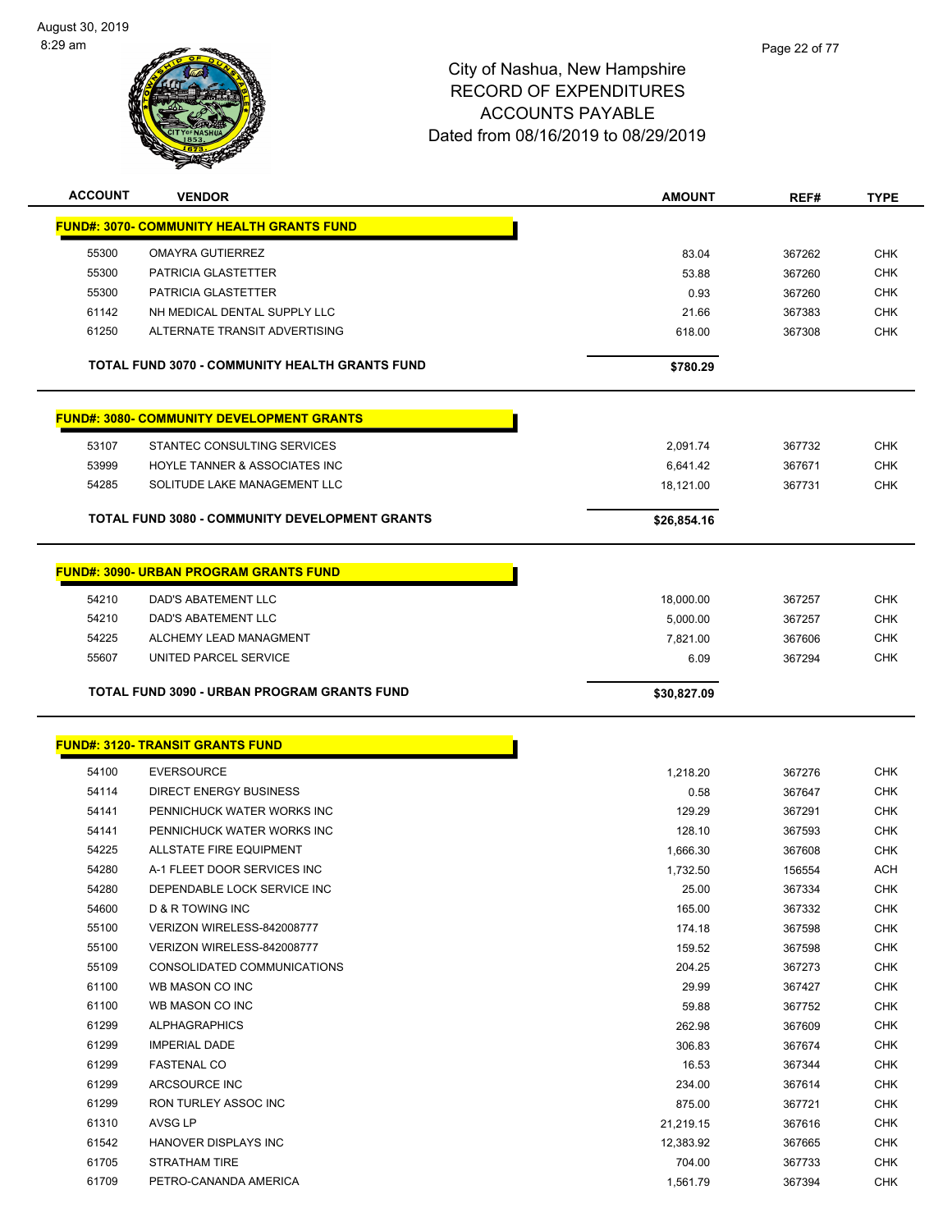

| <b>ACCOUNT</b> | <b>VENDOR</b>                                    | <b>AMOUNT</b> | REF#   | <b>TYPE</b> |
|----------------|--------------------------------------------------|---------------|--------|-------------|
|                | <b>FUND#: 3070- COMMUNITY HEALTH GRANTS FUND</b> |               |        |             |
| 55300          | <b>OMAYRA GUTIERREZ</b>                          | 83.04         | 367262 | <b>CHK</b>  |
| 55300          | <b>PATRICIA GLASTETTER</b>                       | 53.88         | 367260 | <b>CHK</b>  |
| 55300          | <b>PATRICIA GLASTETTER</b>                       | 0.93          | 367260 | <b>CHK</b>  |
| 61142          | NH MEDICAL DENTAL SUPPLY LLC                     | 21.66         | 367383 | <b>CHK</b>  |
| 61250          | ALTERNATE TRANSIT ADVERTISING                    | 618.00        | 367308 | <b>CHK</b>  |
|                |                                                  |               |        |             |
|                | TOTAL FUND 3070 - COMMUNITY HEALTH GRANTS FUND   | \$780.29      |        |             |
|                | <b>FUND#: 3080- COMMUNITY DEVELOPMENT GRANTS</b> |               |        |             |
| 53107          | STANTEC CONSULTING SERVICES                      | 2,091.74      | 367732 | <b>CHK</b>  |
| 53999          | HOYLE TANNER & ASSOCIATES INC                    | 6,641.42      | 367671 | <b>CHK</b>  |
| 54285          | SOLITUDE LAKE MANAGEMENT LLC                     | 18,121.00     | 367731 | <b>CHK</b>  |
|                |                                                  |               |        |             |
|                | TOTAL FUND 3080 - COMMUNITY DEVELOPMENT GRANTS   | \$26,854.16   |        |             |
|                | <b>FUND#: 3090- URBAN PROGRAM GRANTS FUND</b>    |               |        |             |
| 54210          | DAD'S ABATEMENT LLC                              | 18,000.00     | 367257 | <b>CHK</b>  |
| 54210          | <b>DAD'S ABATEMENT LLC</b>                       | 5,000.00      | 367257 | <b>CHK</b>  |
| 54225          | ALCHEMY LEAD MANAGMENT                           | 7,821.00      | 367606 | CHK         |
| 55607          | UNITED PARCEL SERVICE                            | 6.09          | 367294 | <b>CHK</b>  |
|                |                                                  |               |        |             |
|                | TOTAL FUND 3090 - URBAN PROGRAM GRANTS FUND      | \$30,827.09   |        |             |
|                |                                                  |               |        |             |
|                | <u> FUND#: 3120- TRANSIT GRANTS FUND</u>         |               |        |             |
| 54100          | <b>EVERSOURCE</b>                                | 1,218.20      | 367276 | <b>CHK</b>  |
| 54114          | <b>DIRECT ENERGY BUSINESS</b>                    | 0.58          | 367647 | <b>CHK</b>  |
| 54141          | PENNICHUCK WATER WORKS INC                       | 129.29        | 367291 | <b>CHK</b>  |
| 54141          | PENNICHUCK WATER WORKS INC                       | 128.10        | 367593 | <b>CHK</b>  |
| 54225          | ALLSTATE FIRE EQUIPMENT                          | 1,666.30      | 367608 | <b>CHK</b>  |
| 54280          | A-1 FLEET DOOR SERVICES INC                      | 1,732.50      | 156554 | <b>ACH</b>  |
| 54280          | DEPENDABLE LOCK SERVICE INC                      | 25.00         | 367334 | <b>CHK</b>  |
| 54600          | D & R TOWING INC                                 | 165.00        | 367332 | CHK         |
| 55100          | VERIZON WIRELESS-842008777                       | 174.18        | 367598 | <b>CHK</b>  |
| 55100          | VERIZON WIRELESS-842008777                       | 159.52        | 367598 | <b>CHK</b>  |
| 55109          | CONSOLIDATED COMMUNICATIONS                      | 204.25        | 367273 | <b>CHK</b>  |
| 61100          | WB MASON CO INC                                  | 29.99         | 367427 | <b>CHK</b>  |
| 61100          | WB MASON CO INC                                  | 59.88         | 367752 | <b>CHK</b>  |
| 61299          | <b>ALPHAGRAPHICS</b>                             | 262.98        | 367609 | <b>CHK</b>  |
| 61299          | <b>IMPERIAL DADE</b>                             | 306.83        | 367674 | <b>CHK</b>  |
| 61299          | <b>FASTENAL CO</b>                               | 16.53         | 367344 | <b>CHK</b>  |
| 61299          | ARCSOURCE INC                                    | 234.00        | 367614 | <b>CHK</b>  |
| 61299          | RON TURLEY ASSOC INC                             | 875.00        | 367721 | <b>CHK</b>  |
| 61310          | AVSG LP                                          | 21,219.15     | 367616 | <b>CHK</b>  |
| 61542          | HANOVER DISPLAYS INC                             | 12,383.92     | 367665 | <b>CHK</b>  |
| 61705          | STRATHAM TIRE                                    | 704.00        | 367733 | <b>CHK</b>  |
| 61709          | PETRO-CANANDA AMERICA                            | 1,561.79      | 367394 | <b>CHK</b>  |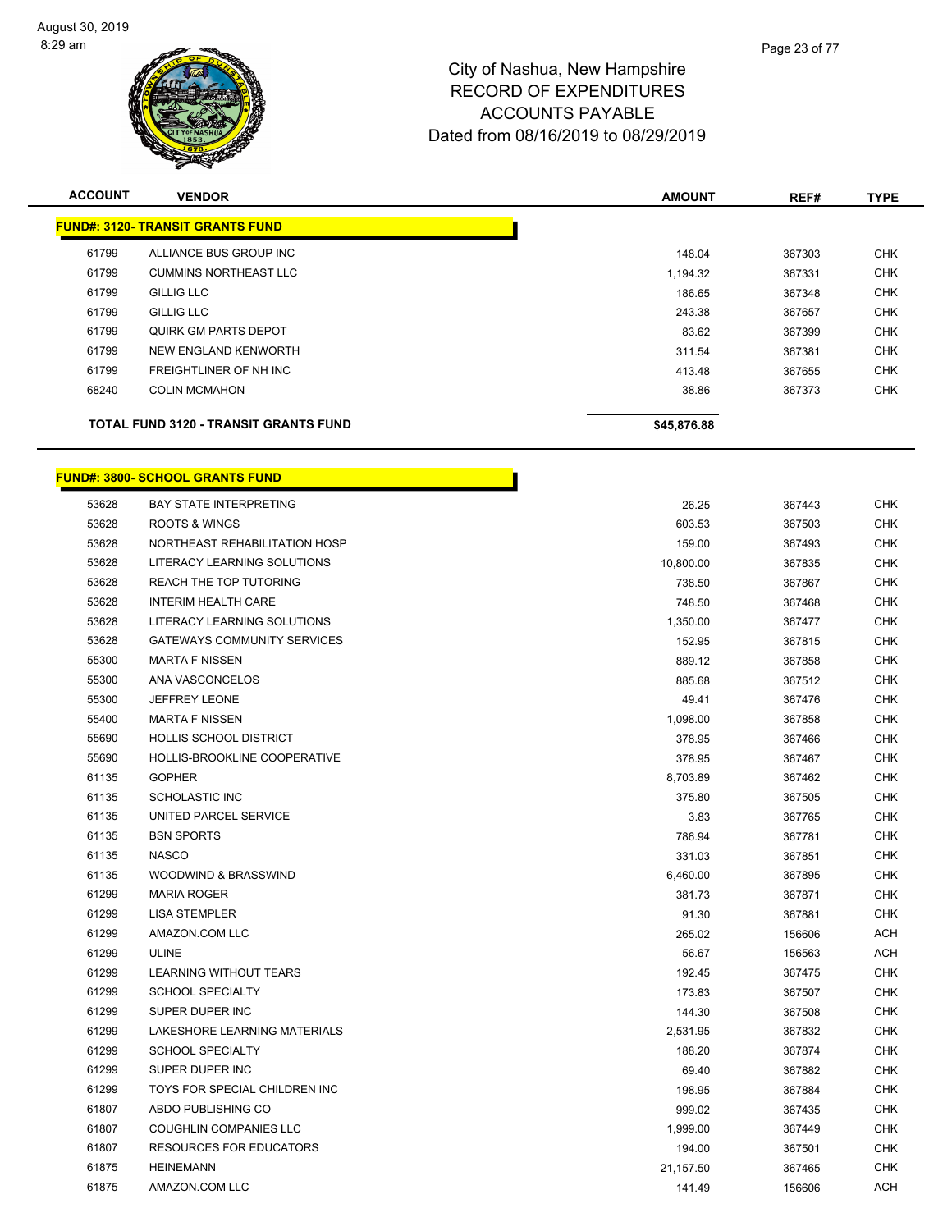

| <b>ACCOUNT</b> | <b>VENDOR</b>                                | <b>AMOUNT</b> | REF#   | <b>TYPE</b> |
|----------------|----------------------------------------------|---------------|--------|-------------|
|                | <b>FUND#: 3120- TRANSIT GRANTS FUND</b>      |               |        |             |
| 61799          | ALLIANCE BUS GROUP INC                       | 148.04        | 367303 | <b>CHK</b>  |
| 61799          | <b>CUMMINS NORTHEAST LLC</b>                 | 1,194.32      | 367331 | <b>CHK</b>  |
| 61799          | <b>GILLIG LLC</b>                            | 186.65        | 367348 | <b>CHK</b>  |
| 61799          | <b>GILLIG LLC</b>                            | 243.38        | 367657 | <b>CHK</b>  |
| 61799          | QUIRK GM PARTS DEPOT                         | 83.62         | 367399 | <b>CHK</b>  |
| 61799          | NEW ENGLAND KENWORTH                         | 311.54        | 367381 | <b>CHK</b>  |
| 61799          | FREIGHTLINER OF NH INC                       | 413.48        | 367655 | <b>CHK</b>  |
| 68240          | <b>COLIN MCMAHON</b>                         | 38.86         | 367373 | <b>CHK</b>  |
|                | <b>TOTAL FUND 3120 - TRANSIT GRANTS FUND</b> | \$45,876.88   |        |             |

г

| 53628 | <b>BAY STATE INTERPRETING</b>      | 26.25     | 367443 | <b>CHK</b> |
|-------|------------------------------------|-----------|--------|------------|
| 53628 | <b>ROOTS &amp; WINGS</b>           | 603.53    | 367503 | <b>CHK</b> |
| 53628 | NORTHEAST REHABILITATION HOSP      | 159.00    | 367493 | <b>CHK</b> |
| 53628 | LITERACY LEARNING SOLUTIONS        | 10,800.00 | 367835 | <b>CHK</b> |
| 53628 | REACH THE TOP TUTORING             | 738.50    | 367867 | <b>CHK</b> |
| 53628 | <b>INTERIM HEALTH CARE</b>         | 748.50    | 367468 | <b>CHK</b> |
| 53628 | LITERACY LEARNING SOLUTIONS        | 1,350.00  | 367477 | <b>CHK</b> |
| 53628 | <b>GATEWAYS COMMUNITY SERVICES</b> | 152.95    | 367815 | <b>CHK</b> |
| 55300 | <b>MARTA F NISSEN</b>              | 889.12    | 367858 | <b>CHK</b> |
| 55300 | ANA VASCONCELOS                    | 885.68    | 367512 | <b>CHK</b> |
| 55300 | <b>JEFFREY LEONE</b>               | 49.41     | 367476 | <b>CHK</b> |
| 55400 | <b>MARTA F NISSEN</b>              | 1,098.00  | 367858 | <b>CHK</b> |
| 55690 | <b>HOLLIS SCHOOL DISTRICT</b>      | 378.95    | 367466 | <b>CHK</b> |
| 55690 | HOLLIS-BROOKLINE COOPERATIVE       | 378.95    | 367467 | <b>CHK</b> |
| 61135 | <b>GOPHER</b>                      | 8,703.89  | 367462 | <b>CHK</b> |
| 61135 | <b>SCHOLASTIC INC</b>              | 375.80    | 367505 | <b>CHK</b> |
| 61135 | UNITED PARCEL SERVICE              | 3.83      | 367765 | <b>CHK</b> |
| 61135 | <b>BSN SPORTS</b>                  | 786.94    | 367781 | <b>CHK</b> |
| 61135 | <b>NASCO</b>                       | 331.03    | 367851 | <b>CHK</b> |
| 61135 | WOODWIND & BRASSWIND               | 6,460.00  | 367895 | <b>CHK</b> |
| 61299 | <b>MARIA ROGER</b>                 | 381.73    | 367871 | <b>CHK</b> |
| 61299 | <b>LISA STEMPLER</b>               | 91.30     | 367881 | CHK        |
| 61299 | AMAZON.COM LLC                     | 265.02    | 156606 | <b>ACH</b> |
| 61299 | <b>ULINE</b>                       | 56.67     | 156563 | <b>ACH</b> |
| 61299 | <b>LEARNING WITHOUT TEARS</b>      | 192.45    | 367475 | <b>CHK</b> |
| 61299 | <b>SCHOOL SPECIALTY</b>            | 173.83    | 367507 | <b>CHK</b> |
| 61299 | SUPER DUPER INC                    | 144.30    | 367508 | CHK        |
| 61299 | LAKESHORE LEARNING MATERIALS       | 2,531.95  | 367832 | <b>CHK</b> |
| 61299 | <b>SCHOOL SPECIALTY</b>            | 188.20    | 367874 | <b>CHK</b> |
| 61299 | SUPER DUPER INC                    | 69.40     | 367882 | <b>CHK</b> |
| 61299 | TOYS FOR SPECIAL CHILDREN INC      | 198.95    | 367884 | <b>CHK</b> |
| 61807 | ABDO PUBLISHING CO                 | 999.02    | 367435 | <b>CHK</b> |
| 61807 | <b>COUGHLIN COMPANIES LLC</b>      | 1,999.00  | 367449 | <b>CHK</b> |
| 61807 | <b>RESOURCES FOR EDUCATORS</b>     | 194.00    | 367501 | <b>CHK</b> |
| 61875 | <b>HEINEMANN</b>                   | 21,157.50 | 367465 | <b>CHK</b> |
| 61875 | AMAZON.COM LLC                     | 141.49    | 156606 | <b>ACH</b> |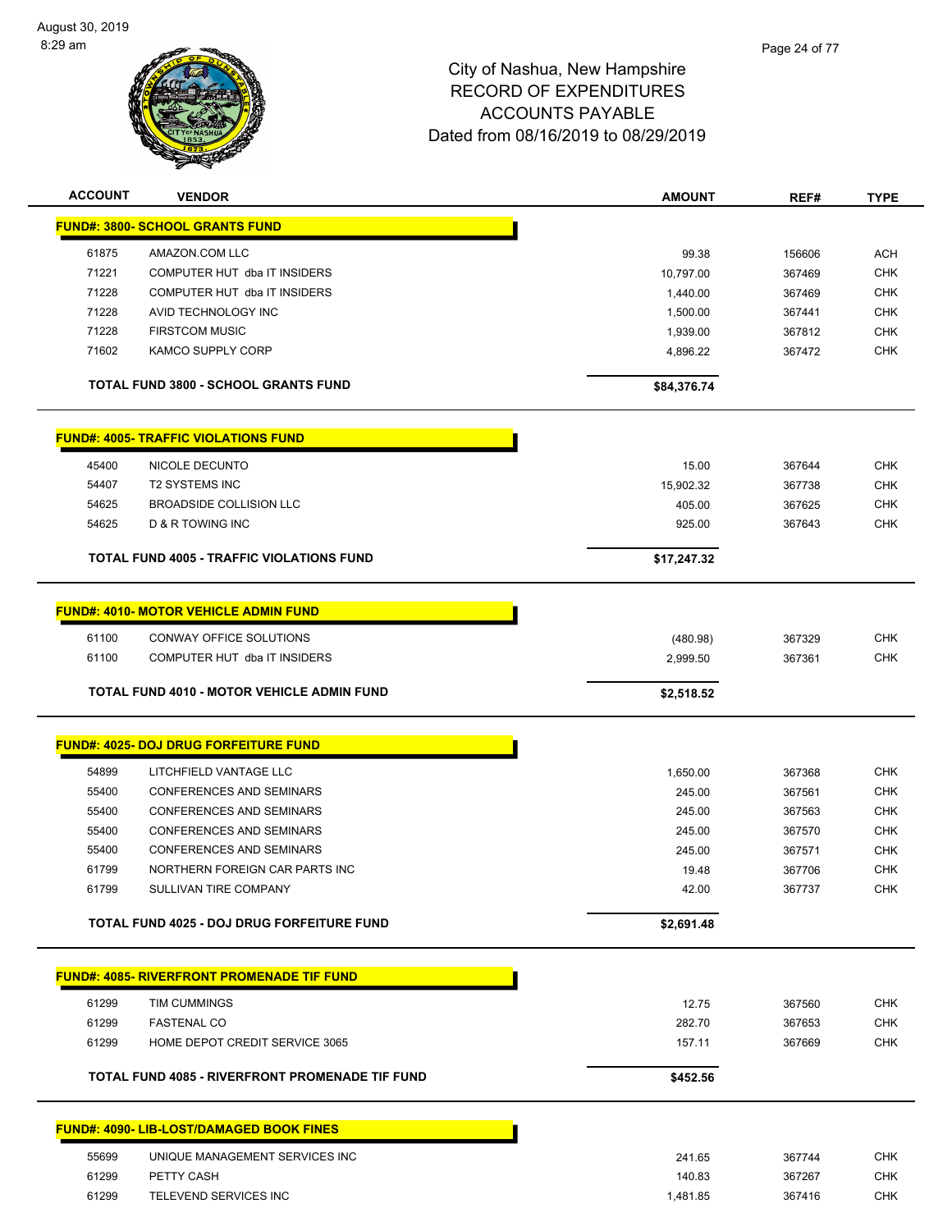

| <b>ACCOUNT</b> | <b>VENDOR</b>                                     | <b>AMOUNT</b> | REF#   | <b>TYPE</b> |
|----------------|---------------------------------------------------|---------------|--------|-------------|
|                | <b>FUND#: 3800- SCHOOL GRANTS FUND</b>            |               |        |             |
|                |                                                   |               |        |             |
| 61875          | AMAZON.COM LLC                                    | 99.38         | 156606 | <b>ACH</b>  |
| 71221          | COMPUTER HUT dba IT INSIDERS                      | 10,797.00     | 367469 | <b>CHK</b>  |
| 71228          | COMPUTER HUT dba IT INSIDERS                      | 1,440.00      | 367469 | <b>CHK</b>  |
| 71228          | AVID TECHNOLOGY INC                               | 1,500.00      | 367441 | <b>CHK</b>  |
| 71228          | <b>FIRSTCOM MUSIC</b>                             | 1,939.00      | 367812 | <b>CHK</b>  |
| 71602          | <b>KAMCO SUPPLY CORP</b>                          | 4,896.22      | 367472 | <b>CHK</b>  |
|                | <b>TOTAL FUND 3800 - SCHOOL GRANTS FUND</b>       | \$84,376.74   |        |             |
|                | <b>FUND#: 4005- TRAFFIC VIOLATIONS FUND</b>       |               |        |             |
| 45400          | NICOLE DECUNTO                                    | 15.00         | 367644 | <b>CHK</b>  |
| 54407          | <b>T2 SYSTEMS INC</b>                             | 15,902.32     | 367738 | <b>CHK</b>  |
| 54625          | <b>BROADSIDE COLLISION LLC</b>                    | 405.00        | 367625 | CHK         |
| 54625          | <b>D &amp; R TOWING INC</b>                       | 925.00        | 367643 | <b>CHK</b>  |
|                |                                                   |               |        |             |
|                | <b>TOTAL FUND 4005 - TRAFFIC VIOLATIONS FUND</b>  | \$17,247.32   |        |             |
|                | <b>FUND#: 4010- MOTOR VEHICLE ADMIN FUND</b>      |               |        |             |
| 61100          | CONWAY OFFICE SOLUTIONS                           | (480.98)      | 367329 | <b>CHK</b>  |
| 61100          | COMPUTER HUT dba IT INSIDERS                      | 2,999.50      | 367361 | <b>CHK</b>  |
|                |                                                   |               |        |             |
|                | <b>TOTAL FUND 4010 - MOTOR VEHICLE ADMIN FUND</b> | \$2,518.52    |        |             |
|                | <b>FUND#: 4025- DOJ DRUG FORFEITURE FUND</b>      |               |        |             |
| 54899          | LITCHFIELD VANTAGE LLC                            | 1,650.00      | 367368 | CHK         |
| 55400          | <b>CONFERENCES AND SEMINARS</b>                   | 245.00        | 367561 | <b>CHK</b>  |
| 55400          | <b>CONFERENCES AND SEMINARS</b>                   | 245.00        | 367563 | <b>CHK</b>  |
| 55400          | <b>CONFERENCES AND SEMINARS</b>                   | 245.00        | 367570 | <b>CHK</b>  |
| 55400          | <b>CONFERENCES AND SEMINARS</b>                   | 245.00        | 367571 | <b>CHK</b>  |
| 61799          | NORTHERN FOREIGN CAR PARTS INC                    | 19.48         | 367706 | <b>CHK</b>  |
| 61799          | SULLIVAN TIRE COMPANY                             | 42.00         | 367737 | CHK         |
|                |                                                   |               |        |             |
|                | TOTAL FUND 4025 - DOJ DRUG FORFEITURE FUND        | \$2,691.48    |        |             |
|                | <b>FUND#: 4085- RIVERFRONT PROMENADE TIF FUND</b> |               |        |             |
| 61299          | TIM CUMMINGS                                      | 12.75         | 367560 | <b>CHK</b>  |
| 61299          | <b>FASTENAL CO</b>                                | 282.70        | 367653 | <b>CHK</b>  |
| 61299          | HOME DEPOT CREDIT SERVICE 3065                    | 157.11        | 367669 | <b>CHK</b>  |
|                |                                                   |               |        |             |
|                | TOTAL FUND 4085 - RIVERFRONT PROMENADE TIF FUND   | \$452.56      |        |             |
|                | <b>FUND#: 4090- LIB-LOST/DAMAGED BOOK FINES</b>   |               |        |             |
| 55699          | UNIQUE MANAGEMENT SERVICES INC                    | 241.65        | 367744 | <b>CHK</b>  |
| 61299          | PETTY CASH                                        | 140.83        | 367267 | <b>CHK</b>  |
| 61299          | TELEVEND SERVICES INC                             | 1,481.85      | 367416 | <b>CHK</b>  |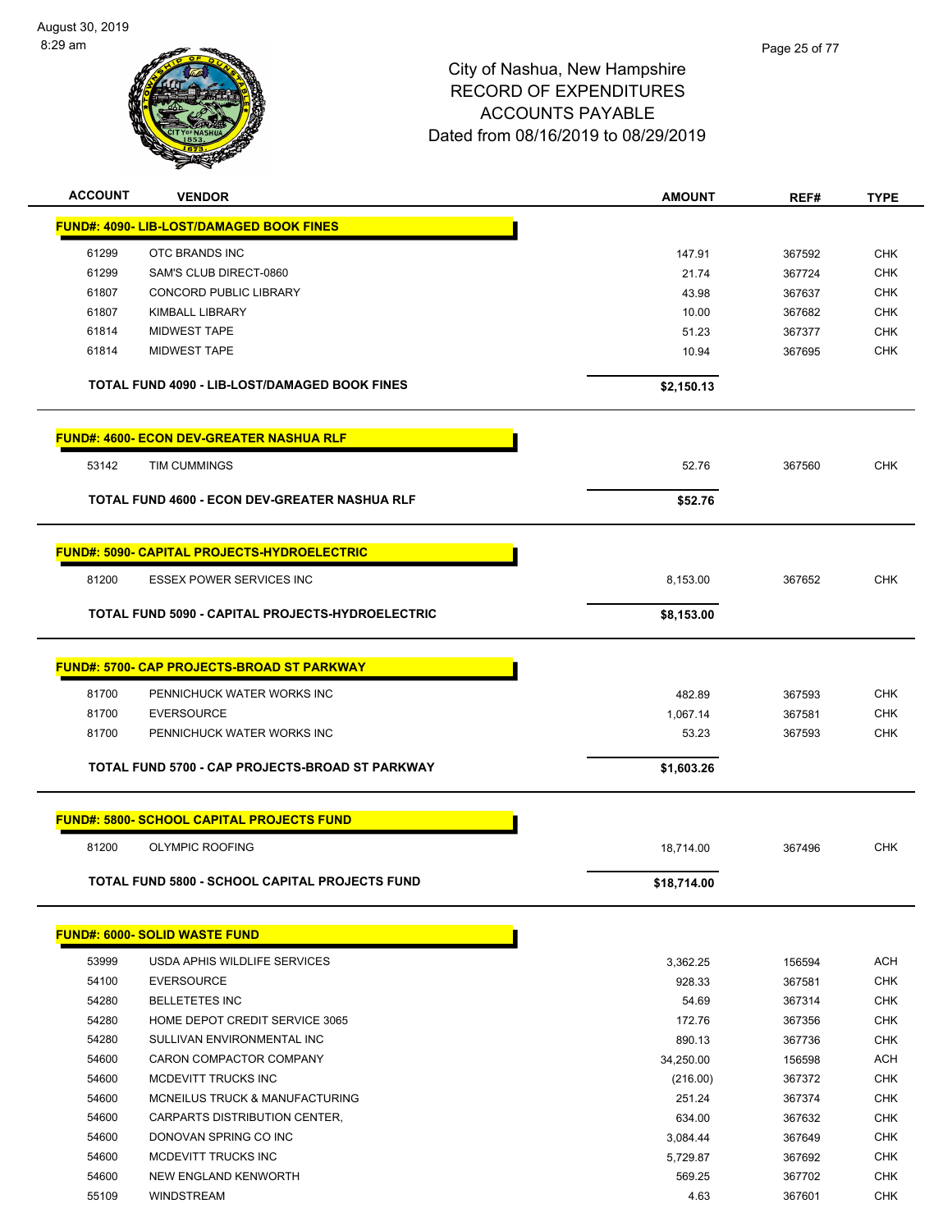

| <b>ACCOUNT</b> | <b>VENDOR</b>                                           | <b>AMOUNT</b> | REF#   | <b>TYPE</b> |
|----------------|---------------------------------------------------------|---------------|--------|-------------|
|                | <b>FUND#: 4090- LIB-LOST/DAMAGED BOOK FINES</b>         |               |        |             |
| 61299          | OTC BRANDS INC                                          | 147.91        | 367592 | <b>CHK</b>  |
| 61299          | SAM'S CLUB DIRECT-0860                                  | 21.74         | 367724 | <b>CHK</b>  |
| 61807          | CONCORD PUBLIC LIBRARY                                  | 43.98         | 367637 | <b>CHK</b>  |
| 61807          | <b>KIMBALL LIBRARY</b>                                  | 10.00         | 367682 | <b>CHK</b>  |
| 61814          | <b>MIDWEST TAPE</b>                                     | 51.23         | 367377 | <b>CHK</b>  |
| 61814          | <b>MIDWEST TAPE</b>                                     | 10.94         | 367695 | <b>CHK</b>  |
|                | TOTAL FUND 4090 - LIB-LOST/DAMAGED BOOK FINES           | \$2,150.13    |        |             |
|                | <b>FUND#: 4600- ECON DEV-GREATER NASHUA RLF</b>         |               |        |             |
| 53142          | <b>TIM CUMMINGS</b>                                     | 52.76         | 367560 | <b>CHK</b>  |
|                | TOTAL FUND 4600 - ECON DEV-GREATER NASHUA RLF           | \$52.76       |        |             |
|                |                                                         |               |        |             |
|                | <b>FUND#: 5090- CAPITAL PROJECTS-HYDROELECTRIC</b>      |               |        |             |
| 81200          | <b>ESSEX POWER SERVICES INC</b>                         | 8,153.00      | 367652 | <b>CHK</b>  |
|                | <b>TOTAL FUND 5090 - CAPITAL PROJECTS-HYDROELECTRIC</b> | \$8,153.00    |        |             |
|                | <b>FUND#: 5700- CAP PROJECTS-BROAD ST PARKWAY</b>       |               |        |             |
| 81700          | PENNICHUCK WATER WORKS INC                              | 482.89        | 367593 | <b>CHK</b>  |
| 81700          | <b>EVERSOURCE</b>                                       | 1,067.14      | 367581 | <b>CHK</b>  |
| 81700          | PENNICHUCK WATER WORKS INC                              | 53.23         | 367593 | <b>CHK</b>  |
|                | TOTAL FUND 5700 - CAP PROJECTS-BROAD ST PARKWAY         | \$1,603.26    |        |             |
|                | <b>FUND#: 5800- SCHOOL CAPITAL PROJECTS FUND</b>        |               |        |             |
| 81200          | <b>OLYMPIC ROOFING</b>                                  | 18,714.00     | 367496 | <b>CHK</b>  |
|                | TOTAL FUND 5800 - SCHOOL CAPITAL PROJECTS FUND          | \$18,714.00   |        |             |
|                |                                                         |               |        |             |
|                | <b>FUND#: 6000- SOLID WASTE FUND</b>                    |               |        |             |
| 53999          | USDA APHIS WILDLIFE SERVICES                            | 3,362.25      | 156594 | ACH         |
| 54100          | <b>EVERSOURCE</b>                                       | 928.33        | 367581 | <b>CHK</b>  |
| 54280          | <b>BELLETETES INC</b>                                   | 54.69         | 367314 | <b>CHK</b>  |
| 54280          | HOME DEPOT CREDIT SERVICE 3065                          | 172.76        | 367356 | <b>CHK</b>  |
| 54280          | SULLIVAN ENVIRONMENTAL INC                              | 890.13        | 367736 | <b>CHK</b>  |
| 54600          | CARON COMPACTOR COMPANY                                 | 34,250.00     | 156598 | <b>ACH</b>  |
| 54600          | MCDEVITT TRUCKS INC                                     | (216.00)      | 367372 | <b>CHK</b>  |
| 54600          | MCNEILUS TRUCK & MANUFACTURING                          | 251.24        | 367374 | <b>CHK</b>  |
| 54600          | CARPARTS DISTRIBUTION CENTER,                           | 634.00        | 367632 | <b>CHK</b>  |
| 54600          | DONOVAN SPRING CO INC                                   | 3,084.44      | 367649 | <b>CHK</b>  |
| 54600          | MCDEVITT TRUCKS INC                                     | 5,729.87      | 367692 | <b>CHK</b>  |
| 54600          | NEW ENGLAND KENWORTH                                    | 569.25        | 367702 | <b>CHK</b>  |
| 55109          | WINDSTREAM                                              | 4.63          | 367601 | <b>CHK</b>  |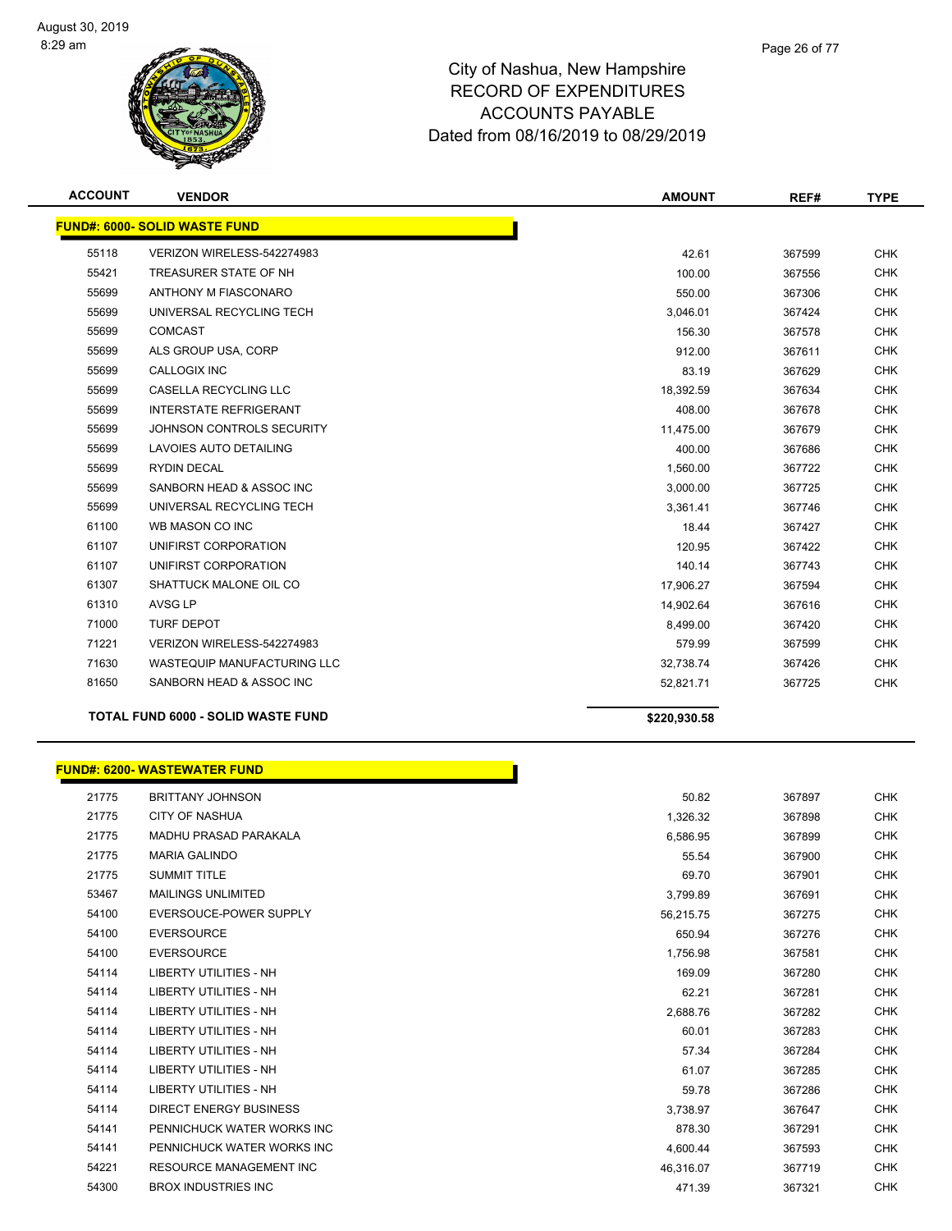

| <b>ACCOUNT</b> | <b>VENDOR</b>                             | <b>AMOUNT</b> | REF#   | <b>TYPE</b> |
|----------------|-------------------------------------------|---------------|--------|-------------|
|                | <b>FUND#: 6000- SOLID WASTE FUND</b>      |               |        |             |
| 55118          | VERIZON WIRELESS-542274983                | 42.61         | 367599 | <b>CHK</b>  |
| 55421          | TREASURER STATE OF NH                     | 100.00        | 367556 | <b>CHK</b>  |
| 55699          | ANTHONY M FIASCONARO                      | 550.00        | 367306 | <b>CHK</b>  |
| 55699          | UNIVERSAL RECYCLING TECH                  | 3,046.01      | 367424 | <b>CHK</b>  |
| 55699          | <b>COMCAST</b>                            | 156.30        | 367578 | <b>CHK</b>  |
| 55699          | ALS GROUP USA, CORP                       | 912.00        | 367611 | <b>CHK</b>  |
| 55699          | <b>CALLOGIX INC</b>                       | 83.19         | 367629 | <b>CHK</b>  |
| 55699          | <b>CASELLA RECYCLING LLC</b>              | 18,392.59     | 367634 | <b>CHK</b>  |
| 55699          | <b>INTERSTATE REFRIGERANT</b>             | 408.00        | 367678 | <b>CHK</b>  |
| 55699          | JOHNSON CONTROLS SECURITY                 | 11,475.00     | 367679 | <b>CHK</b>  |
| 55699          | LAVOIES AUTO DETAILING                    | 400.00        | 367686 | <b>CHK</b>  |
| 55699          | <b>RYDIN DECAL</b>                        | 1,560.00      | 367722 | <b>CHK</b>  |
| 55699          | SANBORN HEAD & ASSOC INC                  | 3,000.00      | 367725 | <b>CHK</b>  |
| 55699          | UNIVERSAL RECYCLING TECH                  | 3,361.41      | 367746 | <b>CHK</b>  |
| 61100          | WB MASON CO INC                           | 18.44         | 367427 | <b>CHK</b>  |
| 61107          | UNIFIRST CORPORATION                      | 120.95        | 367422 | <b>CHK</b>  |
| 61107          | UNIFIRST CORPORATION                      | 140.14        | 367743 | <b>CHK</b>  |
| 61307          | SHATTUCK MALONE OIL CO                    | 17.906.27     | 367594 | <b>CHK</b>  |
| 61310          | AVSG LP                                   | 14,902.64     | 367616 | <b>CHK</b>  |
| 71000          | <b>TURF DEPOT</b>                         | 8,499.00      | 367420 | <b>CHK</b>  |
| 71221          | VERIZON WIRELESS-542274983                | 579.99        | 367599 | <b>CHK</b>  |
| 71630          | <b>WASTEQUIP MANUFACTURING LLC</b>        | 32,738.74     | 367426 | <b>CHK</b>  |
| 81650          | SANBORN HEAD & ASSOC INC                  | 52,821.71     | 367725 | <b>CHK</b>  |
|                | <b>TOTAL FUND 6000 - SOLID WASTE FUND</b> | \$220,930.58  |        |             |

## **FUND#: 6200- WASTEWATER FUND**

|       | <b>UND#: 6200- WASTEWATER FUND</b> |           |        |            |
|-------|------------------------------------|-----------|--------|------------|
| 21775 | <b>BRITTANY JOHNSON</b>            | 50.82     | 367897 | <b>CHK</b> |
| 21775 | <b>CITY OF NASHUA</b>              | 1,326.32  | 367898 | <b>CHK</b> |
| 21775 | <b>MADHU PRASAD PARAKALA</b>       | 6,586.95  | 367899 | <b>CHK</b> |
| 21775 | <b>MARIA GALINDO</b>               | 55.54     | 367900 | CHK        |
| 21775 | <b>SUMMIT TITLE</b>                | 69.70     | 367901 | <b>CHK</b> |
| 53467 | <b>MAILINGS UNLIMITED</b>          | 3,799.89  | 367691 | CHK        |
| 54100 | EVERSOUCE-POWER SUPPLY             | 56,215.75 | 367275 | <b>CHK</b> |
| 54100 | <b>EVERSOURCE</b>                  | 650.94    | 367276 | <b>CHK</b> |
| 54100 | <b>EVERSOURCE</b>                  | 1,756.98  | 367581 | <b>CHK</b> |
| 54114 | <b>LIBERTY UTILITIES - NH</b>      | 169.09    | 367280 | <b>CHK</b> |
| 54114 | <b>LIBERTY UTILITIES - NH</b>      | 62.21     | 367281 | <b>CHK</b> |
| 54114 | <b>LIBERTY UTILITIES - NH</b>      | 2,688.76  | 367282 | <b>CHK</b> |
| 54114 | <b>LIBERTY UTILITIES - NH</b>      | 60.01     | 367283 | <b>CHK</b> |
| 54114 | <b>LIBERTY UTILITIES - NH</b>      | 57.34     | 367284 | <b>CHK</b> |
| 54114 | <b>LIBERTY UTILITIES - NH</b>      | 61.07     | 367285 | CHK        |
| 54114 | <b>LIBERTY UTILITIES - NH</b>      | 59.78     | 367286 | <b>CHK</b> |
| 54114 | <b>DIRECT ENERGY BUSINESS</b>      | 3,738.97  | 367647 | CHK        |
| 54141 | PENNICHUCK WATER WORKS INC         | 878.30    | 367291 | <b>CHK</b> |
| 54141 | PENNICHUCK WATER WORKS INC         | 4,600.44  | 367593 | <b>CHK</b> |
| 54221 | <b>RESOURCE MANAGEMENT INC</b>     | 46,316.07 | 367719 | <b>CHK</b> |
| 54300 | <b>BROX INDUSTRIES INC</b>         | 471.39    | 367321 | CHK        |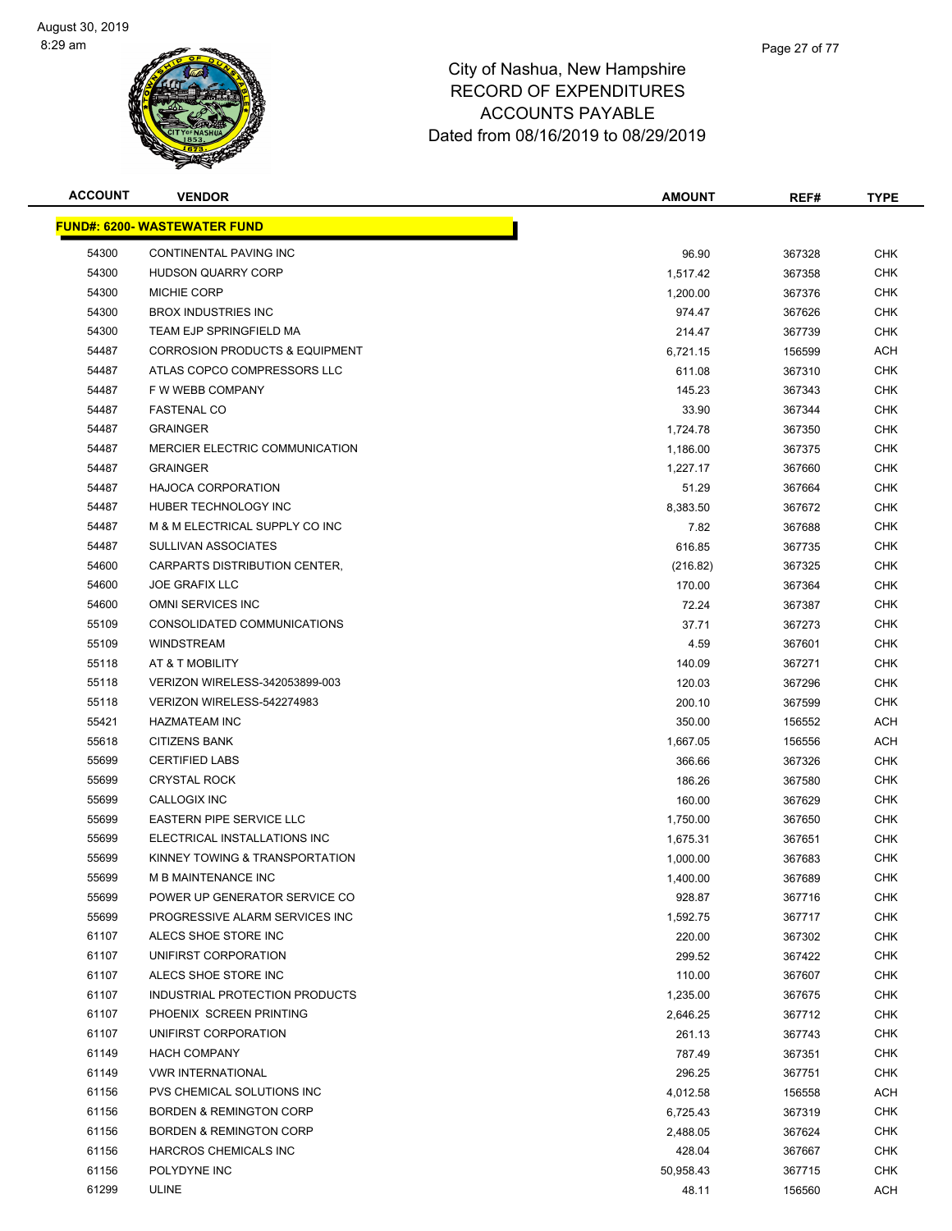

| <b>ACCOUNT</b> | <b>VENDOR</b>                             | <b>AMOUNT</b> | REF#   | <b>TYPE</b> |
|----------------|-------------------------------------------|---------------|--------|-------------|
|                | <b>FUND#: 6200- WASTEWATER FUND</b>       |               |        |             |
| 54300          | CONTINENTAL PAVING INC                    | 96.90         | 367328 | <b>CHK</b>  |
| 54300          | <b>HUDSON QUARRY CORP</b>                 | 1,517.42      | 367358 | <b>CHK</b>  |
| 54300          | <b>MICHIE CORP</b>                        | 1,200.00      | 367376 | <b>CHK</b>  |
| 54300          | <b>BROX INDUSTRIES INC</b>                | 974.47        | 367626 | <b>CHK</b>  |
| 54300          | TEAM EJP SPRINGFIELD MA                   | 214.47        | 367739 | <b>CHK</b>  |
| 54487          | <b>CORROSION PRODUCTS &amp; EQUIPMENT</b> | 6,721.15      | 156599 | <b>ACH</b>  |
| 54487          | ATLAS COPCO COMPRESSORS LLC               | 611.08        | 367310 | <b>CHK</b>  |
| 54487          | F W WEBB COMPANY                          | 145.23        | 367343 | CHK         |
| 54487          | <b>FASTENAL CO</b>                        | 33.90         | 367344 | <b>CHK</b>  |
| 54487          | <b>GRAINGER</b>                           | 1,724.78      | 367350 | <b>CHK</b>  |
| 54487          | MERCIER ELECTRIC COMMUNICATION            | 1,186.00      | 367375 | CHK         |
| 54487          | <b>GRAINGER</b>                           | 1,227.17      | 367660 | CHK         |
| 54487          | <b>HAJOCA CORPORATION</b>                 | 51.29         | 367664 | <b>CHK</b>  |
| 54487          | HUBER TECHNOLOGY INC                      | 8,383.50      | 367672 | CHK         |
| 54487          | M & M ELECTRICAL SUPPLY CO INC            | 7.82          | 367688 | <b>CHK</b>  |
| 54487          | <b>SULLIVAN ASSOCIATES</b>                | 616.85        | 367735 | <b>CHK</b>  |
| 54600          | CARPARTS DISTRIBUTION CENTER,             | (216.82)      | 367325 | <b>CHK</b>  |
| 54600          | <b>JOE GRAFIX LLC</b>                     | 170.00        | 367364 | <b>CHK</b>  |
| 54600          | OMNI SERVICES INC                         | 72.24         | 367387 | CHK         |
| 55109          | CONSOLIDATED COMMUNICATIONS               | 37.71         | 367273 | <b>CHK</b>  |
| 55109          | <b>WINDSTREAM</b>                         | 4.59          | 367601 | <b>CHK</b>  |
| 55118          | AT & T MOBILITY                           | 140.09        | 367271 | <b>CHK</b>  |
| 55118          | VERIZON WIRELESS-342053899-003            | 120.03        | 367296 | <b>CHK</b>  |
| 55118          | VERIZON WIRELESS-542274983                | 200.10        | 367599 | <b>CHK</b>  |
| 55421          | <b>HAZMATEAM INC</b>                      | 350.00        | 156552 | <b>ACH</b>  |
| 55618          | <b>CITIZENS BANK</b>                      | 1,667.05      | 156556 | <b>ACH</b>  |
| 55699          | <b>CERTIFIED LABS</b>                     | 366.66        | 367326 | <b>CHK</b>  |
| 55699          | <b>CRYSTAL ROCK</b>                       | 186.26        | 367580 | <b>CHK</b>  |
| 55699          | CALLOGIX INC                              | 160.00        | 367629 | <b>CHK</b>  |
| 55699          | <b>EASTERN PIPE SERVICE LLC</b>           | 1,750.00      | 367650 | CHK         |
| 55699          | ELECTRICAL INSTALLATIONS INC              | 1,675.31      | 367651 | <b>CHK</b>  |
| 55699          | KINNEY TOWING & TRANSPORTATION            | 1,000.00      | 367683 | CHK         |
| 55699          | <b>M B MAINTENANCE INC</b>                | 1,400.00      | 367689 | <b>CHK</b>  |
| 55699          | POWER UP GENERATOR SERVICE CO             | 928.87        | 367716 | <b>CHK</b>  |
| 55699          | PROGRESSIVE ALARM SERVICES INC            | 1,592.75      | 367717 | <b>CHK</b>  |
| 61107          | ALECS SHOE STORE INC                      | 220.00        | 367302 | <b>CHK</b>  |
| 61107          | UNIFIRST CORPORATION                      | 299.52        | 367422 | <b>CHK</b>  |
| 61107          | ALECS SHOE STORE INC                      | 110.00        | 367607 | <b>CHK</b>  |
| 61107          | INDUSTRIAL PROTECTION PRODUCTS            | 1,235.00      | 367675 | <b>CHK</b>  |
| 61107          | PHOENIX SCREEN PRINTING                   | 2,646.25      | 367712 | <b>CHK</b>  |
| 61107          | UNIFIRST CORPORATION                      | 261.13        | 367743 | <b>CHK</b>  |
| 61149          | <b>HACH COMPANY</b>                       | 787.49        | 367351 | <b>CHK</b>  |
| 61149          | <b>VWR INTERNATIONAL</b>                  | 296.25        | 367751 | <b>CHK</b>  |
| 61156          | PVS CHEMICAL SOLUTIONS INC                | 4,012.58      | 156558 | ACH         |
| 61156          | <b>BORDEN &amp; REMINGTON CORP</b>        | 6,725.43      | 367319 | <b>CHK</b>  |
| 61156          | <b>BORDEN &amp; REMINGTON CORP</b>        | 2,488.05      | 367624 | CHK         |
| 61156          | HARCROS CHEMICALS INC                     | 428.04        | 367667 | CHK         |
| 61156          | POLYDYNE INC                              | 50,958.43     | 367715 | <b>CHK</b>  |
| 61299          | ULINE                                     | 48.11         | 156560 | ACH         |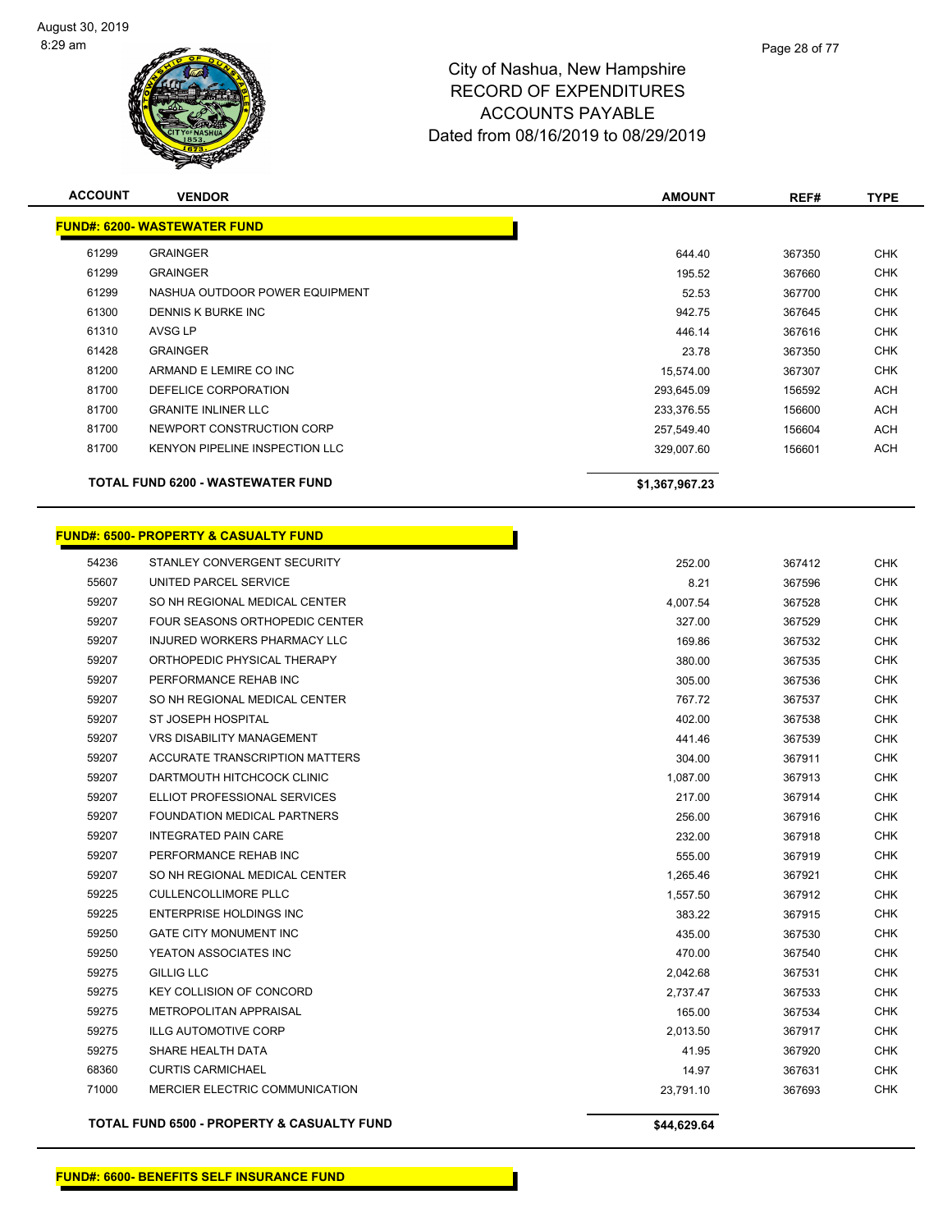

| <b>ACCOUNT</b> | <b>VENDOR</b>                                    | <b>AMOUNT</b>  | REF#   | <b>TYPE</b> |
|----------------|--------------------------------------------------|----------------|--------|-------------|
|                | <b>FUND#: 6200- WASTEWATER FUND</b>              |                |        |             |
| 61299          | <b>GRAINGER</b>                                  | 644.40         | 367350 | CHK         |
| 61299          | <b>GRAINGER</b>                                  | 195.52         | 367660 | <b>CHK</b>  |
| 61299          | NASHUA OUTDOOR POWER EQUIPMENT                   | 52.53          | 367700 | <b>CHK</b>  |
| 61300          | DENNIS K BURKE INC                               | 942.75         | 367645 | <b>CHK</b>  |
| 61310          | <b>AVSG LP</b>                                   | 446.14         | 367616 | <b>CHK</b>  |
| 61428          | <b>GRAINGER</b>                                  | 23.78          | 367350 | <b>CHK</b>  |
| 81200          | ARMAND E LEMIRE CO INC                           | 15,574.00      | 367307 | <b>CHK</b>  |
| 81700          | DEFELICE CORPORATION                             | 293,645.09     | 156592 | ACH         |
| 81700          | <b>GRANITE INLINER LLC</b>                       | 233,376.55     | 156600 | ACH         |
| 81700          | NEWPORT CONSTRUCTION CORP                        | 257,549.40     | 156604 | ACH         |
| 81700          | <b>KENYON PIPELINE INSPECTION LLC</b>            | 329,007.60     | 156601 | <b>ACH</b>  |
|                | <b>TOTAL FUND 6200 - WASTEWATER FUND</b>         | \$1,367,967.23 |        |             |
|                | <b>FUND#: 6500- PROPERTY &amp; CASUALTY FUND</b> |                |        |             |
| 54236          | STANLEY CONVERGENT SECURITY                      | 252.00         | 367412 | <b>CHK</b>  |
| 55607          | UNITED PARCEL SERVICE                            | 8.21           | 367596 | CHK         |
| 59207          | SO NH REGIONAL MEDICAL CENTER                    | 4,007.54       | 367528 | <b>CHK</b>  |
| 59207          | FOUR SEASONS ORTHOPEDIC CENTER                   | 327.00         | 367529 | <b>CHK</b>  |
| 59207          | INJURED WORKERS PHARMACY LLC                     | 169.86         | 367532 | <b>CHK</b>  |
| 59207          | ORTHOPEDIC PHYSICAL THERAPY                      | 380.00         | 367535 | <b>CHK</b>  |
| 59207          | PERFORMANCE REHAB INC                            | 305.00         | 367536 | <b>CHK</b>  |
| 59207          | SO NH REGIONAL MEDICAL CENTER                    | 767.72         | 367537 | <b>CHK</b>  |
| 59207          | ST JOSEPH HOSPITAL                               | 402.00         | 367538 | <b>CHK</b>  |
| 59207          | <b>VRS DISABILITY MANAGEMENT</b>                 | 441.46         | 367539 | <b>CHK</b>  |
| 59207          | ACCURATE TRANSCRIPTION MATTERS                   | 304.00         | 367911 | <b>CHK</b>  |
| 59207          | DARTMOUTH HITCHCOCK CLINIC                       | 1,087.00       | 367913 | <b>CHK</b>  |
| 59207          | ELLIOT PROFESSIONAL SERVICES                     | 217.00         | 367914 | <b>CHK</b>  |
| 59207          | FOUNDATION MEDICAL PARTNERS                      | 256.00         | 367916 | <b>CHK</b>  |
| 59207          | <b>INTEGRATED PAIN CARE</b>                      | 232.00         | 367918 | <b>CHK</b>  |
| 59207          | PERFORMANCE REHAB INC                            | 555.00         | 367919 | CHK         |
| 59207          | SO NH REGIONAL MEDICAL CENTER                    | 1,265.46       | 367921 | <b>CHK</b>  |
| 59225          | <b>CULLENCOLLIMORE PLLC</b>                      | 1,557.50       | 367912 | <b>CHK</b>  |
| 59225          | <b>ENTERPRISE HOLDINGS INC</b>                   | 383.22         | 367915 | <b>CHK</b>  |
| 59250          | <b>GATE CITY MONUMENT INC</b>                    | 435.00         | 367530 | <b>CHK</b>  |
| 59250          | YEATON ASSOCIATES INC                            | 470.00         | 367540 | <b>CHK</b>  |
| 59275          | <b>GILLIG LLC</b>                                | 2,042.68       | 367531 | <b>CHK</b>  |
| 59275          | KEY COLLISION OF CONCORD                         | 2,737.47       | 367533 | <b>CHK</b>  |
| 59275          | METROPOLITAN APPRAISAL                           | 165.00         | 367534 | <b>CHK</b>  |
| 59275          | <b>ILLG AUTOMOTIVE CORP</b>                      | 2,013.50       | 367917 | <b>CHK</b>  |
| 59275          | SHARE HEALTH DATA                                | 41.95          | 367920 | <b>CHK</b>  |
| 68360          | <b>CURTIS CARMICHAEL</b>                         | 14.97          | 367631 | <b>CHK</b>  |
| 71000          | MERCIER ELECTRIC COMMUNICATION                   | 23,791.10      | 367693 | <b>CHK</b>  |

**TOTAL FUND 6500 - PROPERTY & CASUALTY FUND \$44,629.64**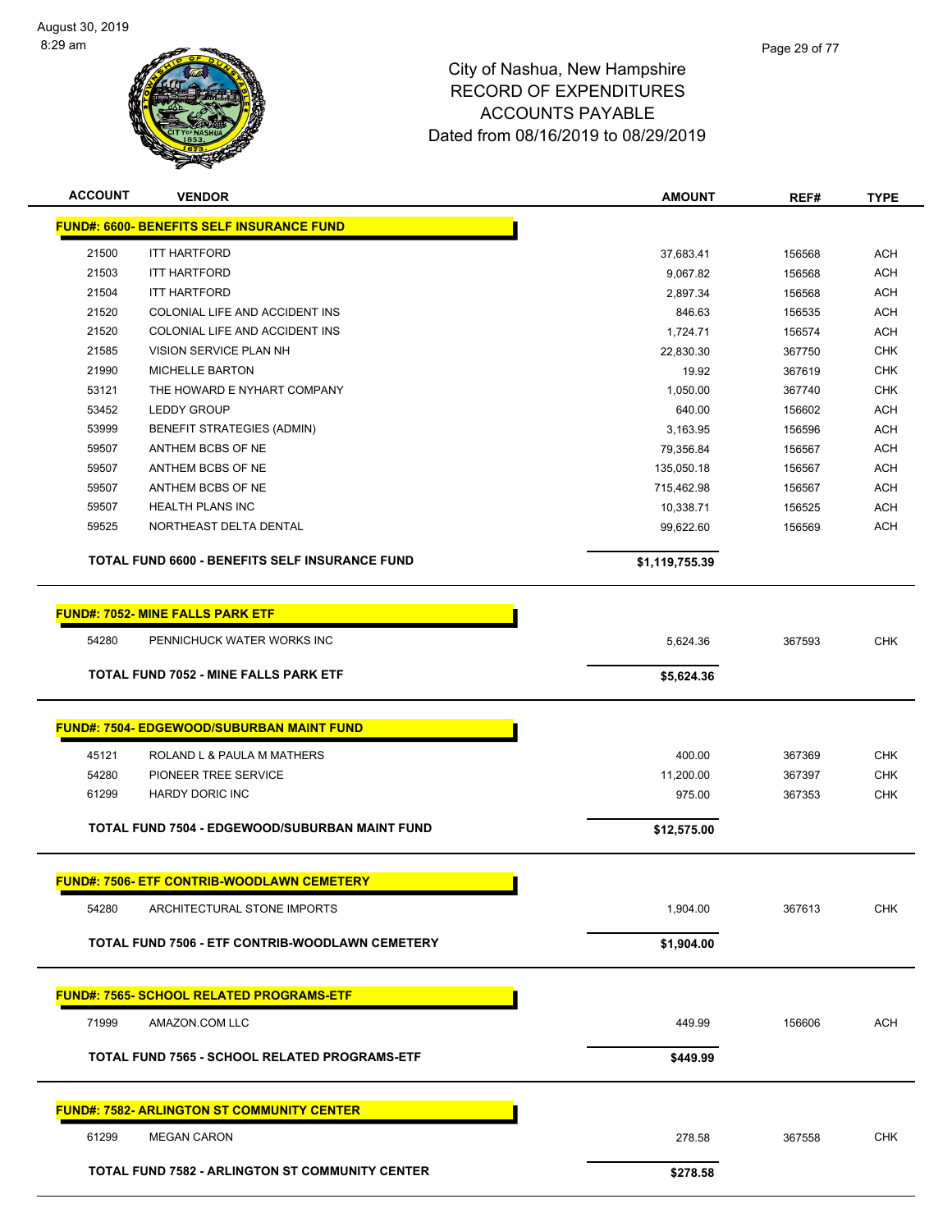

| <b>ACCOUNT</b><br><b>VENDOR</b>                        | <b>AMOUNT</b>  | REF#   | <b>TYPE</b> |
|--------------------------------------------------------|----------------|--------|-------------|
| <b>FUND#: 6600- BENEFITS SELF INSURANCE FUND</b>       |                |        |             |
| 21500<br><b>ITT HARTFORD</b>                           | 37,683.41      | 156568 | <b>ACH</b>  |
| 21503<br><b>ITT HARTFORD</b>                           | 9,067.82       | 156568 | <b>ACH</b>  |
| 21504<br><b>ITT HARTFORD</b>                           | 2,897.34       | 156568 | <b>ACH</b>  |
| 21520<br>COLONIAL LIFE AND ACCIDENT INS                | 846.63         | 156535 | <b>ACH</b>  |
| 21520<br>COLONIAL LIFE AND ACCIDENT INS                | 1,724.71       | 156574 | <b>ACH</b>  |
| 21585<br><b>VISION SERVICE PLAN NH</b>                 | 22,830.30      | 367750 | <b>CHK</b>  |
| 21990<br><b>MICHELLE BARTON</b>                        | 19.92          | 367619 | <b>CHK</b>  |
| 53121<br>THE HOWARD E NYHART COMPANY                   | 1,050.00       | 367740 | <b>CHK</b>  |
| 53452<br><b>LEDDY GROUP</b>                            | 640.00         | 156602 | <b>ACH</b>  |
| 53999<br><b>BENEFIT STRATEGIES (ADMIN)</b>             | 3,163.95       | 156596 | <b>ACH</b>  |
| 59507<br>ANTHEM BCBS OF NE                             | 79,356.84      | 156567 | <b>ACH</b>  |
| 59507<br>ANTHEM BCBS OF NE                             | 135,050.18     | 156567 | <b>ACH</b>  |
| 59507<br>ANTHEM BCBS OF NE                             | 715,462.98     | 156567 | <b>ACH</b>  |
| 59507<br><b>HEALTH PLANS INC</b>                       | 10,338.71      | 156525 | <b>ACH</b>  |
| 59525<br>NORTHEAST DELTA DENTAL                        | 99,622.60      | 156569 | <b>ACH</b>  |
| TOTAL FUND 6600 - BENEFITS SELF INSURANCE FUND         | \$1,119,755.39 |        |             |
| <b>FUND#: 7052- MINE FALLS PARK ETF</b>                |                |        |             |
| 54280<br>PENNICHUCK WATER WORKS INC                    | 5,624.36       | 367593 | <b>CHK</b>  |
| TOTAL FUND 7052 - MINE FALLS PARK ETF                  | \$5,624.36     |        |             |
|                                                        |                |        |             |
| <b>FUND#: 7504- EDGEWOOD/SUBURBAN MAINT FUND</b>       |                |        |             |
| 45121<br>ROLAND L & PAULA M MATHERS                    | 400.00         | 367369 | <b>CHK</b>  |
| 54280<br>PIONEER TREE SERVICE                          | 11,200.00      | 367397 | <b>CHK</b>  |
| <b>HARDY DORIC INC</b><br>61299                        | 975.00         | 367353 | <b>CHK</b>  |
| TOTAL FUND 7504 - EDGEWOOD/SUBURBAN MAINT FUND         | \$12,575.00    |        |             |
|                                                        |                |        |             |
| <b>FUND#: 7506- ETF CONTRIB-WOODLAWN CEMETERY</b>      |                |        |             |
| 54280<br>ARCHITECTURAL STONE IMPORTS                   | 1.904.00       | 367613 | CHK         |
| TOTAL FUND 7506 - ETF CONTRIB-WOODLAWN CEMETERY        | \$1,904.00     |        |             |
|                                                        |                |        |             |
| <b>FUND#: 7565- SCHOOL RELATED PROGRAMS-ETF</b>        |                |        |             |
| 71999<br>AMAZON.COM LLC                                | 449.99         | 156606 | <b>ACH</b>  |
| TOTAL FUND 7565 - SCHOOL RELATED PROGRAMS-ETF          | \$449.99       |        |             |
|                                                        |                |        |             |
| <b>FUND#: 7582- ARLINGTON ST COMMUNITY CENTER</b>      |                |        |             |
| 61299<br><b>MEGAN CARON</b>                            | 278.58         | 367558 | <b>CHK</b>  |
| <b>TOTAL FUND 7582 - ARLINGTON ST COMMUNITY CENTER</b> | \$278.58       |        |             |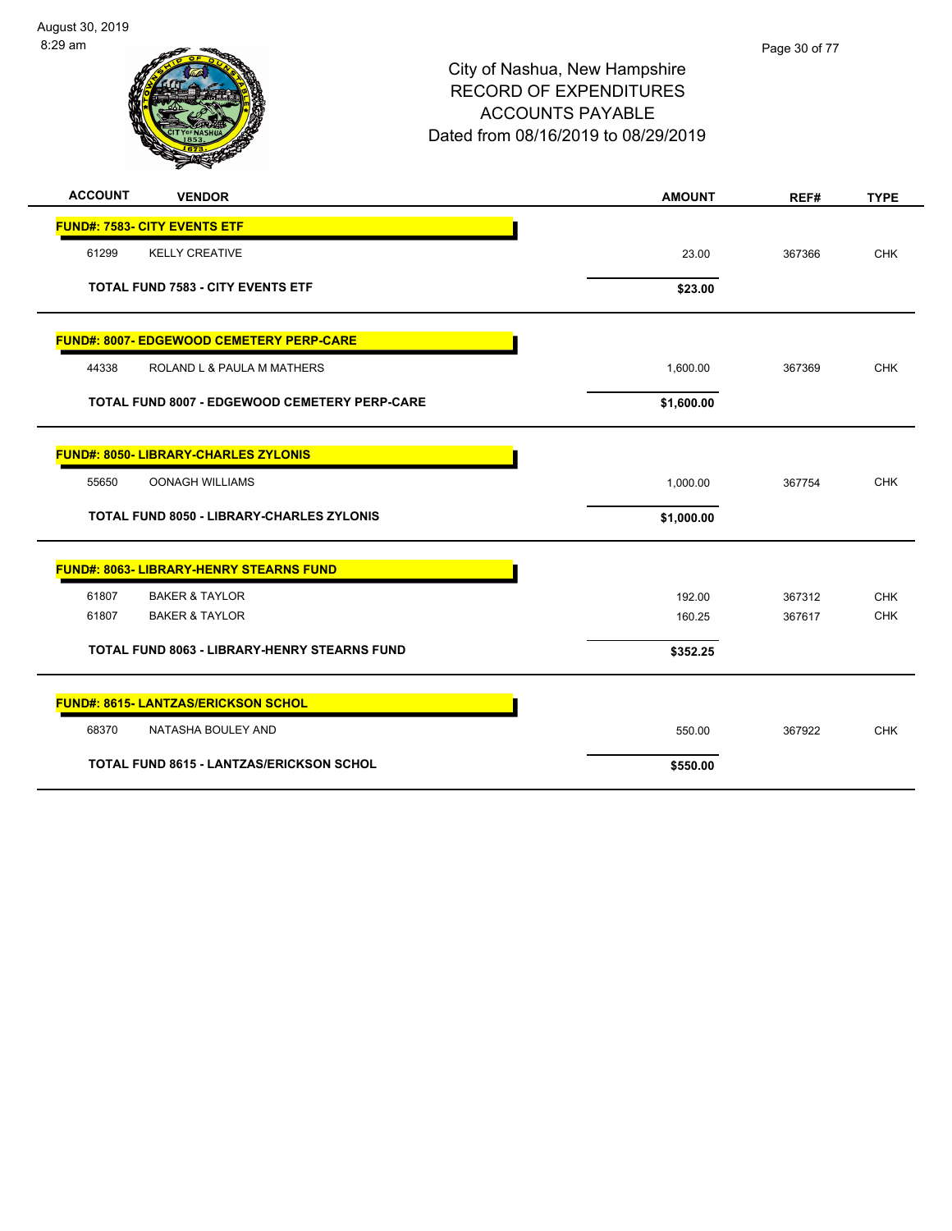

| <b>ACCOUNT</b>                      | <b>VENDOR</b>                                        | <b>AMOUNT</b> | REF#   | <b>TYPE</b> |
|-------------------------------------|------------------------------------------------------|---------------|--------|-------------|
| <b>FUND#: 7583- CITY EVENTS ETF</b> |                                                      |               |        |             |
| 61299                               | <b>KELLY CREATIVE</b>                                | 23.00         | 367366 | <b>CHK</b>  |
|                                     | <b>TOTAL FUND 7583 - CITY EVENTS ETF</b>             | \$23.00       |        |             |
|                                     | <b>FUND#: 8007- EDGEWOOD CEMETERY PERP-CARE</b>      |               |        |             |
| 44338                               | ROLAND L & PAULA M MATHERS                           | 1,600.00      | 367369 | <b>CHK</b>  |
|                                     | <b>TOTAL FUND 8007 - EDGEWOOD CEMETERY PERP-CARE</b> | \$1,600.00    |        |             |
|                                     | <b>FUND#: 8050- LIBRARY-CHARLES ZYLONIS</b>          |               |        |             |
| 55650                               | <b>OONAGH WILLIAMS</b>                               | 1,000.00      | 367754 | <b>CHK</b>  |
|                                     | <b>TOTAL FUND 8050 - LIBRARY-CHARLES ZYLONIS</b>     | \$1,000.00    |        |             |
|                                     | <b>FUND#: 8063- LIBRARY-HENRY STEARNS FUND</b>       |               |        |             |
| 61807                               | <b>BAKER &amp; TAYLOR</b>                            | 192.00        | 367312 | <b>CHK</b>  |
| 61807                               | <b>BAKER &amp; TAYLOR</b>                            | 160.25        | 367617 | <b>CHK</b>  |
|                                     | <b>TOTAL FUND 8063 - LIBRARY-HENRY STEARNS FUND</b>  | \$352.25      |        |             |
|                                     | <b>FUND#: 8615- LANTZAS/ERICKSON SCHOL</b>           |               |        |             |
| 68370                               | NATASHA BOULEY AND                                   | 550.00        | 367922 | <b>CHK</b>  |
|                                     | <b>TOTAL FUND 8615 - LANTZAS/ERICKSON SCHOL</b>      | \$550.00      |        |             |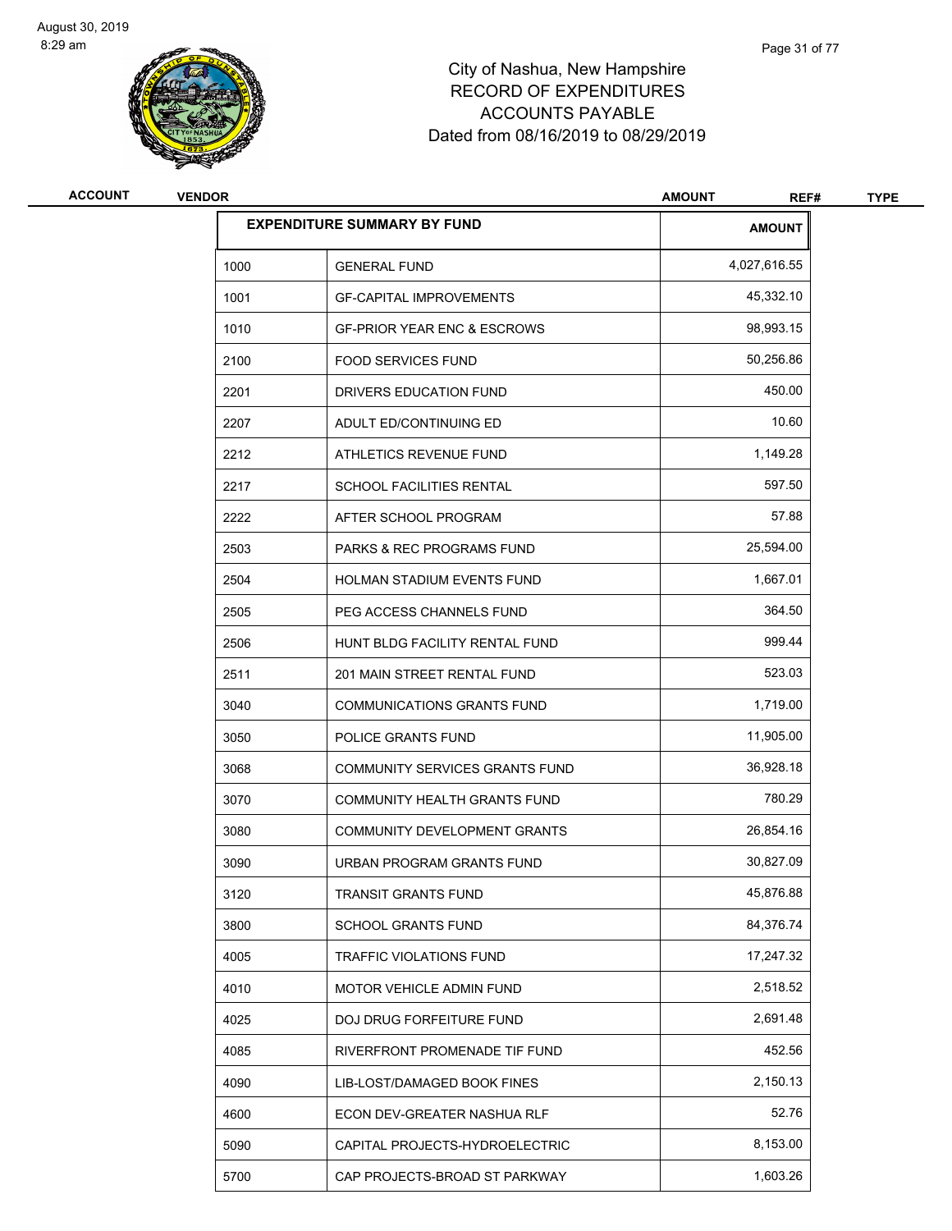

| <b>ACCOUNT</b> | <b>VENDOR</b> |                                        | <b>AMOUNT</b><br>REF# | <b>TYPE</b> |
|----------------|---------------|----------------------------------------|-----------------------|-------------|
|                |               | <b>EXPENDITURE SUMMARY BY FUND</b>     | <b>AMOUNT</b>         |             |
|                | 1000          | <b>GENERAL FUND</b>                    | 4,027,616.55          |             |
|                | 1001          | <b>GF-CAPITAL IMPROVEMENTS</b>         | 45,332.10             |             |
|                | 1010          | <b>GF-PRIOR YEAR ENC &amp; ESCROWS</b> | 98,993.15             |             |
|                | 2100          | <b>FOOD SERVICES FUND</b>              | 50,256.86             |             |
|                | 2201          | DRIVERS EDUCATION FUND                 | 450.00                |             |
|                | 2207          | ADULT ED/CONTINUING ED                 | 10.60                 |             |
|                | 2212          | ATHLETICS REVENUE FUND                 | 1,149.28              |             |
|                | 2217          | <b>SCHOOL FACILITIES RENTAL</b>        | 597.50                |             |
|                | 2222          | AFTER SCHOOL PROGRAM                   | 57.88                 |             |
|                | 2503          | PARKS & REC PROGRAMS FUND              | 25,594.00             |             |
|                | 2504          | HOLMAN STADIUM EVENTS FUND             | 1,667.01              |             |
|                | 2505          | PEG ACCESS CHANNELS FUND               | 364.50                |             |
|                | 2506          | HUNT BLDG FACILITY RENTAL FUND         | 999.44                |             |
|                | 2511          | 201 MAIN STREET RENTAL FUND            | 523.03                |             |
|                | 3040          | <b>COMMUNICATIONS GRANTS FUND</b>      | 1,719.00              |             |
|                | 3050          | POLICE GRANTS FUND                     | 11,905.00             |             |
|                | 3068          | COMMUNITY SERVICES GRANTS FUND         | 36,928.18             |             |
|                | 3070          | COMMUNITY HEALTH GRANTS FUND           | 780.29                |             |
|                | 3080          | <b>COMMUNITY DEVELOPMENT GRANTS</b>    | 26,854.16             |             |
|                | 3090          | URBAN PROGRAM GRANTS FUND              | 30,827.09             |             |
|                | 3120          | TRANSIT GRANTS FUND                    | 45,876.88             |             |
|                | 3800          | SCHOOL GRANTS FUND                     | 84,376.74             |             |
|                | 4005          | TRAFFIC VIOLATIONS FUND                | 17,247.32             |             |
|                | 4010          | <b>MOTOR VEHICLE ADMIN FUND</b>        | 2,518.52              |             |
|                | 4025          | DOJ DRUG FORFEITURE FUND               | 2,691.48              |             |
|                | 4085          | RIVERFRONT PROMENADE TIF FUND          | 452.56                |             |
|                | 4090          | LIB-LOST/DAMAGED BOOK FINES            | 2,150.13              |             |
|                | 4600          | ECON DEV-GREATER NASHUA RLF            | 52.76                 |             |
|                | 5090          | CAPITAL PROJECTS-HYDROELECTRIC         | 8,153.00              |             |
|                | 5700          | CAP PROJECTS-BROAD ST PARKWAY          | 1,603.26              |             |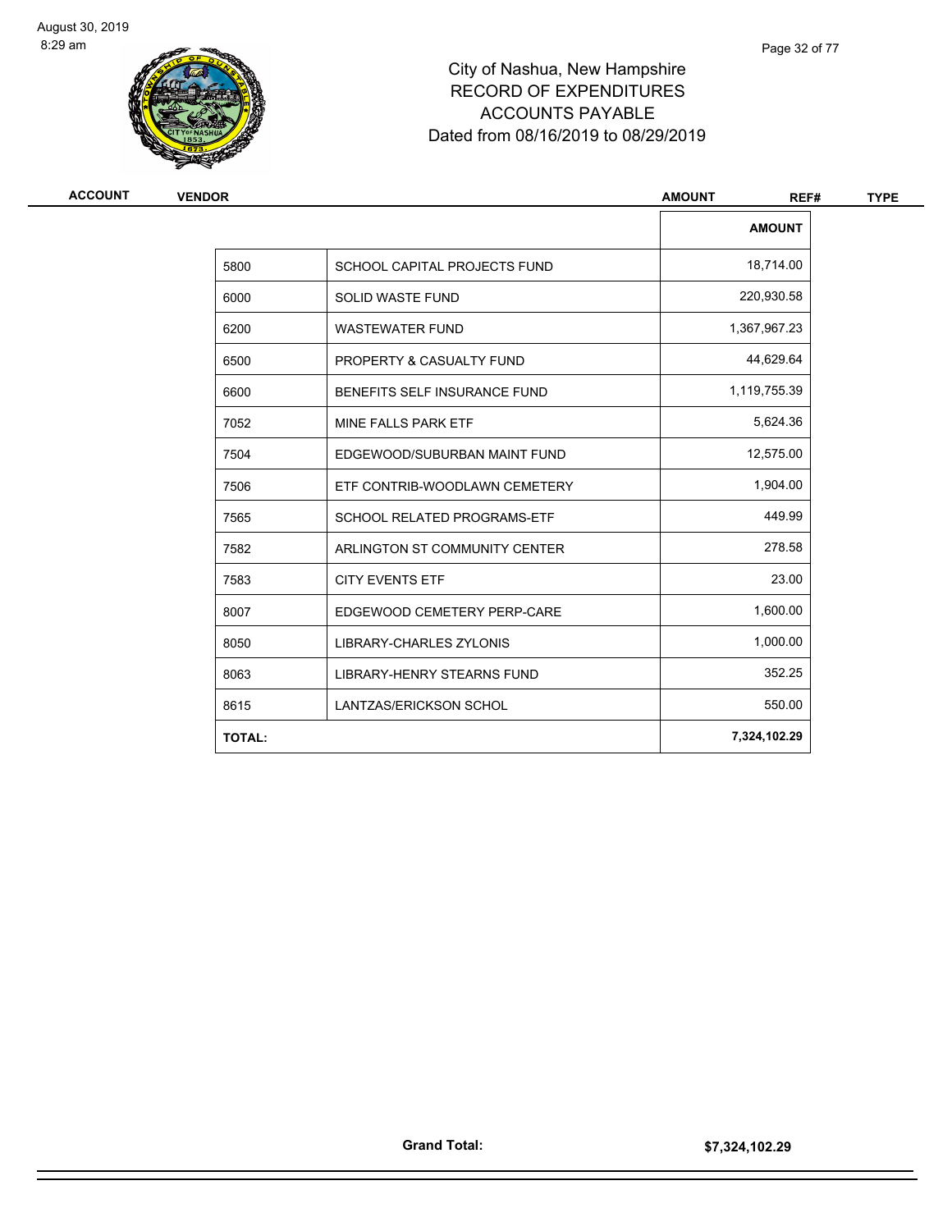

| ACCOUNT | <b>VENDOR</b> | <b>AMOUNT</b><br>REF#               |               |
|---------|---------------|-------------------------------------|---------------|
|         |               |                                     | <b>AMOUNT</b> |
|         | 5800          | <b>SCHOOL CAPITAL PROJECTS FUND</b> | 18,714.00     |
|         | 6000          | <b>SOLID WASTE FUND</b>             | 220,930.58    |
|         | 6200          | <b>WASTEWATER FUND</b>              | 1,367,967.23  |
|         | 6500          | PROPERTY & CASUALTY FUND            | 44,629.64     |
|         | 6600          | BENEFITS SELF INSURANCE FUND        | 1,119,755.39  |
|         | 7052          | MINE FALLS PARK ETF                 | 5,624.36      |
|         | 7504          | EDGEWOOD/SUBURBAN MAINT FUND        | 12,575.00     |
|         | 7506          | ETF CONTRIB-WOODLAWN CEMETERY       | 1,904.00      |
|         | 7565          | <b>SCHOOL RELATED PROGRAMS-ETF</b>  | 449.99        |
|         | 7582          | ARLINGTON ST COMMUNITY CENTER       | 278.58        |
|         | 7583          | <b>CITY EVENTS ETF</b>              | 23.00         |
|         | 8007          | EDGEWOOD CEMETERY PERP-CARE         | 1,600.00      |
|         | 8050          | <b>LIBRARY-CHARLES ZYLONIS</b>      | 1,000.00      |
|         | 8063          | LIBRARY-HENRY STEARNS FUND          | 352.25        |
|         | 8615          | <b>LANTZAS/ERICKSON SCHOL</b>       | 550.00        |
|         | <b>TOTAL:</b> |                                     | 7,324,102.29  |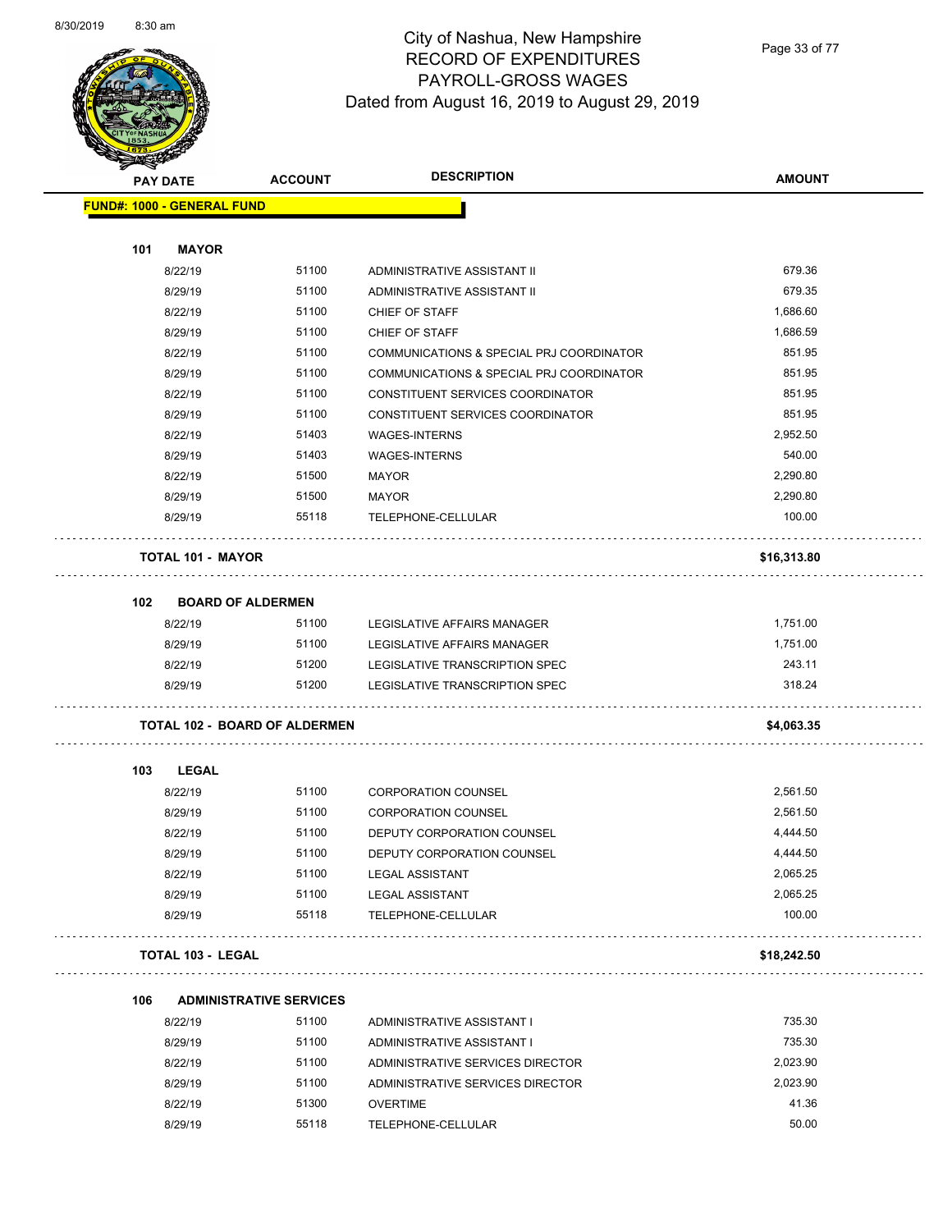

Page 33 of 77

| <b>SANGALL</b><br><b>PAY DATE</b> | <b>ACCOUNT</b>                       | <b>DESCRIPTION</b>                       | <b>AMOUNT</b> |
|-----------------------------------|--------------------------------------|------------------------------------------|---------------|
|                                   |                                      |                                          |               |
| <b>FUND#: 1000 - GENERAL FUND</b> |                                      |                                          |               |
| <b>MAYOR</b><br>101               |                                      |                                          |               |
| 8/22/19                           | 51100                                | ADMINISTRATIVE ASSISTANT II              | 679.36        |
| 8/29/19                           | 51100                                | ADMINISTRATIVE ASSISTANT II              | 679.35        |
| 8/22/19                           | 51100                                | CHIEF OF STAFF                           | 1,686.60      |
| 8/29/19                           | 51100                                | CHIEF OF STAFF                           | 1,686.59      |
| 8/22/19                           | 51100                                | COMMUNICATIONS & SPECIAL PRJ COORDINATOR | 851.95        |
| 8/29/19                           | 51100                                | COMMUNICATIONS & SPECIAL PRJ COORDINATOR | 851.95        |
| 8/22/19                           | 51100                                | CONSTITUENT SERVICES COORDINATOR         | 851.95        |
| 8/29/19                           | 51100                                | CONSTITUENT SERVICES COORDINATOR         | 851.95        |
| 8/22/19                           | 51403                                | <b>WAGES-INTERNS</b>                     | 2,952.50      |
| 8/29/19                           | 51403                                | <b>WAGES-INTERNS</b>                     | 540.00        |
| 8/22/19                           | 51500                                | <b>MAYOR</b>                             | 2,290.80      |
| 8/29/19                           | 51500                                | MAYOR                                    | 2,290.80      |
| 8/29/19                           | 55118                                | TELEPHONE-CELLULAR                       | 100.00        |
|                                   |                                      |                                          |               |
| <b>TOTAL 101 - MAYOR</b>          |                                      |                                          | \$16,313.80   |
|                                   |                                      |                                          |               |
| 102                               | <b>BOARD OF ALDERMEN</b>             |                                          |               |
| 8/22/19                           | 51100                                | LEGISLATIVE AFFAIRS MANAGER              | 1,751.00      |
| 8/29/19                           | 51100                                | LEGISLATIVE AFFAIRS MANAGER              | 1,751.00      |
| 8/22/19                           | 51200                                | LEGISLATIVE TRANSCRIPTION SPEC           | 243.11        |
| 8/29/19                           | 51200                                | LEGISLATIVE TRANSCRIPTION SPEC           | 318.24        |
|                                   | <b>TOTAL 102 - BOARD OF ALDERMEN</b> |                                          | \$4,063.35    |
|                                   |                                      |                                          |               |
| 103<br><b>LEGAL</b>               |                                      |                                          |               |
| 8/22/19                           | 51100                                | <b>CORPORATION COUNSEL</b>               | 2,561.50      |
| 8/29/19                           | 51100                                | <b>CORPORATION COUNSEL</b>               | 2,561.50      |
| 8/22/19                           | 51100                                | DEPUTY CORPORATION COUNSEL               | 4,444.50      |
| 8/29/19                           | 51100                                | DEPUTY CORPORATION COUNSEL               | 4,444.50      |
| 8/22/19                           | 51100                                | <b>LEGAL ASSISTANT</b>                   | 2,065.25      |
| 8/29/19                           | 51100                                | <b>LEGAL ASSISTANT</b>                   | 2,065.25      |
| 8/29/19                           | 55118                                | TELEPHONE-CELLULAR                       | 100.00        |
| <b>TOTAL 103 - LEGAL</b>          |                                      |                                          | \$18,242.50   |
|                                   |                                      |                                          |               |
| 106                               | <b>ADMINISTRATIVE SERVICES</b>       |                                          |               |
| 8/22/19                           | 51100                                | ADMINISTRATIVE ASSISTANT I               | 735.30        |
| 8/29/19                           | 51100                                | ADMINISTRATIVE ASSISTANT I               | 735.30        |
| 8/22/19                           | 51100                                | ADMINISTRATIVE SERVICES DIRECTOR         | 2,023.90      |
| 8/29/19                           | 51100                                | ADMINISTRATIVE SERVICES DIRECTOR         | 2,023.90      |
| 8/22/19                           | 51300                                | <b>OVERTIME</b>                          | 41.36         |
| 8/29/19                           | 55118                                | TELEPHONE-CELLULAR                       | 50.00         |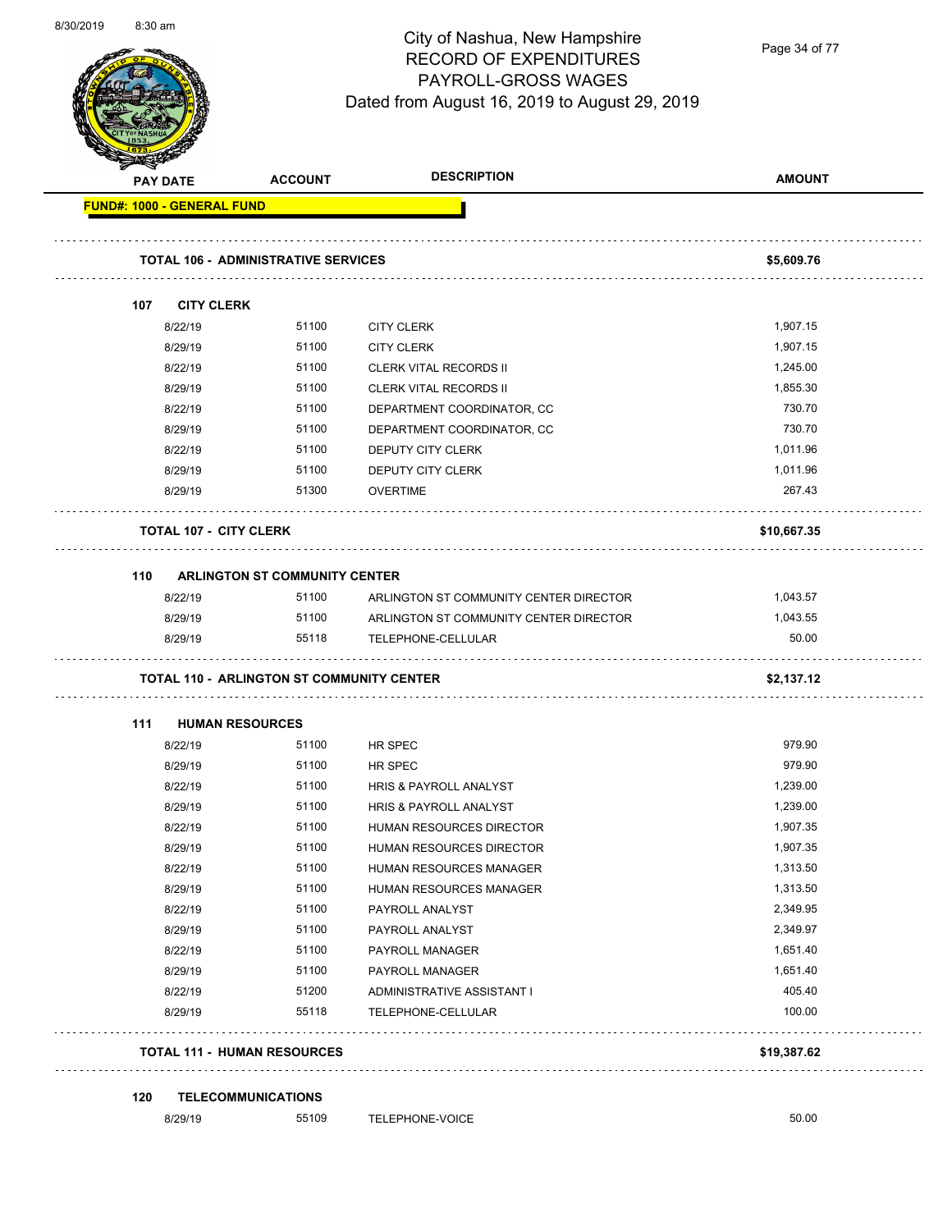

Page 34 of 77

|     | <b>PAY DATE</b>                   | <b>ACCOUNT</b>                                   | <b>DESCRIPTION</b>                     | <b>AMOUNT</b> |
|-----|-----------------------------------|--------------------------------------------------|----------------------------------------|---------------|
|     | <b>FUND#: 1000 - GENERAL FUND</b> |                                                  |                                        |               |
|     |                                   | <b>TOTAL 106 - ADMINISTRATIVE SERVICES</b>       |                                        | \$5,609.76    |
| 107 | <b>CITY CLERK</b>                 |                                                  |                                        |               |
|     | 8/22/19                           | 51100                                            | <b>CITY CLERK</b>                      | 1,907.15      |
|     | 8/29/19                           | 51100                                            | <b>CITY CLERK</b>                      | 1,907.15      |
|     | 8/22/19                           | 51100                                            | <b>CLERK VITAL RECORDS II</b>          | 1,245.00      |
|     | 8/29/19                           | 51100                                            | <b>CLERK VITAL RECORDS II</b>          | 1,855.30      |
|     | 8/22/19                           | 51100                                            | DEPARTMENT COORDINATOR, CC             | 730.70        |
|     | 8/29/19                           | 51100                                            | DEPARTMENT COORDINATOR, CC             | 730.70        |
|     | 8/22/19                           | 51100                                            | DEPUTY CITY CLERK                      | 1,011.96      |
|     | 8/29/19                           | 51100                                            | DEPUTY CITY CLERK                      | 1,011.96      |
|     | 8/29/19                           | 51300                                            | <b>OVERTIME</b>                        | 267.43        |
|     | <b>TOTAL 107 - CITY CLERK</b>     |                                                  |                                        | \$10,667.35   |
| 110 |                                   | <b>ARLINGTON ST COMMUNITY CENTER</b>             |                                        |               |
|     | 8/22/19                           | 51100                                            | ARLINGTON ST COMMUNITY CENTER DIRECTOR | 1,043.57      |
|     | 8/29/19                           | 51100                                            | ARLINGTON ST COMMUNITY CENTER DIRECTOR | 1,043.55      |
|     | 8/29/19                           | 55118                                            | TELEPHONE-CELLULAR                     | 50.00         |
|     |                                   | <b>TOTAL 110 - ARLINGTON ST COMMUNITY CENTER</b> |                                        | \$2,137.12    |
| 111 |                                   | <b>HUMAN RESOURCES</b>                           |                                        |               |
|     | 8/22/19                           | 51100                                            | HR SPEC                                | 979.90        |
|     | 8/29/19                           | 51100                                            | HR SPEC                                | 979.90        |
|     | 8/22/19                           | 51100                                            | <b>HRIS &amp; PAYROLL ANALYST</b>      | 1,239.00      |
|     | 8/29/19                           | 51100                                            | HRIS & PAYROLL ANALYST                 | 1,239.00      |
|     | 8/22/19                           | 51100                                            | HUMAN RESOURCES DIRECTOR               | 1,907.35      |
|     | 8/29/19                           | 51100                                            | HUMAN RESOURCES DIRECTOR               | 1,907.35      |
|     | 8/22/19                           | 51100                                            | HUMAN RESOURCES MANAGER                | 1,313.50      |
|     | 8/29/19                           | 51100                                            | HUMAN RESOURCES MANAGER                | 1,313.50      |
|     | 8/22/19                           | 51100                                            | PAYROLL ANALYST                        | 2,349.95      |
|     | 8/29/19                           | 51100                                            | PAYROLL ANALYST                        | 2,349.97      |
|     | 8/22/19                           | 51100                                            | PAYROLL MANAGER                        | 1,651.40      |
|     | 8/29/19                           | 51100                                            | PAYROLL MANAGER                        | 1,651.40      |
|     | 8/22/19                           | 51200                                            | ADMINISTRATIVE ASSISTANT I             | 405.40        |
|     | 8/29/19                           | 55118                                            | TELEPHONE-CELLULAR                     | 100.00        |
|     |                                   | <b>TOTAL 111 - HUMAN RESOURCES</b>               |                                        | \$19,387.62   |
| 120 |                                   | <b>TELECOMMUNICATIONS</b>                        |                                        |               |
|     | 8/29/19                           | 55109                                            | TELEPHONE-VOICE                        | 50.00         |
|     |                                   |                                                  |                                        |               |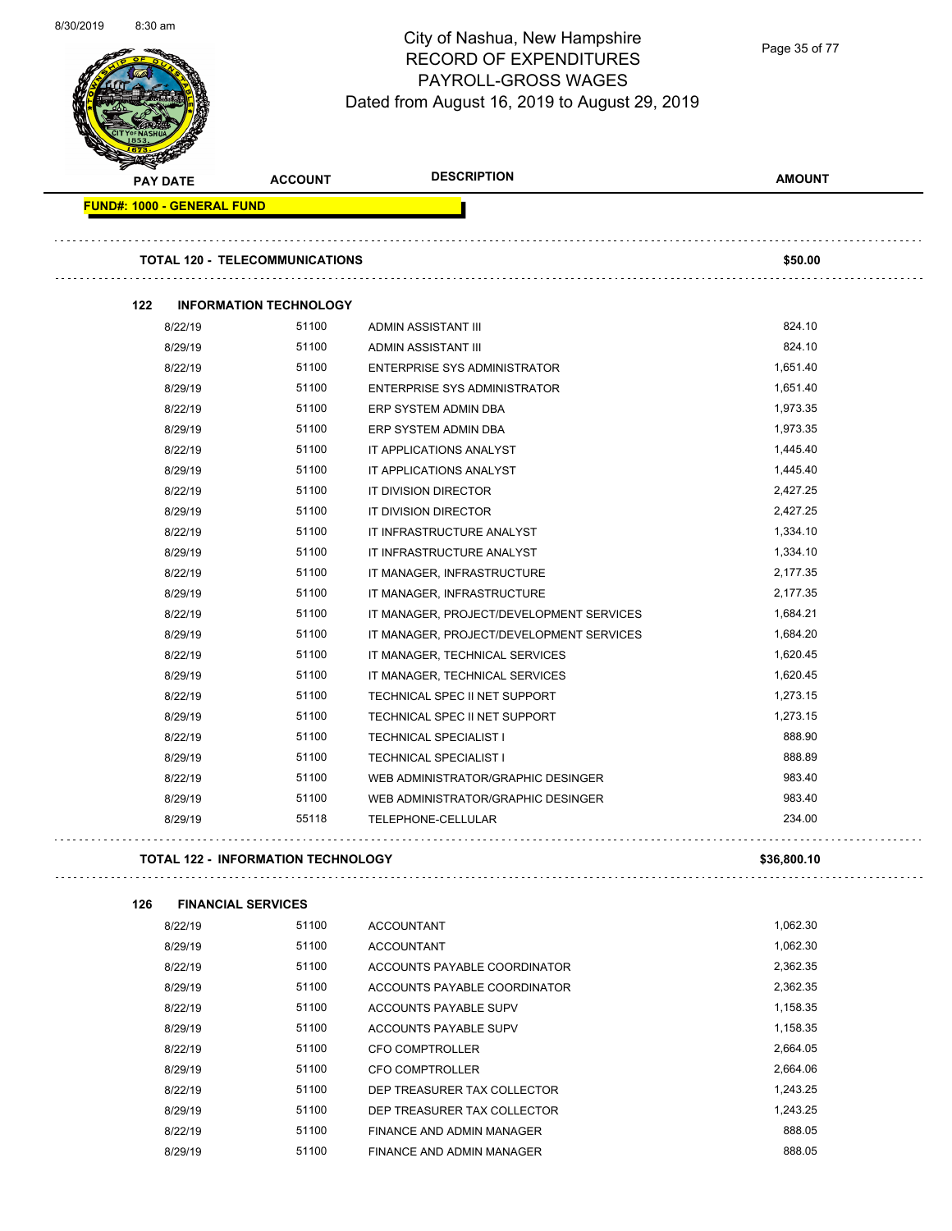

Page 35 of 77

| PAY DATE                          | <b>ACCOUNT</b>                            | <b>DESCRIPTION</b>                       | <b>AMOUNT</b> |
|-----------------------------------|-------------------------------------------|------------------------------------------|---------------|
| <b>FUND#: 1000 - GENERAL FUND</b> |                                           |                                          |               |
|                                   |                                           |                                          |               |
|                                   | <b>TOTAL 120 - TELECOMMUNICATIONS</b>     |                                          | \$50.00       |
| 122                               | <b>INFORMATION TECHNOLOGY</b>             |                                          |               |
| 8/22/19                           | 51100                                     | ADMIN ASSISTANT III                      | 824.10        |
| 8/29/19                           | 51100                                     | ADMIN ASSISTANT III                      | 824.10        |
| 8/22/19                           | 51100                                     | <b>ENTERPRISE SYS ADMINISTRATOR</b>      | 1,651.40      |
| 8/29/19                           | 51100                                     | <b>ENTERPRISE SYS ADMINISTRATOR</b>      | 1,651.40      |
| 8/22/19                           | 51100                                     | ERP SYSTEM ADMIN DBA                     | 1,973.35      |
| 8/29/19                           | 51100                                     | ERP SYSTEM ADMIN DBA                     | 1,973.35      |
| 8/22/19                           | 51100                                     | IT APPLICATIONS ANALYST                  | 1,445.40      |
| 8/29/19                           | 51100                                     | IT APPLICATIONS ANALYST                  | 1,445.40      |
| 8/22/19                           | 51100                                     | IT DIVISION DIRECTOR                     | 2,427.25      |
| 8/29/19                           | 51100                                     | IT DIVISION DIRECTOR                     | 2,427.25      |
| 8/22/19                           | 51100                                     | IT INFRASTRUCTURE ANALYST                | 1,334.10      |
| 8/29/19                           | 51100                                     | IT INFRASTRUCTURE ANALYST                | 1,334.10      |
| 8/22/19                           | 51100                                     | IT MANAGER, INFRASTRUCTURE               | 2,177.35      |
| 8/29/19                           | 51100                                     | IT MANAGER, INFRASTRUCTURE               | 2,177.35      |
| 8/22/19                           | 51100                                     | IT MANAGER, PROJECT/DEVELOPMENT SERVICES | 1,684.21      |
| 8/29/19                           | 51100                                     | IT MANAGER, PROJECT/DEVELOPMENT SERVICES | 1,684.20      |
| 8/22/19                           | 51100                                     | IT MANAGER, TECHNICAL SERVICES           | 1,620.45      |
| 8/29/19                           | 51100                                     | IT MANAGER, TECHNICAL SERVICES           | 1,620.45      |
| 8/22/19                           | 51100                                     | TECHNICAL SPEC II NET SUPPORT            | 1,273.15      |
| 8/29/19                           | 51100                                     | TECHNICAL SPEC II NET SUPPORT            | 1,273.15      |
| 8/22/19                           | 51100                                     | <b>TECHNICAL SPECIALIST I</b>            | 888.90        |
| 8/29/19                           | 51100                                     | <b>TECHNICAL SPECIALIST I</b>            | 888.89        |
| 8/22/19                           | 51100                                     | WEB ADMINISTRATOR/GRAPHIC DESINGER       | 983.40        |
| 8/29/19                           | 51100                                     | WEB ADMINISTRATOR/GRAPHIC DESINGER       | 983.40        |
| 8/29/19                           | 55118                                     | TELEPHONE-CELLULAR                       | 234.00        |
|                                   | <b>TOTAL 122 - INFORMATION TECHNOLOGY</b> |                                          | \$36,800.10   |
| 126                               | <b>FINANCIAL SERVICES</b>                 |                                          |               |
| 8/22/19                           | 51100                                     | <b>ACCOUNTANT</b>                        | 1,062.30      |
| 8/29/19                           | 51100                                     | <b>ACCOUNTANT</b>                        | 1,062.30      |
| 8/22/19                           | 51100                                     | ACCOUNTS PAYABLE COORDINATOR             | 2,362.35      |
| 8/29/19                           | 51100                                     | ACCOUNTS PAYABLE COORDINATOR             | 2,362.35      |
| 8/22/19                           | 51100                                     | ACCOUNTS PAYABLE SUPV                    | 1,158.35      |
| 8/29/19                           | 51100                                     | ACCOUNTS PAYABLE SUPV                    | 1,158.35      |
| 8/22/19                           | 51100                                     | CFO COMPTROLLER                          | 2,664.05      |
| 8/29/19                           | 51100                                     | <b>CFO COMPTROLLER</b>                   | 2,664.06      |
| 8/22/19                           | 51100                                     | DEP TREASURER TAX COLLECTOR              | 1,243.25      |
| 8/29/19                           | 51100                                     | DEP TREASURER TAX COLLECTOR              | 1,243.25      |

8/22/19 51100 FINANCE AND ADMIN MANAGER 688.05 8/29/19 51100 FINANCE AND ADMIN MANAGER 688.05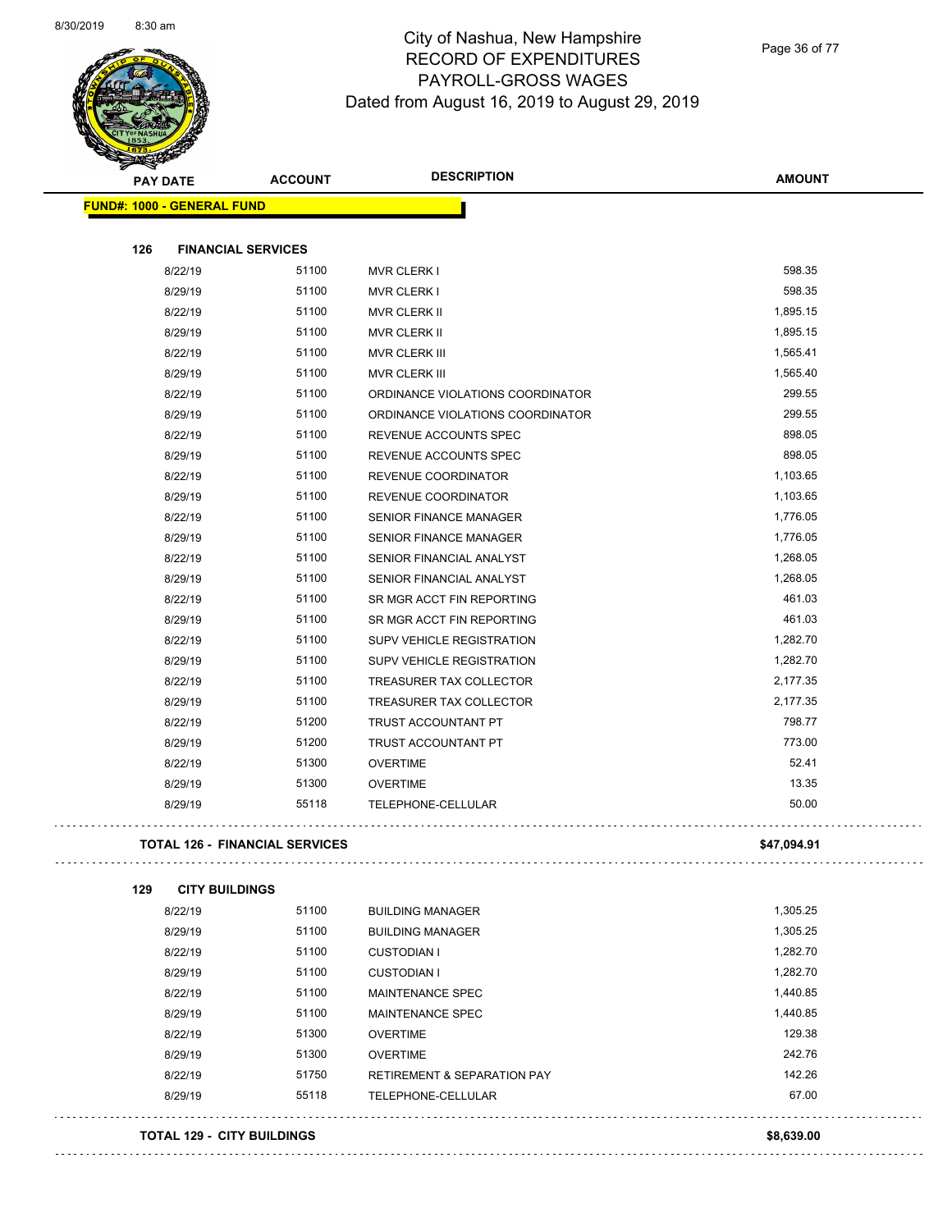

Page 36 of 77

| Constitution of the Constitution | <b>PAY DATE</b>                   | <b>ACCOUNT</b>                        | <b>DESCRIPTION</b>                     | <b>AMOUNT</b> |
|----------------------------------|-----------------------------------|---------------------------------------|----------------------------------------|---------------|
|                                  | <b>FUND#: 1000 - GENERAL FUND</b> |                                       |                                        |               |
| 126                              | <b>FINANCIAL SERVICES</b>         |                                       |                                        |               |
|                                  | 8/22/19                           | 51100                                 | <b>MVR CLERK I</b>                     | 598.35        |
|                                  | 8/29/19                           | 51100                                 | <b>MVR CLERK I</b>                     | 598.35        |
|                                  | 8/22/19                           | 51100                                 | MVR CLERK II                           | 1,895.15      |
|                                  | 8/29/19                           | 51100                                 | <b>MVR CLERK II</b>                    | 1,895.15      |
|                                  | 8/22/19                           | 51100                                 | <b>MVR CLERK III</b>                   | 1,565.41      |
|                                  | 8/29/19                           | 51100                                 | MVR CLERK III                          | 1,565.40      |
|                                  | 8/22/19                           | 51100                                 | ORDINANCE VIOLATIONS COORDINATOR       | 299.55        |
|                                  | 8/29/19                           | 51100                                 | ORDINANCE VIOLATIONS COORDINATOR       | 299.55        |
|                                  | 8/22/19                           | 51100                                 | REVENUE ACCOUNTS SPEC                  | 898.05        |
|                                  | 8/29/19                           | 51100                                 | REVENUE ACCOUNTS SPEC                  | 898.05        |
|                                  | 8/22/19                           | 51100                                 | REVENUE COORDINATOR                    | 1,103.65      |
|                                  | 8/29/19                           | 51100                                 | REVENUE COORDINATOR                    | 1,103.65      |
|                                  | 8/22/19                           | 51100                                 | <b>SENIOR FINANCE MANAGER</b>          | 1,776.05      |
|                                  | 8/29/19                           | 51100                                 | SENIOR FINANCE MANAGER                 | 1,776.05      |
|                                  | 8/22/19                           | 51100                                 | SENIOR FINANCIAL ANALYST               | 1,268.05      |
|                                  | 8/29/19                           | 51100                                 | SENIOR FINANCIAL ANALYST               | 1,268.05      |
|                                  | 8/22/19                           | 51100                                 | SR MGR ACCT FIN REPORTING              | 461.03        |
|                                  | 8/29/19                           | 51100                                 | SR MGR ACCT FIN REPORTING              | 461.03        |
|                                  | 8/22/19                           | 51100                                 | <b>SUPV VEHICLE REGISTRATION</b>       | 1,282.70      |
|                                  | 8/29/19                           | 51100                                 | SUPV VEHICLE REGISTRATION              | 1,282.70      |
|                                  | 8/22/19                           | 51100                                 | TREASURER TAX COLLECTOR                | 2,177.35      |
|                                  | 8/29/19                           | 51100                                 | TREASURER TAX COLLECTOR                | 2,177.35      |
|                                  | 8/22/19                           | 51200                                 | TRUST ACCOUNTANT PT                    | 798.77        |
|                                  | 8/29/19                           | 51200                                 | TRUST ACCOUNTANT PT                    | 773.00        |
|                                  | 8/22/19                           | 51300                                 | <b>OVERTIME</b>                        | 52.41         |
|                                  | 8/29/19                           | 51300                                 | <b>OVERTIME</b>                        | 13.35         |
|                                  | 8/29/19                           | 55118                                 | TELEPHONE-CELLULAR                     | 50.00         |
|                                  |                                   | <b>TOTAL 126 - FINANCIAL SERVICES</b> |                                        | \$47,094.91   |
|                                  |                                   |                                       |                                        |               |
| 129                              | <b>CITY BUILDINGS</b>             |                                       |                                        |               |
|                                  | 8/22/19                           | 51100                                 | <b>BUILDING MANAGER</b>                | 1,305.25      |
|                                  | 8/29/19                           | 51100                                 | <b>BUILDING MANAGER</b>                | 1,305.25      |
|                                  | 8/22/19                           | 51100                                 | <b>CUSTODIAN I</b>                     | 1,282.70      |
|                                  | 8/29/19                           | 51100                                 | <b>CUSTODIAN I</b>                     | 1,282.70      |
|                                  | 8/22/19                           | 51100                                 | MAINTENANCE SPEC                       | 1,440.85      |
|                                  | 8/29/19                           | 51100                                 | MAINTENANCE SPEC                       | 1,440.85      |
|                                  | 8/22/19                           | 51300                                 | <b>OVERTIME</b>                        | 129.38        |
|                                  | 8/29/19                           | 51300                                 | <b>OVERTIME</b>                        | 242.76        |
|                                  | 8/22/19                           | 51750                                 | <b>RETIREMENT &amp; SEPARATION PAY</b> | 142.26        |
|                                  | 8/29/19                           | 55118                                 | TELEPHONE-CELLULAR                     | 67.00         |
|                                  | <b>TOTAL 129 - CITY BUILDINGS</b> |                                       |                                        | \$8,639.00    |
|                                  |                                   |                                       |                                        |               |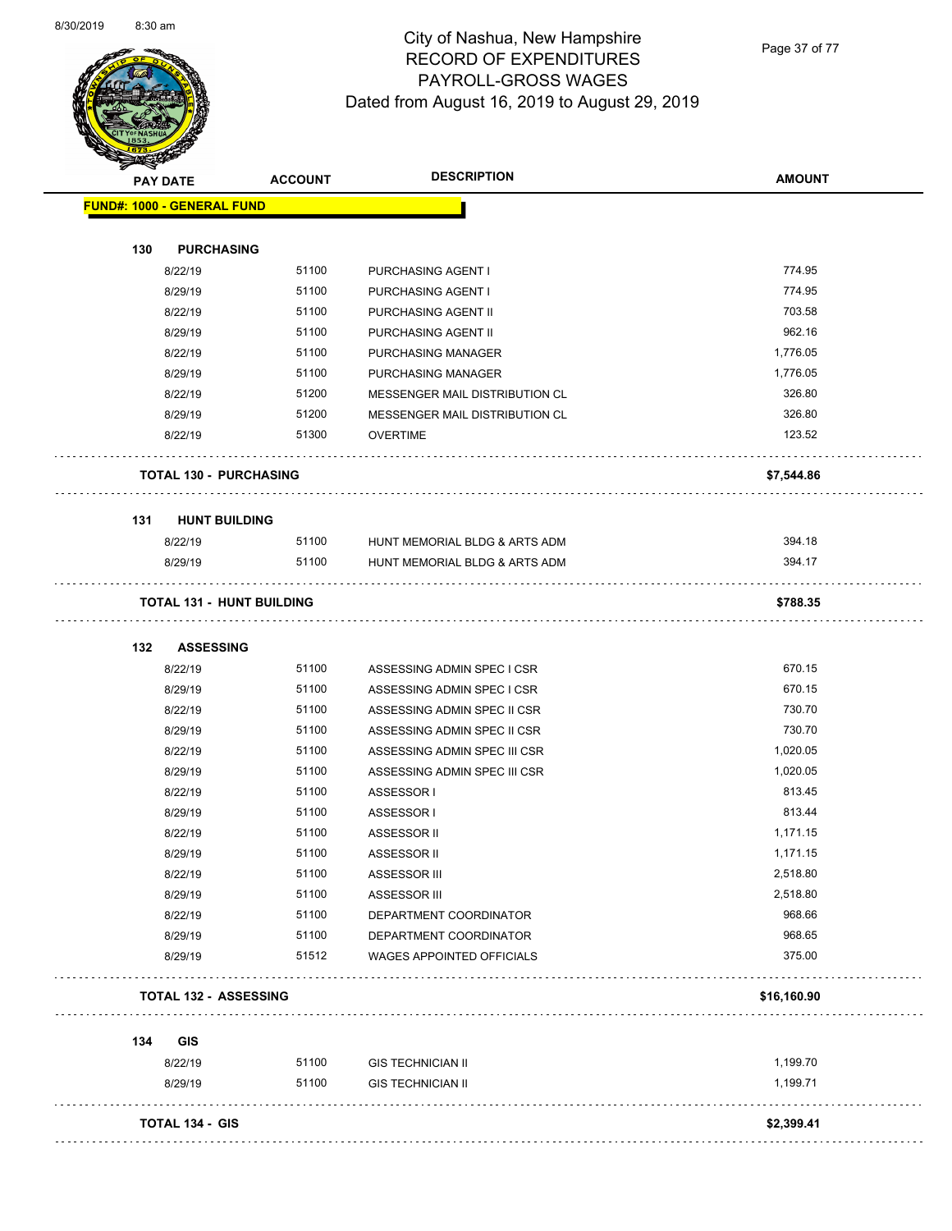

Page 37 of 77

|     | <b>PAY DATE</b>                    | <b>ACCOUNT</b> | <b>DESCRIPTION</b>             | <b>AMOUNT</b> |
|-----|------------------------------------|----------------|--------------------------------|---------------|
|     | <b>FUND#: 1000 - GENERAL FUND</b>  |                |                                |               |
| 130 | <b>PURCHASING</b>                  |                |                                |               |
|     | 8/22/19                            | 51100          | PURCHASING AGENT I             | 774.95        |
|     | 8/29/19                            | 51100          | PURCHASING AGENT I             | 774.95        |
|     | 8/22/19                            | 51100          | PURCHASING AGENT II            | 703.58        |
|     | 8/29/19                            | 51100          | PURCHASING AGENT II            | 962.16        |
|     | 8/22/19                            | 51100          | PURCHASING MANAGER             | 1,776.05      |
|     | 8/29/19                            | 51100          | PURCHASING MANAGER             | 1,776.05      |
|     | 8/22/19                            | 51200          | MESSENGER MAIL DISTRIBUTION CL | 326.80        |
|     | 8/29/19                            | 51200          | MESSENGER MAIL DISTRIBUTION CL | 326.80        |
|     | 8/22/19                            | 51300          | <b>OVERTIME</b>                | 123.52        |
|     | <b>TOTAL 130 - PURCHASING</b><br>. |                |                                | \$7,544.86    |
| 131 | <b>HUNT BUILDING</b>               |                |                                |               |
|     | 8/22/19                            | 51100          | HUNT MEMORIAL BLDG & ARTS ADM  | 394.18        |
|     | 8/29/19                            | 51100          | HUNT MEMORIAL BLDG & ARTS ADM  | 394.17        |
|     | <b>TOTAL 131 - HUNT BUILDING</b>   |                |                                | \$788.35      |
| 132 | <b>ASSESSING</b>                   |                |                                |               |
|     | 8/22/19                            | 51100          | ASSESSING ADMIN SPEC I CSR     | 670.15        |
|     | 8/29/19                            | 51100          | ASSESSING ADMIN SPEC I CSR     | 670.15        |
|     | 8/22/19                            | 51100          | ASSESSING ADMIN SPEC II CSR    | 730.70        |
|     | 8/29/19                            | 51100          | ASSESSING ADMIN SPEC II CSR    | 730.70        |
|     | 8/22/19                            | 51100          | ASSESSING ADMIN SPEC III CSR   | 1,020.05      |
|     | 8/29/19                            | 51100          | ASSESSING ADMIN SPEC III CSR   | 1,020.05      |
|     | 8/22/19                            | 51100          | ASSESSOR I                     | 813.45        |
|     | 8/29/19                            | 51100          | ASSESSOR I                     | 813.44        |
|     | 8/22/19                            | 51100          | ASSESSOR II                    | 1,171.15      |
|     | 8/29/19                            | 51100          | <b>ASSESSOR II</b>             | 1,171.15      |
|     | 8/22/19                            | 51100          | <b>ASSESSOR III</b>            | 2,518.80      |
|     | 8/29/19                            | 51100          | ASSESSOR III                   | 2,518.80      |
|     | 8/22/19                            | 51100          | DEPARTMENT COORDINATOR         | 968.66        |
|     | 8/29/19                            | 51100          | DEPARTMENT COORDINATOR         | 968.65        |
|     | 8/29/19                            | 51512          | WAGES APPOINTED OFFICIALS      | 375.00        |
|     | <b>TOTAL 132 - ASSESSING</b>       |                |                                | \$16,160.90   |
| 134 | <b>GIS</b>                         |                |                                |               |
|     | 8/22/19                            | 51100          | <b>GIS TECHNICIAN II</b>       | 1,199.70      |
|     | 8/29/19                            | 51100          | <b>GIS TECHNICIAN II</b>       | 1,199.71      |
|     | TOTAL 134 - GIS                    |                |                                | \$2,399.41    |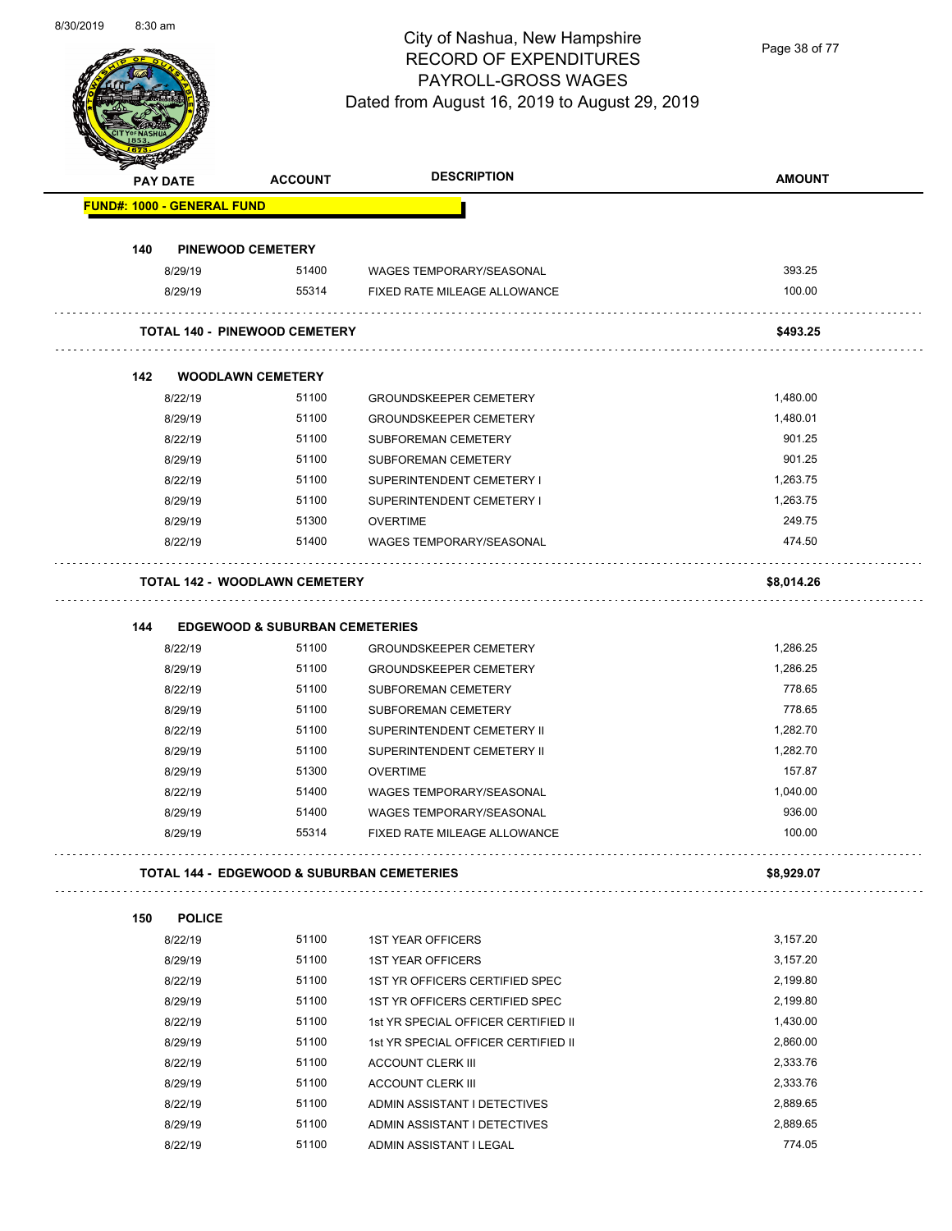

Page 38 of 77

| <b>PAY DATE</b> |                                   | <b>ACCOUNT</b>                            | <b>DESCRIPTION</b>                                    | <b>AMOUNT</b> |
|-----------------|-----------------------------------|-------------------------------------------|-------------------------------------------------------|---------------|
|                 | <b>FUND#: 1000 - GENERAL FUND</b> |                                           |                                                       |               |
|                 |                                   |                                           |                                                       |               |
| 140             | <b>PINEWOOD CEMETERY</b>          |                                           |                                                       |               |
|                 | 8/29/19                           | 51400                                     | WAGES TEMPORARY/SEASONAL                              | 393.25        |
|                 | 8/29/19                           | 55314                                     | FIXED RATE MILEAGE ALLOWANCE                          | 100.00        |
|                 |                                   | <b>TOTAL 140 - PINEWOOD CEMETERY</b>      |                                                       | \$493.25      |
|                 |                                   |                                           |                                                       |               |
| 142             |                                   | <b>WOODLAWN CEMETERY</b>                  |                                                       |               |
|                 | 8/22/19                           | 51100                                     | <b>GROUNDSKEEPER CEMETERY</b>                         | 1,480.00      |
|                 | 8/29/19                           | 51100                                     | <b>GROUNDSKEEPER CEMETERY</b>                         | 1,480.01      |
|                 | 8/22/19                           | 51100                                     | <b>SUBFOREMAN CEMETERY</b>                            | 901.25        |
|                 | 8/29/19                           | 51100                                     | <b>SUBFOREMAN CEMETERY</b>                            | 901.25        |
|                 | 8/22/19                           | 51100                                     | SUPERINTENDENT CEMETERY I                             | 1,263.75      |
|                 | 8/29/19                           | 51100                                     | SUPERINTENDENT CEMETERY I                             | 1,263.75      |
|                 | 8/29/19                           | 51300                                     | <b>OVERTIME</b>                                       | 249.75        |
|                 | 8/22/19                           | 51400                                     | <b>WAGES TEMPORARY/SEASONAL</b>                       | 474.50        |
|                 |                                   | <b>TOTAL 142 - WOODLAWN CEMETERY</b>      |                                                       | \$8,014.26    |
| 144             |                                   | <b>EDGEWOOD &amp; SUBURBAN CEMETERIES</b> |                                                       |               |
|                 | 8/22/19                           | 51100                                     | <b>GROUNDSKEEPER CEMETERY</b>                         | 1,286.25      |
|                 | 8/29/19                           | 51100                                     | <b>GROUNDSKEEPER CEMETERY</b>                         | 1,286.25      |
|                 | 8/22/19                           | 51100                                     | <b>SUBFOREMAN CEMETERY</b>                            | 778.65        |
|                 | 8/29/19                           | 51100                                     | SUBFOREMAN CEMETERY                                   | 778.65        |
|                 | 8/22/19                           | 51100                                     | SUPERINTENDENT CEMETERY II                            | 1,282.70      |
|                 | 8/29/19                           | 51100                                     | SUPERINTENDENT CEMETERY II                            | 1,282.70      |
|                 | 8/29/19                           | 51300                                     | <b>OVERTIME</b>                                       | 157.87        |
|                 | 8/22/19                           | 51400                                     | <b>WAGES TEMPORARY/SEASONAL</b>                       | 1,040.00      |
|                 | 8/29/19                           | 51400                                     | <b>WAGES TEMPORARY/SEASONAL</b>                       | 936.00        |
|                 | 8/29/19                           | 55314                                     | FIXED RATE MILEAGE ALLOWANCE                          | 100.00        |
|                 |                                   |                                           | <b>TOTAL 144 - EDGEWOOD &amp; SUBURBAN CEMETERIES</b> | \$8,929.07    |
|                 |                                   |                                           |                                                       |               |
| 150             | <b>POLICE</b>                     | 51100                                     |                                                       |               |
|                 | 8/22/19                           |                                           | <b>1ST YEAR OFFICERS</b>                              | 3,157.20      |
|                 | 8/29/19                           | 51100                                     | <b>1ST YEAR OFFICERS</b>                              | 3,157.20      |
|                 | 8/22/19                           | 51100                                     | 1ST YR OFFICERS CERTIFIED SPEC                        | 2,199.80      |
|                 | 8/29/19                           | 51100                                     | 1ST YR OFFICERS CERTIFIED SPEC                        | 2,199.80      |
|                 | 8/22/19                           | 51100                                     | 1st YR SPECIAL OFFICER CERTIFIED II                   | 1,430.00      |
|                 | 8/29/19                           | 51100                                     | 1st YR SPECIAL OFFICER CERTIFIED II                   | 2,860.00      |
|                 | 8/22/19                           | 51100                                     | <b>ACCOUNT CLERK III</b>                              | 2,333.76      |
|                 | 8/29/19                           | 51100                                     | <b>ACCOUNT CLERK III</b>                              | 2,333.76      |
|                 | 8/22/19                           | 51100                                     | ADMIN ASSISTANT I DETECTIVES                          | 2,889.65      |
|                 | 8/29/19                           | 51100                                     | ADMIN ASSISTANT I DETECTIVES                          | 2,889.65      |
|                 | 8/22/19                           | 51100                                     | ADMIN ASSISTANT I LEGAL                               | 774.05        |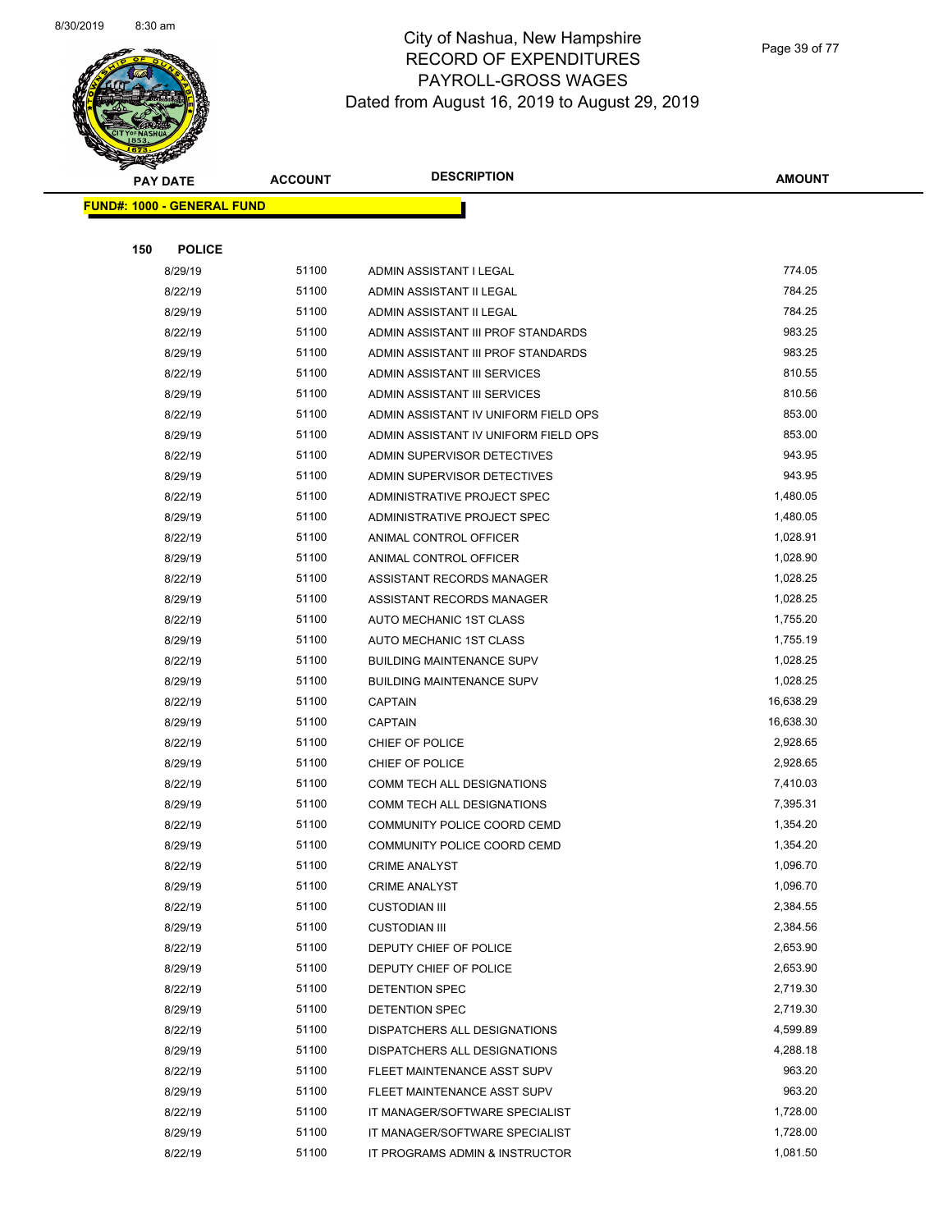

Page 39 of 77

|     | <b>PAY DATE</b>                   | <b>ACCOUNT</b> | <b>DESCRIPTION</b>                   | <b>AMOUNT</b>        |
|-----|-----------------------------------|----------------|--------------------------------------|----------------------|
|     | <b>FUND#: 1000 - GENERAL FUND</b> |                |                                      |                      |
|     |                                   |                |                                      |                      |
| 150 | <b>POLICE</b>                     |                |                                      |                      |
|     | 8/29/19                           | 51100          | ADMIN ASSISTANT I LEGAL              | 774.05               |
|     | 8/22/19                           | 51100          | ADMIN ASSISTANT II LEGAL             | 784.25               |
|     | 8/29/19                           | 51100          | ADMIN ASSISTANT II LEGAL             | 784.25               |
|     | 8/22/19                           | 51100          | ADMIN ASSISTANT III PROF STANDARDS   | 983.25               |
|     | 8/29/19                           | 51100          | ADMIN ASSISTANT III PROF STANDARDS   | 983.25               |
|     | 8/22/19                           | 51100          | ADMIN ASSISTANT III SERVICES         | 810.55               |
|     | 8/29/19                           | 51100          | ADMIN ASSISTANT III SERVICES         | 810.56               |
|     | 8/22/19                           | 51100          | ADMIN ASSISTANT IV UNIFORM FIELD OPS | 853.00               |
|     | 8/29/19                           | 51100          | ADMIN ASSISTANT IV UNIFORM FIELD OPS | 853.00               |
|     | 8/22/19                           | 51100          | ADMIN SUPERVISOR DETECTIVES          | 943.95               |
|     | 8/29/19                           | 51100          | ADMIN SUPERVISOR DETECTIVES          | 943.95               |
|     | 8/22/19                           | 51100          | ADMINISTRATIVE PROJECT SPEC          | 1,480.05             |
|     | 8/29/19                           | 51100          | ADMINISTRATIVE PROJECT SPEC          | 1,480.05             |
|     | 8/22/19                           | 51100          | ANIMAL CONTROL OFFICER               | 1,028.91             |
|     | 8/29/19                           | 51100          | ANIMAL CONTROL OFFICER               | 1,028.90             |
|     | 8/22/19                           | 51100          | ASSISTANT RECORDS MANAGER            | 1,028.25             |
|     | 8/29/19                           | 51100          | ASSISTANT RECORDS MANAGER            | 1,028.25             |
|     | 8/22/19                           | 51100          | AUTO MECHANIC 1ST CLASS              | 1,755.20             |
|     | 8/29/19                           | 51100          | AUTO MECHANIC 1ST CLASS              | 1,755.19             |
|     | 8/22/19                           | 51100          | <b>BUILDING MAINTENANCE SUPV</b>     | 1,028.25             |
|     | 8/29/19                           | 51100          | <b>BUILDING MAINTENANCE SUPV</b>     | 1,028.25             |
|     | 8/22/19                           | 51100          | <b>CAPTAIN</b>                       | 16,638.29            |
|     | 8/29/19                           | 51100          | <b>CAPTAIN</b>                       | 16,638.30            |
|     | 8/22/19                           | 51100          | CHIEF OF POLICE                      | 2,928.65             |
|     | 8/29/19                           | 51100          | CHIEF OF POLICE                      | 2,928.65             |
|     | 8/22/19                           | 51100          | COMM TECH ALL DESIGNATIONS           | 7,410.03             |
|     | 8/29/19                           | 51100          | COMM TECH ALL DESIGNATIONS           | 7,395.31             |
|     | 8/22/19                           | 51100          | COMMUNITY POLICE COORD CEMD          | 1,354.20             |
|     | 8/29/19                           | 51100          | COMMUNITY POLICE COORD CEMD          | 1,354.20             |
|     | 8/22/19                           | 51100          | CRIME ANALYST                        | 1,096.70             |
|     | 8/29/19                           | 51100          | <b>CRIME ANALYST</b>                 | 1,096.70             |
|     | 8/22/19                           | 51100          | <b>CUSTODIAN III</b>                 | 2,384.55             |
|     | 8/29/19                           | 51100          | <b>CUSTODIAN III</b>                 | 2,384.56             |
|     | 8/22/19                           | 51100          | DEPUTY CHIEF OF POLICE               | 2,653.90<br>2,653.90 |
|     | 8/29/19                           | 51100<br>51100 | DEPUTY CHIEF OF POLICE               | 2,719.30             |
|     | 8/22/19<br>8/29/19                | 51100          | DETENTION SPEC<br>DETENTION SPEC     | 2,719.30             |
|     | 8/22/19                           | 51100          | DISPATCHERS ALL DESIGNATIONS         | 4,599.89             |
|     | 8/29/19                           | 51100          | DISPATCHERS ALL DESIGNATIONS         | 4,288.18             |
|     | 8/22/19                           | 51100          | FLEET MAINTENANCE ASST SUPV          | 963.20               |
|     | 8/29/19                           | 51100          | FLEET MAINTENANCE ASST SUPV          | 963.20               |
|     | 8/22/19                           | 51100          | IT MANAGER/SOFTWARE SPECIALIST       | 1,728.00             |
|     | 8/29/19                           | 51100          | IT MANAGER/SOFTWARE SPECIALIST       | 1,728.00             |
|     | 8/22/19                           | 51100          | IT PROGRAMS ADMIN & INSTRUCTOR       | 1,081.50             |
|     |                                   |                |                                      |                      |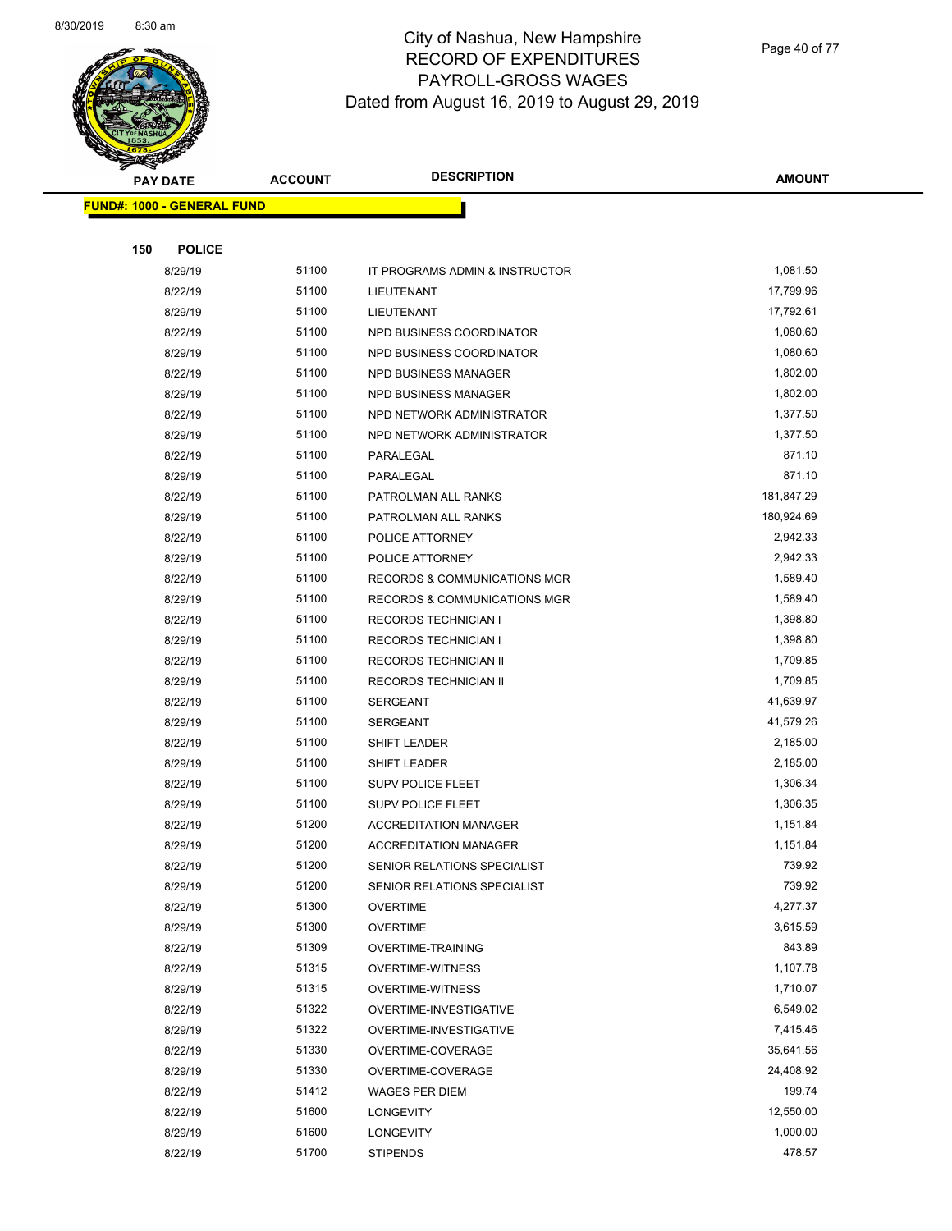

Page 40 of 77

|     | <b>PAY DATE</b>                   | <b>ACCOUNT</b> | <b>DESCRIPTION</b>                      | <b>AMOUNT</b> |
|-----|-----------------------------------|----------------|-----------------------------------------|---------------|
|     | <b>FUND#: 1000 - GENERAL FUND</b> |                |                                         |               |
|     |                                   |                |                                         |               |
| 150 | <b>POLICE</b>                     |                |                                         |               |
|     | 8/29/19                           | 51100          | IT PROGRAMS ADMIN & INSTRUCTOR          | 1,081.50      |
|     | 8/22/19                           | 51100          | LIEUTENANT                              | 17,799.96     |
|     | 8/29/19                           | 51100          | LIEUTENANT                              | 17,792.61     |
|     | 8/22/19                           | 51100          | NPD BUSINESS COORDINATOR                | 1,080.60      |
|     | 8/29/19                           | 51100          | NPD BUSINESS COORDINATOR                | 1,080.60      |
|     | 8/22/19                           | 51100          | NPD BUSINESS MANAGER                    | 1,802.00      |
|     | 8/29/19                           | 51100          | NPD BUSINESS MANAGER                    | 1,802.00      |
|     | 8/22/19                           | 51100          | NPD NETWORK ADMINISTRATOR               | 1,377.50      |
|     | 8/29/19                           | 51100          | NPD NETWORK ADMINISTRATOR               | 1,377.50      |
|     | 8/22/19                           | 51100          | PARALEGAL                               | 871.10        |
|     | 8/29/19                           | 51100          | PARALEGAL                               | 871.10        |
|     | 8/22/19                           | 51100          | PATROLMAN ALL RANKS                     | 181,847.29    |
|     | 8/29/19                           | 51100          | PATROLMAN ALL RANKS                     | 180,924.69    |
|     | 8/22/19                           | 51100          | POLICE ATTORNEY                         | 2,942.33      |
|     | 8/29/19                           | 51100          | POLICE ATTORNEY                         | 2,942.33      |
|     | 8/22/19                           | 51100          | <b>RECORDS &amp; COMMUNICATIONS MGR</b> | 1,589.40      |
|     | 8/29/19                           | 51100          | RECORDS & COMMUNICATIONS MGR            | 1,589.40      |
|     | 8/22/19                           | 51100          | <b>RECORDS TECHNICIAN I</b>             | 1,398.80      |
|     | 8/29/19                           | 51100          | <b>RECORDS TECHNICIAN I</b>             | 1,398.80      |
|     | 8/22/19                           | 51100          | RECORDS TECHNICIAN II                   | 1,709.85      |
|     | 8/29/19                           | 51100          | RECORDS TECHNICIAN II                   | 1,709.85      |
|     | 8/22/19                           | 51100          | <b>SERGEANT</b>                         | 41,639.97     |
|     | 8/29/19                           | 51100          | <b>SERGEANT</b>                         | 41,579.26     |
|     | 8/22/19                           | 51100          | SHIFT LEADER                            | 2,185.00      |
|     | 8/29/19                           | 51100          | SHIFT LEADER                            | 2,185.00      |
|     | 8/22/19                           | 51100          | SUPV POLICE FLEET                       | 1,306.34      |
|     | 8/29/19                           | 51100          | <b>SUPV POLICE FLEET</b>                | 1,306.35      |
|     | 8/22/19                           | 51200          | <b>ACCREDITATION MANAGER</b>            | 1,151.84      |
|     | 8/29/19                           | 51200          | <b>ACCREDITATION MANAGER</b>            | 1,151.84      |
|     | 8/22/19                           | 51200          | SENIOR RELATIONS SPECIALIST             | 739.92        |
|     | 8/29/19                           | 51200          | SENIOR RELATIONS SPECIALIST             | 739.92        |
|     | 8/22/19                           | 51300          | <b>OVERTIME</b>                         | 4,277.37      |
|     | 8/29/19                           | 51300          | <b>OVERTIME</b>                         | 3,615.59      |
|     | 8/22/19                           | 51309          | <b>OVERTIME-TRAINING</b>                | 843.89        |
|     | 8/22/19                           | 51315          | <b>OVERTIME-WITNESS</b>                 | 1,107.78      |
|     | 8/29/19                           | 51315          | <b>OVERTIME-WITNESS</b>                 | 1,710.07      |
|     | 8/22/19                           | 51322          | OVERTIME-INVESTIGATIVE                  | 6,549.02      |
|     | 8/29/19                           | 51322          | OVERTIME-INVESTIGATIVE                  | 7,415.46      |
|     | 8/22/19                           | 51330          | OVERTIME-COVERAGE                       | 35,641.56     |
|     | 8/29/19                           | 51330          | OVERTIME-COVERAGE                       | 24,408.92     |
|     | 8/22/19                           | 51412          | <b>WAGES PER DIEM</b>                   | 199.74        |
|     | 8/22/19                           | 51600          | <b>LONGEVITY</b>                        | 12,550.00     |
|     | 8/29/19                           | 51600          | <b>LONGEVITY</b>                        | 1,000.00      |
|     |                                   |                |                                         |               |
|     | 8/22/19                           | 51700          | <b>STIPENDS</b>                         | 478.57        |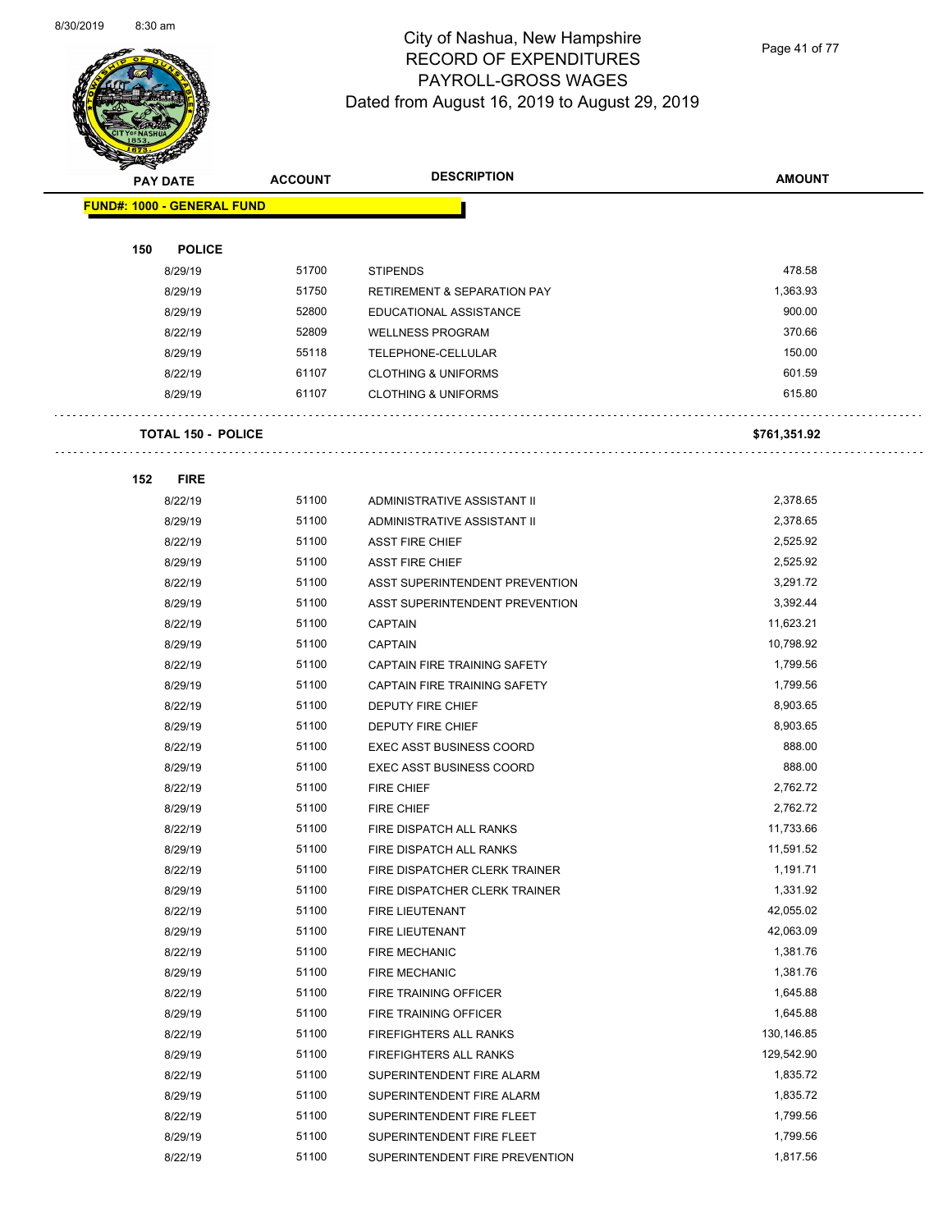

Page 41 of 77

|     | <b>PAY DATE</b>                   | <b>ACCOUNT</b> | <b>DESCRIPTION</b>                     | <b>AMOUNT</b> |
|-----|-----------------------------------|----------------|----------------------------------------|---------------|
|     | <b>FUND#: 1000 - GENERAL FUND</b> |                |                                        |               |
|     |                                   |                |                                        |               |
| 150 | <b>POLICE</b>                     |                |                                        |               |
|     | 8/29/19                           | 51700          | <b>STIPENDS</b>                        | 478.58        |
|     | 8/29/19                           | 51750          | <b>RETIREMENT &amp; SEPARATION PAY</b> | 1,363.93      |
|     | 8/29/19                           | 52800          | EDUCATIONAL ASSISTANCE                 | 900.00        |
|     | 8/22/19                           | 52809          | <b>WELLNESS PROGRAM</b>                | 370.66        |
|     | 8/29/19                           | 55118          | TELEPHONE-CELLULAR                     | 150.00        |
|     | 8/22/19                           | 61107          | <b>CLOTHING &amp; UNIFORMS</b>         | 601.59        |
|     | 8/29/19                           | 61107          | <b>CLOTHING &amp; UNIFORMS</b>         | 615.80        |
|     | <b>TOTAL 150 - POLICE</b>         |                |                                        | \$761,351.92  |
| 152 | <b>FIRE</b>                       |                |                                        |               |
|     | 8/22/19                           | 51100          | ADMINISTRATIVE ASSISTANT II            | 2,378.65      |
|     | 8/29/19                           | 51100          | ADMINISTRATIVE ASSISTANT II            | 2,378.65      |
|     | 8/22/19                           | 51100          | <b>ASST FIRE CHIEF</b>                 | 2,525.92      |
|     | 8/29/19                           | 51100          | <b>ASST FIRE CHIEF</b>                 | 2,525.92      |
|     | 8/22/19                           | 51100          | ASST SUPERINTENDENT PREVENTION         | 3,291.72      |
|     | 8/29/19                           | 51100          | ASST SUPERINTENDENT PREVENTION         | 3,392.44      |
|     | 8/22/19                           | 51100          | <b>CAPTAIN</b>                         | 11,623.21     |
|     | 8/29/19                           | 51100          | <b>CAPTAIN</b>                         | 10,798.92     |
|     | 8/22/19                           | 51100          | CAPTAIN FIRE TRAINING SAFETY           | 1,799.56      |
|     | 8/29/19                           | 51100          | CAPTAIN FIRE TRAINING SAFETY           | 1,799.56      |
|     | 8/22/19                           | 51100          | DEPUTY FIRE CHIEF                      | 8,903.65      |
|     | 8/29/19                           | 51100          | DEPUTY FIRE CHIEF                      | 8,903.65      |
|     | 8/22/19                           | 51100          | <b>EXEC ASST BUSINESS COORD</b>        | 888.00        |
|     | 8/29/19                           | 51100          | <b>EXEC ASST BUSINESS COORD</b>        | 888.00        |
|     | 8/22/19                           | 51100          | FIRE CHIEF                             | 2,762.72      |
|     | 8/29/19                           | 51100          | <b>FIRE CHIEF</b>                      | 2,762.72      |
|     | 8/22/19                           | 51100          | FIRE DISPATCH ALL RANKS                | 11,733.66     |
|     | 8/29/19                           | 51100          | FIRE DISPATCH ALL RANKS                | 11,591.52     |
|     | 8/22/19                           | 51100          | FIRE DISPATCHER CLERK TRAINER          | 1,191.71      |
|     | 8/29/19                           | 51100          | FIRE DISPATCHER CLERK TRAINER          | 1,331.92      |
|     | 8/22/19                           | 51100          | FIRE LIEUTENANT                        | 42,055.02     |
|     | 8/29/19                           | 51100          | FIRE LIEUTENANT                        | 42,063.09     |
|     | 8/22/19                           | 51100          | <b>FIRE MECHANIC</b>                   | 1,381.76      |
|     | 8/29/19                           | 51100          | <b>FIRE MECHANIC</b>                   | 1,381.76      |
|     | 8/22/19                           | 51100          | FIRE TRAINING OFFICER                  | 1,645.88      |
|     | 8/29/19                           | 51100          | FIRE TRAINING OFFICER                  | 1,645.88      |
|     | 8/22/19                           | 51100          | FIREFIGHTERS ALL RANKS                 | 130,146.85    |
|     | 8/29/19                           | 51100          | FIREFIGHTERS ALL RANKS                 | 129,542.90    |
|     | 8/22/19                           | 51100          | SUPERINTENDENT FIRE ALARM              | 1,835.72      |
|     | 8/29/19                           | 51100          | SUPERINTENDENT FIRE ALARM              | 1,835.72      |
|     | 8/22/19                           | 51100          | SUPERINTENDENT FIRE FLEET              | 1,799.56      |
|     | 8/29/19                           | 51100          | SUPERINTENDENT FIRE FLEET              | 1,799.56      |
|     | 8/22/19                           | 51100          | SUPERINTENDENT FIRE PREVENTION         | 1,817.56      |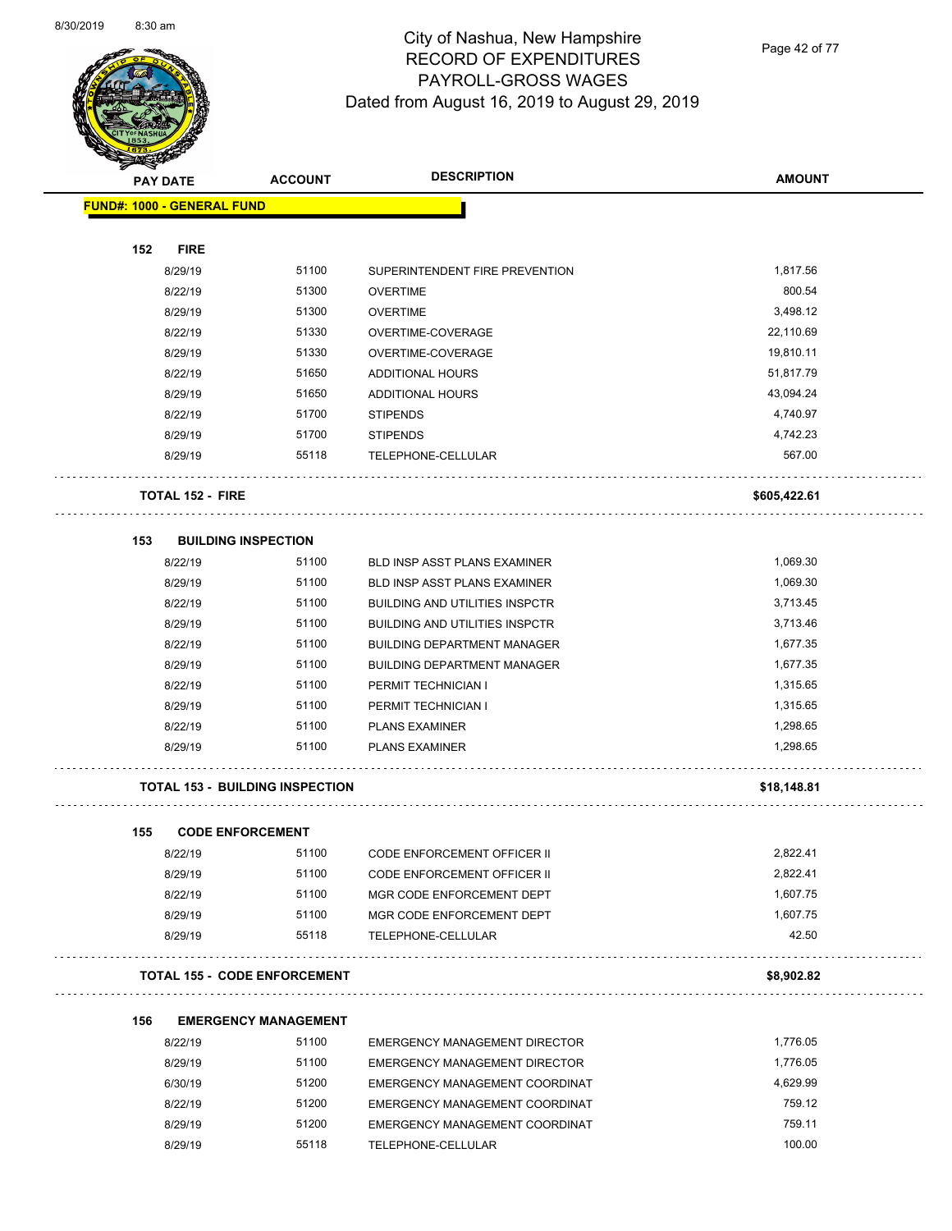$\overline{\phantom{0}}$ 



# City of Nashua, New Hampshire RECORD OF EXPENDITURES PAYROLL-GROSS WAGES Dated from August 16, 2019 to August 29, 2019

Page 42 of 77

| $\sum_{i=1}^n a_i$<br><b>PAY DATE</b> | <b>ACCOUNT</b>                         | <b>DESCRIPTION</b>                    | <b>AMOUNT</b> |
|---------------------------------------|----------------------------------------|---------------------------------------|---------------|
| <b>FUND#: 1000 - GENERAL FUND</b>     |                                        |                                       |               |
|                                       |                                        |                                       |               |
| 152<br><b>FIRE</b>                    |                                        |                                       |               |
| 8/29/19                               | 51100                                  | SUPERINTENDENT FIRE PREVENTION        | 1,817.56      |
| 8/22/19                               | 51300                                  | <b>OVERTIME</b>                       | 800.54        |
| 8/29/19                               | 51300                                  | <b>OVERTIME</b>                       | 3,498.12      |
| 8/22/19                               | 51330                                  | OVERTIME-COVERAGE                     | 22,110.69     |
| 8/29/19                               | 51330                                  | OVERTIME-COVERAGE                     | 19,810.11     |
| 8/22/19                               | 51650                                  | ADDITIONAL HOURS                      | 51,817.79     |
| 8/29/19                               | 51650                                  | ADDITIONAL HOURS                      | 43,094.24     |
| 8/22/19                               | 51700                                  | <b>STIPENDS</b>                       | 4,740.97      |
| 8/29/19                               | 51700                                  | <b>STIPENDS</b>                       | 4,742.23      |
| 8/29/19                               | 55118                                  | TELEPHONE-CELLULAR                    | 567.00        |
| <b>TOTAL 152 - FIRE</b>               |                                        |                                       | \$605,422.61  |
| 153                                   | <b>BUILDING INSPECTION</b>             |                                       |               |
| 8/22/19                               | 51100                                  | <b>BLD INSP ASST PLANS EXAMINER</b>   | 1,069.30      |
| 8/29/19                               | 51100                                  | <b>BLD INSP ASST PLANS EXAMINER</b>   | 1,069.30      |
| 8/22/19                               | 51100                                  | <b>BUILDING AND UTILITIES INSPCTR</b> | 3,713.45      |
| 8/29/19                               | 51100                                  | <b>BUILDING AND UTILITIES INSPCTR</b> | 3,713.46      |
| 8/22/19                               | 51100                                  | <b>BUILDING DEPARTMENT MANAGER</b>    | 1,677.35      |
| 8/29/19                               | 51100                                  | <b>BUILDING DEPARTMENT MANAGER</b>    | 1,677.35      |
| 8/22/19                               | 51100                                  | PERMIT TECHNICIAN I                   | 1,315.65      |
| 8/29/19                               | 51100                                  | PERMIT TECHNICIAN I                   | 1,315.65      |
| 8/22/19                               | 51100                                  | <b>PLANS EXAMINER</b>                 | 1,298.65      |
| 8/29/19                               | 51100                                  | <b>PLANS EXAMINER</b>                 | 1,298.65      |
|                                       | <b>TOTAL 153 - BUILDING INSPECTION</b> |                                       | \$18,148.81   |
| 155                                   | <b>CODE ENFORCEMENT</b>                |                                       |               |
| 8/22/19                               | 51100                                  | CODE ENFORCEMENT OFFICER II           | 2,822.41      |
| 8/29/19                               | 51100                                  | CODE ENFORCEMENT OFFICER II           | 2,822.41      |
| 8/22/19                               | 51100                                  | MGR CODE ENFORCEMENT DEPT             | 1,607.75      |
| 8/29/19                               | 51100                                  | MGR CODE ENFORCEMENT DEPT             | 1,607.75      |
| 8/29/19                               | 55118                                  | TELEPHONE-CELLULAR                    | 42.50         |
|                                       | <b>TOTAL 155 - CODE ENFORCEMENT</b>    |                                       | \$8,902.82    |
| 156                                   | <b>EMERGENCY MANAGEMENT</b>            |                                       |               |
| 8/22/19                               | 51100                                  | <b>EMERGENCY MANAGEMENT DIRECTOR</b>  | 1,776.05      |
| 8/29/19                               | 51100                                  | <b>EMERGENCY MANAGEMENT DIRECTOR</b>  | 1,776.05      |
| 6/30/19                               | 51200                                  | EMERGENCY MANAGEMENT COORDINAT        | 4,629.99      |
| 8/22/19                               | 51200                                  | EMERGENCY MANAGEMENT COORDINAT        | 759.12        |
| 8/29/19                               | 51200                                  | EMERGENCY MANAGEMENT COORDINAT        | 759.11        |

8/29/19 55118 TELEPHONE-CELLULAR 100.00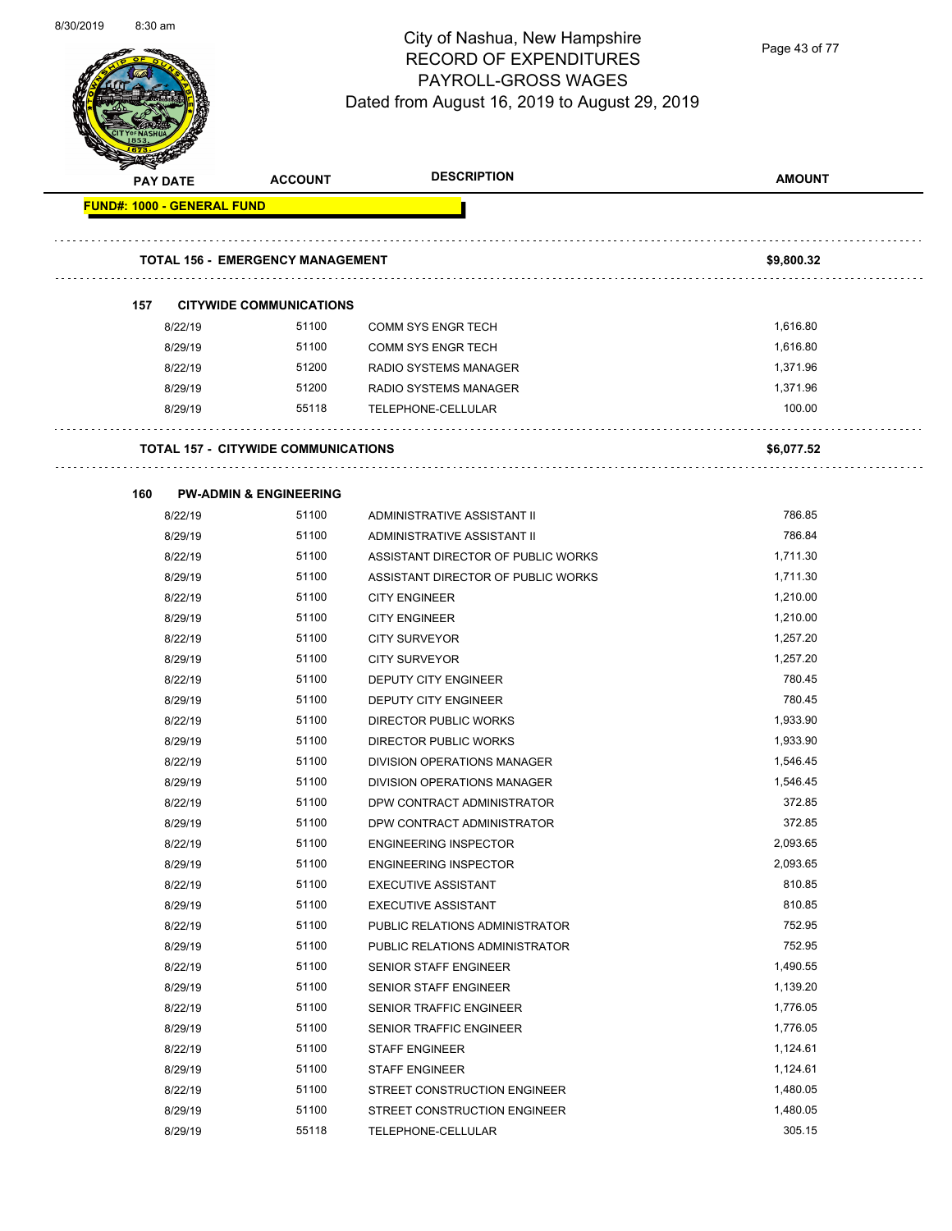

Page 43 of 77

|                                   | <b>PAY DATE</b> | <b>ACCOUNT</b>                             | <b>DESCRIPTION</b>                 | <b>AMOUNT</b> |  |
|-----------------------------------|-----------------|--------------------------------------------|------------------------------------|---------------|--|
| <b>FUND#: 1000 - GENERAL FUND</b> |                 |                                            |                                    |               |  |
|                                   |                 |                                            |                                    |               |  |
|                                   |                 | <b>TOTAL 156 - EMERGENCY MANAGEMENT</b>    |                                    | \$9,800.32    |  |
|                                   |                 |                                            |                                    |               |  |
| 157                               |                 | <b>CITYWIDE COMMUNICATIONS</b>             |                                    |               |  |
|                                   | 8/22/19         | 51100                                      | <b>COMM SYS ENGR TECH</b>          | 1,616.80      |  |
|                                   | 8/29/19         | 51100                                      | <b>COMM SYS ENGR TECH</b>          | 1,616.80      |  |
|                                   | 8/22/19         | 51200                                      | RADIO SYSTEMS MANAGER              | 1,371.96      |  |
|                                   | 8/29/19         | 51200                                      | RADIO SYSTEMS MANAGER              | 1,371.96      |  |
|                                   | 8/29/19         | 55118                                      | TELEPHONE-CELLULAR                 | 100.00        |  |
|                                   |                 | <b>TOTAL 157 - CITYWIDE COMMUNICATIONS</b> |                                    | \$6,077.52    |  |
| 160                               |                 | <b>PW-ADMIN &amp; ENGINEERING</b>          |                                    |               |  |
|                                   | 8/22/19         | 51100                                      | ADMINISTRATIVE ASSISTANT II        | 786.85        |  |
|                                   | 8/29/19         | 51100                                      | ADMINISTRATIVE ASSISTANT II        | 786.84        |  |
|                                   | 8/22/19         | 51100                                      | ASSISTANT DIRECTOR OF PUBLIC WORKS | 1,711.30      |  |
|                                   | 8/29/19         | 51100                                      | ASSISTANT DIRECTOR OF PUBLIC WORKS | 1,711.30      |  |
|                                   | 8/22/19         | 51100                                      | <b>CITY ENGINEER</b>               | 1,210.00      |  |
|                                   | 8/29/19         | 51100                                      | <b>CITY ENGINEER</b>               | 1,210.00      |  |
|                                   | 8/22/19         | 51100                                      | <b>CITY SURVEYOR</b>               | 1,257.20      |  |
|                                   | 8/29/19         | 51100                                      | <b>CITY SURVEYOR</b>               | 1,257.20      |  |
|                                   | 8/22/19         | 51100                                      | DEPUTY CITY ENGINEER               | 780.45        |  |
|                                   | 8/29/19         | 51100                                      | DEPUTY CITY ENGINEER               | 780.45        |  |
|                                   | 8/22/19         | 51100                                      | DIRECTOR PUBLIC WORKS              | 1,933.90      |  |
|                                   | 8/29/19         | 51100                                      | DIRECTOR PUBLIC WORKS              | 1,933.90      |  |
|                                   | 8/22/19         | 51100                                      | <b>DIVISION OPERATIONS MANAGER</b> | 1,546.45      |  |
|                                   | 8/29/19         | 51100                                      | <b>DIVISION OPERATIONS MANAGER</b> | 1,546.45      |  |
|                                   | 8/22/19         | 51100                                      | DPW CONTRACT ADMINISTRATOR         | 372.85        |  |
|                                   | 8/29/19         | 51100                                      | DPW CONTRACT ADMINISTRATOR         | 372.85        |  |
|                                   | 8/22/19         | 51100                                      | <b>ENGINEERING INSPECTOR</b>       | 2.093.65      |  |
|                                   | 8/29/19         | 51100                                      | <b>ENGINEERING INSPECTOR</b>       | 2,093.65      |  |
|                                   |                 | 51100                                      | <b>EXECUTIVE ASSISTANT</b>         | 810.85        |  |
|                                   | 8/22/19         | 51100                                      | <b>EXECUTIVE ASSISTANT</b>         | 810.85        |  |
|                                   | 8/29/19         | 51100                                      |                                    | 752.95        |  |
|                                   | 8/22/19         | 51100                                      | PUBLIC RELATIONS ADMINISTRATOR     | 752.95        |  |
|                                   | 8/29/19         |                                            | PUBLIC RELATIONS ADMINISTRATOR     |               |  |
|                                   | 8/22/19         | 51100                                      | SENIOR STAFF ENGINEER              | 1,490.55      |  |
|                                   | 8/29/19         | 51100                                      | SENIOR STAFF ENGINEER              | 1,139.20      |  |
|                                   | 8/22/19         | 51100                                      | SENIOR TRAFFIC ENGINEER            | 1,776.05      |  |
|                                   | 8/29/19         | 51100                                      | SENIOR TRAFFIC ENGINEER            | 1,776.05      |  |
|                                   | 8/22/19         | 51100                                      | <b>STAFF ENGINEER</b>              | 1,124.61      |  |
|                                   | 8/29/19         | 51100                                      | <b>STAFF ENGINEER</b>              | 1,124.61      |  |
|                                   | 8/22/19         | 51100                                      | STREET CONSTRUCTION ENGINEER       | 1,480.05      |  |
|                                   | 8/29/19         | 51100                                      | STREET CONSTRUCTION ENGINEER       | 1,480.05      |  |
|                                   | 8/29/19         | 55118                                      | TELEPHONE-CELLULAR                 | 305.15        |  |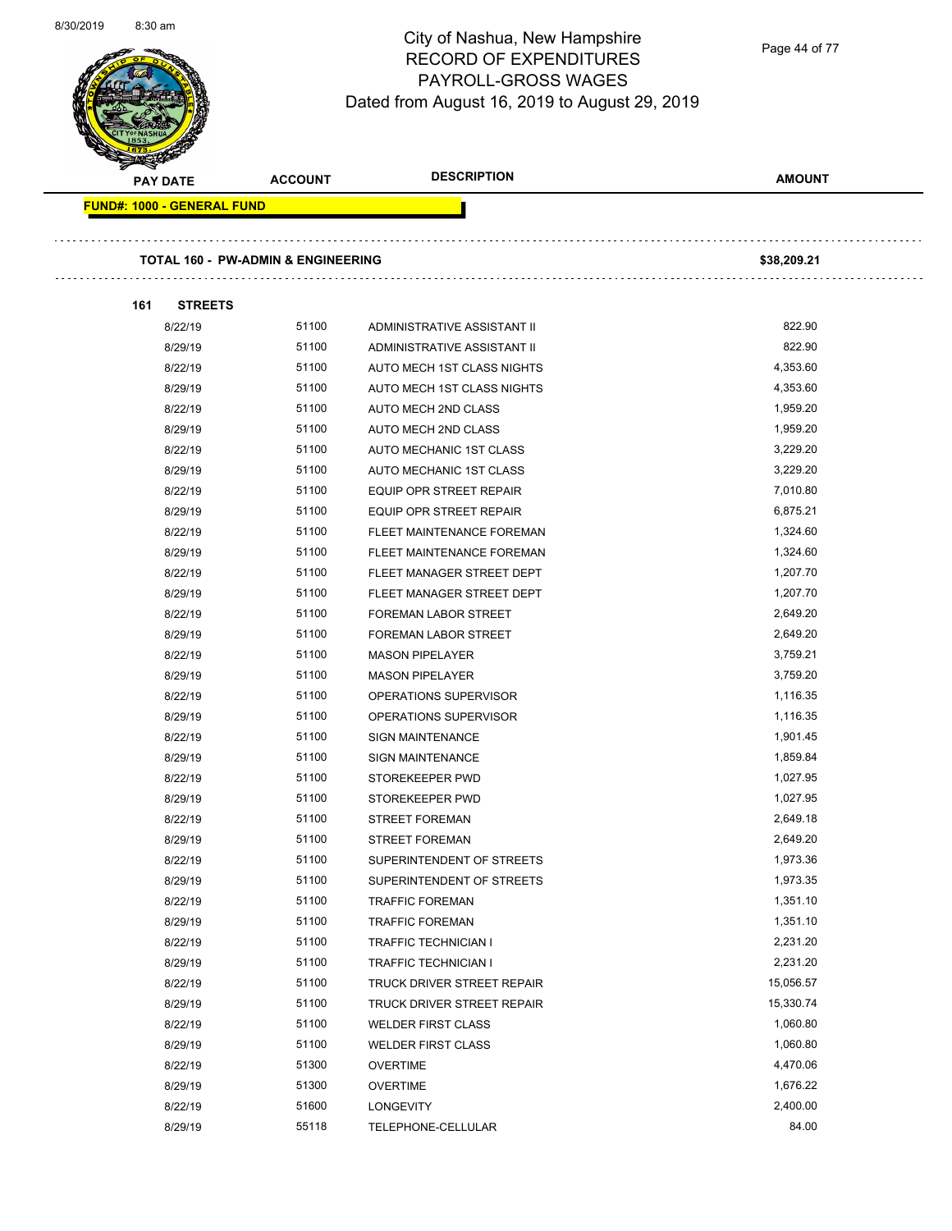Page 44 of 77

| <b>PAY DATE</b> |                                   | <b>ACCOUNT</b>                                | <b>DESCRIPTION</b>          | <b>AMOUNT</b> |
|-----------------|-----------------------------------|-----------------------------------------------|-----------------------------|---------------|
|                 | <b>FUND#: 1000 - GENERAL FUND</b> |                                               |                             |               |
|                 |                                   | <b>TOTAL 160 - PW-ADMIN &amp; ENGINEERING</b> |                             | \$38,209.21   |
| 161             | <b>STREETS</b>                    |                                               |                             |               |
|                 | 8/22/19                           | 51100                                         | ADMINISTRATIVE ASSISTANT II | 822.90        |
|                 | 8/29/19                           | 51100                                         | ADMINISTRATIVE ASSISTANT II | 822.90        |
|                 | 8/22/19                           | 51100                                         | AUTO MECH 1ST CLASS NIGHTS  | 4,353.60      |
|                 | 8/29/19                           | 51100                                         | AUTO MECH 1ST CLASS NIGHTS  | 4,353.60      |
|                 | 8/22/19                           | 51100                                         | AUTO MECH 2ND CLASS         | 1,959.20      |
|                 | 8/29/19                           | 51100                                         | AUTO MECH 2ND CLASS         | 1,959.20      |
|                 | 8/22/19                           | 51100                                         | AUTO MECHANIC 1ST CLASS     | 3,229.20      |
|                 | 8/29/19                           | 51100                                         | AUTO MECHANIC 1ST CLASS     | 3,229.20      |
|                 | 8/22/19                           | 51100                                         | EQUIP OPR STREET REPAIR     | 7,010.80      |
|                 | 8/29/19                           | 51100                                         | EQUIP OPR STREET REPAIR     | 6,875.21      |
|                 | 8/22/19                           | 51100                                         | FLEET MAINTENANCE FOREMAN   | 1,324.60      |
|                 | 8/29/19                           | 51100                                         | FLEET MAINTENANCE FOREMAN   | 1,324.60      |
|                 | 8/22/19                           | 51100                                         | FLEET MANAGER STREET DEPT   | 1,207.70      |
|                 | 8/29/19                           | 51100                                         | FLEET MANAGER STREET DEPT   | 1,207.70      |
|                 | 8/22/19                           | 51100                                         | <b>FOREMAN LABOR STREET</b> | 2,649.20      |
|                 | 8/29/19                           | 51100                                         | <b>FOREMAN LABOR STREET</b> | 2,649.20      |
|                 | 8/22/19                           | 51100                                         | <b>MASON PIPELAYER</b>      | 3,759.21      |
|                 | 8/29/19                           | 51100                                         | <b>MASON PIPELAYER</b>      | 3,759.20      |
|                 | 8/22/19                           | 51100                                         | OPERATIONS SUPERVISOR       | 1,116.35      |
|                 | 8/29/19                           | 51100                                         | OPERATIONS SUPERVISOR       | 1,116.35      |
|                 | 8/22/19                           | 51100                                         | <b>SIGN MAINTENANCE</b>     | 1,901.45      |
|                 | 8/29/19                           | 51100                                         | <b>SIGN MAINTENANCE</b>     | 1,859.84      |
|                 | 8/22/19                           | 51100                                         | STOREKEEPER PWD             | 1,027.95      |
|                 | 8/29/19                           | 51100                                         | STOREKEEPER PWD             | 1,027.95      |
|                 | 8/22/19                           | 51100                                         | <b>STREET FOREMAN</b>       | 2,649.18      |
|                 | 8/29/19                           | 51100                                         | STREET FOREMAN              | 2,649.20      |
|                 | 8/22/19                           | 51100                                         | SUPERINTENDENT OF STREETS   | 1,973.36      |
|                 | 8/29/19                           | 51100                                         | SUPERINTENDENT OF STREETS   | 1,973.35      |
|                 | 8/22/19                           | 51100                                         | <b>TRAFFIC FOREMAN</b>      | 1,351.10      |
|                 | 8/29/19                           | 51100                                         | <b>TRAFFIC FOREMAN</b>      | 1,351.10      |
|                 | 8/22/19                           | 51100                                         | <b>TRAFFIC TECHNICIAN I</b> | 2,231.20      |
|                 | 8/29/19                           | 51100                                         | TRAFFIC TECHNICIAN I        | 2,231.20      |
|                 | 8/22/19                           | 51100                                         | TRUCK DRIVER STREET REPAIR  | 15,056.57     |
|                 | 8/29/19                           | 51100                                         | TRUCK DRIVER STREET REPAIR  | 15,330.74     |
|                 | 8/22/19                           | 51100                                         | <b>WELDER FIRST CLASS</b>   | 1,060.80      |
|                 | 8/29/19                           | 51100                                         | <b>WELDER FIRST CLASS</b>   | 1,060.80      |
|                 | 8/22/19                           | 51300                                         | <b>OVERTIME</b>             | 4,470.06      |
|                 | 8/29/19                           | 51300                                         | <b>OVERTIME</b>             | 1,676.22      |
|                 | 8/22/19                           | 51600                                         | <b>LONGEVITY</b>            | 2,400.00      |
|                 | 8/29/19                           | 55118                                         | TELEPHONE-CELLULAR          | 84.00         |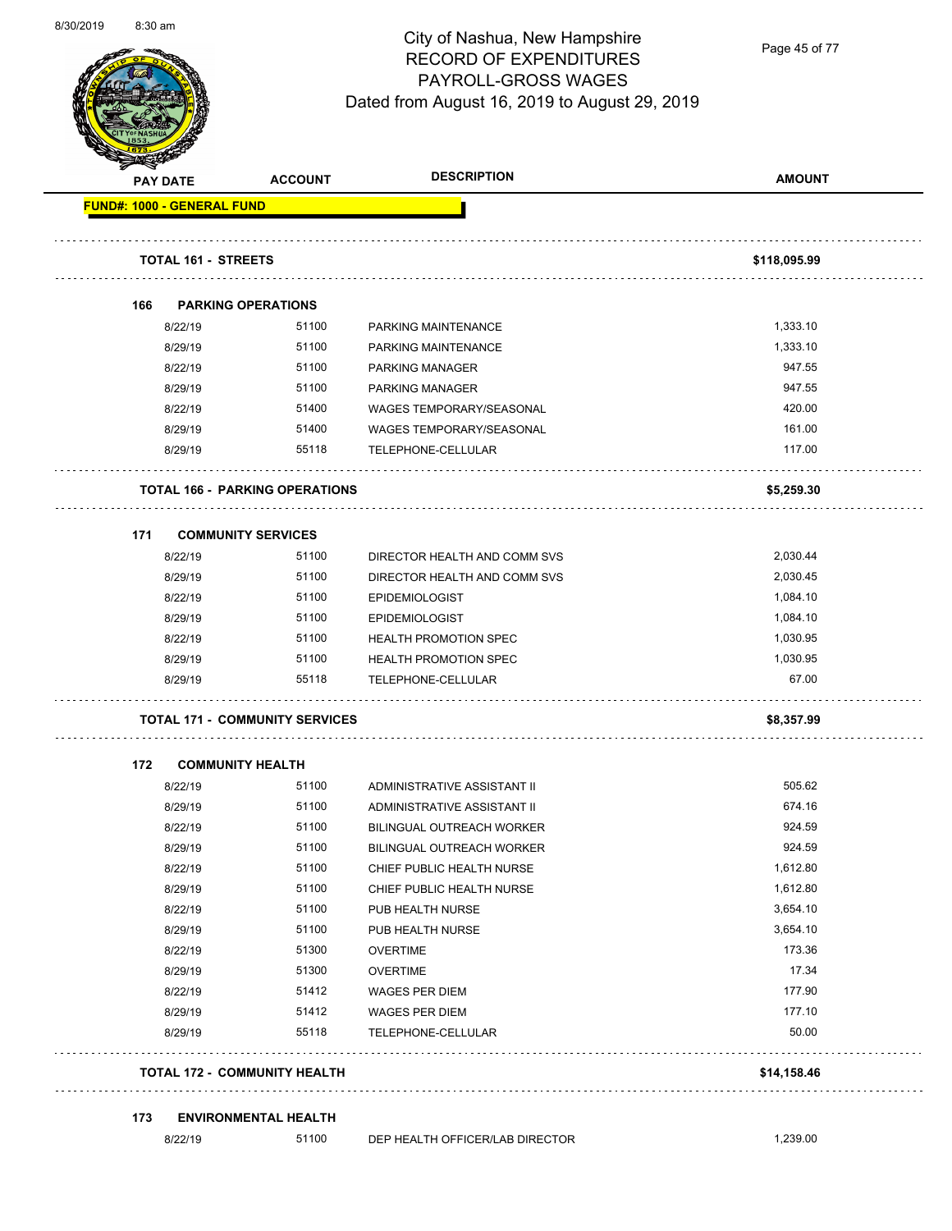

Page 45 of 77

| <b>PAY DATE</b>            |         | <b>ACCOUNT</b>                        | <b>DESCRIPTION</b>               | <b>AMOUNT</b> |
|----------------------------|---------|---------------------------------------|----------------------------------|---------------|
| FUND#: 1000 - GENERAL FUND |         |                                       |                                  |               |
|                            |         |                                       |                                  |               |
|                            |         | <b>TOTAL 161 - STREETS</b>            |                                  | \$118,095.99  |
| 166                        |         | <b>PARKING OPERATIONS</b>             |                                  |               |
|                            | 8/22/19 | 51100                                 | <b>PARKING MAINTENANCE</b>       | 1,333.10      |
|                            | 8/29/19 | 51100                                 | PARKING MAINTENANCE              | 1,333.10      |
|                            | 8/22/19 | 51100                                 | <b>PARKING MANAGER</b>           | 947.55        |
|                            | 8/29/19 | 51100                                 | <b>PARKING MANAGER</b>           | 947.55        |
|                            | 8/22/19 | 51400                                 | <b>WAGES TEMPORARY/SEASONAL</b>  | 420.00        |
|                            | 8/29/19 | 51400                                 | WAGES TEMPORARY/SEASONAL         | 161.00        |
|                            | 8/29/19 | 55118                                 | TELEPHONE-CELLULAR               | 117.00        |
|                            |         | <b>TOTAL 166 - PARKING OPERATIONS</b> |                                  | \$5,259.30    |
| 171                        |         | <b>COMMUNITY SERVICES</b>             |                                  |               |
|                            | 8/22/19 | 51100                                 | DIRECTOR HEALTH AND COMM SVS     | 2,030.44      |
|                            | 8/29/19 | 51100                                 | DIRECTOR HEALTH AND COMM SVS     | 2,030.45      |
|                            | 8/22/19 | 51100                                 | <b>EPIDEMIOLOGIST</b>            | 1,084.10      |
|                            | 8/29/19 | 51100                                 | <b>EPIDEMIOLOGIST</b>            | 1,084.10      |
|                            | 8/22/19 | 51100                                 | <b>HEALTH PROMOTION SPEC</b>     | 1,030.95      |
|                            | 8/29/19 | 51100                                 | <b>HEALTH PROMOTION SPEC</b>     | 1,030.95      |
|                            | 8/29/19 | 55118                                 | TELEPHONE-CELLULAR               | 67.00         |
|                            |         | <b>TOTAL 171 - COMMUNITY SERVICES</b> |                                  | \$8,357.99    |
| 172                        |         | <b>COMMUNITY HEALTH</b>               |                                  |               |
|                            | 8/22/19 | 51100                                 | ADMINISTRATIVE ASSISTANT II      | 505.62        |
|                            | 8/29/19 | 51100                                 | ADMINISTRATIVE ASSISTANT II      | 674.16        |
|                            | 8/22/19 | 51100                                 | <b>BILINGUAL OUTREACH WORKER</b> | 924.59        |
|                            | 8/29/19 | 51100                                 | BILINGUAL OUTREACH WORKER        | 924.59        |
|                            | 8/22/19 | 51100                                 | CHIEF PUBLIC HEALTH NURSE        | 1,612.80      |
|                            | 8/29/19 | 51100                                 | CHIEF PUBLIC HEALTH NURSE        | 1,612.80      |
|                            | 8/22/19 | 51100                                 | PUB HEALTH NURSE                 | 3,654.10      |
|                            | 8/29/19 | 51100                                 | PUB HEALTH NURSE                 | 3,654.10      |
|                            | 8/22/19 | 51300                                 | <b>OVERTIME</b>                  | 173.36        |
|                            | 8/29/19 | 51300                                 | <b>OVERTIME</b>                  | 17.34         |
|                            | 8/22/19 | 51412                                 | <b>WAGES PER DIEM</b>            | 177.90        |
|                            | 8/29/19 | 51412                                 | WAGES PER DIEM                   | 177.10        |
|                            | 8/29/19 | 55118                                 | TELEPHONE-CELLULAR               | 50.00         |
|                            |         | <b>TOTAL 172 - COMMUNITY HEALTH</b>   |                                  | \$14,158.46   |
| 173                        |         | <b>ENVIRONMENTAL HEALTH</b>           |                                  |               |
|                            | 8/22/19 | 51100                                 | DEP HEALTH OFFICER/LAB DIRECTOR  | 1,239.00      |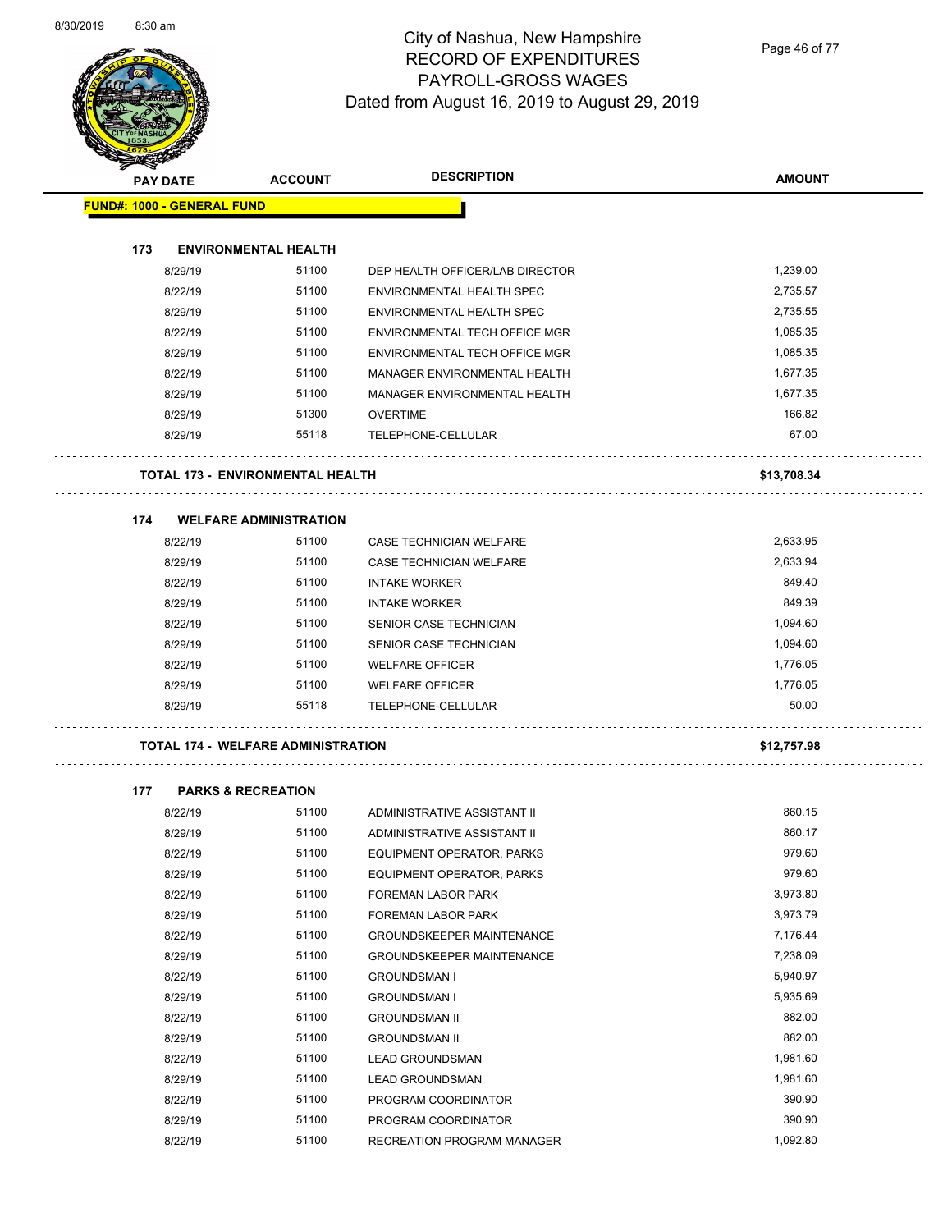

Page 46 of 77

|     | <b>RESERVED</b>                   |                                           |                                  |               |  |
|-----|-----------------------------------|-------------------------------------------|----------------------------------|---------------|--|
|     | <b>PAY DATE</b>                   |                                           | <b>DESCRIPTION</b>               | <b>AMOUNT</b> |  |
|     | <b>FUND#: 1000 - GENERAL FUND</b> |                                           |                                  |               |  |
|     |                                   |                                           |                                  |               |  |
| 173 |                                   | <b>ENVIRONMENTAL HEALTH</b>               |                                  |               |  |
|     | 8/29/19                           | 51100                                     | DEP HEALTH OFFICER/LAB DIRECTOR  | 1,239.00      |  |
|     | 8/22/19                           | 51100                                     | ENVIRONMENTAL HEALTH SPEC        | 2,735.57      |  |
|     | 8/29/19                           | 51100                                     | ENVIRONMENTAL HEALTH SPEC        | 2,735.55      |  |
|     | 8/22/19                           | 51100                                     | ENVIRONMENTAL TECH OFFICE MGR    | 1,085.35      |  |
|     | 8/29/19                           | 51100                                     | ENVIRONMENTAL TECH OFFICE MGR    | 1,085.35      |  |
|     | 8/22/19                           | 51100                                     | MANAGER ENVIRONMENTAL HEALTH     | 1,677.35      |  |
|     | 8/29/19                           | 51100                                     | MANAGER ENVIRONMENTAL HEALTH     | 1,677.35      |  |
|     | 8/29/19                           | 51300                                     | <b>OVERTIME</b>                  | 166.82        |  |
|     | 8/29/19                           | 55118                                     | TELEPHONE-CELLULAR               | 67.00         |  |
|     |                                   | <b>TOTAL 173 - ENVIRONMENTAL HEALTH</b>   |                                  | \$13,708.34   |  |
| 174 |                                   | <b>WELFARE ADMINISTRATION</b>             |                                  |               |  |
|     | 8/22/19                           | 51100                                     | CASE TECHNICIAN WELFARE          | 2,633.95      |  |
|     | 8/29/19                           | 51100                                     | <b>CASE TECHNICIAN WELFARE</b>   | 2,633.94      |  |
|     | 8/22/19                           | 51100                                     | <b>INTAKE WORKER</b>             | 849.40        |  |
|     | 8/29/19                           | 51100                                     | <b>INTAKE WORKER</b>             | 849.39        |  |
|     | 8/22/19                           | 51100                                     | SENIOR CASE TECHNICIAN           | 1,094.60      |  |
|     |                                   |                                           |                                  |               |  |
|     | 8/29/19                           | 51100                                     | SENIOR CASE TECHNICIAN           | 1,094.60      |  |
|     | 8/22/19                           | 51100                                     | <b>WELFARE OFFICER</b>           | 1,776.05      |  |
|     | 8/29/19                           | 51100                                     | <b>WELFARE OFFICER</b>           | 1,776.05      |  |
|     | 8/29/19                           | 55118                                     | TELEPHONE-CELLULAR               | 50.00         |  |
|     |                                   | <b>TOTAL 174 - WELFARE ADMINISTRATION</b> |                                  | \$12,757.98   |  |
| 177 | <b>PARKS &amp; RECREATION</b>     |                                           |                                  |               |  |
|     | 8/22/19                           | 51100                                     | ADMINISTRATIVE ASSISTANT II      | 860.15        |  |
|     | 8/29/19                           | 51100                                     | ADMINISTRATIVE ASSISTANT II      | 860.17        |  |
|     | 8/22/19                           | 51100                                     | EQUIPMENT OPERATOR, PARKS        | 979.60        |  |
|     | 8/29/19                           | 51100                                     | EQUIPMENT OPERATOR, PARKS        | 979.60        |  |
|     | 8/22/19                           | 51100                                     | FOREMAN LABOR PARK               | 3,973.80      |  |
|     | 8/29/19                           | 51100                                     | FOREMAN LABOR PARK               | 3,973.79      |  |
|     | 8/22/19                           | 51100                                     | <b>GROUNDSKEEPER MAINTENANCE</b> | 7,176.44      |  |
|     | 8/29/19                           | 51100                                     | GROUNDSKEEPER MAINTENANCE        | 7,238.09      |  |
|     | 8/22/19                           | 51100                                     | <b>GROUNDSMAN I</b>              | 5,940.97      |  |
|     | 8/29/19                           | 51100                                     | <b>GROUNDSMAN I</b>              | 5,935.69      |  |
|     | 8/22/19                           | 51100                                     | <b>GROUNDSMAN II</b>             | 882.00        |  |
|     | 8/29/19                           | 51100                                     | <b>GROUNDSMAN II</b>             | 882.00        |  |
|     | 8/22/19                           | 51100                                     | <b>LEAD GROUNDSMAN</b>           | 1,981.60      |  |
|     | 8/29/19                           | 51100                                     | <b>LEAD GROUNDSMAN</b>           | 1,981.60      |  |
|     | 8/22/19                           | 51100                                     | PROGRAM COORDINATOR              | 390.90        |  |
|     | 8/29/19                           | 51100                                     | PROGRAM COORDINATOR              | 390.90        |  |
|     | 8/22/19                           | 51100                                     |                                  | 1,092.80      |  |
|     |                                   |                                           | RECREATION PROGRAM MANAGER       |               |  |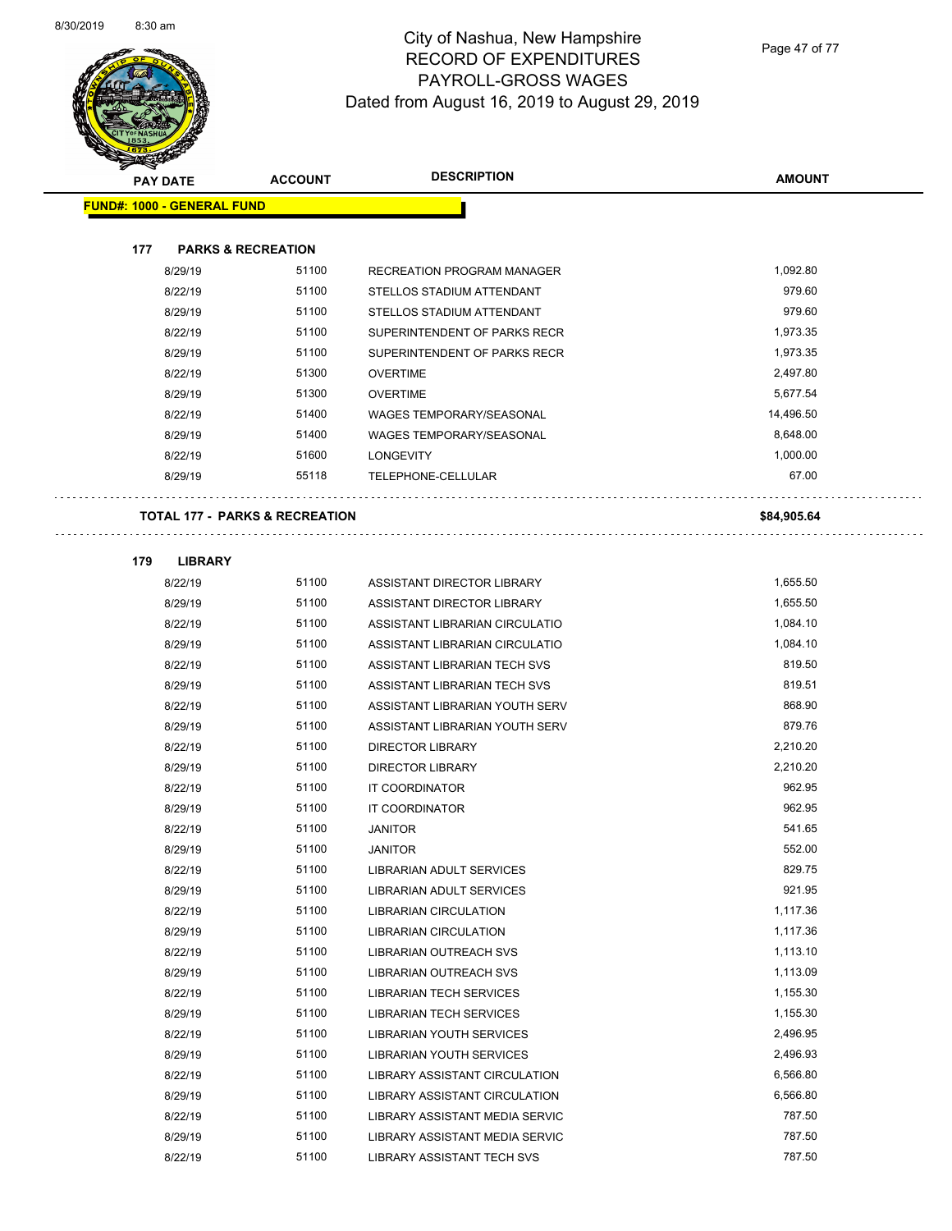$\overline{\phantom{0}}$ 



# City of Nashua, New Hampshire RECORD OF EXPENDITURES PAYROLL-GROSS WAGES Dated from August 16, 2019 to August 29, 2019

Page 47 of 77

|     | <b>PAY DATE</b>                           | <b>ACCOUNT</b> | <b>DESCRIPTION</b>               | <b>AMOUNT</b>        |
|-----|-------------------------------------------|----------------|----------------------------------|----------------------|
|     | <b>FUND#: 1000 - GENERAL FUND</b>         |                |                                  |                      |
|     |                                           |                |                                  |                      |
| 177 | <b>PARKS &amp; RECREATION</b>             |                |                                  |                      |
|     | 8/29/19                                   | 51100          | RECREATION PROGRAM MANAGER       | 1,092.80             |
|     | 8/22/19                                   | 51100          | STELLOS STADIUM ATTENDANT        | 979.60               |
|     | 8/29/19                                   | 51100          | STELLOS STADIUM ATTENDANT        | 979.60               |
|     | 8/22/19                                   | 51100          | SUPERINTENDENT OF PARKS RECR     | 1,973.35             |
|     | 8/29/19                                   | 51100          | SUPERINTENDENT OF PARKS RECR     | 1,973.35             |
|     | 8/22/19                                   | 51300          | <b>OVERTIME</b>                  | 2,497.80             |
|     | 8/29/19                                   | 51300          | <b>OVERTIME</b>                  | 5,677.54             |
|     | 8/22/19                                   | 51400          | <b>WAGES TEMPORARY/SEASONAL</b>  | 14,496.50            |
|     | 8/29/19                                   | 51400          | <b>WAGES TEMPORARY/SEASONAL</b>  | 8,648.00             |
|     | 8/22/19                                   | 51600          | <b>LONGEVITY</b>                 | 1,000.00             |
|     | 8/29/19                                   | 55118          | TELEPHONE-CELLULAR               | 67.00                |
|     |                                           |                |                                  |                      |
|     | <b>TOTAL 177 - PARKS &amp; RECREATION</b> |                |                                  | \$84,905.64          |
|     |                                           |                |                                  |                      |
| 179 | <b>LIBRARY</b>                            |                |                                  |                      |
|     | 8/22/19                                   | 51100          | ASSISTANT DIRECTOR LIBRARY       | 1,655.50             |
|     | 8/29/19                                   | 51100          | ASSISTANT DIRECTOR LIBRARY       | 1,655.50             |
|     | 8/22/19                                   | 51100          | ASSISTANT LIBRARIAN CIRCULATIO   | 1,084.10             |
|     | 8/29/19                                   | 51100          | ASSISTANT LIBRARIAN CIRCULATIO   | 1,084.10             |
|     | 8/22/19                                   | 51100          | ASSISTANT LIBRARIAN TECH SVS     | 819.50               |
|     | 8/29/19                                   | 51100          | ASSISTANT LIBRARIAN TECH SVS     | 819.51               |
|     | 8/22/19                                   | 51100          | ASSISTANT LIBRARIAN YOUTH SERV   | 868.90               |
|     | 8/29/19                                   | 51100          | ASSISTANT LIBRARIAN YOUTH SERV   | 879.76               |
|     | 8/22/19                                   | 51100<br>51100 | <b>DIRECTOR LIBRARY</b>          | 2,210.20<br>2,210.20 |
|     | 8/29/19                                   | 51100          | <b>DIRECTOR LIBRARY</b>          | 962.95               |
|     | 8/22/19                                   | 51100          | IT COORDINATOR                   | 962.95               |
|     | 8/29/19<br>8/22/19                        | 51100          | IT COORDINATOR<br><b>JANITOR</b> | 541.65               |
|     | 8/29/19                                   | 51100          | <b>JANITOR</b>                   | 552.00               |
|     | 8/22/19                                   | 51100          | <b>LIBRARIAN ADULT SERVICES</b>  | 829.75               |
|     | 8/29/19                                   | 51100          | <b>LIBRARIAN ADULT SERVICES</b>  | 921.95               |
|     | 8/22/19                                   | 51100          | <b>LIBRARIAN CIRCULATION</b>     | 1,117.36             |
|     | 8/29/19                                   | 51100          | LIBRARIAN CIRCULATION            | 1,117.36             |
|     | 8/22/19                                   | 51100          | LIBRARIAN OUTREACH SVS           | 1,113.10             |
|     | 8/29/19                                   | 51100          | <b>LIBRARIAN OUTREACH SVS</b>    | 1,113.09             |
|     | 8/22/19                                   | 51100          | <b>LIBRARIAN TECH SERVICES</b>   | 1,155.30             |
|     | 8/29/19                                   | 51100          | <b>LIBRARIAN TECH SERVICES</b>   | 1,155.30             |
|     | 8/22/19                                   | 51100          | <b>LIBRARIAN YOUTH SERVICES</b>  | 2,496.95             |
|     | 8/29/19                                   | 51100          | LIBRARIAN YOUTH SERVICES         | 2,496.93             |
|     | 8/22/19                                   | 51100          | LIBRARY ASSISTANT CIRCULATION    | 6,566.80             |
|     | 8/29/19                                   | 51100          | LIBRARY ASSISTANT CIRCULATION    | 6,566.80             |
|     | 8/22/19                                   | 51100          | LIBRARY ASSISTANT MEDIA SERVIC   | 787.50               |
|     | 8/29/19                                   | 51100          | LIBRARY ASSISTANT MEDIA SERVIC   | 787.50               |
|     | 8/22/19                                   | 51100          | LIBRARY ASSISTANT TECH SVS       | 787.50               |
|     |                                           |                |                                  |                      |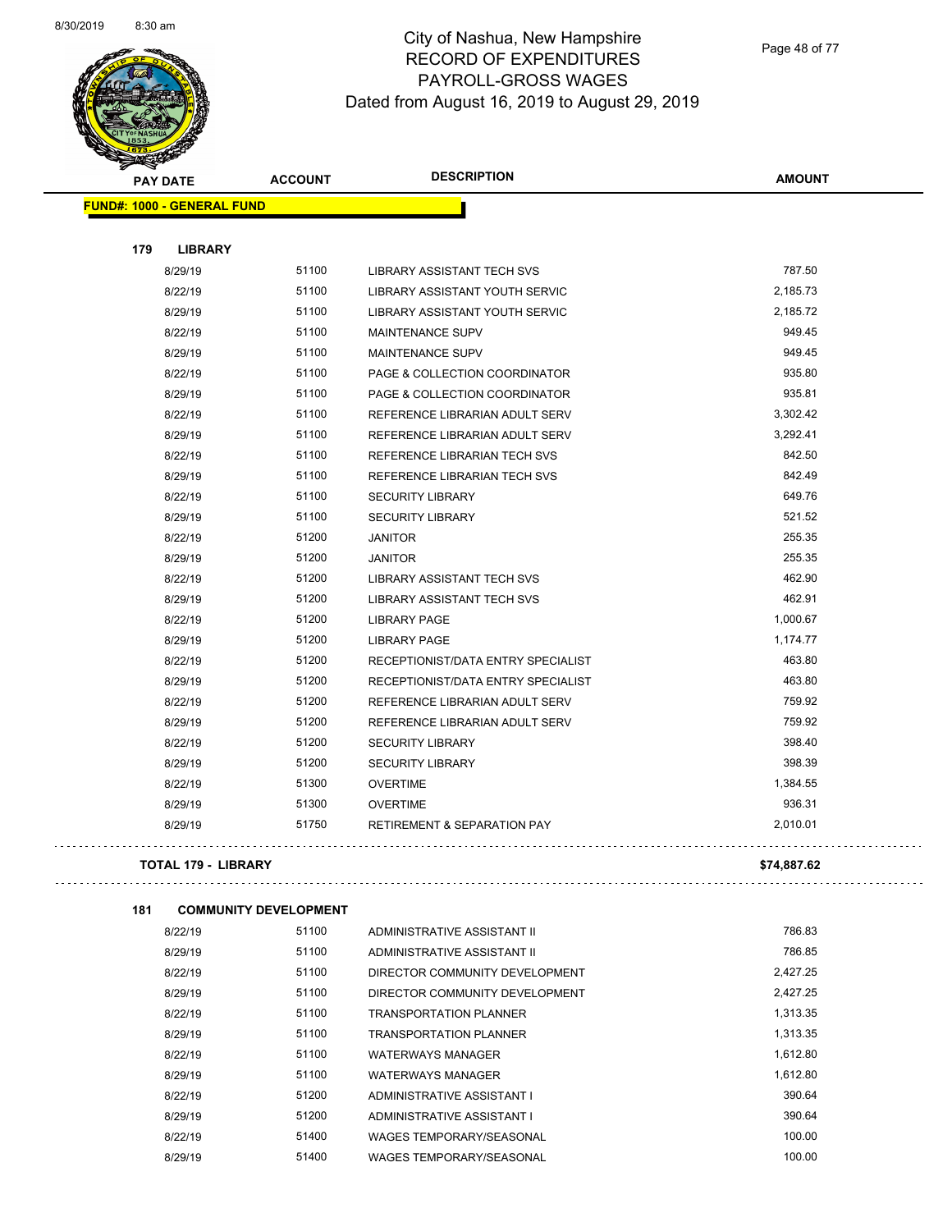

Page 48 of 77

|     | <b>PAY DATE</b>                   | <b>ACCOUNT</b> | <b>DESCRIPTION</b>                     | <b>AMOUNT</b> |
|-----|-----------------------------------|----------------|----------------------------------------|---------------|
|     | <b>FUND#: 1000 - GENERAL FUND</b> |                |                                        |               |
|     |                                   |                |                                        |               |
| 179 | <b>LIBRARY</b>                    |                |                                        |               |
|     | 8/29/19                           | 51100          | LIBRARY ASSISTANT TECH SVS             | 787.50        |
|     | 8/22/19                           | 51100          | LIBRARY ASSISTANT YOUTH SERVIC         | 2,185.73      |
|     | 8/29/19                           | 51100          | LIBRARY ASSISTANT YOUTH SERVIC         | 2,185.72      |
|     | 8/22/19                           | 51100          | <b>MAINTENANCE SUPV</b>                | 949.45        |
|     | 8/29/19                           | 51100          | <b>MAINTENANCE SUPV</b>                | 949.45        |
|     | 8/22/19                           | 51100          | PAGE & COLLECTION COORDINATOR          | 935.80        |
|     | 8/29/19                           | 51100          | PAGE & COLLECTION COORDINATOR          | 935.81        |
|     | 8/22/19                           | 51100          | REFERENCE LIBRARIAN ADULT SERV         | 3,302.42      |
|     | 8/29/19                           | 51100          | REFERENCE LIBRARIAN ADULT SERV         | 3,292.41      |
|     | 8/22/19                           | 51100          | REFERENCE LIBRARIAN TECH SVS           | 842.50        |
|     | 8/29/19                           | 51100          | REFERENCE LIBRARIAN TECH SVS           | 842.49        |
|     | 8/22/19                           | 51100          | <b>SECURITY LIBRARY</b>                | 649.76        |
|     | 8/29/19                           | 51100          | <b>SECURITY LIBRARY</b>                | 521.52        |
|     | 8/22/19                           | 51200          | <b>JANITOR</b>                         | 255.35        |
|     | 8/29/19                           | 51200          | <b>JANITOR</b>                         | 255.35        |
|     | 8/22/19                           | 51200          | LIBRARY ASSISTANT TECH SVS             | 462.90        |
|     | 8/29/19                           | 51200          | LIBRARY ASSISTANT TECH SVS             | 462.91        |
|     | 8/22/19                           | 51200          | <b>LIBRARY PAGE</b>                    | 1,000.67      |
|     | 8/29/19                           | 51200          | <b>LIBRARY PAGE</b>                    | 1,174.77      |
|     | 8/22/19                           | 51200          | RECEPTIONIST/DATA ENTRY SPECIALIST     | 463.80        |
|     | 8/29/19                           | 51200          | RECEPTIONIST/DATA ENTRY SPECIALIST     | 463.80        |
|     | 8/22/19                           | 51200          | REFERENCE LIBRARIAN ADULT SERV         | 759.92        |
|     | 8/29/19                           | 51200          | REFERENCE LIBRARIAN ADULT SERV         | 759.92        |
|     | 8/22/19                           | 51200          | <b>SECURITY LIBRARY</b>                | 398.40        |
|     | 8/29/19                           | 51200          | <b>SECURITY LIBRARY</b>                | 398.39        |
|     | 8/22/19                           | 51300          | <b>OVERTIME</b>                        | 1,384.55      |
|     | 8/29/19                           | 51300          | <b>OVERTIME</b>                        | 936.31        |
|     | 8/29/19                           | 51750          | <b>RETIREMENT &amp; SEPARATION PAY</b> | 2,010.01      |
|     |                                   |                |                                        |               |

#### **TOTAL 179 - LIBRARY \$74,887.62**

. . . . . . . . . . . . . .

```
181 COMMUNITY DEVELOPMENT
```

| 8/22/19 | 51100 | ADMINISTRATIVE ASSISTANT II     | 786.83   |
|---------|-------|---------------------------------|----------|
| 8/29/19 | 51100 | ADMINISTRATIVE ASSISTANT II     | 786.85   |
| 8/22/19 | 51100 | DIRECTOR COMMUNITY DEVELOPMENT  | 2.427.25 |
| 8/29/19 | 51100 | DIRECTOR COMMUNITY DEVELOPMENT  | 2.427.25 |
| 8/22/19 | 51100 | <b>TRANSPORTATION PLANNER</b>   | 1,313.35 |
| 8/29/19 | 51100 | <b>TRANSPORTATION PLANNER</b>   | 1.313.35 |
| 8/22/19 | 51100 | WATERWAYS MANAGER               | 1,612.80 |
| 8/29/19 | 51100 | <b>WATERWAYS MANAGER</b>        | 1,612.80 |
| 8/22/19 | 51200 | ADMINISTRATIVE ASSISTANT I      | 390.64   |
| 8/29/19 | 51200 | ADMINISTRATIVE ASSISTANT I      | 390.64   |
| 8/22/19 | 51400 | <b>WAGES TEMPORARY/SEASONAL</b> | 100.00   |
| 8/29/19 | 51400 | <b>WAGES TEMPORARY/SEASONAL</b> | 100.00   |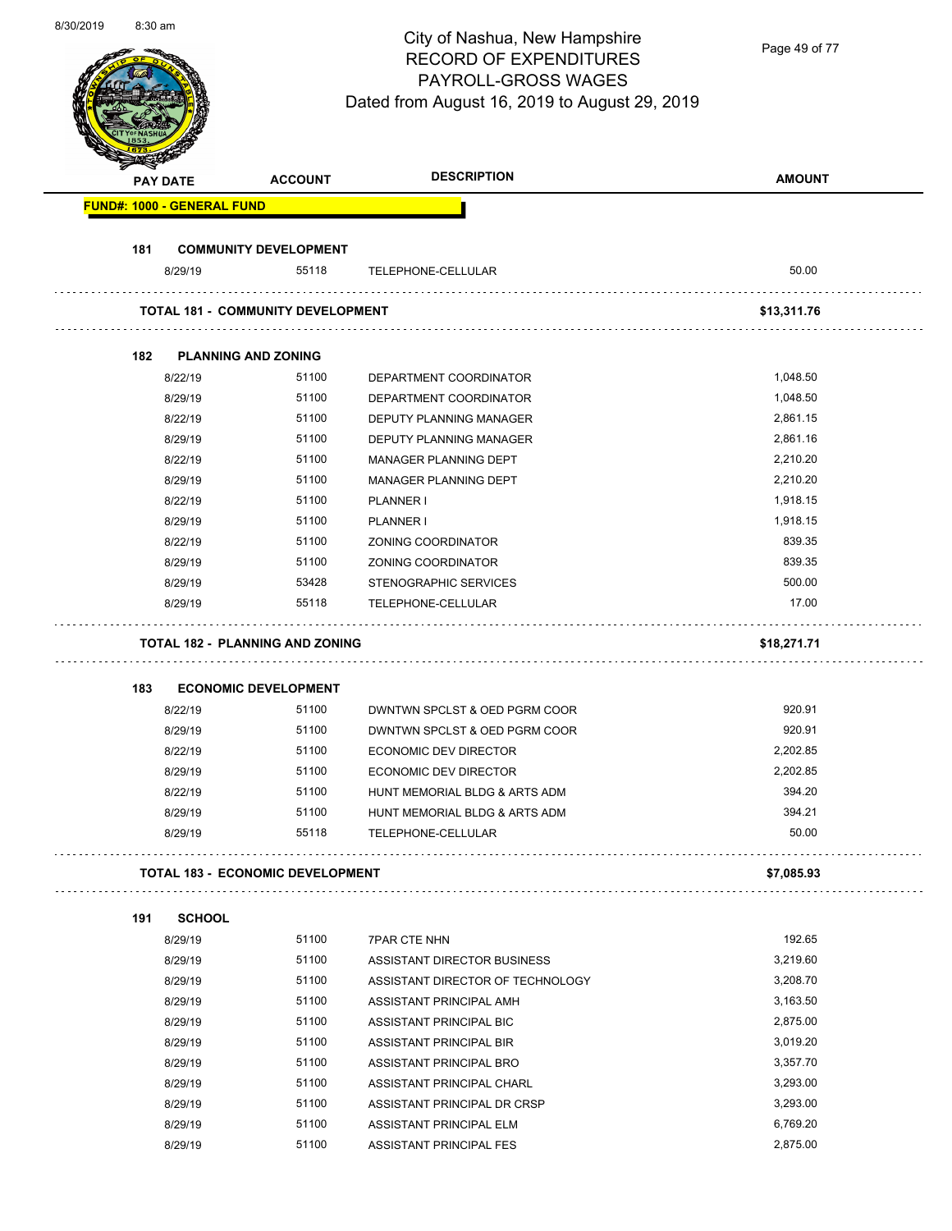| 8/30/2019 | $8:30$ am |                 |                                          | City of Nashua, New Hampshire<br><b>RECORD OF EXPENDITURES</b><br>PAYROLL-GROSS WAGES<br>Dated from August 16, 2019 to August 29, 2019 | Page 49 of 77 |
|-----------|-----------|-----------------|------------------------------------------|----------------------------------------------------------------------------------------------------------------------------------------|---------------|
|           |           | <b>PAY DATE</b> | <b>ACCOUNT</b>                           | <b>DESCRIPTION</b>                                                                                                                     | <b>AMOUNT</b> |
|           |           |                 | <b>FUND#: 1000 - GENERAL FUND</b>        |                                                                                                                                        |               |
|           |           |                 |                                          |                                                                                                                                        |               |
|           | 181       |                 | <b>COMMUNITY DEVELOPMENT</b>             |                                                                                                                                        |               |
|           |           | 8/29/19         | 55118                                    | TELEPHONE-CELLULAR                                                                                                                     | 50.00         |
|           |           |                 | <b>TOTAL 181 - COMMUNITY DEVELOPMENT</b> |                                                                                                                                        | \$13,311.76   |
|           | 182       |                 | <b>PLANNING AND ZONING</b>               |                                                                                                                                        |               |
|           |           | 8/22/19         | 51100                                    | DEPARTMENT COORDINATOR                                                                                                                 | 1,048.50      |
|           |           | 8/29/19         | 51100                                    | DEPARTMENT COORDINATOR                                                                                                                 | 1,048.50      |
|           |           | 8/22/19         | 51100                                    | DEPUTY PLANNING MANAGER                                                                                                                | 2,861.15      |
|           |           | 8/29/19         | 51100                                    | DEPUTY PLANNING MANAGER                                                                                                                | 2,861.16      |
|           |           | 8/22/19         | 51100                                    | MANAGER PLANNING DEPT                                                                                                                  | 2,210.20      |
|           |           | 8/29/19         | 51100                                    | MANAGER PLANNING DEPT                                                                                                                  | 2,210.20      |
|           |           | 8/22/19         | 51100                                    | PLANNER I                                                                                                                              | 1,918.15      |
|           |           | 8/29/19         | 51100                                    | PLANNER I                                                                                                                              | 1,918.15      |
|           |           | 8/22/19         | 51100                                    | ZONING COORDINATOR                                                                                                                     | 839.35        |
|           |           | 8/29/19         | 51100                                    | ZONING COORDINATOR                                                                                                                     | 839.35        |
|           |           | 8/29/19         | 53428                                    | STENOGRAPHIC SERVICES                                                                                                                  | 500.00        |
|           |           | 8/29/19         | 55118                                    | TELEPHONE-CELLULAR                                                                                                                     | 17.00         |
|           |           |                 |                                          |                                                                                                                                        |               |
|           |           |                 | <b>TOTAL 182 - PLANNING AND ZONING</b>   |                                                                                                                                        | \$18,271.71   |
|           | 183       |                 | <b>ECONOMIC DEVELOPMENT</b>              |                                                                                                                                        |               |
|           |           | 8/22/19         | 51100                                    | DWNTWN SPCLST & OED PGRM COOR                                                                                                          | 920.91        |
|           |           | 8/29/19         | 51100                                    | DWNTWN SPCLST & OED PGRM COOR                                                                                                          | 920.91        |
|           |           | 8/22/19         | 51100                                    | ECONOMIC DEV DIRECTOR                                                                                                                  | 2,202.85      |
|           |           | 8/29/19         | 51100                                    | <b>ECONOMIC DEV DIRECTOR</b>                                                                                                           | 2,202.85      |
|           |           | 8/22/19         | 51100                                    | HUNT MEMORIAL BLDG & ARTS ADM                                                                                                          | 394.20        |
|           |           | 8/29/19         | 51100                                    | HUNT MEMORIAL BLDG & ARTS ADM                                                                                                          | 394.21        |
|           |           | 8/29/19         | 55118                                    | TELEPHONE-CELLULAR                                                                                                                     | 50.00         |
|           |           |                 |                                          |                                                                                                                                        |               |
|           |           |                 | <b>TOTAL 183 - ECONOMIC DEVELOPMENT</b>  |                                                                                                                                        | \$7,085.93    |
|           | 191       | <b>SCHOOL</b>   |                                          |                                                                                                                                        |               |
|           |           | 8/29/19         | 51100                                    | <b>7PAR CTE NHN</b>                                                                                                                    | 192.65        |
|           |           | 8/29/19         | 51100                                    | ASSISTANT DIRECTOR BUSINESS                                                                                                            | 3,219.60      |
|           |           | 8/29/19         | 51100                                    | ASSISTANT DIRECTOR OF TECHNOLOGY                                                                                                       | 3,208.70      |
|           |           | 8/29/19         | 51100                                    | ASSISTANT PRINCIPAL AMH                                                                                                                | 3,163.50      |
|           |           | 8/29/19         | 51100                                    | ASSISTANT PRINCIPAL BIC                                                                                                                | 2,875.00      |
|           |           | 8/29/19         | 51100                                    | ASSISTANT PRINCIPAL BIR                                                                                                                | 3,019.20      |
|           |           | 8/29/19         | 51100                                    | ASSISTANT PRINCIPAL BRO                                                                                                                | 3,357.70      |
|           |           | 8/29/19         | 51100                                    | ASSISTANT PRINCIPAL CHARL                                                                                                              | 3,293.00      |
|           |           | 8/29/19         | 51100                                    | ASSISTANT PRINCIPAL DR CRSP                                                                                                            | 3,293.00      |
|           |           | 8/29/19         | 51100                                    | ASSISTANT PRINCIPAL ELM                                                                                                                | 6,769.20      |
|           |           | 8/29/19         | 51100                                    | ASSISTANT PRINCIPAL FES                                                                                                                | 2,875.00      |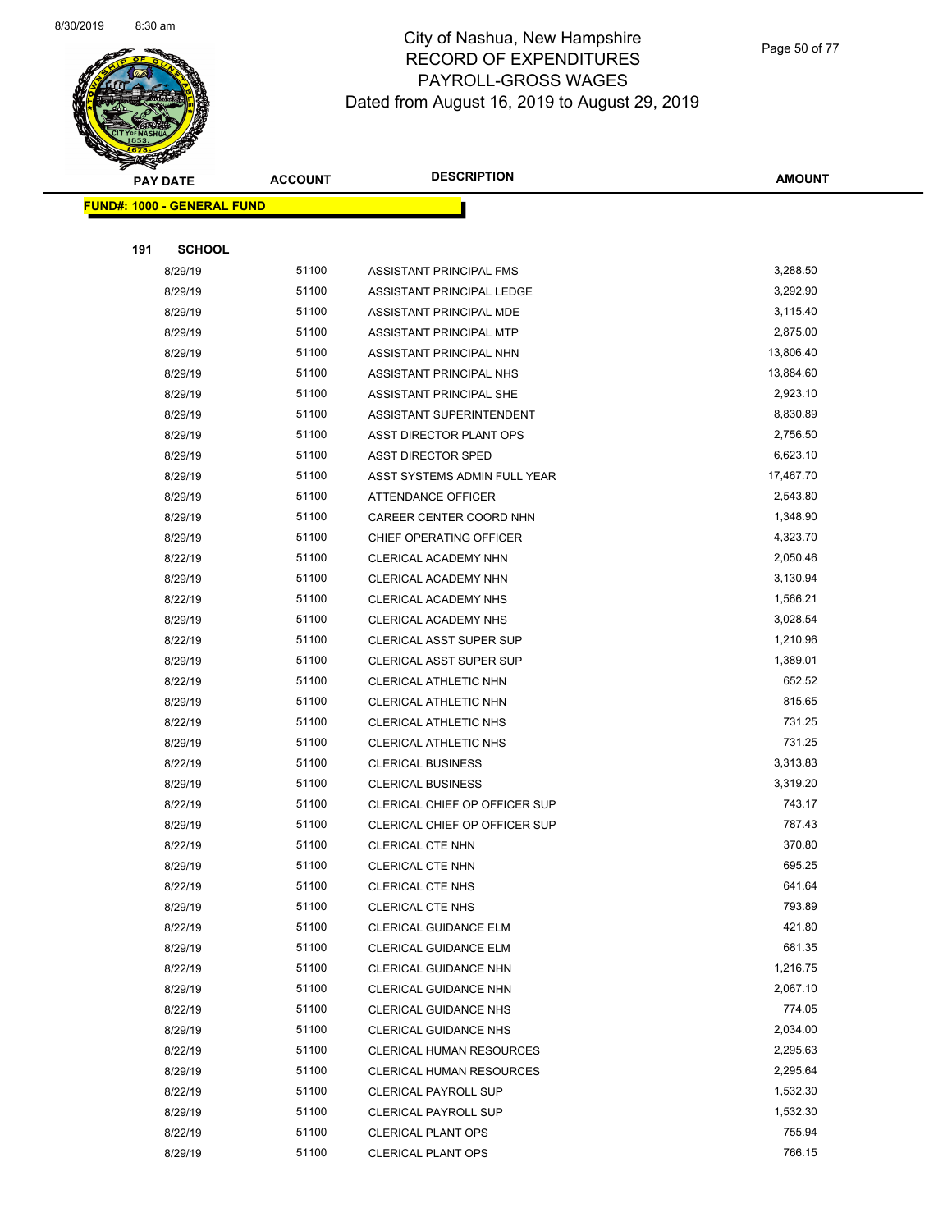

Page 50 of 77

|     | <b>PAY DATE</b>                   | <b>ACCOUNT</b> | <b>DESCRIPTION</b>                        | <b>AMOUNT</b>    |
|-----|-----------------------------------|----------------|-------------------------------------------|------------------|
|     | <b>FUND#: 1000 - GENERAL FUND</b> |                |                                           |                  |
|     |                                   |                |                                           |                  |
| 191 | <b>SCHOOL</b>                     |                |                                           |                  |
|     | 8/29/19                           | 51100          | ASSISTANT PRINCIPAL FMS                   | 3,288.50         |
|     | 8/29/19                           | 51100          | ASSISTANT PRINCIPAL LEDGE                 | 3,292.90         |
|     | 8/29/19                           | 51100          | ASSISTANT PRINCIPAL MDE                   | 3,115.40         |
|     | 8/29/19                           | 51100          | ASSISTANT PRINCIPAL MTP                   | 2,875.00         |
|     | 8/29/19                           | 51100          | ASSISTANT PRINCIPAL NHN                   | 13,806.40        |
|     | 8/29/19                           | 51100          | ASSISTANT PRINCIPAL NHS                   | 13,884.60        |
|     | 8/29/19                           | 51100          | ASSISTANT PRINCIPAL SHE                   | 2,923.10         |
|     | 8/29/19                           | 51100          | ASSISTANT SUPERINTENDENT                  | 8,830.89         |
|     | 8/29/19                           | 51100          | ASST DIRECTOR PLANT OPS                   | 2,756.50         |
|     | 8/29/19                           | 51100          | ASST DIRECTOR SPED                        | 6,623.10         |
|     | 8/29/19                           | 51100          | ASST SYSTEMS ADMIN FULL YEAR              | 17,467.70        |
|     | 8/29/19                           | 51100          | ATTENDANCE OFFICER                        | 2,543.80         |
|     | 8/29/19                           | 51100          | CAREER CENTER COORD NHN                   | 1,348.90         |
|     | 8/29/19                           | 51100          | CHIEF OPERATING OFFICER                   | 4,323.70         |
|     | 8/22/19                           | 51100          | CLERICAL ACADEMY NHN                      | 2,050.46         |
|     | 8/29/19                           | 51100          | CLERICAL ACADEMY NHN                      | 3,130.94         |
|     | 8/22/19                           | 51100          | <b>CLERICAL ACADEMY NHS</b>               | 1,566.21         |
|     | 8/29/19                           | 51100          | CLERICAL ACADEMY NHS                      | 3,028.54         |
|     | 8/22/19                           | 51100          | CLERICAL ASST SUPER SUP                   | 1,210.96         |
|     | 8/29/19                           | 51100          | <b>CLERICAL ASST SUPER SUP</b>            | 1,389.01         |
|     | 8/22/19                           | 51100          | CLERICAL ATHLETIC NHN                     | 652.52           |
|     | 8/29/19                           | 51100          | CLERICAL ATHLETIC NHN                     | 815.65           |
|     | 8/22/19                           | 51100          | CLERICAL ATHLETIC NHS                     | 731.25           |
|     | 8/29/19                           | 51100          | <b>CLERICAL ATHLETIC NHS</b>              | 731.25           |
|     | 8/22/19                           | 51100          | <b>CLERICAL BUSINESS</b>                  | 3,313.83         |
|     | 8/29/19                           | 51100          | <b>CLERICAL BUSINESS</b>                  | 3,319.20         |
|     | 8/22/19                           | 51100          | CLERICAL CHIEF OP OFFICER SUP             | 743.17           |
|     | 8/29/19                           | 51100          | CLERICAL CHIEF OP OFFICER SUP             | 787.43           |
|     | 8/22/19                           | 51100          | <b>CLERICAL CTE NHN</b>                   | 370.80           |
|     | 8/29/19                           | 51100          | <b>CLERICAL CTE NHN</b>                   | 695.25           |
|     | 8/22/19                           | 51100<br>51100 | CLERICAL CTE NHS                          | 641.64<br>793.89 |
|     | 8/29/19<br>8/22/19                | 51100          | CLERICAL CTE NHS<br>CLERICAL GUIDANCE ELM | 421.80           |
|     | 8/29/19                           | 51100          | CLERICAL GUIDANCE ELM                     | 681.35           |
|     | 8/22/19                           | 51100          | CLERICAL GUIDANCE NHN                     | 1,216.75         |
|     | 8/29/19                           | 51100          | <b>CLERICAL GUIDANCE NHN</b>              | 2,067.10         |
|     | 8/22/19                           | 51100          | <b>CLERICAL GUIDANCE NHS</b>              | 774.05           |
|     | 8/29/19                           | 51100          | <b>CLERICAL GUIDANCE NHS</b>              | 2,034.00         |
|     | 8/22/19                           | 51100          | CLERICAL HUMAN RESOURCES                  | 2,295.63         |
|     | 8/29/19                           | 51100          | <b>CLERICAL HUMAN RESOURCES</b>           | 2,295.64         |
|     | 8/22/19                           | 51100          | <b>CLERICAL PAYROLL SUP</b>               | 1,532.30         |
|     | 8/29/19                           | 51100          | <b>CLERICAL PAYROLL SUP</b>               | 1,532.30         |
|     | 8/22/19                           | 51100          | <b>CLERICAL PLANT OPS</b>                 | 755.94           |
|     | 8/29/19                           | 51100          | CLERICAL PLANT OPS                        | 766.15           |
|     |                                   |                |                                           |                  |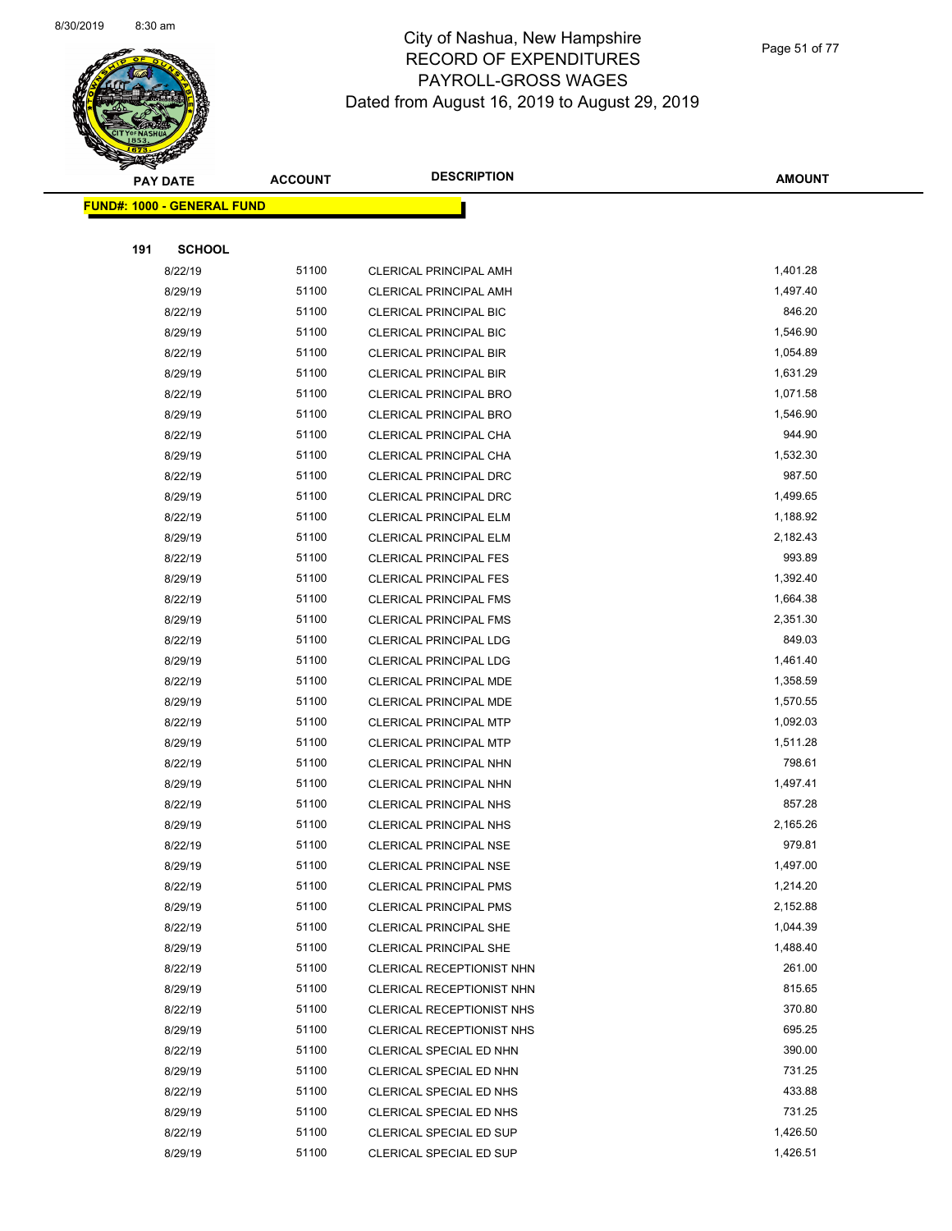

Page 51 of 77

| <b>PAY DATE</b> |                                   | <b>ACCOUNT</b> | <b>DESCRIPTION</b>                                 | <b>AMOUNT</b>    |
|-----------------|-----------------------------------|----------------|----------------------------------------------------|------------------|
|                 | <b>FUND#: 1000 - GENERAL FUND</b> |                |                                                    |                  |
|                 |                                   |                |                                                    |                  |
| 191             | <b>SCHOOL</b>                     |                |                                                    |                  |
|                 | 8/22/19                           | 51100          | CLERICAL PRINCIPAL AMH                             | 1,401.28         |
|                 | 8/29/19                           | 51100          | <b>CLERICAL PRINCIPAL AMH</b>                      | 1,497.40         |
|                 | 8/22/19                           | 51100          | <b>CLERICAL PRINCIPAL BIC</b>                      | 846.20           |
|                 | 8/29/19                           | 51100          | <b>CLERICAL PRINCIPAL BIC</b>                      | 1,546.90         |
|                 | 8/22/19                           | 51100          | <b>CLERICAL PRINCIPAL BIR</b>                      | 1,054.89         |
|                 | 8/29/19                           | 51100          | <b>CLERICAL PRINCIPAL BIR</b>                      | 1,631.29         |
|                 | 8/22/19                           | 51100          | <b>CLERICAL PRINCIPAL BRO</b>                      | 1,071.58         |
|                 | 8/29/19                           | 51100          | <b>CLERICAL PRINCIPAL BRO</b>                      | 1,546.90         |
|                 | 8/22/19                           | 51100          | CLERICAL PRINCIPAL CHA                             | 944.90           |
|                 | 8/29/19                           | 51100          | CLERICAL PRINCIPAL CHA                             | 1,532.30         |
|                 | 8/22/19                           | 51100          | CLERICAL PRINCIPAL DRC                             | 987.50           |
|                 | 8/29/19                           | 51100          | <b>CLERICAL PRINCIPAL DRC</b>                      | 1,499.65         |
|                 | 8/22/19                           | 51100          | <b>CLERICAL PRINCIPAL ELM</b>                      | 1,188.92         |
|                 | 8/29/19                           | 51100          | CLERICAL PRINCIPAL ELM                             | 2,182.43         |
|                 | 8/22/19                           | 51100          | <b>CLERICAL PRINCIPAL FES</b>                      | 993.89           |
|                 | 8/29/19                           | 51100          | <b>CLERICAL PRINCIPAL FES</b>                      | 1,392.40         |
|                 | 8/22/19                           | 51100          | <b>CLERICAL PRINCIPAL FMS</b>                      | 1,664.38         |
|                 | 8/29/19                           | 51100          | <b>CLERICAL PRINCIPAL FMS</b>                      | 2,351.30         |
|                 | 8/22/19                           | 51100          | <b>CLERICAL PRINCIPAL LDG</b>                      | 849.03           |
|                 | 8/29/19                           | 51100          | <b>CLERICAL PRINCIPAL LDG</b>                      | 1,461.40         |
|                 | 8/22/19                           | 51100          | CLERICAL PRINCIPAL MDE                             | 1,358.59         |
|                 | 8/29/19                           | 51100          | CLERICAL PRINCIPAL MDE                             | 1,570.55         |
|                 | 8/22/19                           | 51100          | <b>CLERICAL PRINCIPAL MTP</b>                      | 1,092.03         |
|                 | 8/29/19                           | 51100          | <b>CLERICAL PRINCIPAL MTP</b>                      | 1,511.28         |
|                 | 8/22/19                           | 51100          | CLERICAL PRINCIPAL NHN                             | 798.61           |
|                 | 8/29/19                           | 51100          | CLERICAL PRINCIPAL NHN                             | 1,497.41         |
|                 | 8/22/19                           | 51100          | <b>CLERICAL PRINCIPAL NHS</b>                      | 857.28           |
|                 | 8/29/19                           | 51100          | <b>CLERICAL PRINCIPAL NHS</b>                      | 2,165.26         |
|                 | 8/22/19                           | 51100          | <b>CLERICAL PRINCIPAL NSE</b>                      | 979.81           |
|                 | 8/29/19                           | 51100          | <b>CLERICAL PRINCIPAL NSE</b>                      | 1,497.00         |
|                 | 8/22/19                           | 51100          | <b>CLERICAL PRINCIPAL PMS</b>                      | 1,214.20         |
|                 | 8/29/19                           | 51100          | <b>CLERICAL PRINCIPAL PMS</b>                      | 2,152.88         |
|                 | 8/22/19                           | 51100          | <b>CLERICAL PRINCIPAL SHE</b>                      | 1,044.39         |
|                 | 8/29/19                           | 51100          | <b>CLERICAL PRINCIPAL SHE</b>                      | 1,488.40         |
|                 | 8/22/19                           | 51100          | CLERICAL RECEPTIONIST NHN                          | 261.00           |
|                 | 8/29/19                           | 51100          | CLERICAL RECEPTIONIST NHN                          | 815.65           |
|                 | 8/22/19                           | 51100          | CLERICAL RECEPTIONIST NHS                          | 370.80           |
|                 | 8/29/19                           | 51100          | CLERICAL RECEPTIONIST NHS                          | 695.25           |
|                 | 8/22/19                           | 51100          | CLERICAL SPECIAL ED NHN                            | 390.00<br>731.25 |
|                 | 8/29/19                           | 51100<br>51100 | CLERICAL SPECIAL ED NHN                            | 433.88           |
|                 | 8/22/19                           | 51100          | CLERICAL SPECIAL ED NHS                            | 731.25           |
|                 | 8/29/19<br>8/22/19                | 51100          | CLERICAL SPECIAL ED NHS<br>CLERICAL SPECIAL ED SUP | 1,426.50         |
|                 | 8/29/19                           | 51100          | CLERICAL SPECIAL ED SUP                            | 1,426.51         |
|                 |                                   |                |                                                    |                  |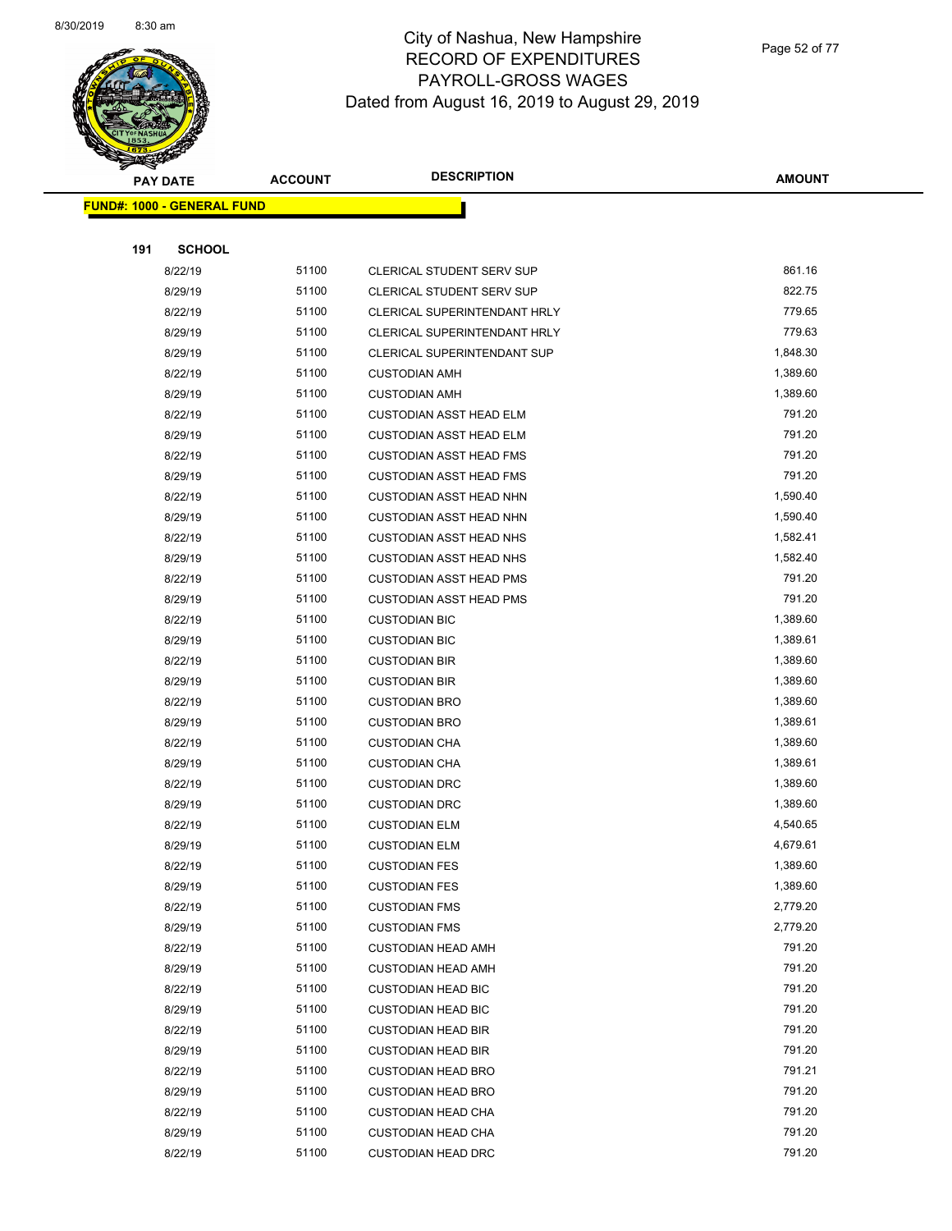

Page 52 of 77

| <b>PAY DATE</b> |                                   | <b>ACCOUNT</b> | <b>DESCRIPTION</b>             | <b>AMOUNT</b> |
|-----------------|-----------------------------------|----------------|--------------------------------|---------------|
|                 | <b>FUND#: 1000 - GENERAL FUND</b> |                |                                |               |
|                 |                                   |                |                                |               |
| 191             | <b>SCHOOL</b>                     |                |                                |               |
|                 | 8/22/19                           | 51100          | CLERICAL STUDENT SERV SUP      | 861.16        |
|                 | 8/29/19                           | 51100          | CLERICAL STUDENT SERV SUP      | 822.75        |
|                 | 8/22/19                           | 51100          | CLERICAL SUPERINTENDANT HRLY   | 779.65        |
|                 | 8/29/19                           | 51100          | CLERICAL SUPERINTENDANT HRLY   | 779.63        |
|                 | 8/29/19                           | 51100          | CLERICAL SUPERINTENDANT SUP    | 1,848.30      |
|                 | 8/22/19                           | 51100          | <b>CUSTODIAN AMH</b>           | 1,389.60      |
|                 | 8/29/19                           | 51100          | <b>CUSTODIAN AMH</b>           | 1,389.60      |
|                 | 8/22/19                           | 51100          | <b>CUSTODIAN ASST HEAD ELM</b> | 791.20        |
|                 | 8/29/19                           | 51100          | <b>CUSTODIAN ASST HEAD ELM</b> | 791.20        |
|                 | 8/22/19                           | 51100          | <b>CUSTODIAN ASST HEAD FMS</b> | 791.20        |
|                 | 8/29/19                           | 51100          | <b>CUSTODIAN ASST HEAD FMS</b> | 791.20        |
|                 | 8/22/19                           | 51100          | <b>CUSTODIAN ASST HEAD NHN</b> | 1,590.40      |
|                 | 8/29/19                           | 51100          | <b>CUSTODIAN ASST HEAD NHN</b> | 1,590.40      |
|                 | 8/22/19                           | 51100          | <b>CUSTODIAN ASST HEAD NHS</b> | 1,582.41      |
|                 | 8/29/19                           | 51100          | <b>CUSTODIAN ASST HEAD NHS</b> | 1,582.40      |
|                 | 8/22/19                           | 51100          | <b>CUSTODIAN ASST HEAD PMS</b> | 791.20        |
|                 | 8/29/19                           | 51100          | <b>CUSTODIAN ASST HEAD PMS</b> | 791.20        |
|                 | 8/22/19                           | 51100          | <b>CUSTODIAN BIC</b>           | 1,389.60      |
|                 | 8/29/19                           | 51100          | <b>CUSTODIAN BIC</b>           | 1,389.61      |
|                 | 8/22/19                           | 51100          | <b>CUSTODIAN BIR</b>           | 1,389.60      |
|                 | 8/29/19                           | 51100          | <b>CUSTODIAN BIR</b>           | 1,389.60      |
|                 | 8/22/19                           | 51100          | <b>CUSTODIAN BRO</b>           | 1,389.60      |
|                 | 8/29/19                           | 51100          | <b>CUSTODIAN BRO</b>           | 1,389.61      |
|                 | 8/22/19                           | 51100          | <b>CUSTODIAN CHA</b>           | 1,389.60      |
|                 | 8/29/19                           | 51100          | <b>CUSTODIAN CHA</b>           | 1,389.61      |
|                 | 8/22/19                           | 51100          | <b>CUSTODIAN DRC</b>           | 1,389.60      |
|                 | 8/29/19                           | 51100          | <b>CUSTODIAN DRC</b>           | 1,389.60      |
|                 | 8/22/19                           | 51100          | <b>CUSTODIAN ELM</b>           | 4,540.65      |
|                 | 8/29/19                           | 51100          | <b>CUSTODIAN ELM</b>           | 4,679.61      |
|                 | 8/22/19                           | 51100          | <b>CUSTODIAN FES</b>           | 1,389.60      |
|                 | 8/29/19                           | 51100          | <b>CUSTODIAN FES</b>           | 1,389.60      |
|                 | 8/22/19                           | 51100          | <b>CUSTODIAN FMS</b>           | 2,779.20      |
|                 | 8/29/19                           | 51100          | <b>CUSTODIAN FMS</b>           | 2,779.20      |
|                 | 8/22/19                           | 51100          | <b>CUSTODIAN HEAD AMH</b>      | 791.20        |
|                 | 8/29/19                           | 51100          | <b>CUSTODIAN HEAD AMH</b>      | 791.20        |
|                 | 8/22/19                           | 51100          | <b>CUSTODIAN HEAD BIC</b>      | 791.20        |
|                 | 8/29/19                           | 51100          | <b>CUSTODIAN HEAD BIC</b>      | 791.20        |
|                 | 8/22/19                           | 51100          | <b>CUSTODIAN HEAD BIR</b>      | 791.20        |
|                 | 8/29/19                           | 51100          | <b>CUSTODIAN HEAD BIR</b>      | 791.20        |
|                 | 8/22/19                           | 51100          | <b>CUSTODIAN HEAD BRO</b>      | 791.21        |
|                 | 8/29/19                           | 51100          | <b>CUSTODIAN HEAD BRO</b>      | 791.20        |
|                 | 8/22/19                           | 51100          | <b>CUSTODIAN HEAD CHA</b>      | 791.20        |
|                 | 8/29/19                           | 51100          | <b>CUSTODIAN HEAD CHA</b>      | 791.20        |
|                 | 8/22/19                           | 51100          | <b>CUSTODIAN HEAD DRC</b>      | 791.20        |
|                 |                                   |                |                                |               |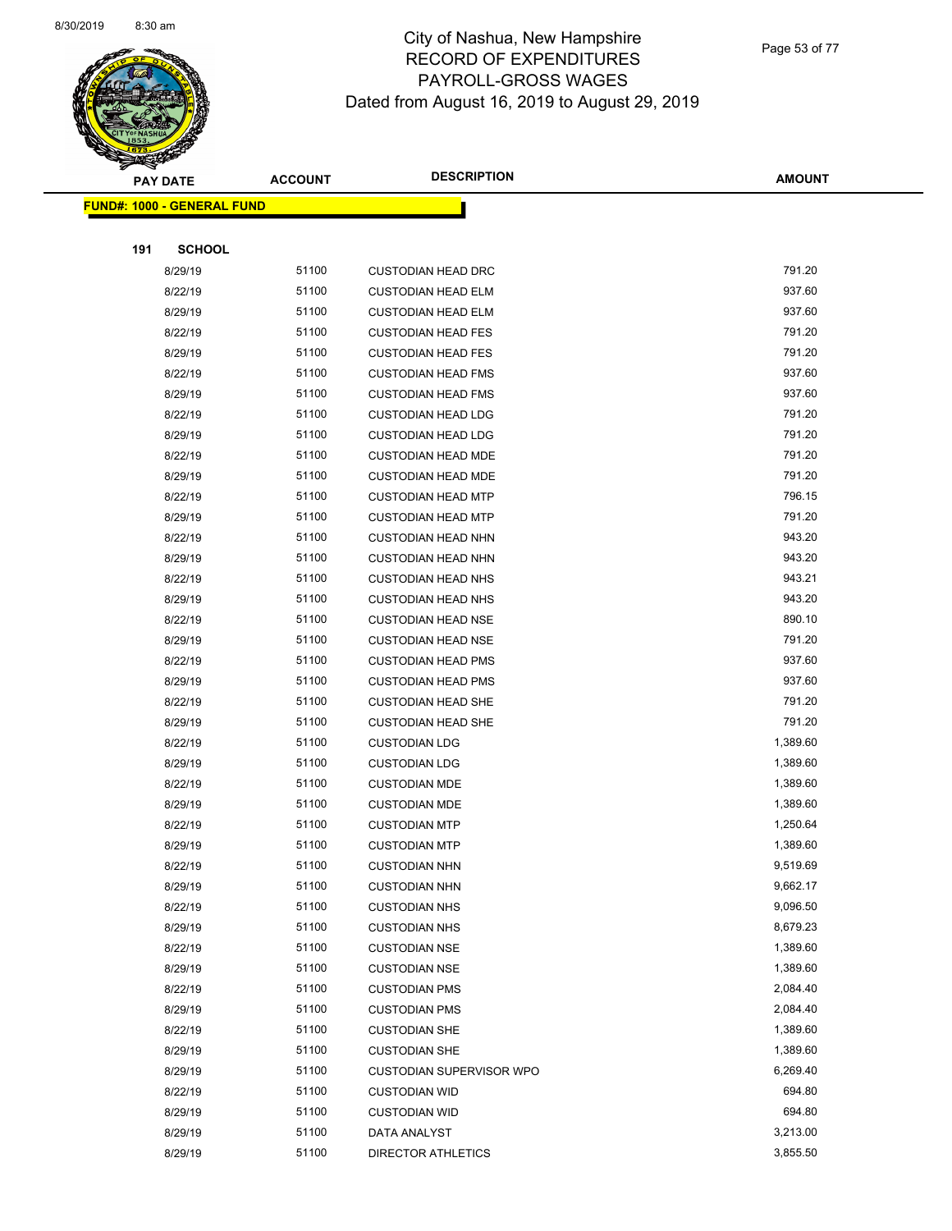

Page 53 of 77

|     | <b>PAY DATE</b>                    | <b>ACCOUNT</b> | <b>DESCRIPTION</b>              | <b>AMOUNT</b> |
|-----|------------------------------------|----------------|---------------------------------|---------------|
|     | <u> FUND#: 1000 - GENERAL FUND</u> |                |                                 |               |
|     |                                    |                |                                 |               |
| 191 | <b>SCHOOL</b>                      |                |                                 |               |
|     | 8/29/19                            | 51100          | <b>CUSTODIAN HEAD DRC</b>       | 791.20        |
|     | 8/22/19                            | 51100          | <b>CUSTODIAN HEAD ELM</b>       | 937.60        |
|     | 8/29/19                            | 51100          | <b>CUSTODIAN HEAD ELM</b>       | 937.60        |
|     | 8/22/19                            | 51100          | <b>CUSTODIAN HEAD FES</b>       | 791.20        |
|     | 8/29/19                            | 51100          | <b>CUSTODIAN HEAD FES</b>       | 791.20        |
|     | 8/22/19                            | 51100          | <b>CUSTODIAN HEAD FMS</b>       | 937.60        |
|     | 8/29/19                            | 51100          | <b>CUSTODIAN HEAD FMS</b>       | 937.60        |
|     | 8/22/19                            | 51100          | <b>CUSTODIAN HEAD LDG</b>       | 791.20        |
|     | 8/29/19                            | 51100          | <b>CUSTODIAN HEAD LDG</b>       | 791.20        |
|     | 8/22/19                            | 51100          | <b>CUSTODIAN HEAD MDE</b>       | 791.20        |
|     | 8/29/19                            | 51100          | <b>CUSTODIAN HEAD MDE</b>       | 791.20        |
|     | 8/22/19                            | 51100          | <b>CUSTODIAN HEAD MTP</b>       | 796.15        |
|     | 8/29/19                            | 51100          | <b>CUSTODIAN HEAD MTP</b>       | 791.20        |
|     | 8/22/19                            | 51100          | <b>CUSTODIAN HEAD NHN</b>       | 943.20        |
|     | 8/29/19                            | 51100          | <b>CUSTODIAN HEAD NHN</b>       | 943.20        |
|     | 8/22/19                            | 51100          | <b>CUSTODIAN HEAD NHS</b>       | 943.21        |
|     | 8/29/19                            | 51100          | <b>CUSTODIAN HEAD NHS</b>       | 943.20        |
|     | 8/22/19                            | 51100          | <b>CUSTODIAN HEAD NSE</b>       | 890.10        |
|     | 8/29/19                            | 51100          | <b>CUSTODIAN HEAD NSE</b>       | 791.20        |
|     | 8/22/19                            | 51100          | <b>CUSTODIAN HEAD PMS</b>       | 937.60        |
|     | 8/29/19                            | 51100          | <b>CUSTODIAN HEAD PMS</b>       | 937.60        |
|     | 8/22/19                            | 51100          | <b>CUSTODIAN HEAD SHE</b>       | 791.20        |
|     | 8/29/19                            | 51100          | <b>CUSTODIAN HEAD SHE</b>       | 791.20        |
|     | 8/22/19                            | 51100          | <b>CUSTODIAN LDG</b>            | 1,389.60      |
|     | 8/29/19                            | 51100          | <b>CUSTODIAN LDG</b>            | 1,389.60      |
|     | 8/22/19                            | 51100          | <b>CUSTODIAN MDE</b>            | 1,389.60      |
|     | 8/29/19                            | 51100          | <b>CUSTODIAN MDE</b>            | 1,389.60      |
|     | 8/22/19                            | 51100          | <b>CUSTODIAN MTP</b>            | 1,250.64      |
|     | 8/29/19                            | 51100          | <b>CUSTODIAN MTP</b>            | 1,389.60      |
|     | 8/22/19                            | 51100          | <b>CUSTODIAN NHN</b>            | 9,519.69      |
|     | 8/29/19                            | 51100          | <b>CUSTODIAN NHN</b>            | 9,662.17      |
|     | 8/22/19                            | 51100          | <b>CUSTODIAN NHS</b>            | 9,096.50      |
|     | 8/29/19                            | 51100          | <b>CUSTODIAN NHS</b>            | 8,679.23      |
|     | 8/22/19                            | 51100          | <b>CUSTODIAN NSE</b>            | 1,389.60      |
|     | 8/29/19                            | 51100          | <b>CUSTODIAN NSE</b>            | 1,389.60      |
|     | 8/22/19                            | 51100          | <b>CUSTODIAN PMS</b>            | 2,084.40      |
|     | 8/29/19                            | 51100          | <b>CUSTODIAN PMS</b>            | 2,084.40      |
|     | 8/22/19                            | 51100          | <b>CUSTODIAN SHE</b>            | 1,389.60      |
|     | 8/29/19                            | 51100          | <b>CUSTODIAN SHE</b>            | 1,389.60      |
|     | 8/29/19                            | 51100          | <b>CUSTODIAN SUPERVISOR WPO</b> | 6,269.40      |
|     | 8/22/19                            | 51100          | <b>CUSTODIAN WID</b>            | 694.80        |
|     | 8/29/19                            | 51100          | <b>CUSTODIAN WID</b>            | 694.80        |
|     | 8/29/19                            | 51100          | DATA ANALYST                    | 3,213.00      |
|     | 8/29/19                            | 51100          | <b>DIRECTOR ATHLETICS</b>       | 3,855.50      |
|     |                                    |                |                                 |               |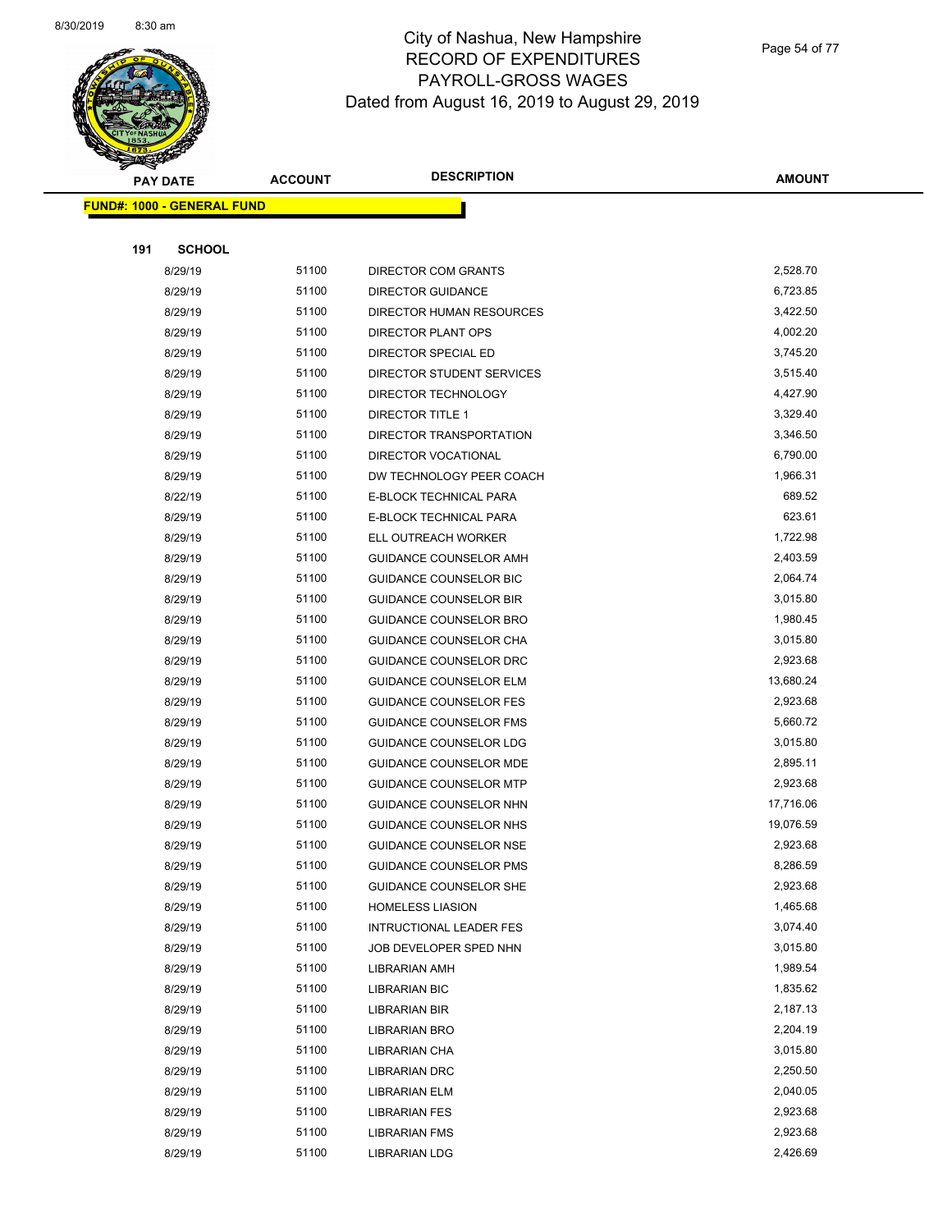

Page 54 of 77

| <b>PAY DATE</b>                   | <b>ACCOUNT</b> | <b>DESCRIPTION</b>             | <b>AMOUNT</b> |
|-----------------------------------|----------------|--------------------------------|---------------|
| <b>FUND#: 1000 - GENERAL FUND</b> |                |                                |               |
|                                   |                |                                |               |
| 191<br><b>SCHOOL</b>              |                |                                |               |
| 8/29/19                           | 51100          | DIRECTOR COM GRANTS            | 2,528.70      |
| 8/29/19                           | 51100          | <b>DIRECTOR GUIDANCE</b>       | 6,723.85      |
| 8/29/19                           | 51100          | DIRECTOR HUMAN RESOURCES       | 3,422.50      |
| 8/29/19                           | 51100          | DIRECTOR PLANT OPS             | 4,002.20      |
| 8/29/19                           | 51100          | DIRECTOR SPECIAL ED            | 3,745.20      |
| 8/29/19                           | 51100          | DIRECTOR STUDENT SERVICES      | 3,515.40      |
| 8/29/19                           | 51100          | DIRECTOR TECHNOLOGY            | 4,427.90      |
| 8/29/19                           | 51100          | DIRECTOR TITLE 1               | 3,329.40      |
| 8/29/19                           | 51100          | DIRECTOR TRANSPORTATION        | 3,346.50      |
| 8/29/19                           | 51100          | DIRECTOR VOCATIONAL            | 6,790.00      |
| 8/29/19                           | 51100          | DW TECHNOLOGY PEER COACH       | 1,966.31      |
| 8/22/19                           | 51100          | E-BLOCK TECHNICAL PARA         | 689.52        |
| 8/29/19                           | 51100          | E-BLOCK TECHNICAL PARA         | 623.61        |
| 8/29/19                           | 51100          | ELL OUTREACH WORKER            | 1,722.98      |
| 8/29/19                           | 51100          | GUIDANCE COUNSELOR AMH         | 2,403.59      |
| 8/29/19                           | 51100          | GUIDANCE COUNSELOR BIC         | 2,064.74      |
| 8/29/19                           | 51100          | <b>GUIDANCE COUNSELOR BIR</b>  | 3,015.80      |
| 8/29/19                           | 51100          | GUIDANCE COUNSELOR BRO         | 1,980.45      |
| 8/29/19                           | 51100          | GUIDANCE COUNSELOR CHA         | 3,015.80      |
| 8/29/19                           | 51100          | GUIDANCE COUNSELOR DRC         | 2,923.68      |
| 8/29/19                           | 51100          | <b>GUIDANCE COUNSELOR ELM</b>  | 13,680.24     |
| 8/29/19                           | 51100          | <b>GUIDANCE COUNSELOR FES</b>  | 2,923.68      |
| 8/29/19                           | 51100          | <b>GUIDANCE COUNSELOR FMS</b>  | 5,660.72      |
| 8/29/19                           | 51100          | GUIDANCE COUNSELOR LDG         | 3,015.80      |
| 8/29/19                           | 51100          | GUIDANCE COUNSELOR MDE         | 2,895.11      |
| 8/29/19                           | 51100          | <b>GUIDANCE COUNSELOR MTP</b>  | 2,923.68      |
| 8/29/19                           | 51100          | GUIDANCE COUNSELOR NHN         | 17,716.06     |
| 8/29/19                           | 51100          | <b>GUIDANCE COUNSELOR NHS</b>  | 19,076.59     |
| 8/29/19                           | 51100          | <b>GUIDANCE COUNSELOR NSE</b>  | 2,923.68      |
| 8/29/19                           | 51100          | GUIDANCE COUNSELOR PMS         | 8,286.59      |
| 8/29/19                           | 51100          | GUIDANCE COUNSELOR SHE         | 2,923.68      |
| 8/29/19                           | 51100          | <b>HOMELESS LIASION</b>        | 1,465.68      |
| 8/29/19                           | 51100          | <b>INTRUCTIONAL LEADER FES</b> | 3,074.40      |
| 8/29/19                           | 51100          | JOB DEVELOPER SPED NHN         | 3,015.80      |
| 8/29/19                           | 51100          | LIBRARIAN AMH                  | 1,989.54      |
| 8/29/19                           | 51100          | <b>LIBRARIAN BIC</b>           | 1,835.62      |
| 8/29/19                           | 51100          | LIBRARIAN BIR                  | 2,187.13      |
| 8/29/19                           | 51100          | <b>LIBRARIAN BRO</b>           | 2,204.19      |
| 8/29/19                           | 51100          | LIBRARIAN CHA                  | 3,015.80      |
| 8/29/19                           | 51100          | LIBRARIAN DRC                  | 2,250.50      |
| 8/29/19                           | 51100          | LIBRARIAN ELM                  | 2,040.05      |
| 8/29/19                           | 51100          | LIBRARIAN FES                  | 2,923.68      |
| 8/29/19                           | 51100          | <b>LIBRARIAN FMS</b>           | 2,923.68      |
| 8/29/19                           | 51100          | <b>LIBRARIAN LDG</b>           | 2,426.69      |
|                                   |                |                                |               |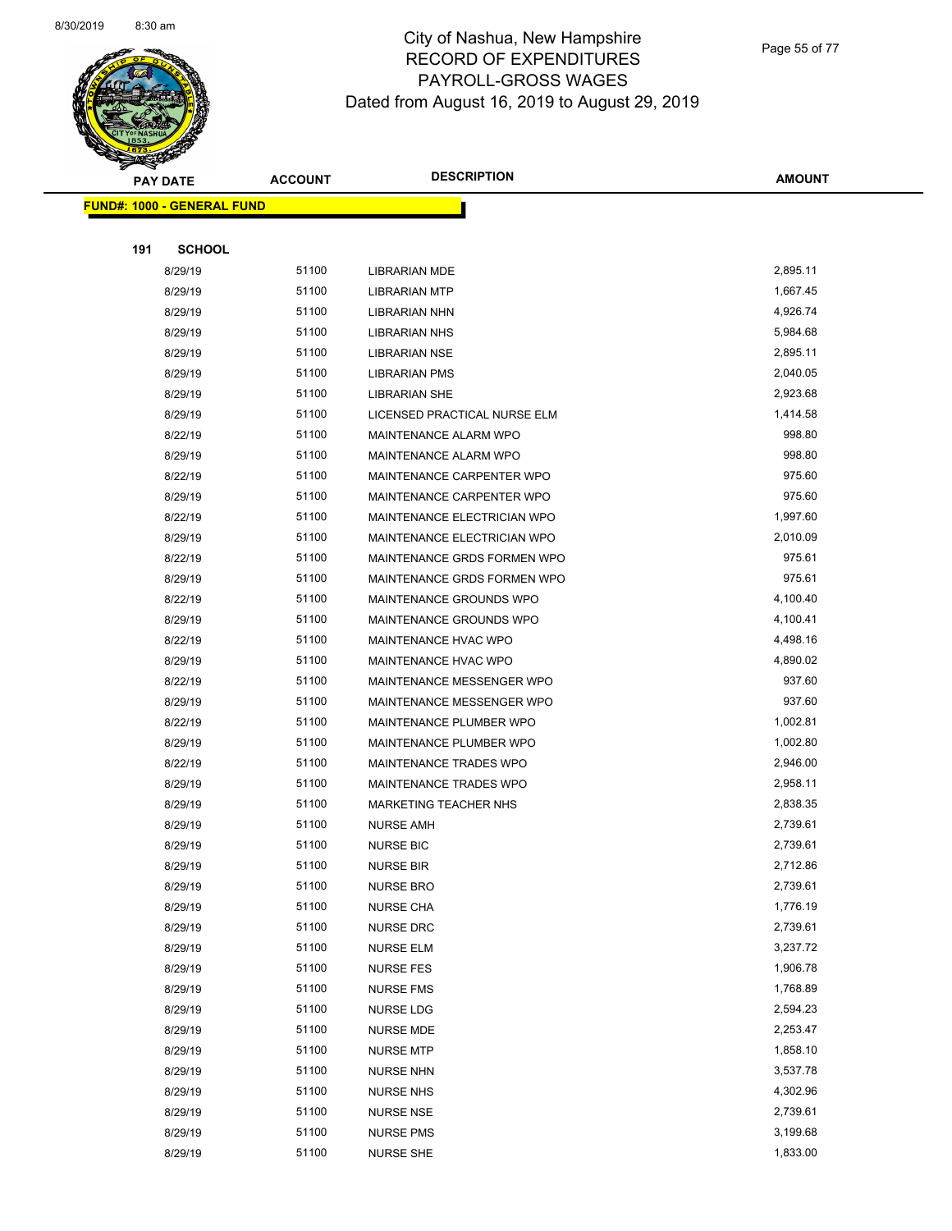

Page 55 of 77

|     | <b>PAY DATE</b>                   | <b>ACCOUNT</b> | <b>DESCRIPTION</b>           | <b>AMOUNT</b> |
|-----|-----------------------------------|----------------|------------------------------|---------------|
|     | <b>FUND#: 1000 - GENERAL FUND</b> |                |                              |               |
|     |                                   |                |                              |               |
| 191 | <b>SCHOOL</b>                     |                |                              |               |
|     | 8/29/19                           | 51100          | <b>LIBRARIAN MDE</b>         | 2,895.11      |
|     | 8/29/19                           | 51100          | <b>LIBRARIAN MTP</b>         | 1,667.45      |
|     | 8/29/19                           | 51100          | <b>LIBRARIAN NHN</b>         | 4,926.74      |
|     | 8/29/19                           | 51100          | <b>LIBRARIAN NHS</b>         | 5,984.68      |
|     | 8/29/19                           | 51100          | LIBRARIAN NSE                | 2,895.11      |
|     | 8/29/19                           | 51100          | <b>LIBRARIAN PMS</b>         | 2,040.05      |
|     | 8/29/19                           | 51100          | <b>LIBRARIAN SHE</b>         | 2,923.68      |
|     | 8/29/19                           | 51100          | LICENSED PRACTICAL NURSE ELM | 1,414.58      |
|     | 8/22/19                           | 51100          | MAINTENANCE ALARM WPO        | 998.80        |
|     | 8/29/19                           | 51100          | MAINTENANCE ALARM WPO        | 998.80        |
|     | 8/22/19                           | 51100          | MAINTENANCE CARPENTER WPO    | 975.60        |
|     | 8/29/19                           | 51100          | MAINTENANCE CARPENTER WPO    | 975.60        |
|     | 8/22/19                           | 51100          | MAINTENANCE ELECTRICIAN WPO  | 1,997.60      |
|     | 8/29/19                           | 51100          | MAINTENANCE ELECTRICIAN WPO  | 2,010.09      |
|     | 8/22/19                           | 51100          | MAINTENANCE GRDS FORMEN WPO  | 975.61        |
|     | 8/29/19                           | 51100          | MAINTENANCE GRDS FORMEN WPO  | 975.61        |
|     | 8/22/19                           | 51100          | MAINTENANCE GROUNDS WPO      | 4,100.40      |
|     | 8/29/19                           | 51100          | MAINTENANCE GROUNDS WPO      | 4,100.41      |
|     | 8/22/19                           | 51100          | MAINTENANCE HVAC WPO         | 4,498.16      |
|     | 8/29/19                           | 51100          | MAINTENANCE HVAC WPO         | 4,890.02      |
|     | 8/22/19                           | 51100          | MAINTENANCE MESSENGER WPO    | 937.60        |
|     | 8/29/19                           | 51100          | MAINTENANCE MESSENGER WPO    | 937.60        |
|     | 8/22/19                           | 51100          | MAINTENANCE PLUMBER WPO      | 1,002.81      |
|     | 8/29/19                           | 51100          | MAINTENANCE PLUMBER WPO      | 1,002.80      |
|     | 8/22/19                           | 51100          | MAINTENANCE TRADES WPO       | 2,946.00      |
|     | 8/29/19                           | 51100          | MAINTENANCE TRADES WPO       | 2,958.11      |
|     | 8/29/19                           | 51100          | MARKETING TEACHER NHS        | 2,838.35      |
|     | 8/29/19                           | 51100          | <b>NURSE AMH</b>             | 2,739.61      |
|     | 8/29/19                           | 51100          | <b>NURSE BIC</b>             | 2,739.61      |
|     | 8/29/19                           | 51100          | <b>NURSE BIR</b>             | 2,712.86      |
|     | 8/29/19                           | 51100          | <b>NURSE BRO</b>             | 2,739.61      |
|     | 8/29/19                           | 51100          | <b>NURSE CHA</b>             | 1,776.19      |
|     | 8/29/19                           | 51100          | <b>NURSE DRC</b>             | 2,739.61      |
|     | 8/29/19                           | 51100          | <b>NURSE ELM</b>             | 3,237.72      |
|     | 8/29/19                           | 51100          | <b>NURSE FES</b>             | 1,906.78      |
|     | 8/29/19                           | 51100          | <b>NURSE FMS</b>             | 1,768.89      |
|     | 8/29/19                           | 51100          | NURSE LDG                    | 2,594.23      |
|     | 8/29/19                           | 51100          | <b>NURSE MDE</b>             | 2,253.47      |
|     | 8/29/19                           | 51100          | <b>NURSE MTP</b>             | 1,858.10      |
|     | 8/29/19                           | 51100          | <b>NURSE NHN</b>             | 3,537.78      |
|     | 8/29/19                           | 51100          | <b>NURSE NHS</b>             | 4,302.96      |
|     | 8/29/19                           | 51100          | <b>NURSE NSE</b>             | 2,739.61      |
|     | 8/29/19                           | 51100          | <b>NURSE PMS</b>             | 3,199.68      |
|     | 8/29/19                           | 51100          | <b>NURSE SHE</b>             | 1,833.00      |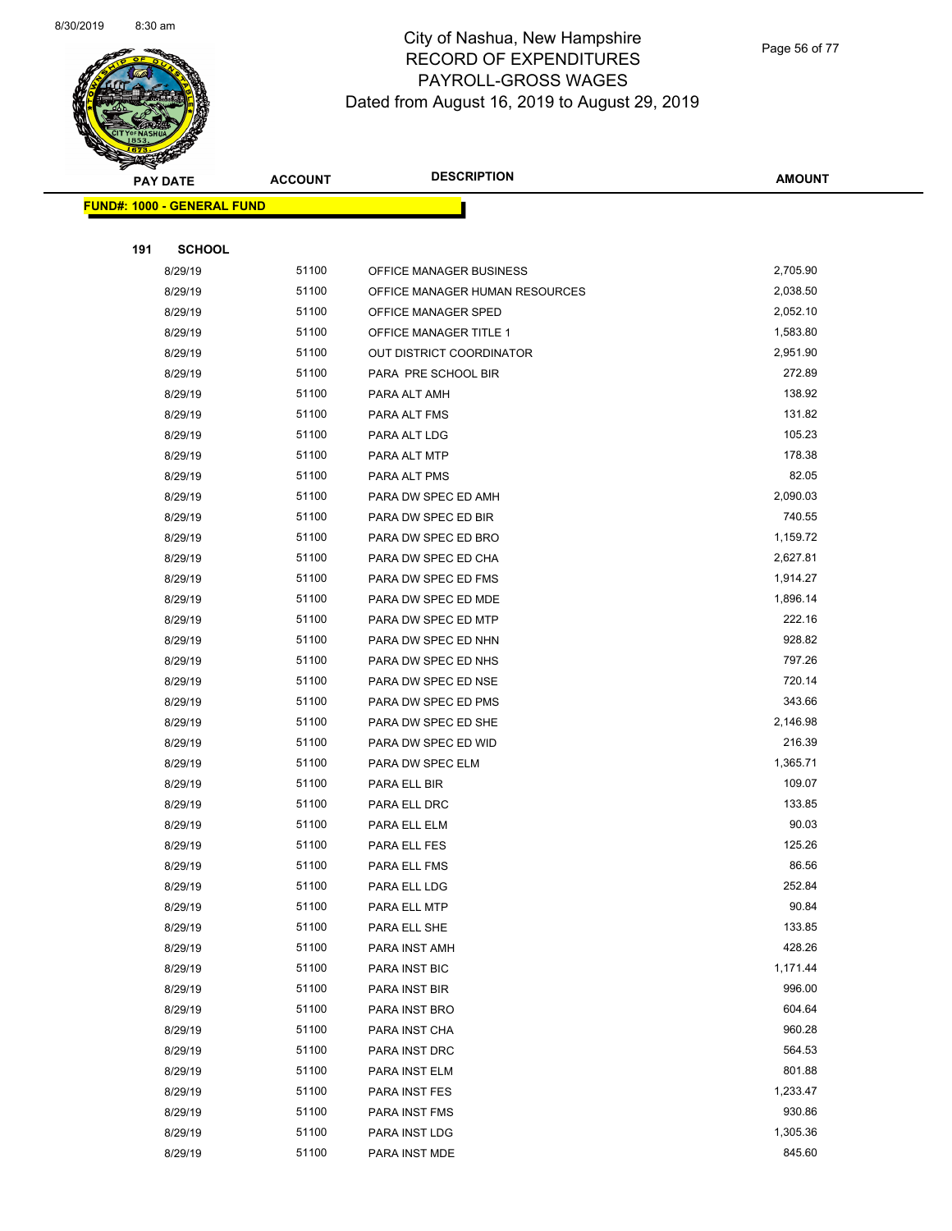

Page 56 of 77

|     | <b>PAY DATE</b>                   | <b>ACCOUNT</b> | <b>DESCRIPTION</b>             | <b>AMOUNT</b>   |
|-----|-----------------------------------|----------------|--------------------------------|-----------------|
|     | <b>FUND#: 1000 - GENERAL FUND</b> |                |                                |                 |
|     |                                   |                |                                |                 |
| 191 | <b>SCHOOL</b>                     |                |                                |                 |
|     | 8/29/19                           | 51100          | OFFICE MANAGER BUSINESS        | 2,705.90        |
|     | 8/29/19                           | 51100          | OFFICE MANAGER HUMAN RESOURCES | 2,038.50        |
|     | 8/29/19                           | 51100          | OFFICE MANAGER SPED            | 2,052.10        |
|     | 8/29/19                           | 51100          | OFFICE MANAGER TITLE 1         | 1,583.80        |
|     | 8/29/19                           | 51100          | OUT DISTRICT COORDINATOR       | 2,951.90        |
|     | 8/29/19                           | 51100          | PARA PRE SCHOOL BIR            | 272.89          |
|     | 8/29/19                           | 51100          | PARA ALT AMH                   | 138.92          |
|     | 8/29/19                           | 51100          | PARA ALT FMS                   | 131.82          |
|     | 8/29/19                           | 51100          | PARA ALT LDG                   | 105.23          |
|     | 8/29/19                           | 51100          | PARA ALT MTP                   | 178.38          |
|     | 8/29/19                           | 51100          | PARA ALT PMS                   | 82.05           |
|     | 8/29/19                           | 51100          | PARA DW SPEC ED AMH            | 2,090.03        |
|     | 8/29/19                           | 51100          | PARA DW SPEC ED BIR            | 740.55          |
|     | 8/29/19                           | 51100          | PARA DW SPEC ED BRO            | 1,159.72        |
|     | 8/29/19                           | 51100          | PARA DW SPEC ED CHA            | 2,627.81        |
|     | 8/29/19                           | 51100          | PARA DW SPEC ED FMS            | 1,914.27        |
|     | 8/29/19                           | 51100          | PARA DW SPEC ED MDE            | 1,896.14        |
|     | 8/29/19                           | 51100          | PARA DW SPEC ED MTP            | 222.16          |
|     | 8/29/19                           | 51100          | PARA DW SPEC ED NHN            | 928.82          |
|     | 8/29/19                           | 51100          | PARA DW SPEC ED NHS            | 797.26          |
|     | 8/29/19                           | 51100          | PARA DW SPEC ED NSE            | 720.14          |
|     | 8/29/19                           | 51100          | PARA DW SPEC ED PMS            | 343.66          |
|     | 8/29/19                           | 51100          | PARA DW SPEC ED SHE            | 2,146.98        |
|     | 8/29/19                           | 51100          | PARA DW SPEC ED WID            | 216.39          |
|     | 8/29/19                           | 51100          | PARA DW SPEC ELM               | 1,365.71        |
|     | 8/29/19                           | 51100          | PARA ELL BIR                   | 109.07          |
|     | 8/29/19                           | 51100          | PARA ELL DRC                   | 133.85          |
|     | 8/29/19                           | 51100          | PARA ELL ELM                   | 90.03<br>125.26 |
|     | 8/29/19                           | 51100<br>51100 | PARA ELL FES                   | 86.56           |
|     | 8/29/19                           | 51100          | PARA ELL FMS<br>PARA ELL LDG   | 252.84          |
|     | 8/29/19<br>8/29/19                | 51100          | PARA ELL MTP                   | 90.84           |
|     | 8/29/19                           | 51100          | PARA ELL SHE                   | 133.85          |
|     | 8/29/19                           | 51100          | PARA INST AMH                  | 428.26          |
|     | 8/29/19                           | 51100          | PARA INST BIC                  | 1,171.44        |
|     | 8/29/19                           | 51100          | PARA INST BIR                  | 996.00          |
|     | 8/29/19                           | 51100          | PARA INST BRO                  | 604.64          |
|     | 8/29/19                           | 51100          | PARA INST CHA                  | 960.28          |
|     | 8/29/19                           | 51100          | PARA INST DRC                  | 564.53          |
|     | 8/29/19                           | 51100          | PARA INST ELM                  | 801.88          |
|     | 8/29/19                           | 51100          | PARA INST FES                  | 1,233.47        |
|     | 8/29/19                           | 51100          | PARA INST FMS                  | 930.86          |
|     | 8/29/19                           | 51100          | PARA INST LDG                  | 1,305.36        |
|     | 8/29/19                           | 51100          | PARA INST MDE                  | 845.60          |
|     |                                   |                |                                |                 |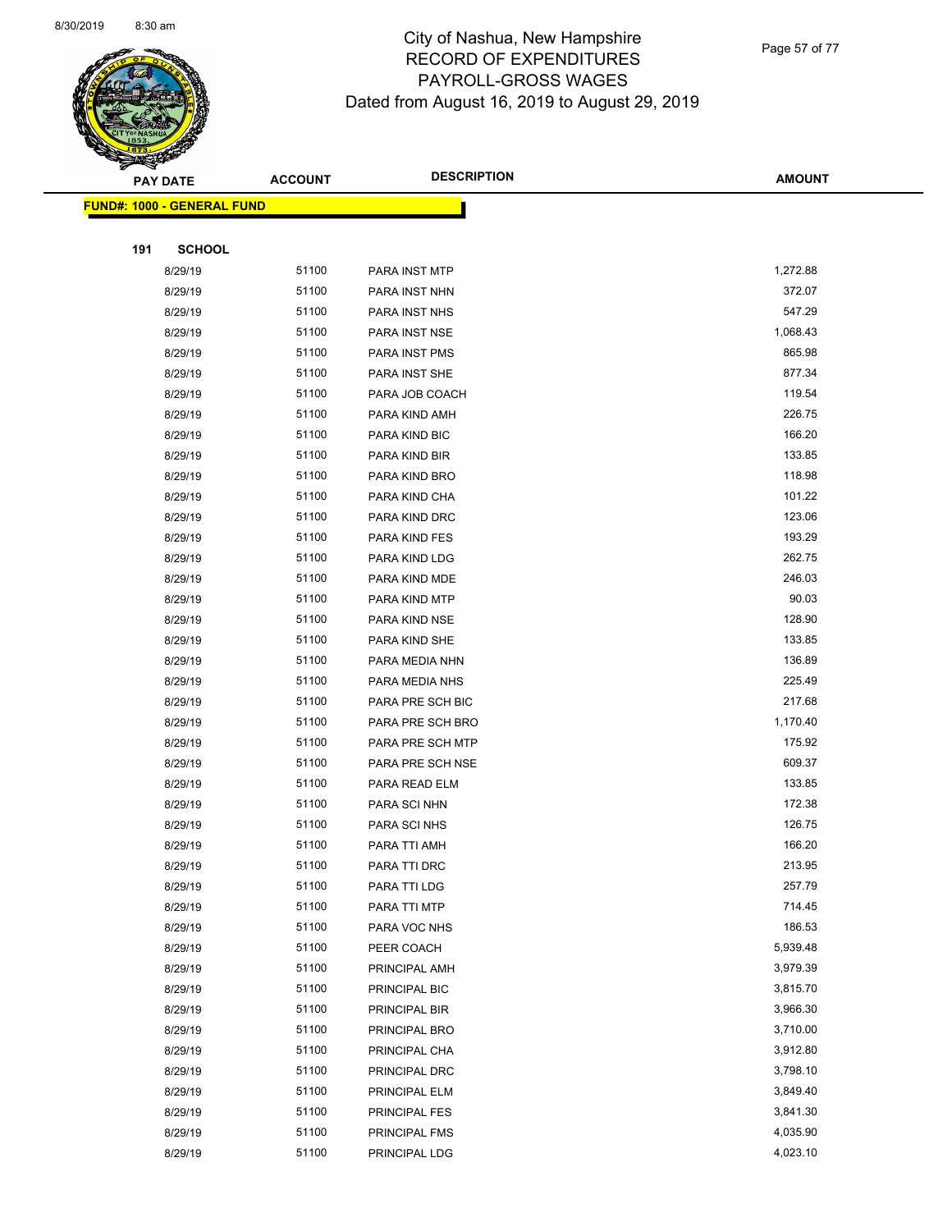

Page 57 of 77

|     | <b>PAY DATE</b>                    | <b>ACCOUNT</b> | <b>DESCRIPTION</b> | <b>AMOUNT</b> |
|-----|------------------------------------|----------------|--------------------|---------------|
|     | <u> FUND#: 1000 - GENERAL FUND</u> |                |                    |               |
|     |                                    |                |                    |               |
| 191 | <b>SCHOOL</b>                      |                |                    |               |
|     | 8/29/19                            | 51100          | PARA INST MTP      | 1,272.88      |
|     | 8/29/19                            | 51100          | PARA INST NHN      | 372.07        |
|     | 8/29/19                            | 51100          | PARA INST NHS      | 547.29        |
|     | 8/29/19                            | 51100          | PARA INST NSE      | 1,068.43      |
|     | 8/29/19                            | 51100          | PARA INST PMS      | 865.98        |
|     | 8/29/19                            | 51100          | PARA INST SHE      | 877.34        |
|     | 8/29/19                            | 51100          | PARA JOB COACH     | 119.54        |
|     | 8/29/19                            | 51100          | PARA KIND AMH      | 226.75        |
|     | 8/29/19                            | 51100          | PARA KIND BIC      | 166.20        |
|     | 8/29/19                            | 51100          | PARA KIND BIR      | 133.85        |
|     | 8/29/19                            | 51100          | PARA KIND BRO      | 118.98        |
|     | 8/29/19                            | 51100          | PARA KIND CHA      | 101.22        |
|     | 8/29/19                            | 51100          | PARA KIND DRC      | 123.06        |
|     | 8/29/19                            | 51100          | PARA KIND FES      | 193.29        |
|     | 8/29/19                            | 51100          | PARA KIND LDG      | 262.75        |
|     | 8/29/19                            | 51100          | PARA KIND MDE      | 246.03        |
|     | 8/29/19                            | 51100          | PARA KIND MTP      | 90.03         |
|     | 8/29/19                            | 51100          | PARA KIND NSE      | 128.90        |
|     | 8/29/19                            | 51100          | PARA KIND SHE      | 133.85        |
|     | 8/29/19                            | 51100          | PARA MEDIA NHN     | 136.89        |
|     | 8/29/19                            | 51100          | PARA MEDIA NHS     | 225.49        |
|     | 8/29/19                            | 51100          | PARA PRE SCH BIC   | 217.68        |
|     | 8/29/19                            | 51100          | PARA PRE SCH BRO   | 1,170.40      |
|     | 8/29/19                            | 51100          | PARA PRE SCH MTP   | 175.92        |
|     | 8/29/19                            | 51100          | PARA PRE SCH NSE   | 609.37        |
|     | 8/29/19                            | 51100          | PARA READ ELM      | 133.85        |
|     | 8/29/19                            | 51100          | PARA SCI NHN       | 172.38        |
|     | 8/29/19                            | 51100          | PARA SCI NHS       | 126.75        |
|     | 8/29/19                            | 51100          | PARA TTI AMH       | 166.20        |
|     | 8/29/19                            | 51100          | PARA TTI DRC       | 213.95        |
|     | 8/29/19                            | 51100          | PARA TTI LDG       | 257.79        |
|     | 8/29/19                            | 51100          | PARA TTI MTP       | 714.45        |
|     | 8/29/19                            | 51100          | PARA VOC NHS       | 186.53        |
|     | 8/29/19                            | 51100          | PEER COACH         | 5,939.48      |
|     | 8/29/19                            | 51100          | PRINCIPAL AMH      | 3,979.39      |
|     | 8/29/19                            | 51100          | PRINCIPAL BIC      | 3,815.70      |
|     | 8/29/19                            | 51100          | PRINCIPAL BIR      | 3,966.30      |
|     | 8/29/19                            | 51100          | PRINCIPAL BRO      | 3,710.00      |
|     | 8/29/19                            | 51100          | PRINCIPAL CHA      | 3,912.80      |
|     | 8/29/19                            | 51100          | PRINCIPAL DRC      | 3,798.10      |
|     | 8/29/19                            | 51100          | PRINCIPAL ELM      | 3,849.40      |
|     | 8/29/19                            | 51100          | PRINCIPAL FES      | 3,841.30      |
|     | 8/29/19                            | 51100          | PRINCIPAL FMS      | 4,035.90      |
|     | 8/29/19                            | 51100          | PRINCIPAL LDG      | 4,023.10      |
|     |                                    |                |                    |               |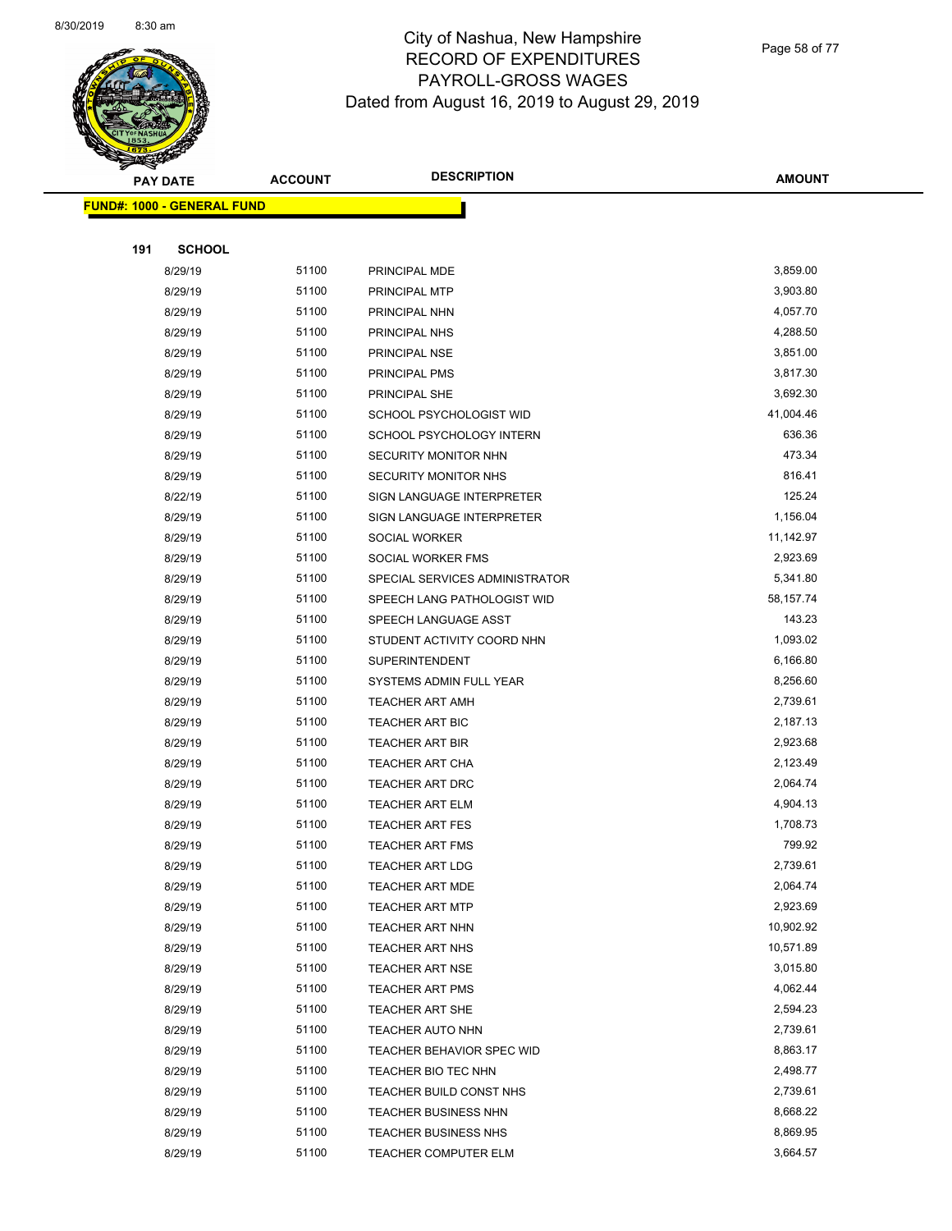

Page 58 of 77

|     | <b>PAY DATE</b>                   | <b>ACCOUNT</b> | <b>DESCRIPTION</b>             | <b>AMOUNT</b> |
|-----|-----------------------------------|----------------|--------------------------------|---------------|
|     | <b>FUND#: 1000 - GENERAL FUND</b> |                |                                |               |
|     |                                   |                |                                |               |
| 191 | <b>SCHOOL</b>                     |                |                                |               |
|     | 8/29/19                           | 51100          | PRINCIPAL MDE                  | 3,859.00      |
|     | 8/29/19                           | 51100          | PRINCIPAL MTP                  | 3,903.80      |
|     | 8/29/19                           | 51100          | PRINCIPAL NHN                  | 4,057.70      |
|     | 8/29/19                           | 51100          | PRINCIPAL NHS                  | 4,288.50      |
|     | 8/29/19                           | 51100          | PRINCIPAL NSE                  | 3,851.00      |
|     | 8/29/19                           | 51100          | <b>PRINCIPAL PMS</b>           | 3,817.30      |
|     | 8/29/19                           | 51100          | PRINCIPAL SHE                  | 3,692.30      |
|     | 8/29/19                           | 51100          | SCHOOL PSYCHOLOGIST WID        | 41,004.46     |
|     | 8/29/19                           | 51100          | SCHOOL PSYCHOLOGY INTERN       | 636.36        |
|     | 8/29/19                           | 51100          | SECURITY MONITOR NHN           | 473.34        |
|     | 8/29/19                           | 51100          | SECURITY MONITOR NHS           | 816.41        |
|     | 8/22/19                           | 51100          | SIGN LANGUAGE INTERPRETER      | 125.24        |
|     | 8/29/19                           | 51100          | SIGN LANGUAGE INTERPRETER      | 1,156.04      |
|     | 8/29/19                           | 51100          | SOCIAL WORKER                  | 11,142.97     |
|     | 8/29/19                           | 51100          | SOCIAL WORKER FMS              | 2,923.69      |
|     | 8/29/19                           | 51100          | SPECIAL SERVICES ADMINISTRATOR | 5,341.80      |
|     | 8/29/19                           | 51100          | SPEECH LANG PATHOLOGIST WID    | 58,157.74     |
|     | 8/29/19                           | 51100          | SPEECH LANGUAGE ASST           | 143.23        |
|     | 8/29/19                           | 51100          | STUDENT ACTIVITY COORD NHN     | 1,093.02      |
|     | 8/29/19                           | 51100          | <b>SUPERINTENDENT</b>          | 6,166.80      |
|     | 8/29/19                           | 51100          | SYSTEMS ADMIN FULL YEAR        | 8,256.60      |
|     | 8/29/19                           | 51100          | <b>TEACHER ART AMH</b>         | 2,739.61      |
|     | 8/29/19                           | 51100          | <b>TEACHER ART BIC</b>         | 2,187.13      |
|     | 8/29/19                           | 51100          | <b>TEACHER ART BIR</b>         | 2,923.68      |
|     | 8/29/19                           | 51100          | <b>TEACHER ART CHA</b>         | 2,123.49      |
|     | 8/29/19                           | 51100          | <b>TEACHER ART DRC</b>         | 2,064.74      |
|     | 8/29/19                           | 51100          | <b>TEACHER ART ELM</b>         | 4,904.13      |
|     | 8/29/19                           | 51100          | <b>TEACHER ART FES</b>         | 1,708.73      |
|     | 8/29/19                           | 51100          | <b>TEACHER ART FMS</b>         | 799.92        |
|     | 8/29/19                           | 51100          | TEACHER ART LDG                | 2,739.61      |
|     | 8/29/19                           | 51100          | <b>TEACHER ART MDE</b>         | 2,064.74      |
|     | 8/29/19                           | 51100          | <b>TEACHER ART MTP</b>         | 2,923.69      |
|     | 8/29/19                           | 51100          | <b>TEACHER ART NHN</b>         | 10,902.92     |
|     | 8/29/19                           | 51100          | TEACHER ART NHS                | 10,571.89     |
|     | 8/29/19                           | 51100          | TEACHER ART NSE                | 3,015.80      |
|     | 8/29/19                           | 51100          | <b>TEACHER ART PMS</b>         | 4,062.44      |
|     | 8/29/19                           | 51100          | <b>TEACHER ART SHE</b>         | 2,594.23      |
|     | 8/29/19                           | 51100          | TEACHER AUTO NHN               | 2,739.61      |
|     | 8/29/19                           | 51100          | TEACHER BEHAVIOR SPEC WID      | 8,863.17      |
|     | 8/29/19                           | 51100          | TEACHER BIO TEC NHN            | 2,498.77      |
|     | 8/29/19                           | 51100          | TEACHER BUILD CONST NHS        | 2,739.61      |
|     | 8/29/19                           | 51100          | TEACHER BUSINESS NHN           | 8,668.22      |
|     | 8/29/19                           | 51100          | <b>TEACHER BUSINESS NHS</b>    | 8,869.95      |
|     | 8/29/19                           | 51100          | TEACHER COMPUTER ELM           | 3,664.57      |
|     |                                   |                |                                |               |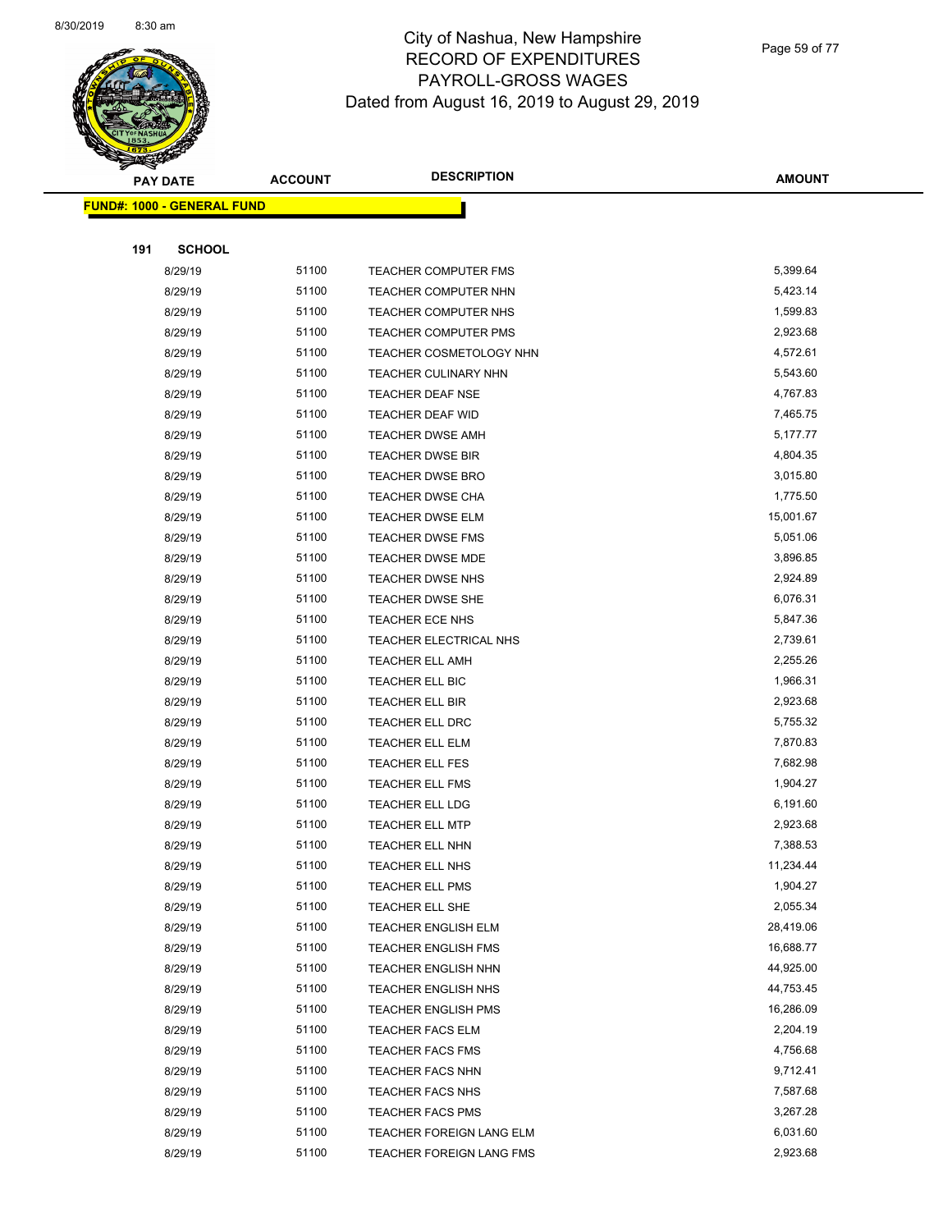

Page 59 of 77

|     | <b>PAY DATE</b>                   | <b>ACCOUNT</b> | <b>DESCRIPTION</b>                                 | <b>AMOUNT</b>          |
|-----|-----------------------------------|----------------|----------------------------------------------------|------------------------|
|     | <b>FUND#: 1000 - GENERAL FUND</b> |                |                                                    |                        |
|     |                                   |                |                                                    |                        |
| 191 | <b>SCHOOL</b>                     |                |                                                    |                        |
|     | 8/29/19                           | 51100          | TEACHER COMPUTER FMS                               | 5,399.64               |
|     | 8/29/19                           | 51100          | TEACHER COMPUTER NHN                               | 5,423.14               |
|     | 8/29/19                           | 51100          | TEACHER COMPUTER NHS                               | 1,599.83               |
|     | 8/29/19                           | 51100          | <b>TEACHER COMPUTER PMS</b>                        | 2,923.68               |
|     | 8/29/19                           | 51100          | TEACHER COSMETOLOGY NHN                            | 4,572.61               |
|     | 8/29/19                           | 51100          | TEACHER CULINARY NHN                               | 5,543.60               |
|     | 8/29/19                           | 51100          | <b>TEACHER DEAF NSE</b>                            | 4,767.83               |
|     | 8/29/19                           | 51100          | <b>TEACHER DEAF WID</b>                            | 7,465.75               |
|     | 8/29/19                           | 51100          | <b>TEACHER DWSE AMH</b>                            | 5,177.77               |
|     | 8/29/19                           | 51100          | TEACHER DWSE BIR                                   | 4,804.35               |
|     | 8/29/19                           | 51100          | <b>TEACHER DWSE BRO</b>                            | 3,015.80               |
|     | 8/29/19                           | 51100          | TEACHER DWSE CHA                                   | 1,775.50               |
|     | 8/29/19                           | 51100          | <b>TEACHER DWSE ELM</b>                            | 15,001.67              |
|     | 8/29/19                           | 51100          | <b>TEACHER DWSE FMS</b>                            | 5,051.06               |
|     | 8/29/19                           | 51100          | TEACHER DWSE MDE                                   | 3,896.85               |
|     | 8/29/19                           | 51100          | <b>TEACHER DWSE NHS</b>                            | 2,924.89               |
|     | 8/29/19                           | 51100          | <b>TEACHER DWSE SHE</b>                            | 6,076.31               |
|     | 8/29/19                           | 51100          | <b>TEACHER ECE NHS</b>                             | 5,847.36               |
|     | 8/29/19                           | 51100          | TEACHER ELECTRICAL NHS                             | 2,739.61               |
|     | 8/29/19                           | 51100          | <b>TEACHER ELL AMH</b>                             | 2,255.26               |
|     | 8/29/19                           | 51100          | TEACHER ELL BIC                                    | 1,966.31               |
|     | 8/29/19                           | 51100          | <b>TEACHER ELL BIR</b>                             | 2,923.68               |
|     | 8/29/19                           | 51100          | TEACHER ELL DRC                                    | 5,755.32               |
|     | 8/29/19                           | 51100          | TEACHER ELL ELM                                    | 7,870.83               |
|     | 8/29/19                           | 51100          | <b>TEACHER ELL FES</b>                             | 7,682.98               |
|     | 8/29/19                           | 51100          | TEACHER ELL FMS                                    | 1,904.27               |
|     | 8/29/19                           | 51100          | TEACHER ELL LDG                                    | 6,191.60               |
|     | 8/29/19                           | 51100          | <b>TEACHER ELL MTP</b>                             | 2,923.68               |
|     | 8/29/19                           | 51100          | TEACHER ELL NHN                                    | 7,388.53               |
|     | 8/29/19                           | 51100          | <b>TEACHER ELL NHS</b>                             | 11,234.44              |
|     | 8/29/19                           | 51100          | TEACHER ELL PMS                                    | 1,904.27               |
|     | 8/29/19                           | 51100          | TEACHER ELL SHE                                    | 2,055.34               |
|     | 8/29/19                           | 51100          | <b>TEACHER ENGLISH ELM</b>                         | 28,419.06              |
|     | 8/29/19                           | 51100          | TEACHER ENGLISH FMS                                | 16,688.77              |
|     | 8/29/19                           | 51100          | <b>TEACHER ENGLISH NHN</b>                         | 44,925.00<br>44,753.45 |
|     | 8/29/19                           | 51100<br>51100 | <b>TEACHER ENGLISH NHS</b>                         | 16,286.09              |
|     | 8/29/19                           |                | <b>TEACHER ENGLISH PMS</b>                         |                        |
|     | 8/29/19<br>8/29/19                | 51100<br>51100 | <b>TEACHER FACS ELM</b><br><b>TEACHER FACS FMS</b> | 2,204.19<br>4,756.68   |
|     | 8/29/19                           | 51100          | <b>TEACHER FACS NHN</b>                            | 9,712.41               |
|     | 8/29/19                           | 51100          | <b>TEACHER FACS NHS</b>                            | 7,587.68               |
|     | 8/29/19                           | 51100          | <b>TEACHER FACS PMS</b>                            | 3,267.28               |
|     | 8/29/19                           | 51100          | TEACHER FOREIGN LANG ELM                           | 6,031.60               |
|     | 8/29/19                           | 51100          | TEACHER FOREIGN LANG FMS                           | 2,923.68               |
|     |                                   |                |                                                    |                        |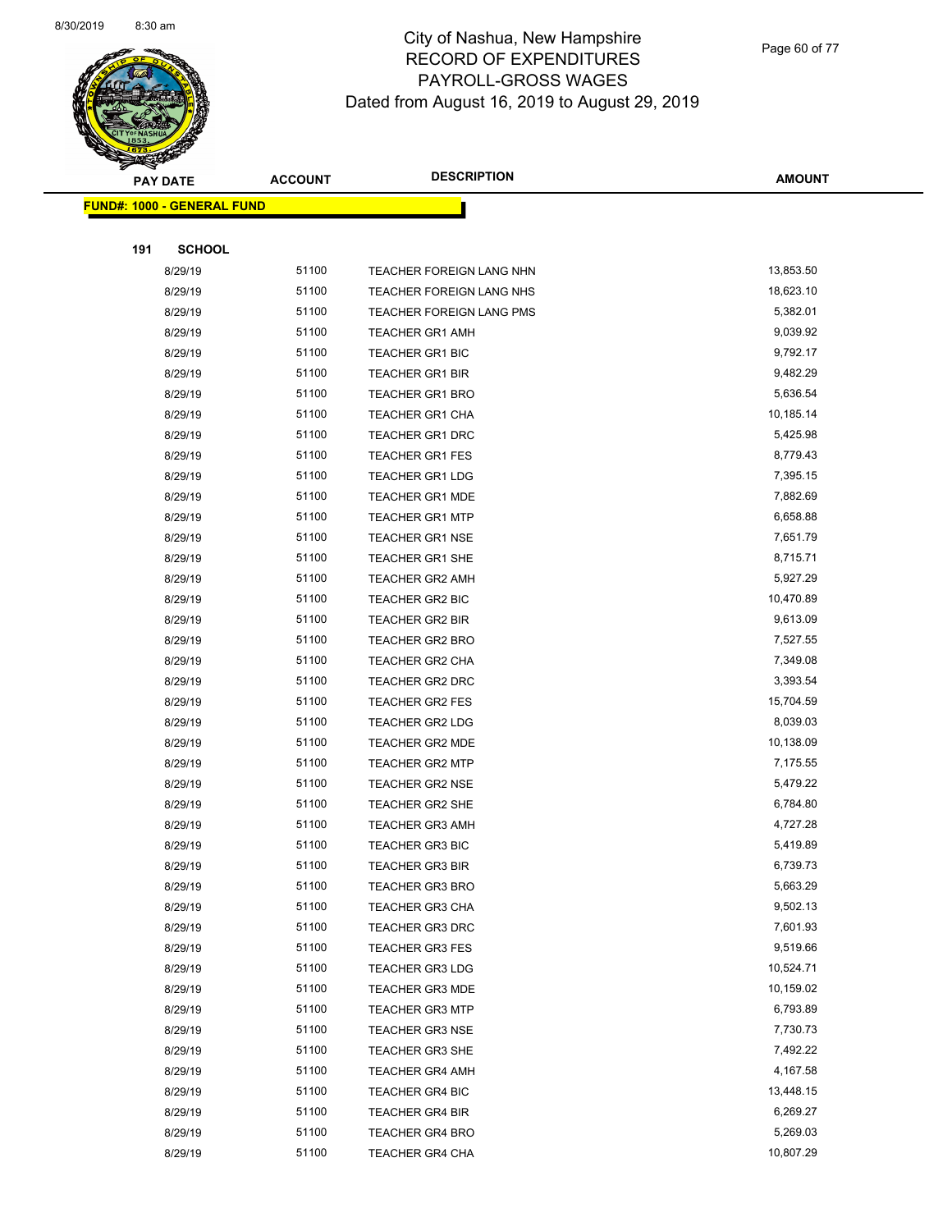

Page 60 of 77

|     | <b>PAY DATE</b>                   | <b>ACCOUNT</b> | <b>DESCRIPTION</b>                        | <b>AMOUNT</b>        |
|-----|-----------------------------------|----------------|-------------------------------------------|----------------------|
|     | <b>FUND#: 1000 - GENERAL FUND</b> |                |                                           |                      |
|     |                                   |                |                                           |                      |
| 191 | <b>SCHOOL</b>                     |                |                                           |                      |
|     | 8/29/19                           | 51100          | TEACHER FOREIGN LANG NHN                  | 13,853.50            |
|     | 8/29/19                           | 51100          | TEACHER FOREIGN LANG NHS                  | 18,623.10            |
|     | 8/29/19                           | 51100          | <b>TEACHER FOREIGN LANG PMS</b>           | 5,382.01             |
|     | 8/29/19                           | 51100          | <b>TEACHER GR1 AMH</b>                    | 9,039.92             |
|     | 8/29/19                           | 51100          | <b>TEACHER GR1 BIC</b>                    | 9,792.17             |
|     | 8/29/19                           | 51100          | <b>TEACHER GR1 BIR</b>                    | 9,482.29             |
|     | 8/29/19                           | 51100          | <b>TEACHER GR1 BRO</b>                    | 5,636.54             |
|     | 8/29/19                           | 51100          | <b>TEACHER GR1 CHA</b>                    | 10,185.14            |
|     | 8/29/19                           | 51100          | <b>TEACHER GR1 DRC</b>                    | 5,425.98             |
|     | 8/29/19                           | 51100          | <b>TEACHER GR1 FES</b>                    | 8,779.43             |
|     | 8/29/19                           | 51100          | <b>TEACHER GR1 LDG</b>                    | 7,395.15             |
|     | 8/29/19                           | 51100          | <b>TEACHER GR1 MDE</b>                    | 7,882.69             |
|     | 8/29/19                           | 51100          | <b>TEACHER GR1 MTP</b>                    | 6,658.88             |
|     | 8/29/19                           | 51100          | <b>TEACHER GR1 NSE</b>                    | 7,651.79             |
|     | 8/29/19                           | 51100          | <b>TEACHER GR1 SHE</b>                    | 8,715.71             |
|     | 8/29/19                           | 51100          | <b>TEACHER GR2 AMH</b>                    | 5,927.29             |
|     | 8/29/19                           | 51100          | <b>TEACHER GR2 BIC</b>                    | 10,470.89            |
|     | 8/29/19                           | 51100          | <b>TEACHER GR2 BIR</b>                    | 9,613.09             |
|     | 8/29/19                           | 51100          | <b>TEACHER GR2 BRO</b>                    | 7,527.55             |
|     | 8/29/19                           | 51100          | <b>TEACHER GR2 CHA</b>                    | 7,349.08             |
|     | 8/29/19                           | 51100          | <b>TEACHER GR2 DRC</b>                    | 3,393.54             |
|     | 8/29/19                           | 51100          | <b>TEACHER GR2 FES</b>                    | 15,704.59            |
|     | 8/29/19                           | 51100          | <b>TEACHER GR2 LDG</b>                    | 8,039.03             |
|     | 8/29/19                           | 51100          | <b>TEACHER GR2 MDE</b>                    | 10,138.09            |
|     | 8/29/19                           | 51100          | <b>TEACHER GR2 MTP</b>                    | 7,175.55             |
|     | 8/29/19                           | 51100          | <b>TEACHER GR2 NSE</b>                    | 5,479.22             |
|     | 8/29/19                           | 51100          | <b>TEACHER GR2 SHE</b>                    | 6,784.80             |
|     | 8/29/19                           | 51100          | <b>TEACHER GR3 AMH</b>                    | 4,727.28             |
|     | 8/29/19                           | 51100          | <b>TEACHER GR3 BIC</b>                    | 5,419.89             |
|     | 8/29/19                           | 51100          | <b>TEACHER GR3 BIR</b>                    | 6,739.73             |
|     | 8/29/19                           | 51100<br>51100 | <b>TEACHER GR3 BRO</b>                    | 5,663.29<br>9,502.13 |
|     | 8/29/19<br>8/29/19                | 51100          | <b>TEACHER GR3 CHA</b>                    | 7,601.93             |
|     | 8/29/19                           | 51100          | <b>TEACHER GR3 DRC</b><br>TEACHER GR3 FES | 9,519.66             |
|     | 8/29/19                           | 51100          | TEACHER GR3 LDG                           | 10,524.71            |
|     | 8/29/19                           | 51100          | <b>TEACHER GR3 MDE</b>                    | 10,159.02            |
|     | 8/29/19                           | 51100          | <b>TEACHER GR3 MTP</b>                    | 6,793.89             |
|     | 8/29/19                           | 51100          | <b>TEACHER GR3 NSE</b>                    | 7,730.73             |
|     | 8/29/19                           | 51100          | TEACHER GR3 SHE                           | 7,492.22             |
|     | 8/29/19                           | 51100          | <b>TEACHER GR4 AMH</b>                    | 4,167.58             |
|     | 8/29/19                           | 51100          | TEACHER GR4 BIC                           | 13,448.15            |
|     | 8/29/19                           | 51100          | TEACHER GR4 BIR                           | 6,269.27             |
|     | 8/29/19                           | 51100          | <b>TEACHER GR4 BRO</b>                    | 5,269.03             |
|     | 8/29/19                           | 51100          | <b>TEACHER GR4 CHA</b>                    | 10,807.29            |
|     |                                   |                |                                           |                      |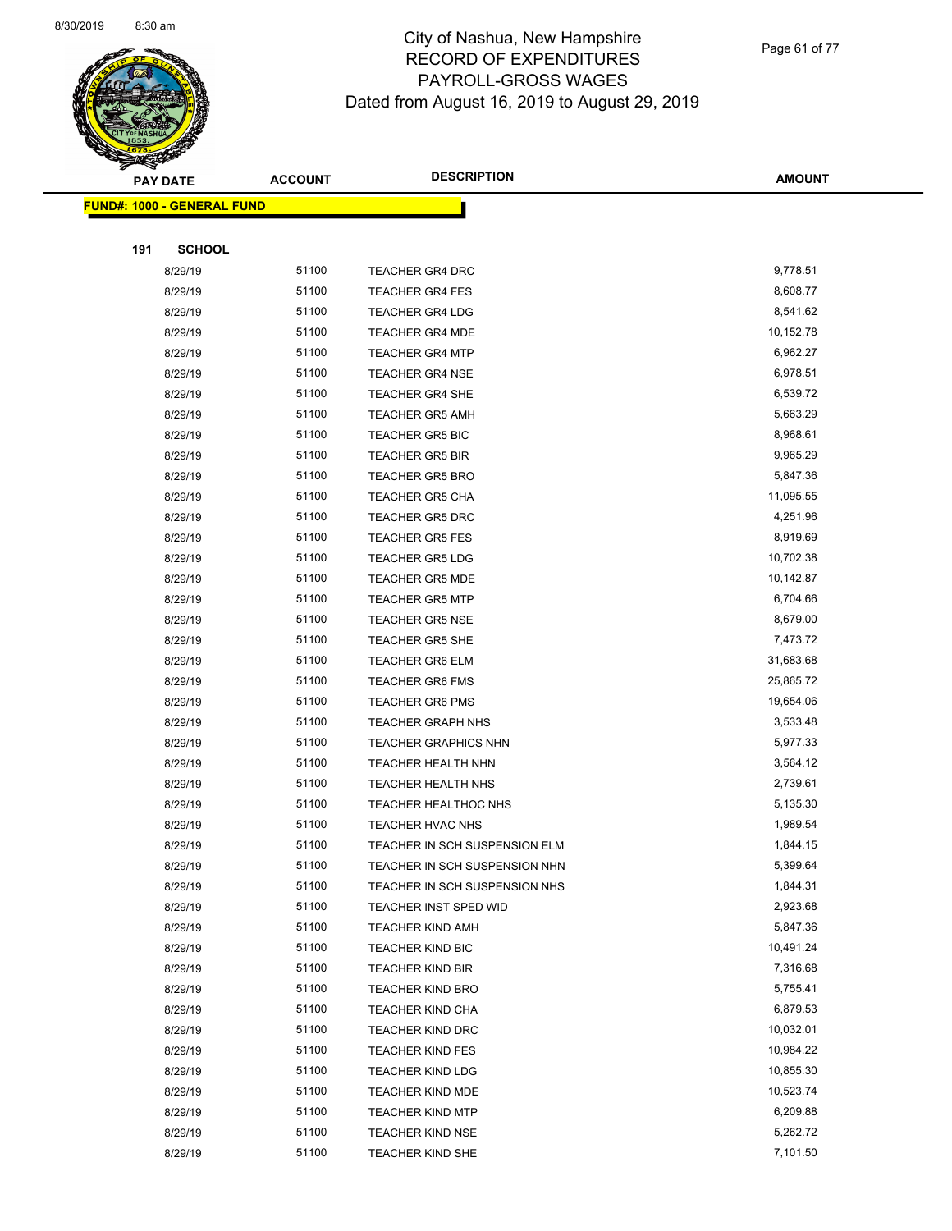

Page 61 of 77

| <b>PAY DATE</b>                   |               | <b>ACCOUNT</b> | <b>DESCRIPTION</b>            | <b>AMOUNT</b> |  |
|-----------------------------------|---------------|----------------|-------------------------------|---------------|--|
| <b>FUND#: 1000 - GENERAL FUND</b> |               |                |                               |               |  |
|                                   |               |                |                               |               |  |
| 191                               | <b>SCHOOL</b> |                |                               |               |  |
|                                   | 8/29/19       | 51100          | <b>TEACHER GR4 DRC</b>        | 9,778.51      |  |
|                                   | 8/29/19       | 51100          | <b>TEACHER GR4 FES</b>        | 8,608.77      |  |
|                                   | 8/29/19       | 51100          | <b>TEACHER GR4 LDG</b>        | 8,541.62      |  |
|                                   | 8/29/19       | 51100          | <b>TEACHER GR4 MDE</b>        | 10,152.78     |  |
|                                   | 8/29/19       | 51100          | <b>TEACHER GR4 MTP</b>        | 6,962.27      |  |
|                                   | 8/29/19       | 51100          | <b>TEACHER GR4 NSE</b>        | 6,978.51      |  |
|                                   | 8/29/19       | 51100          | <b>TEACHER GR4 SHE</b>        | 6,539.72      |  |
|                                   | 8/29/19       | 51100          | <b>TEACHER GR5 AMH</b>        | 5,663.29      |  |
|                                   | 8/29/19       | 51100          | <b>TEACHER GR5 BIC</b>        | 8,968.61      |  |
|                                   | 8/29/19       | 51100          | <b>TEACHER GR5 BIR</b>        | 9,965.29      |  |
|                                   | 8/29/19       | 51100          | <b>TEACHER GR5 BRO</b>        | 5,847.36      |  |
|                                   | 8/29/19       | 51100          | <b>TEACHER GR5 CHA</b>        | 11,095.55     |  |
|                                   | 8/29/19       | 51100          | <b>TEACHER GR5 DRC</b>        | 4,251.96      |  |
|                                   | 8/29/19       | 51100          | <b>TEACHER GR5 FES</b>        | 8,919.69      |  |
|                                   | 8/29/19       | 51100          | <b>TEACHER GR5 LDG</b>        | 10,702.38     |  |
|                                   | 8/29/19       | 51100          | <b>TEACHER GR5 MDE</b>        | 10,142.87     |  |
|                                   | 8/29/19       | 51100          | <b>TEACHER GR5 MTP</b>        | 6,704.66      |  |
|                                   | 8/29/19       | 51100          | <b>TEACHER GR5 NSE</b>        | 8,679.00      |  |
|                                   | 8/29/19       | 51100          | <b>TEACHER GR5 SHE</b>        | 7,473.72      |  |
|                                   | 8/29/19       | 51100          | <b>TEACHER GR6 ELM</b>        | 31,683.68     |  |
|                                   | 8/29/19       | 51100          | <b>TEACHER GR6 FMS</b>        | 25,865.72     |  |
|                                   | 8/29/19       | 51100          | <b>TEACHER GR6 PMS</b>        | 19,654.06     |  |
|                                   | 8/29/19       | 51100          | <b>TEACHER GRAPH NHS</b>      | 3,533.48      |  |
|                                   | 8/29/19       | 51100          | <b>TEACHER GRAPHICS NHN</b>   | 5,977.33      |  |
|                                   | 8/29/19       | 51100          | TEACHER HEALTH NHN            | 3,564.12      |  |
|                                   | 8/29/19       | 51100          | TEACHER HEALTH NHS            | 2,739.61      |  |
|                                   | 8/29/19       | 51100          | TEACHER HEALTHOC NHS          | 5,135.30      |  |
|                                   | 8/29/19       | 51100          | TEACHER HVAC NHS              | 1,989.54      |  |
|                                   | 8/29/19       | 51100          | TEACHER IN SCH SUSPENSION ELM | 1,844.15      |  |
|                                   | 8/29/19       | 51100          | TEACHER IN SCH SUSPENSION NHN | 5,399.64      |  |
|                                   | 8/29/19       | 51100          | TEACHER IN SCH SUSPENSION NHS | 1,844.31      |  |
|                                   | 8/29/19       | 51100          | <b>TEACHER INST SPED WID</b>  | 2,923.68      |  |
|                                   | 8/29/19       | 51100          | <b>TEACHER KIND AMH</b>       | 5,847.36      |  |
|                                   | 8/29/19       | 51100          | TEACHER KIND BIC              | 10,491.24     |  |
|                                   | 8/29/19       | 51100          | <b>TEACHER KIND BIR</b>       | 7,316.68      |  |
|                                   | 8/29/19       | 51100          | <b>TEACHER KIND BRO</b>       | 5,755.41      |  |
|                                   | 8/29/19       | 51100          | <b>TEACHER KIND CHA</b>       | 6,879.53      |  |
|                                   | 8/29/19       | 51100          | <b>TEACHER KIND DRC</b>       | 10,032.01     |  |
|                                   | 8/29/19       | 51100          | <b>TEACHER KIND FES</b>       | 10,984.22     |  |
|                                   | 8/29/19       | 51100          | <b>TEACHER KIND LDG</b>       | 10,855.30     |  |
|                                   | 8/29/19       | 51100          | <b>TEACHER KIND MDE</b>       | 10,523.74     |  |
|                                   | 8/29/19       | 51100          | <b>TEACHER KIND MTP</b>       | 6,209.88      |  |
|                                   | 8/29/19       | 51100          | <b>TEACHER KIND NSE</b>       | 5,262.72      |  |
|                                   | 8/29/19       | 51100          | <b>TEACHER KIND SHE</b>       | 7,101.50      |  |
|                                   |               |                |                               |               |  |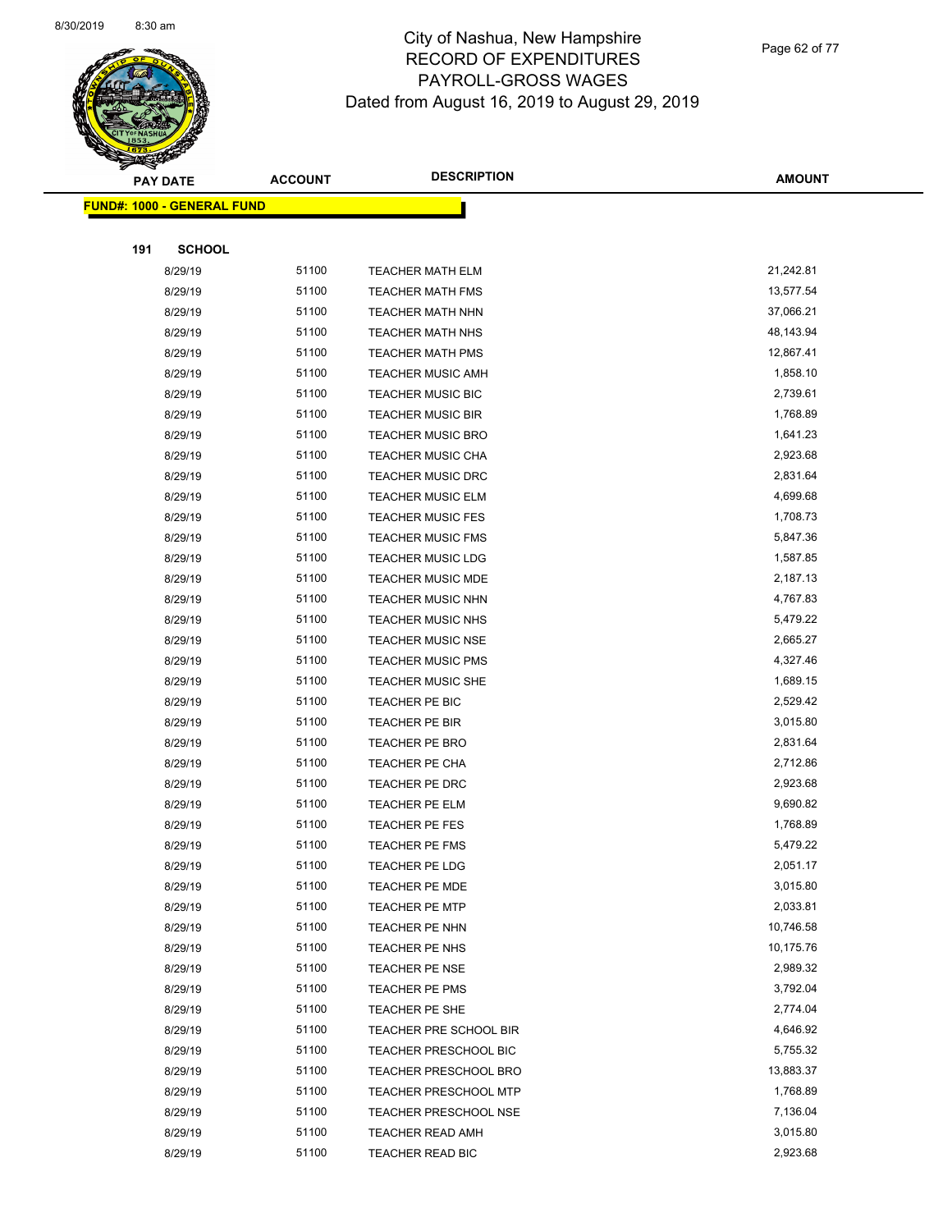

Page 62 of 77

|     | <b>PAY DATE</b>                   | <b>ACCOUNT</b> | <b>DESCRIPTION</b>                      | <b>AMOUNT</b>         |
|-----|-----------------------------------|----------------|-----------------------------------------|-----------------------|
|     | <b>FUND#: 1000 - GENERAL FUND</b> |                |                                         |                       |
|     |                                   |                |                                         |                       |
| 191 | <b>SCHOOL</b>                     |                |                                         |                       |
|     | 8/29/19                           | 51100          | <b>TEACHER MATH ELM</b>                 | 21,242.81             |
|     | 8/29/19                           | 51100          | <b>TEACHER MATH FMS</b>                 | 13,577.54             |
|     | 8/29/19                           | 51100          | <b>TEACHER MATH NHN</b>                 | 37,066.21             |
|     | 8/29/19                           | 51100          | <b>TEACHER MATH NHS</b>                 | 48,143.94             |
|     | 8/29/19                           | 51100          | <b>TEACHER MATH PMS</b>                 | 12,867.41             |
|     | 8/29/19                           | 51100          | <b>TEACHER MUSIC AMH</b>                | 1,858.10              |
|     | 8/29/19                           | 51100          | <b>TEACHER MUSIC BIC</b>                | 2,739.61              |
|     | 8/29/19                           | 51100          | <b>TEACHER MUSIC BIR</b>                | 1,768.89              |
|     | 8/29/19                           | 51100          | <b>TEACHER MUSIC BRO</b>                | 1,641.23              |
|     | 8/29/19                           | 51100          | <b>TEACHER MUSIC CHA</b>                | 2,923.68              |
|     | 8/29/19                           | 51100          | <b>TEACHER MUSIC DRC</b>                | 2,831.64              |
|     | 8/29/19                           | 51100          | <b>TEACHER MUSIC ELM</b>                | 4,699.68              |
|     | 8/29/19                           | 51100          | <b>TEACHER MUSIC FES</b>                | 1,708.73              |
|     | 8/29/19                           | 51100          | <b>TEACHER MUSIC FMS</b>                | 5,847.36              |
|     | 8/29/19                           | 51100          | <b>TEACHER MUSIC LDG</b>                | 1,587.85              |
|     | 8/29/19                           | 51100          | <b>TEACHER MUSIC MDE</b>                | 2,187.13              |
|     | 8/29/19                           | 51100          | <b>TEACHER MUSIC NHN</b>                | 4,767.83              |
|     | 8/29/19                           | 51100          | <b>TEACHER MUSIC NHS</b>                | 5,479.22              |
|     | 8/29/19                           | 51100          | <b>TEACHER MUSIC NSE</b>                | 2,665.27              |
|     | 8/29/19                           | 51100          | <b>TEACHER MUSIC PMS</b>                | 4,327.46              |
|     | 8/29/19                           | 51100          | <b>TEACHER MUSIC SHE</b>                | 1,689.15              |
|     | 8/29/19                           | 51100          | TEACHER PE BIC                          | 2,529.42              |
|     | 8/29/19                           | 51100          | TEACHER PE BIR                          | 3,015.80              |
|     | 8/29/19                           | 51100          | <b>TEACHER PE BRO</b>                   | 2,831.64              |
|     | 8/29/19                           | 51100          | TEACHER PE CHA                          | 2,712.86              |
|     | 8/29/19                           | 51100          | TEACHER PE DRC                          | 2,923.68              |
|     | 8/29/19                           | 51100          | <b>TEACHER PE ELM</b>                   | 9,690.82              |
|     | 8/29/19                           | 51100          | <b>TEACHER PE FES</b>                   | 1,768.89              |
|     | 8/29/19                           | 51100          | <b>TEACHER PE FMS</b>                   | 5,479.22              |
|     | 8/29/19                           | 51100          | <b>TEACHER PE LDG</b>                   | 2,051.17              |
|     | 8/29/19                           | 51100          | TEACHER PE MDE                          | 3,015.80              |
|     | 8/29/19                           | 51100          | <b>TEACHER PE MTP</b>                   | 2,033.81              |
|     | 8/29/19                           | 51100          | <b>TEACHER PE NHN</b>                   | 10,746.58             |
|     | 8/29/19                           | 51100<br>51100 | TEACHER PE NHS<br><b>TEACHER PE NSE</b> | 10,175.76<br>2,989.32 |
|     | 8/29/19<br>8/29/19                | 51100          | <b>TEACHER PE PMS</b>                   | 3,792.04              |
|     | 8/29/19                           | 51100          | TEACHER PE SHE                          | 2,774.04              |
|     | 8/29/19                           | 51100          | TEACHER PRE SCHOOL BIR                  | 4,646.92              |
|     | 8/29/19                           | 51100          | TEACHER PRESCHOOL BIC                   | 5,755.32              |
|     | 8/29/19                           | 51100          | <b>TEACHER PRESCHOOL BRO</b>            | 13,883.37             |
|     | 8/29/19                           | 51100          | <b>TEACHER PRESCHOOL MTP</b>            | 1,768.89              |
|     | 8/29/19                           | 51100          | <b>TEACHER PRESCHOOL NSE</b>            | 7,136.04              |
|     | 8/29/19                           | 51100          | TEACHER READ AMH                        | 3,015.80              |
|     | 8/29/19                           | 51100          | TEACHER READ BIC                        | 2,923.68              |
|     |                                   |                |                                         |                       |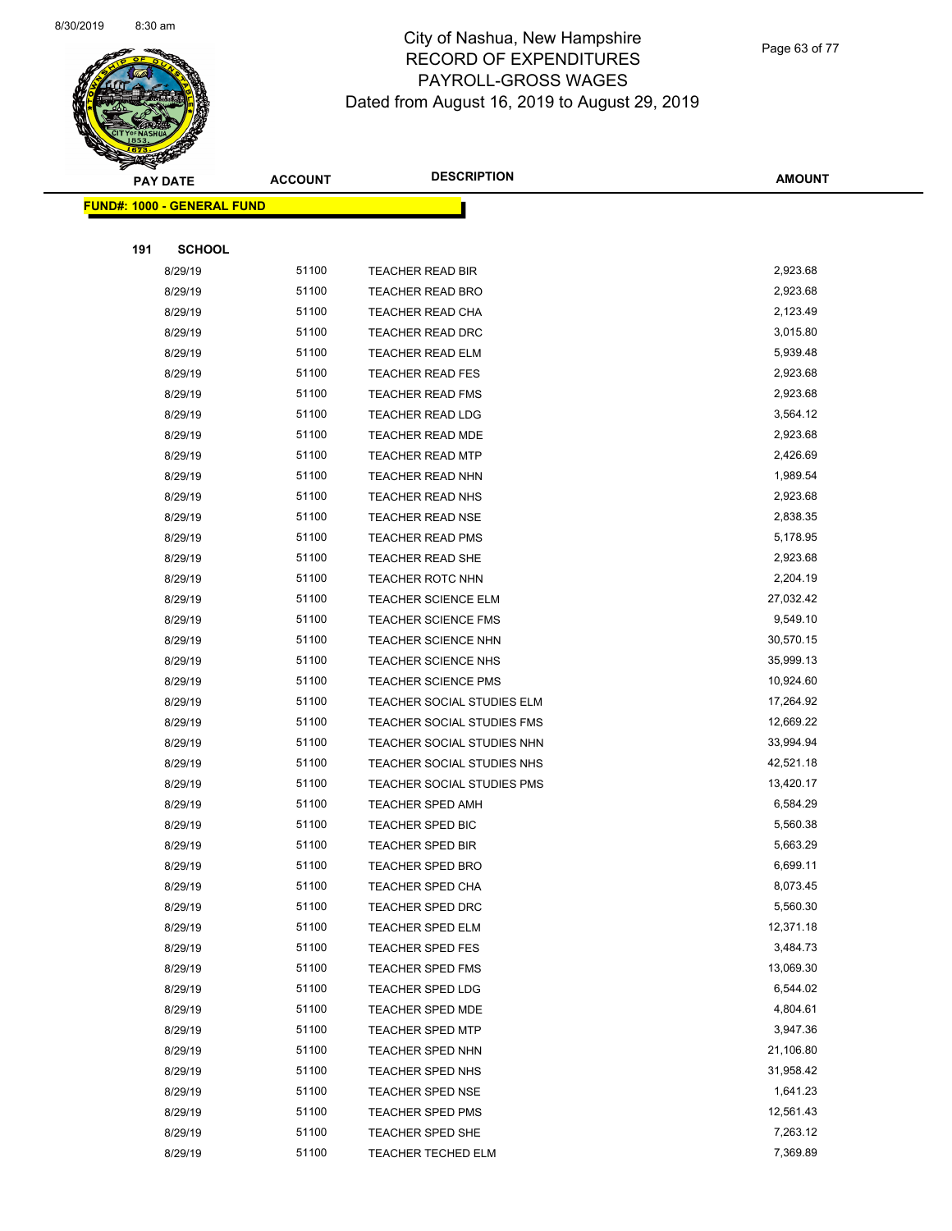

Page 63 of 77

|     | <b>PAY DATE</b>                   | <b>ACCOUNT</b> | <b>DESCRIPTION</b>         | <b>AMOUNT</b> |
|-----|-----------------------------------|----------------|----------------------------|---------------|
|     | <b>FUND#: 1000 - GENERAL FUND</b> |                |                            |               |
|     |                                   |                |                            |               |
| 191 | <b>SCHOOL</b>                     |                |                            |               |
|     | 8/29/19                           | 51100          | <b>TEACHER READ BIR</b>    | 2,923.68      |
|     | 8/29/19                           | 51100          | <b>TEACHER READ BRO</b>    | 2,923.68      |
|     | 8/29/19                           | 51100          | <b>TEACHER READ CHA</b>    | 2,123.49      |
|     | 8/29/19                           | 51100          | <b>TEACHER READ DRC</b>    | 3,015.80      |
|     | 8/29/19                           | 51100          | <b>TEACHER READ ELM</b>    | 5,939.48      |
|     | 8/29/19                           | 51100          | <b>TEACHER READ FES</b>    | 2,923.68      |
|     | 8/29/19                           | 51100          | <b>TEACHER READ FMS</b>    | 2,923.68      |
|     | 8/29/19                           | 51100          | <b>TEACHER READ LDG</b>    | 3,564.12      |
|     | 8/29/19                           | 51100          | <b>TEACHER READ MDE</b>    | 2,923.68      |
|     | 8/29/19                           | 51100          | <b>TEACHER READ MTP</b>    | 2,426.69      |
|     | 8/29/19                           | 51100          | TEACHER READ NHN           | 1,989.54      |
|     | 8/29/19                           | 51100          | <b>TEACHER READ NHS</b>    | 2,923.68      |
|     | 8/29/19                           | 51100          | <b>TEACHER READ NSE</b>    | 2,838.35      |
|     | 8/29/19                           | 51100          | <b>TEACHER READ PMS</b>    | 5,178.95      |
|     | 8/29/19                           | 51100          | <b>TEACHER READ SHE</b>    | 2,923.68      |
|     | 8/29/19                           | 51100          | TEACHER ROTC NHN           | 2,204.19      |
|     | 8/29/19                           | 51100          | <b>TEACHER SCIENCE ELM</b> | 27,032.42     |
|     | 8/29/19                           | 51100          | <b>TEACHER SCIENCE FMS</b> | 9,549.10      |
|     | 8/29/19                           | 51100          | TEACHER SCIENCE NHN        | 30,570.15     |
|     | 8/29/19                           | 51100          | TEACHER SCIENCE NHS        | 35,999.13     |
|     | 8/29/19                           | 51100          | <b>TEACHER SCIENCE PMS</b> | 10,924.60     |
|     | 8/29/19                           | 51100          | TEACHER SOCIAL STUDIES ELM | 17,264.92     |
|     | 8/29/19                           | 51100          | TEACHER SOCIAL STUDIES FMS | 12,669.22     |
|     | 8/29/19                           | 51100          | TEACHER SOCIAL STUDIES NHN | 33,994.94     |
|     | 8/29/19                           | 51100          | TEACHER SOCIAL STUDIES NHS | 42,521.18     |
|     | 8/29/19                           | 51100          | TEACHER SOCIAL STUDIES PMS | 13,420.17     |
|     | 8/29/19                           | 51100          | <b>TEACHER SPED AMH</b>    | 6,584.29      |
|     | 8/29/19                           | 51100          | TEACHER SPED BIC           | 5,560.38      |
|     | 8/29/19                           | 51100          | <b>TEACHER SPED BIR</b>    | 5,663.29      |
|     | 8/29/19                           | 51100          | <b>TEACHER SPED BRO</b>    | 6,699.11      |
|     | 8/29/19                           | 51100          | TEACHER SPED CHA           | 8,073.45      |
|     | 8/29/19                           | 51100          | TEACHER SPED DRC           | 5,560.30      |
|     | 8/29/19                           | 51100          | TEACHER SPED ELM           | 12,371.18     |
|     | 8/29/19                           | 51100          | TEACHER SPED FES           | 3,484.73      |
|     | 8/29/19                           | 51100          | TEACHER SPED FMS           | 13,069.30     |
|     | 8/29/19                           | 51100          | TEACHER SPED LDG           | 6,544.02      |
|     | 8/29/19                           | 51100          | <b>TEACHER SPED MDE</b>    | 4,804.61      |
|     | 8/29/19                           | 51100          | <b>TEACHER SPED MTP</b>    | 3,947.36      |
|     | 8/29/19                           | 51100          | TEACHER SPED NHN           | 21,106.80     |
|     | 8/29/19                           | 51100          | TEACHER SPED NHS           | 31,958.42     |
|     | 8/29/19                           | 51100          | TEACHER SPED NSE           | 1,641.23      |
|     | 8/29/19                           | 51100          | <b>TEACHER SPED PMS</b>    | 12,561.43     |
|     | 8/29/19                           | 51100          | TEACHER SPED SHE           | 7,263.12      |
|     | 8/29/19                           | 51100          | TEACHER TECHED ELM         | 7,369.89      |
|     |                                   |                |                            |               |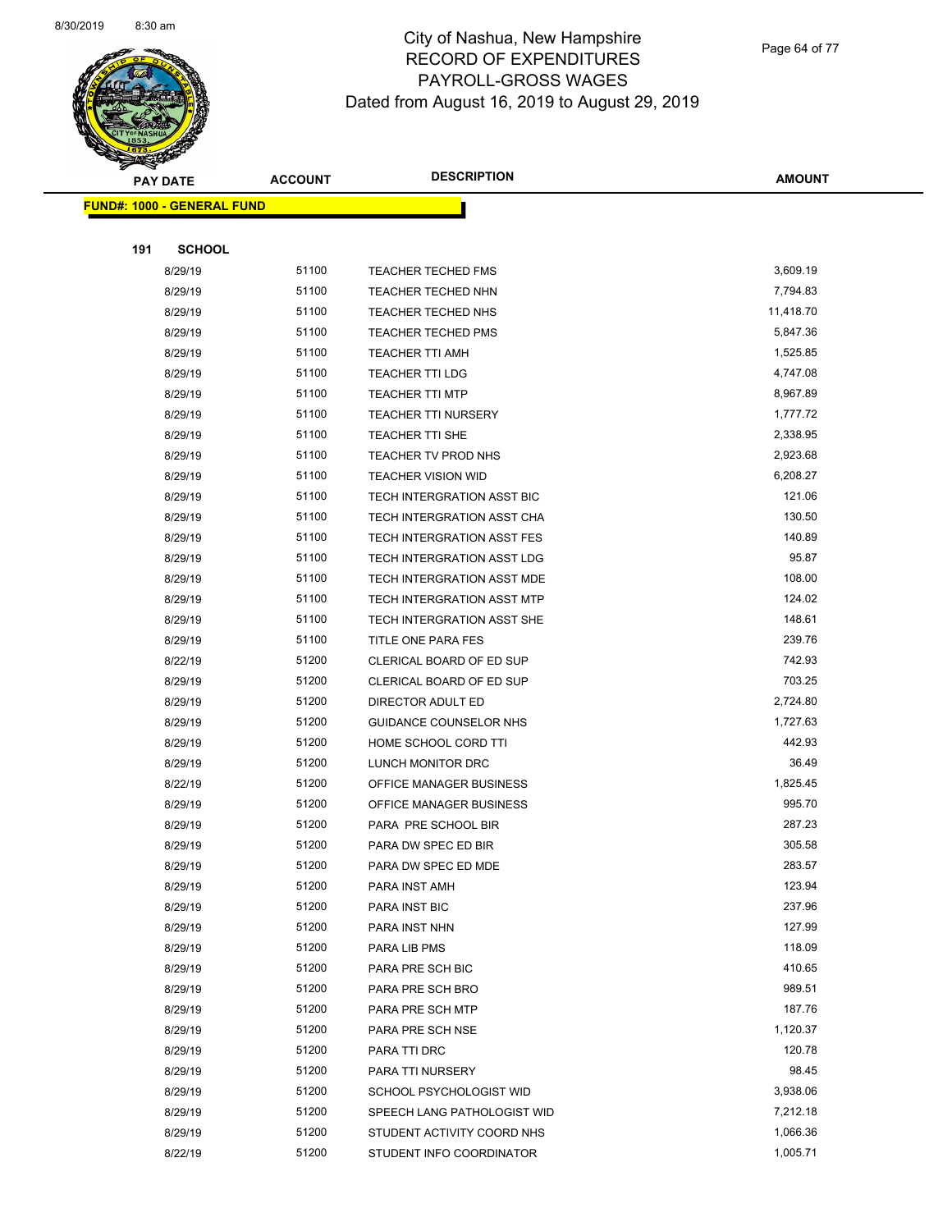

Page 64 of 77

|     | <b>PAY DATE</b>                   | <b>ACCOUNT</b> | <b>DESCRIPTION</b>          | <b>AMOUNT</b> |
|-----|-----------------------------------|----------------|-----------------------------|---------------|
|     | <b>FUND#: 1000 - GENERAL FUND</b> |                |                             |               |
|     |                                   |                |                             |               |
| 191 | <b>SCHOOL</b>                     |                |                             |               |
|     | 8/29/19                           | 51100          | TEACHER TECHED FMS          | 3,609.19      |
|     | 8/29/19                           | 51100          | <b>TEACHER TECHED NHN</b>   | 7,794.83      |
|     | 8/29/19                           | 51100          | <b>TEACHER TECHED NHS</b>   | 11,418.70     |
|     | 8/29/19                           | 51100          | <b>TEACHER TECHED PMS</b>   | 5,847.36      |
|     | 8/29/19                           | 51100          | <b>TEACHER TTI AMH</b>      | 1,525.85      |
|     | 8/29/19                           | 51100          | <b>TEACHER TTI LDG</b>      | 4,747.08      |
|     | 8/29/19                           | 51100          | <b>TEACHER TTI MTP</b>      | 8,967.89      |
|     | 8/29/19                           | 51100          | <b>TEACHER TTI NURSERY</b>  | 1,777.72      |
|     | 8/29/19                           | 51100          | <b>TEACHER TTI SHE</b>      | 2,338.95      |
|     | 8/29/19                           | 51100          | TEACHER TV PROD NHS         | 2,923.68      |
|     | 8/29/19                           | 51100          | <b>TEACHER VISION WID</b>   | 6,208.27      |
|     | 8/29/19                           | 51100          | TECH INTERGRATION ASST BIC  | 121.06        |
|     | 8/29/19                           | 51100          | TECH INTERGRATION ASST CHA  | 130.50        |
|     | 8/29/19                           | 51100          | TECH INTERGRATION ASST FES  | 140.89        |
|     | 8/29/19                           | 51100          | TECH INTERGRATION ASST LDG  | 95.87         |
|     | 8/29/19                           | 51100          | TECH INTERGRATION ASST MDE  | 108.00        |
|     | 8/29/19                           | 51100          | TECH INTERGRATION ASST MTP  | 124.02        |
|     | 8/29/19                           | 51100          | TECH INTERGRATION ASST SHE  | 148.61        |
|     | 8/29/19                           | 51100          | TITLE ONE PARA FES          | 239.76        |
|     | 8/22/19                           | 51200          | CLERICAL BOARD OF ED SUP    | 742.93        |
|     | 8/29/19                           | 51200          | CLERICAL BOARD OF ED SUP    | 703.25        |
|     | 8/29/19                           | 51200          | DIRECTOR ADULT ED           | 2,724.80      |
|     | 8/29/19                           | 51200          | GUIDANCE COUNSELOR NHS      | 1,727.63      |
|     | 8/29/19                           | 51200          | HOME SCHOOL CORD TTI        | 442.93        |
|     | 8/29/19                           | 51200          | LUNCH MONITOR DRC           | 36.49         |
|     | 8/22/19                           | 51200          | OFFICE MANAGER BUSINESS     | 1,825.45      |
|     | 8/29/19                           | 51200          | OFFICE MANAGER BUSINESS     | 995.70        |
|     | 8/29/19                           | 51200          | PARA PRE SCHOOL BIR         | 287.23        |
|     | 8/29/19                           | 51200          | PARA DW SPEC ED BIR         | 305.58        |
|     | 8/29/19                           | 51200          | PARA DW SPEC ED MDE         | 283.57        |
|     | 8/29/19                           | 51200          | PARA INST AMH               | 123.94        |
|     | 8/29/19                           | 51200          | PARA INST BIC               | 237.96        |
|     | 8/29/19                           | 51200          | PARA INST NHN               | 127.99        |
|     | 8/29/19                           | 51200          | PARA LIB PMS                | 118.09        |
|     | 8/29/19                           | 51200          | PARA PRE SCH BIC            | 410.65        |
|     | 8/29/19                           | 51200          | PARA PRE SCH BRO            | 989.51        |
|     | 8/29/19                           | 51200          | PARA PRE SCH MTP            | 187.76        |
|     | 8/29/19                           | 51200          | PARA PRE SCH NSE            | 1,120.37      |
|     | 8/29/19                           | 51200          | PARA TTI DRC                | 120.78        |
|     | 8/29/19                           | 51200          | PARA TTI NURSERY            | 98.45         |
|     | 8/29/19                           | 51200          | SCHOOL PSYCHOLOGIST WID     | 3,938.06      |
|     | 8/29/19                           | 51200          | SPEECH LANG PATHOLOGIST WID | 7,212.18      |
|     | 8/29/19                           | 51200          | STUDENT ACTIVITY COORD NHS  | 1,066.36      |
|     | 8/22/19                           | 51200          | STUDENT INFO COORDINATOR    | 1,005.71      |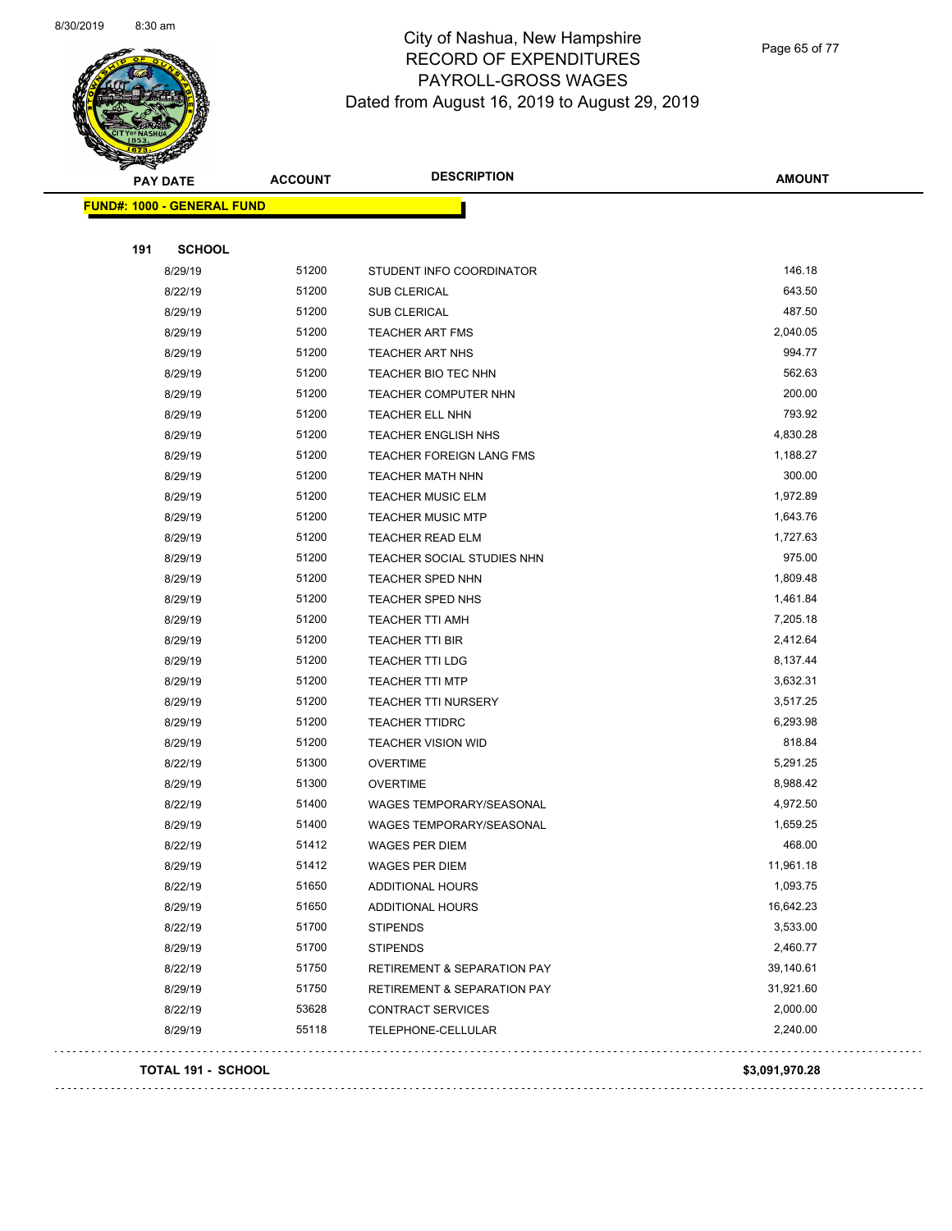

Page 65 of 77

| <b>PAY DATE</b>                   | <b>ACCOUNT</b> | <b>DESCRIPTION</b>                     | <b>AMOUNT</b>  |
|-----------------------------------|----------------|----------------------------------------|----------------|
| <b>FUND#: 1000 - GENERAL FUND</b> |                |                                        |                |
|                                   |                |                                        |                |
| 191<br><b>SCHOOL</b>              |                |                                        |                |
| 8/29/19                           | 51200          | STUDENT INFO COORDINATOR               | 146.18         |
| 8/22/19                           | 51200          | SUB CLERICAL                           | 643.50         |
| 8/29/19                           | 51200          | SUB CLERICAL                           | 487.50         |
| 8/29/19                           | 51200          | <b>TEACHER ART FMS</b>                 | 2,040.05       |
| 8/29/19                           | 51200          | <b>TEACHER ART NHS</b>                 | 994.77         |
| 8/29/19                           | 51200          | TEACHER BIO TEC NHN                    | 562.63         |
| 8/29/19                           | 51200          | TEACHER COMPUTER NHN                   | 200.00         |
| 8/29/19                           | 51200          | TEACHER ELL NHN                        | 793.92         |
| 8/29/19                           | 51200          | <b>TEACHER ENGLISH NHS</b>             | 4,830.28       |
| 8/29/19                           | 51200          | <b>TEACHER FOREIGN LANG FMS</b>        | 1,188.27       |
| 8/29/19                           | 51200          | TEACHER MATH NHN                       | 300.00         |
| 8/29/19                           | 51200          | <b>TEACHER MUSIC ELM</b>               | 1,972.89       |
| 8/29/19                           | 51200          | <b>TEACHER MUSIC MTP</b>               | 1,643.76       |
| 8/29/19                           | 51200          | <b>TEACHER READ ELM</b>                | 1,727.63       |
| 8/29/19                           | 51200          | TEACHER SOCIAL STUDIES NHN             | 975.00         |
| 8/29/19                           | 51200          | TEACHER SPED NHN                       | 1,809.48       |
| 8/29/19                           | 51200          | TEACHER SPED NHS                       | 1,461.84       |
| 8/29/19                           | 51200          | TEACHER TTI AMH                        | 7,205.18       |
| 8/29/19                           | 51200          | TEACHER TTI BIR                        | 2,412.64       |
| 8/29/19                           | 51200          | <b>TEACHER TTI LDG</b>                 | 8,137.44       |
| 8/29/19                           | 51200          | <b>TEACHER TTI MTP</b>                 | 3,632.31       |
| 8/29/19                           | 51200          | <b>TEACHER TTI NURSERY</b>             | 3,517.25       |
| 8/29/19                           | 51200          | <b>TEACHER TTIDRC</b>                  | 6,293.98       |
| 8/29/19                           | 51200          | <b>TEACHER VISION WID</b>              | 818.84         |
| 8/22/19                           | 51300          | <b>OVERTIME</b>                        | 5,291.25       |
| 8/29/19                           | 51300          | <b>OVERTIME</b>                        | 8,988.42       |
| 8/22/19                           | 51400          | WAGES TEMPORARY/SEASONAL               | 4,972.50       |
| 8/29/19                           | 51400          | WAGES TEMPORARY/SEASONAL               | 1,659.25       |
| 8/22/19                           | 51412          | WAGES PER DIEM                         | 468.00         |
| 8/29/19                           | 51412          | WAGES PER DIEM                         | 11,961.18      |
| 8/22/19                           | 51650          | ADDITIONAL HOURS                       | 1,093.75       |
| 8/29/19                           | 51650          | ADDITIONAL HOURS                       | 16,642.23      |
| 8/22/19                           | 51700          | <b>STIPENDS</b>                        | 3,533.00       |
| 8/29/19                           | 51700          | <b>STIPENDS</b>                        | 2,460.77       |
| 8/22/19                           | 51750          | <b>RETIREMENT &amp; SEPARATION PAY</b> | 39,140.61      |
| 8/29/19                           | 51750          | <b>RETIREMENT &amp; SEPARATION PAY</b> | 31,921.60      |
| 8/22/19                           | 53628          | CONTRACT SERVICES                      | 2,000.00       |
| 8/29/19                           | 55118          | TELEPHONE-CELLULAR                     | 2,240.00       |
| TOTAL 191 - SCHOOL                |                |                                        | \$3,091,970.28 |
|                                   |                |                                        |                |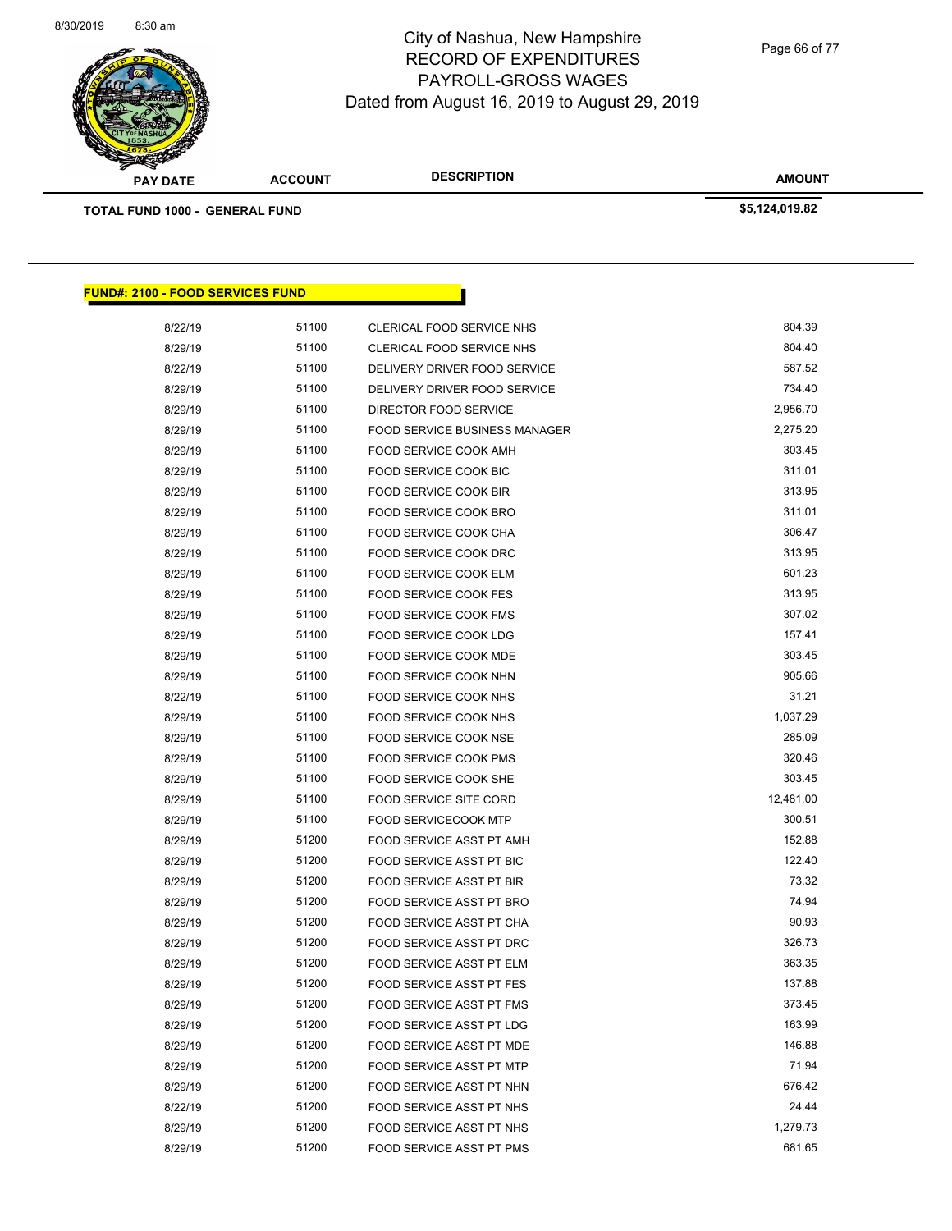

Page 66 of 77

**AMOUNT PAY DATE ACCOUNT DESCRIPTION TOTAL FUND 1000 - GENERAL FUND \$5,124,019.82 FUND#: 2100 - FOOD SERVICES FUND** 8/22/19 51100 CLERICAL FOOD SERVICE NHS 604.39 8/29/19 51100 CLERICAL FOOD SERVICE NHS 604.40 8/22/19 51100 DELIVERY DRIVER FOOD SERVICE 587.52 8/29/19 51100 DELIVERY DRIVER FOOD SERVICE 6 234.40 8/29/19 51100 DIRECTOR FOOD SERVICE 55 100 2,956.70 8/29/19 51100 FOOD SERVICE BUSINESS MANAGER 2,275.20 8/29/19 51100 FOOD SERVICE COOK AMH 303.45 8/29/19 51100 FOOD SERVICE COOK BIC 57 FOOD SERVICE COOK BIC 8/29/19 51100 FOOD SERVICE COOK BIR 313.95 8/29/19 51100 FOOD SERVICE COOK BRO 311.01 8/29/19 51100 FOOD SERVICE COOK CHA 306.47 8/29/19 51100 FOOD SERVICE COOK DRC 56 FOOD SERVICE COOK DRC 8/29/19 51100 FOOD SERVICE COOK ELM 601.23 8/29/19 51100 FOOD SERVICE COOK FES 313.95 8/29/19 51100 FOOD SERVICE COOK FMS 307.02 8/29/19 51100 FOOD SERVICE COOK LDG 157.41 8/29/19 51100 FOOD SERVICE COOK MDE 503.45 8/29/19 51100 FOOD SERVICE COOK NHN 505.66 8/22/19 51100 FOOD SERVICE COOK NHS 51.21 8/29/19 51100 FOOD SERVICE COOK NHS 1,037.29 8/29/19 51100 FOOD SERVICE COOK NSE 385.09 8/29/19 51100 FOOD SERVICE COOK PMS 5000 FOOD SERVICE COOK PMS 8/29/19 51100 FOOD SERVICE COOK SHE 303.45 8/29/19 51100 FOOD SERVICE SITE CORD 12,481.00 8/29/19 51100 FOOD SERVICECOOK MTP 300.51 8/29/19 51200 FOOD SERVICE ASST PT AMH 152.88 8/29/19 51200 FOOD SERVICE ASST PT BIC 6 ASSEMBLE 122.40 8/29/19 51200 FOOD SERVICE ASST PT BIR 673.32 8/29/19 51200 FOOD SERVICE ASST PT BRO 6 FOOD SERVICE ASST PT BRO 8/29/19 51200 FOOD SERVICE ASST PT CHA 690.93 8/29/19 51200 FOOD SERVICE ASST PT DRC 526.73 8/29/19 51200 FOOD SERVICE ASST PT ELM 563.35 8/29/19 51200 FOOD SERVICE ASST PT FES 137.88 8/29/19 51200 FOOD SERVICE ASST PT FMS 673.45 8/29/19 51200 FOOD SERVICE ASST PT LDG 163.99 8/29/19 51200 FOOD SERVICE ASST PT MDE 6 146.88 8/29/19 51200 FOOD SERVICE ASST PT MTP 6 ASSEMBLE 2014 19:30 19:41

> 8/29/19 51200 FOOD SERVICE ASST PT NHN 676.42 8/22/19 51200 FOOD SERVICE ASST PT NHS 6000 524.44 8/29/19 51200 FOOD SERVICE ASST PT NHS 1,279.73 8/29/19 51200 FOOD SERVICE ASST PT PMS 681.65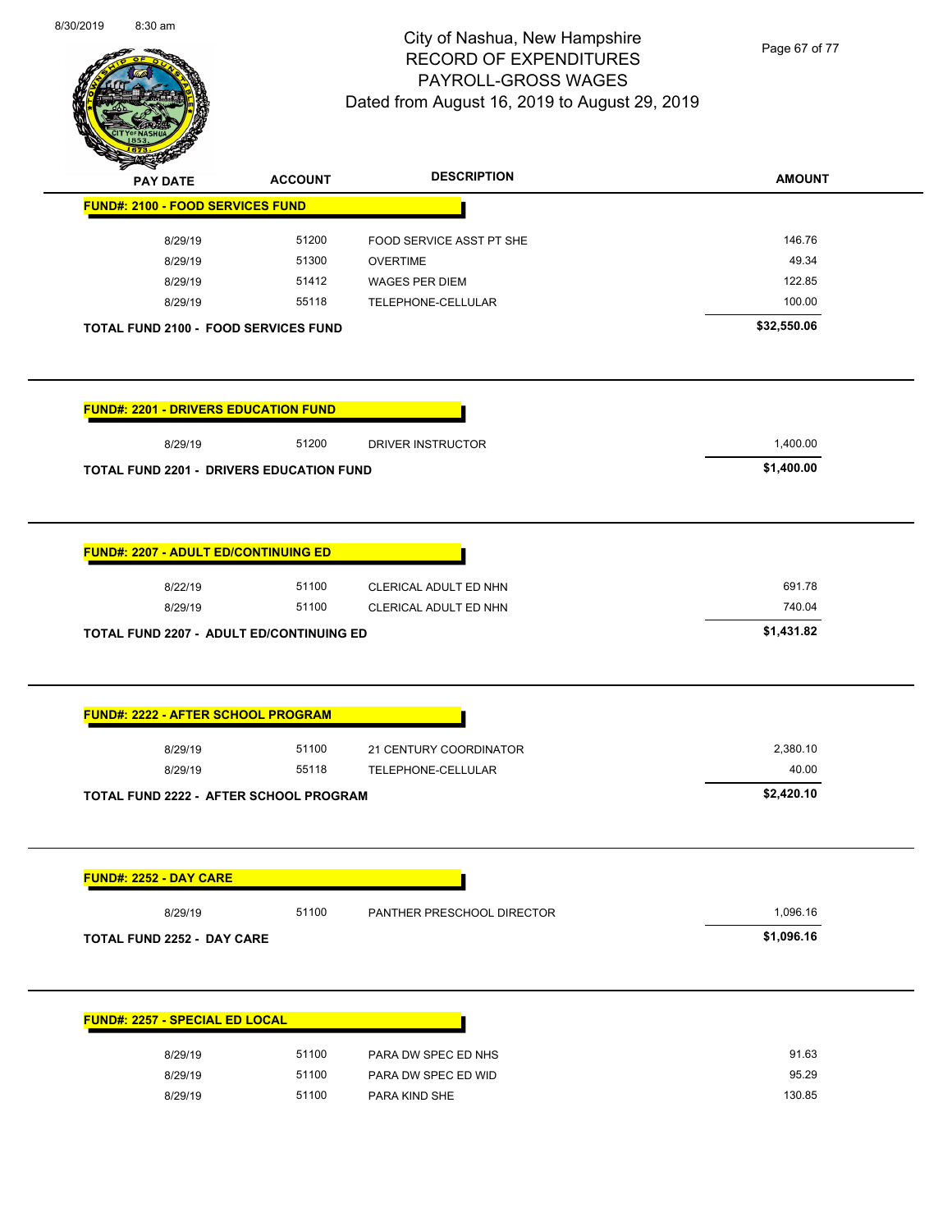

Page 67 of 77

| <b>PAY DATE</b>                                 | <b>ACCOUNT</b> | <b>DESCRIPTION</b>         | <b>AMOUNT</b> |
|-------------------------------------------------|----------------|----------------------------|---------------|
| <b>FUND#: 2100 - FOOD SERVICES FUND</b>         |                |                            |               |
| 8/29/19                                         | 51200          | FOOD SERVICE ASST PT SHE   | 146.76        |
| 8/29/19                                         | 51300          | <b>OVERTIME</b>            | 49.34         |
| 8/29/19                                         | 51412          | <b>WAGES PER DIEM</b>      | 122.85        |
| 8/29/19                                         | 55118          | TELEPHONE-CELLULAR         | 100.00        |
| <b>TOTAL FUND 2100 - FOOD SERVICES FUND</b>     |                |                            | \$32,550.06   |
| <b>FUND#: 2201 - DRIVERS EDUCATION FUND</b>     |                |                            |               |
| 8/29/19                                         | 51200          | DRIVER INSTRUCTOR          | 1,400.00      |
| <b>TOTAL FUND 2201 - DRIVERS EDUCATION FUND</b> |                |                            | \$1,400.00    |
|                                                 |                |                            |               |
| <b>FUND#: 2207 - ADULT ED/CONTINUING ED</b>     |                |                            |               |
| 8/22/19                                         | 51100          | CLERICAL ADULT ED NHN      | 691.78        |
| 8/29/19                                         | 51100          | CLERICAL ADULT ED NHN      | 740.04        |
| <b>TOTAL FUND 2207 - ADULT ED/CONTINUING ED</b> |                |                            | \$1,431.82    |
| <b>FUND#: 2222 - AFTER SCHOOL PROGRAM</b>       |                |                            |               |
|                                                 |                |                            |               |
| 8/29/19                                         | 51100          | 21 CENTURY COORDINATOR     | 2,380.10      |
| 8/29/19                                         | 55118          | TELEPHONE-CELLULAR         | 40.00         |
| TOTAL FUND 2222 - AFTER SCHOOL PROGRAM          |                |                            | \$2,420.10    |
|                                                 |                |                            |               |
| FUND#: 2252 - DAY CARE                          |                |                            |               |
| 8/29/19                                         | 51100          | PANTHER PRESCHOOL DIRECTOR | 1,096.16      |
|                                                 |                |                            | \$1,096.16    |
| <b>TOTAL FUND 2252 - DAY CARE</b>               |                |                            |               |
| <b>FUND#: 2257 - SPECIAL ED LOCAL</b>           |                |                            |               |
| 8/29/19                                         | 51100          | PARA DW SPEC ED NHS        | 91.63         |
| 8/29/19                                         | 51100          | PARA DW SPEC ED WID        | 95.29         |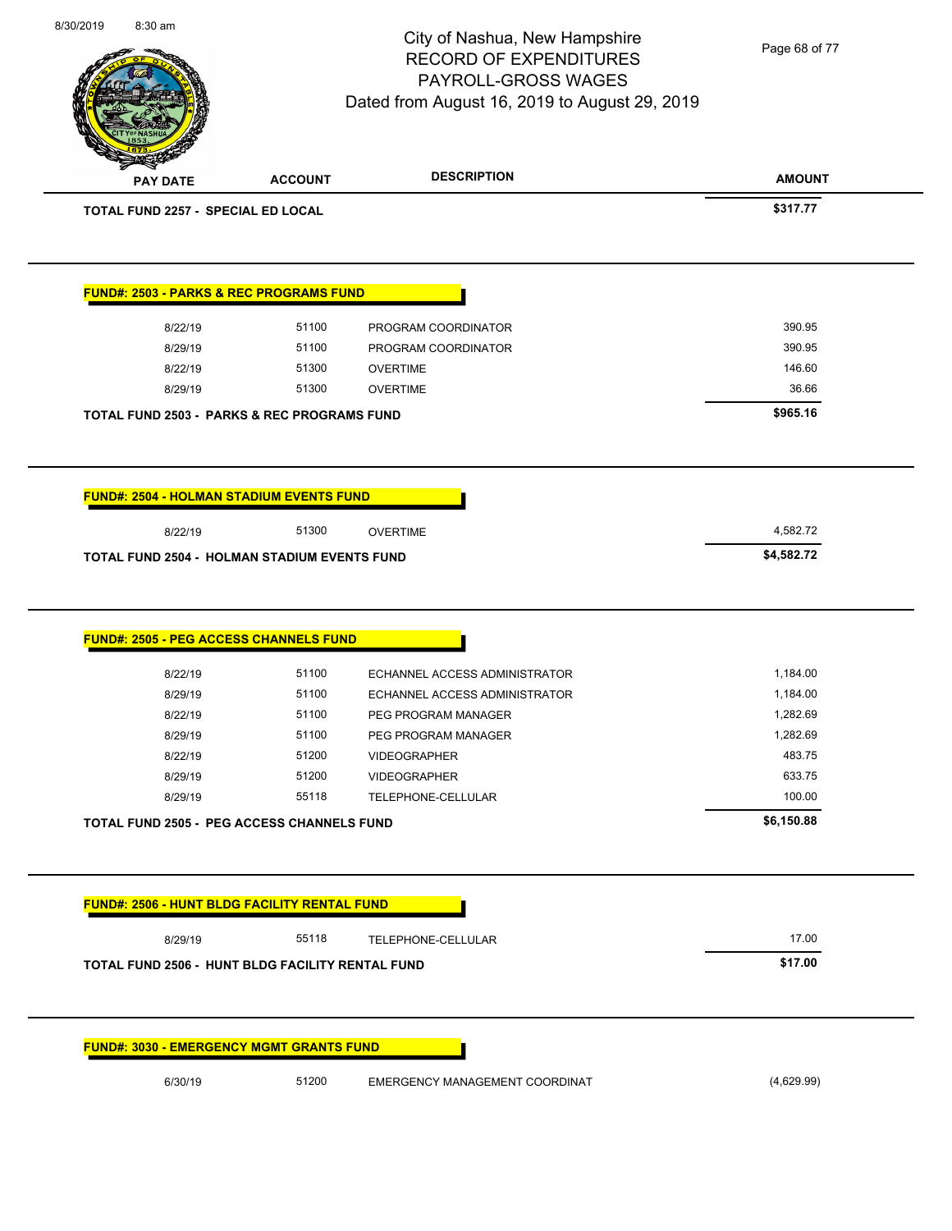**AMOUNT** City of Nashua, New Hampshire RECORD OF EXPENDITURES PAYROLL-GROSS WAGES Dated from August 16, 2019 to August 29, 2019 **PAY DATE ACCOUNT DESCRIPTION TOTAL FUND 2257 - SPECIAL ED LOCAL \$317.77 FUND#: 2503 - PARKS & REC PROGRAMS FUND** 8/22/19 51100 PROGRAM COORDINATOR 390.95 8/29/19 51100 PROGRAM COORDINATOR 390.95 8/22/19 51300 OVERTIME 146.60 8/29/19 51300 OVERTIME 36.66 **TOTAL FUND 2503 - PARKS & REC PROGRAMS FUND \$965.16 FUND#: 2504 - HOLMAN STADIUM EVENTS FUND** 8/22/19 51300 OVERTIME 4,582.72 **TOTAL FUND 2504 - HOLMAN STADIUM EVENTS FUND \$4,582.72 FUND#: 2505 - PEG ACCESS CHANNELS FUND** 8/22/19 51100 ECHANNEL ACCESS ADMINISTRATOR 1,184.00 8/29/19 51100 ECHANNEL ACCESS ADMINISTRATOR 1,184.00 8/22/19 51100 PEG PROGRAM MANAGER 1,282.69 8/29/19 51100 PEG PROGRAM MANAGER 1,282.69 8/22/19 51200 VIDEOGRAPHER 483.75 8/29/19 51200 VIDEOGRAPHER 633.75 8/29/19 55118 TELEPHONE-CELLULAR 100.00 **TOTAL FUND 2505 - PEG ACCESS CHANNELS FUND \$6,150.88 FUND#: 2506 - HUNT BLDG FACILITY RENTAL FUND** 8/29/19 55118 TELEPHONE-CELLULAR 17.00 **TOTAL FUND 2506 - HUNT BLDG FACILITY RENTAL FUND \$17.00 FUND#: 3030 - EMERGENCY MGMT GRANTS FUND** Page 68 of 77

8/30/2019 8:30 am

6/30/19 51200 EMERGENCY MANAGEMENT COORDINAT (4,629.99)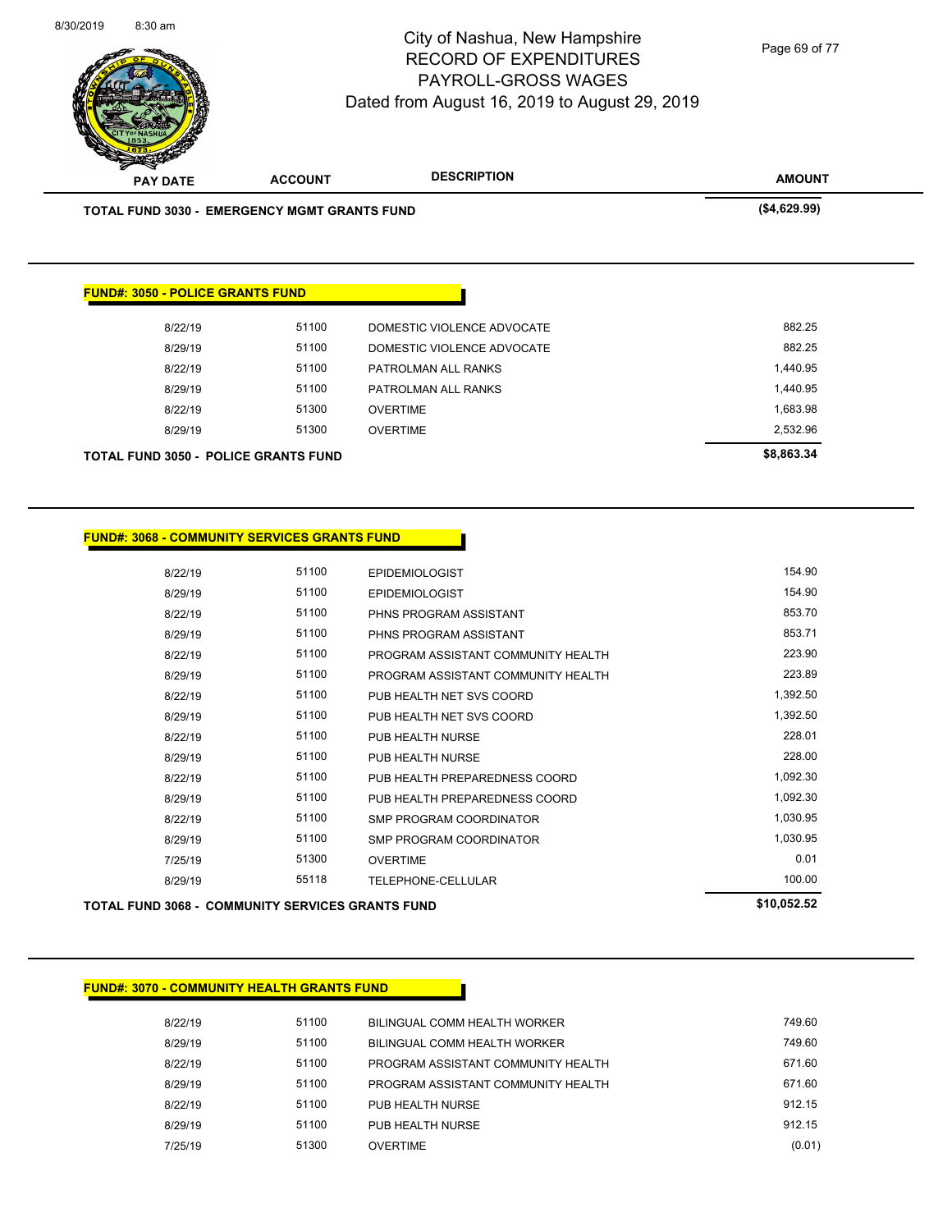

| <b>TOTAL FUND 3030 - EMERGENCY MGMT GRANTS FUND</b> |       |                            | (\$4,629.99) |
|-----------------------------------------------------|-------|----------------------------|--------------|
|                                                     |       |                            |              |
| <b>FUND#: 3050 - POLICE GRANTS FUND</b>             |       |                            |              |
|                                                     | 51100 | DOMESTIC VIOLENCE ADVOCATE | 882.25       |
| 8/22/19                                             |       |                            |              |
| 8/29/19                                             | 51100 | DOMESTIC VIOLENCE ADVOCATE | 882.25       |
| 8/22/19                                             | 51100 | PATROLMAN ALL RANKS        | 1,440.95     |
| 8/29/19                                             | 51100 | PATROLMAN ALL RANKS        | 1,440.95     |
| 8/22/19                                             | 51300 | <b>OVERTIME</b>            | 1,683.98     |

| <b>TOTAL FUND 3068 - COMMUNITY SERVICES GRANTS FUND</b> | \$10,052.52 |                                    |          |
|---------------------------------------------------------|-------------|------------------------------------|----------|
| 8/29/19                                                 | 55118       | TELEPHONE-CELLULAR                 | 100.00   |
| 7/25/19                                                 | 51300       | <b>OVERTIME</b>                    | 0.01     |
| 8/29/19                                                 | 51100       | SMP PROGRAM COORDINATOR            | 1,030.95 |
| 8/22/19                                                 | 51100       | SMP PROGRAM COORDINATOR            | 1,030.95 |
| 8/29/19                                                 | 51100       | PUB HEALTH PREPAREDNESS COORD      | 1,092.30 |
| 8/22/19                                                 | 51100       | PUB HEALTH PREPAREDNESS COORD      | 1,092.30 |
| 8/29/19                                                 | 51100       | PUB HEALTH NURSE                   | 228.00   |
| 8/22/19                                                 | 51100       | PUB HEALTH NURSE                   | 228.01   |
| 8/29/19                                                 | 51100       | PUB HEALTH NET SVS COORD           | 1,392.50 |
| 8/22/19                                                 | 51100       | PUB HEALTH NET SVS COORD           | 1,392.50 |
| 8/29/19                                                 | 51100       | PROGRAM ASSISTANT COMMUNITY HEALTH | 223.89   |
| 8/22/19                                                 | 51100       | PROGRAM ASSISTANT COMMUNITY HEALTH | 223.90   |
| 8/29/19                                                 | 51100       | PHNS PROGRAM ASSISTANT             | 853.71   |
| 8/22/19                                                 | 51100       | PHNS PROGRAM ASSISTANT             | 853.70   |
| 8/29/19                                                 | 51100       | <b>EPIDEMIOLOGIST</b>              | 154.90   |
| 8/22/19                                                 | 51100       | <b>EPIDEMIOLOGIST</b>              | 154.90   |
|                                                         |             |                                    |          |

#### **FUND#: 3070 - COMMUNITY HEALTH GRANTS FUND**

| 51100<br>8/29/19<br>BILINGUAL COMM HEALTH WORKER<br>51100<br>8/22/19<br>PROGRAM ASSISTANT COMMUNITY HEALTH<br>51100<br>8/29/19<br>PROGRAM ASSISTANT COMMUNITY HEALTH<br>51100<br>8/22/19<br>PUB HEALTH NURSE<br>51100<br>8/29/19<br>PUB HEALTH NURSE | 8/22/19 | 51100 | BILINGUAL COMM HEALTH WORKER | 749.60  |
|------------------------------------------------------------------------------------------------------------------------------------------------------------------------------------------------------------------------------------------------------|---------|-------|------------------------------|---------|
|                                                                                                                                                                                                                                                      |         |       |                              | 749.60  |
|                                                                                                                                                                                                                                                      |         |       |                              | 671.60  |
|                                                                                                                                                                                                                                                      |         |       |                              | 671.60  |
|                                                                                                                                                                                                                                                      |         |       |                              | 91215   |
|                                                                                                                                                                                                                                                      |         |       |                              | 912, 15 |
|                                                                                                                                                                                                                                                      | 7/25/19 | 51300 | <b>OVERTIME</b>              | (0.01)  |

Page 69 of 77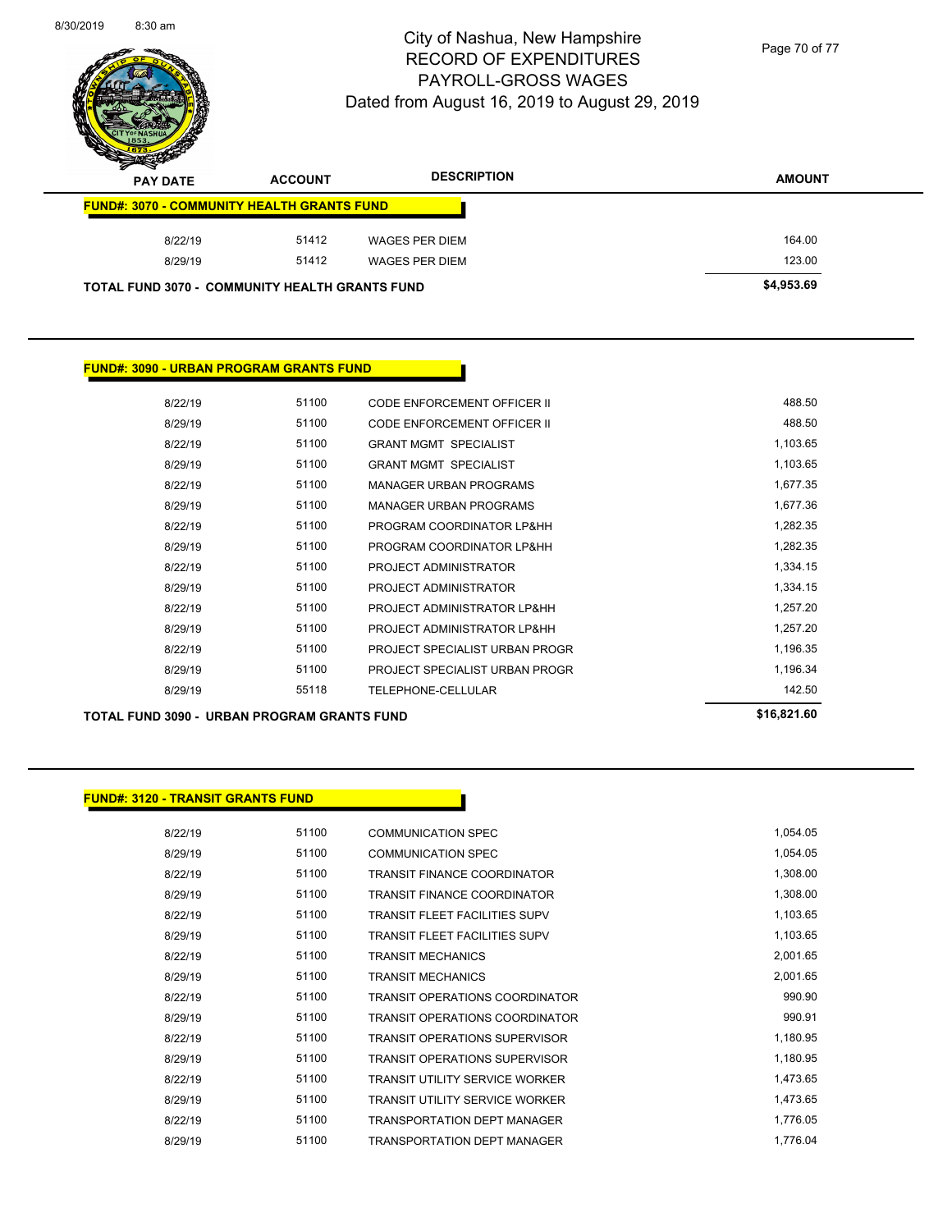

Page 70 of 77

| z<br>◅<br><b>PAY DATE</b>                             | <b>ACCOUNT</b> | <b>DESCRIPTION</b> | <b>AMOUNT</b> |
|-------------------------------------------------------|----------------|--------------------|---------------|
| <b>FUND#: 3070 - COMMUNITY HEALTH GRANTS FUND</b>     |                |                    |               |
| 8/22/19                                               | 51412          | WAGES PER DIEM     | 164.00        |
| 8/29/19                                               | 51412          | WAGES PER DIEM     | 123.00        |
| <b>TOTAL FUND 3070 - COMMUNITY HEALTH GRANTS FUND</b> |                |                    | \$4,953.69    |

#### **FUND#: 3090 - URBAN PROGRAM GRANTS FUND**

| 8/22/19 | 51100 | CODE ENFORCEMENT OFFICER II    | 488.50   |
|---------|-------|--------------------------------|----------|
| 8/29/19 | 51100 | CODE ENFORCEMENT OFFICER II    | 488.50   |
| 8/22/19 | 51100 | <b>GRANT MGMT SPECIALIST</b>   | 1,103.65 |
| 8/29/19 | 51100 | <b>GRANT MGMT SPECIALIST</b>   | 1,103.65 |
| 8/22/19 | 51100 | <b>MANAGER URBAN PROGRAMS</b>  | 1,677.35 |
| 8/29/19 | 51100 | <b>MANAGER URBAN PROGRAMS</b>  | 1,677.36 |
| 8/22/19 | 51100 | PROGRAM COORDINATOR LP&HH      | 1,282.35 |
| 8/29/19 | 51100 | PROGRAM COORDINATOR LP&HH      | 1,282.35 |
| 8/22/19 | 51100 | PROJECT ADMINISTRATOR          | 1,334.15 |
| 8/29/19 | 51100 | PROJECT ADMINISTRATOR          | 1,334.15 |
| 8/22/19 | 51100 | PROJECT ADMINISTRATOR LP&HH    | 1,257.20 |
| 8/29/19 | 51100 | PROJECT ADMINISTRATOR LP&HH    | 1,257.20 |
| 8/22/19 | 51100 | PROJECT SPECIALIST URBAN PROGR | 1,196.35 |
| 8/29/19 | 51100 | PROJECT SPECIALIST URBAN PROGR | 1,196.34 |
| 8/29/19 | 55118 | TELEPHONE-CELLULAR             | 142.50   |
|         |       |                                |          |

**TOTAL FUND 3090 - URBAN PROGRAM GRANTS FUND \$16,821.60** 

#### **FUND#: 3120 - TRANSIT GRANTS FUND**

| 8/22/19 | 51100 | <b>COMMUNICATION SPEC</b>             | 1,054.05 |
|---------|-------|---------------------------------------|----------|
| 8/29/19 | 51100 | <b>COMMUNICATION SPEC</b>             | 1,054.05 |
| 8/22/19 | 51100 | <b>TRANSIT FINANCE COORDINATOR</b>    | 1,308.00 |
| 8/29/19 | 51100 | <b>TRANSIT FINANCE COORDINATOR</b>    | 1,308.00 |
| 8/22/19 | 51100 | <b>TRANSIT FLEET FACILITIES SUPV</b>  | 1,103.65 |
| 8/29/19 | 51100 | <b>TRANSIT FLEET FACILITIES SUPV</b>  | 1,103.65 |
| 8/22/19 | 51100 | <b>TRANSIT MECHANICS</b>              | 2,001.65 |
| 8/29/19 | 51100 | <b>TRANSIT MECHANICS</b>              | 2,001.65 |
| 8/22/19 | 51100 | <b>TRANSIT OPERATIONS COORDINATOR</b> | 990.90   |
| 8/29/19 | 51100 | <b>TRANSIT OPERATIONS COORDINATOR</b> | 990.91   |
| 8/22/19 | 51100 | <b>TRANSIT OPERATIONS SUPERVISOR</b>  | 1,180.95 |
| 8/29/19 | 51100 | <b>TRANSIT OPERATIONS SUPERVISOR</b>  | 1,180.95 |
| 8/22/19 | 51100 | <b>TRANSIT UTILITY SERVICE WORKER</b> | 1,473.65 |
| 8/29/19 | 51100 | <b>TRANSIT UTILITY SERVICE WORKER</b> | 1,473.65 |
| 8/22/19 | 51100 | TRANSPORTATION DEPT MANAGER           | 1,776.05 |
| 8/29/19 | 51100 | TRANSPORTATION DEPT MANAGER           | 1,776.04 |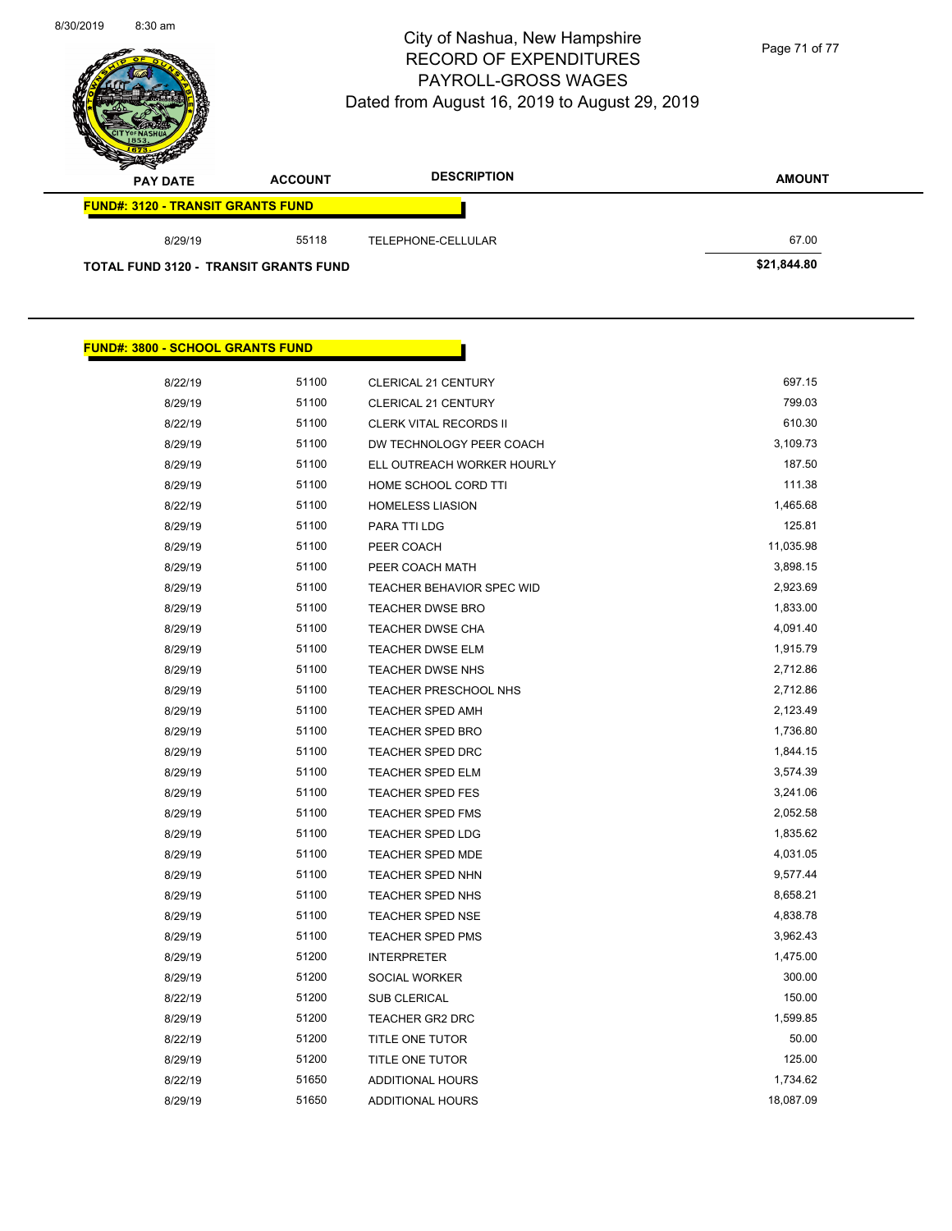$\overline{\phantom{0}}$ 

**FUND#: 3800 - SCHOOL GRANTS FUND**

# City of Nashua, New Hampshire RECORD OF EXPENDITURES PAYROLL-GROSS WAGES Dated from August 16, 2019 to August 29, 2019

Page 71 of 77

| $\rightarrow$<br><b>PAY DATE</b>             | <b>ACCOUNT</b> | <b>DESCRIPTION</b> | <b>AMOUNT</b> |
|----------------------------------------------|----------------|--------------------|---------------|
| <b>FUND#: 3120 - TRANSIT GRANTS FUND</b>     |                |                    |               |
| 8/29/19                                      | 55118          | TELEPHONE-CELLULAR | 67.00         |
| <b>TOTAL FUND 3120 - TRANSIT GRANTS FUND</b> |                |                    | \$21,844.80   |

Γ

| 8/22/19 | 51100 | <b>CLERICAL 21 CENTURY</b>    | 697.15    |
|---------|-------|-------------------------------|-----------|
| 8/29/19 | 51100 | <b>CLERICAL 21 CENTURY</b>    | 799.03    |
| 8/22/19 | 51100 | <b>CLERK VITAL RECORDS II</b> | 610.30    |
| 8/29/19 | 51100 | DW TECHNOLOGY PEER COACH      | 3,109.73  |
| 8/29/19 | 51100 | ELL OUTREACH WORKER HOURLY    | 187.50    |
| 8/29/19 | 51100 | HOME SCHOOL CORD TTI          | 111.38    |
| 8/22/19 | 51100 | <b>HOMELESS LIASION</b>       | 1,465.68  |
| 8/29/19 | 51100 | PARA TTI LDG                  | 125.81    |
| 8/29/19 | 51100 | PEER COACH                    | 11,035.98 |
| 8/29/19 | 51100 | PEER COACH MATH               | 3,898.15  |
| 8/29/19 | 51100 | TEACHER BEHAVIOR SPEC WID     | 2,923.69  |
| 8/29/19 | 51100 | <b>TEACHER DWSE BRO</b>       | 1,833.00  |
| 8/29/19 | 51100 | <b>TEACHER DWSE CHA</b>       | 4,091.40  |
| 8/29/19 | 51100 | <b>TEACHER DWSE ELM</b>       | 1,915.79  |
| 8/29/19 | 51100 | TEACHER DWSE NHS              | 2,712.86  |
| 8/29/19 | 51100 | TEACHER PRESCHOOL NHS         | 2,712.86  |
| 8/29/19 | 51100 | <b>TEACHER SPED AMH</b>       | 2,123.49  |
| 8/29/19 | 51100 | <b>TEACHER SPED BRO</b>       | 1,736.80  |
| 8/29/19 | 51100 | <b>TEACHER SPED DRC</b>       | 1,844.15  |
| 8/29/19 | 51100 | <b>TEACHER SPED ELM</b>       | 3,574.39  |
| 8/29/19 | 51100 | <b>TEACHER SPED FES</b>       | 3,241.06  |
| 8/29/19 | 51100 | <b>TEACHER SPED FMS</b>       | 2,052.58  |
| 8/29/19 | 51100 | <b>TEACHER SPED LDG</b>       | 1,835.62  |
| 8/29/19 | 51100 | TEACHER SPED MDE              | 4,031.05  |
| 8/29/19 | 51100 | TEACHER SPED NHN              | 9,577.44  |
| 8/29/19 | 51100 | TEACHER SPED NHS              | 8,658.21  |
| 8/29/19 | 51100 | TEACHER SPED NSE              | 4,838.78  |
| 8/29/19 | 51100 | <b>TEACHER SPED PMS</b>       | 3,962.43  |
| 8/29/19 | 51200 | <b>INTERPRETER</b>            | 1,475.00  |
| 8/29/19 | 51200 | SOCIAL WORKER                 | 300.00    |
| 8/22/19 | 51200 | SUB CLERICAL                  | 150.00    |
| 8/29/19 | 51200 | TEACHER GR2 DRC               | 1,599.85  |
| 8/22/19 | 51200 | TITLE ONE TUTOR               | 50.00     |
| 8/29/19 | 51200 | TITLE ONE TUTOR               | 125.00    |
| 8/22/19 | 51650 | ADDITIONAL HOURS              | 1,734.62  |
| 8/29/19 | 51650 | <b>ADDITIONAL HOURS</b>       | 18,087.09 |
|         |       |                               |           |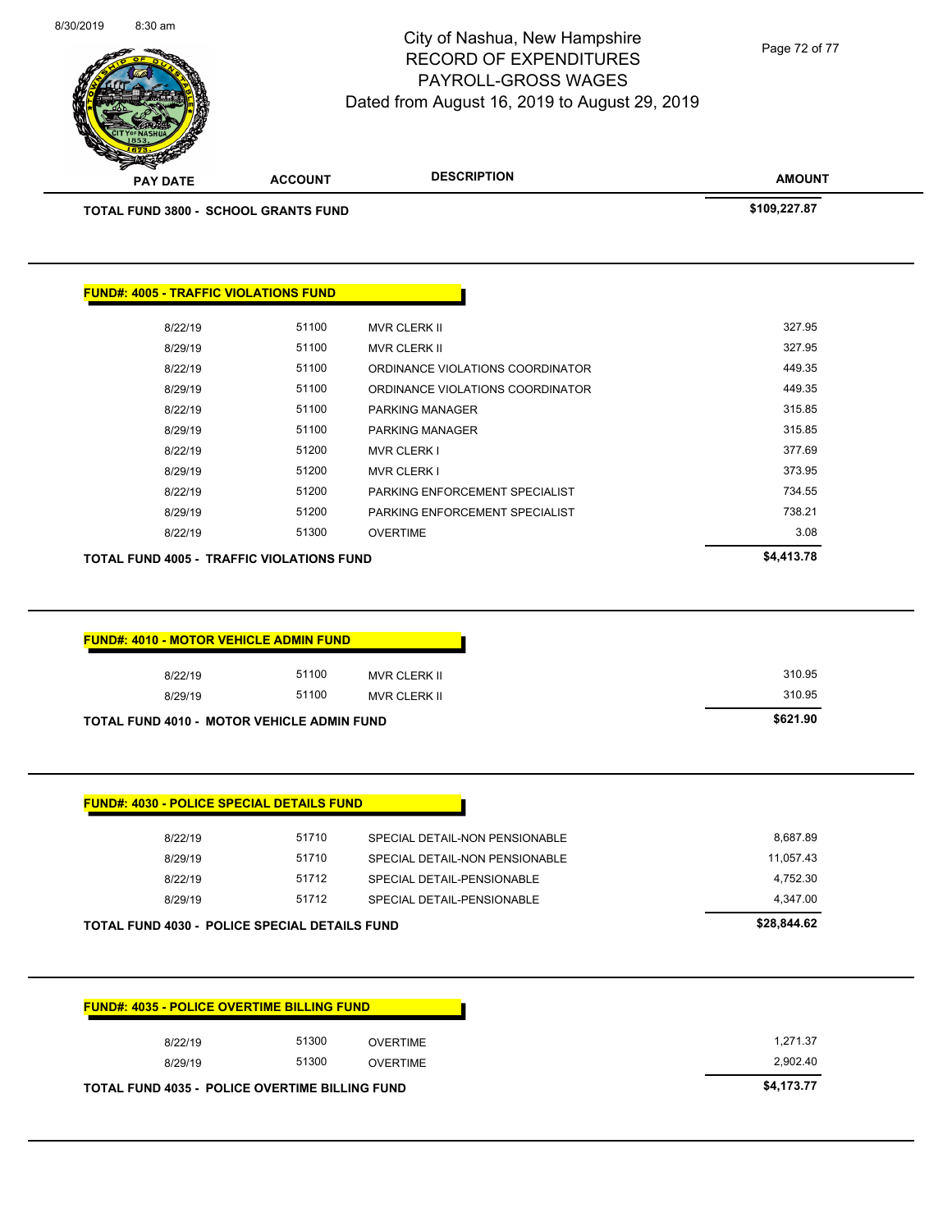8/30/2019 8:30 am



#### City of Nashua, New Hampshire RECORD OF EXPENDITURES PAYROLL-GROSS WAGES Dated from August 16, 2019 to August 29, 2019

**AMOUNT PAY DATE ACCOUNT DESCRIPTION TOTAL FUND 3800 - SCHOOL GRANTS FUND \$109,227.87 FUND#: 4005 - TRAFFIC VIOLATIONS FUND** 8/22/19 51100 MVR CLERK II 327.95 8/29/19 51100 MVR CLERK II 327.95 8/22/19 51100 ORDINANCE VIOLATIONS COORDINATOR 449.35 8/29/19 51100 ORDINANCE VIOLATIONS COORDINATOR 449.35 8/22/19 51100 PARKING MANAGER 315.85 8/29/19 51100 PARKING MANAGER 315.85 8/22/19 51200 MVR CLERK I 377.69 8/29/19 51200 MVR CLERK I 373.95 8/22/19 51200 PARKING ENFORCEMENT SPECIALIST 57 120 734.55 8/29/19 51200 PARKING ENFORCEMENT SPECIALIST 5738.21 8/22/19 51300 OVERTIME 3.08 **TOTAL FUND 4005 - TRAFFIC VIOLATIONS FUND \$4,413.78 FUND#: 4010 - MOTOR VEHICLE ADMIN FUND** 8/22/19 51100 MVR CLERK II 310.95 8/29/19 51100 MVR CLERK II 310.95 **TOTAL FUND 4010 - MOTOR VEHICLE ADMIN FUND \$621.90** 

|                   | 8/29/19 | 51712 | SPECIAL DETAIL-PENSIONABLE     | 4,347.00  |
|-------------------|---------|-------|--------------------------------|-----------|
| 4,752.30<br>51712 | 8/29/19 | 51710 | SPECIAL DETAIL-NON PENSIONABLE | 11,057.43 |
|                   | 8/22/19 | 51710 | SPECIAL DETAIL-NON PENSIONABLE | 8,687.89  |

| <b>FUND#: 4035 - POLICE OVERTIME BILLING FUND</b>     |       |                 |  |
|-------------------------------------------------------|-------|-----------------|--|
| 8/22/19                                               | 51300 | OVERTIME        |  |
| 8/29/19                                               | 51300 | <b>OVERTIME</b> |  |
| <b>TOTAL FUND 4035 - POLICE OVERTIME BILLING FUND</b> |       |                 |  |

Page 72 of 77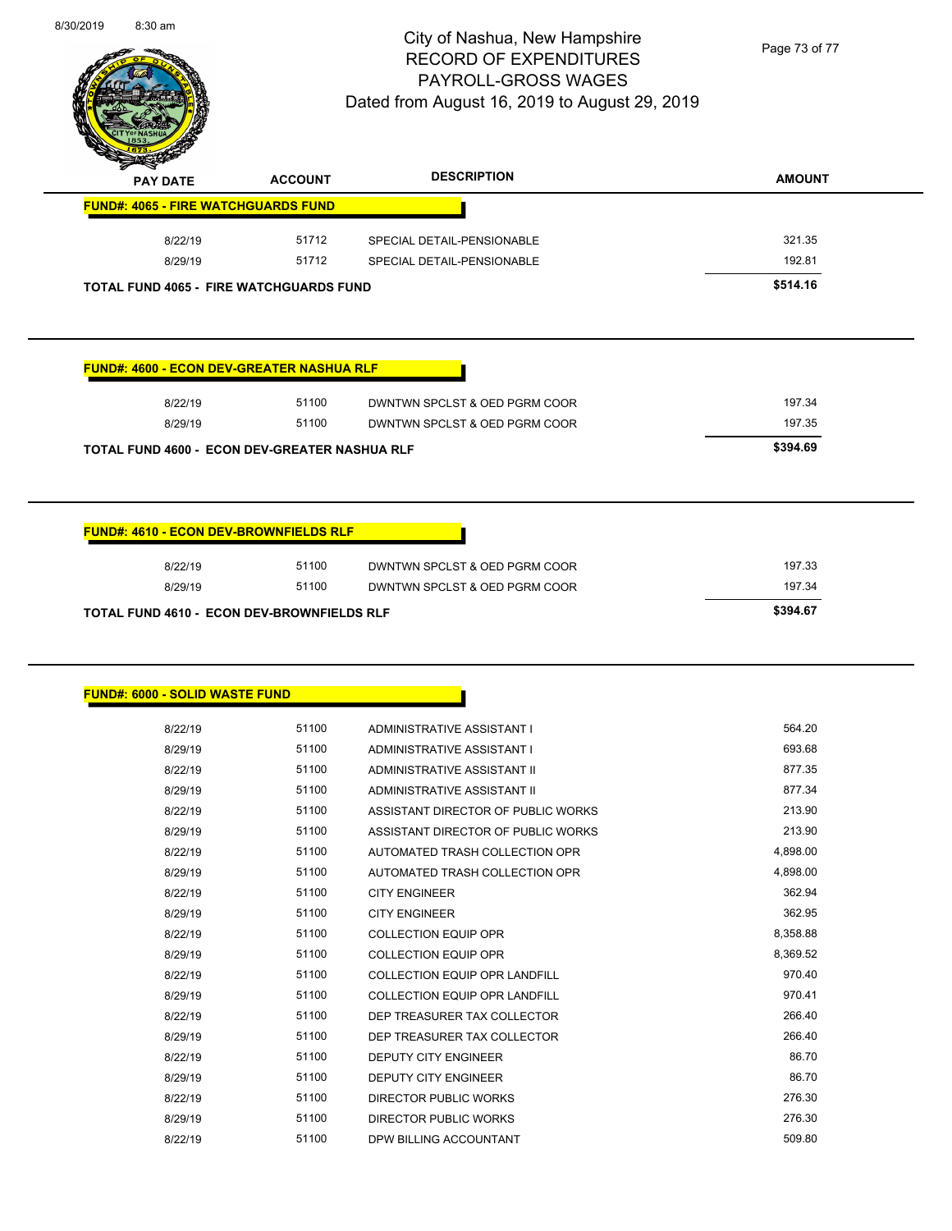

Page 73 of 77

| <b>PAY DATE</b>                                                                                | <b>ACCOUNT</b> | <b>DESCRIPTION</b>                 | <b>AMOUNT</b> |
|------------------------------------------------------------------------------------------------|----------------|------------------------------------|---------------|
| <b>FUND#: 4065 - FIRE WATCHGUARDS FUND</b>                                                     |                |                                    |               |
| 8/22/19                                                                                        | 51712          | SPECIAL DETAIL-PENSIONABLE         | 321.35        |
| 8/29/19                                                                                        | 51712          | SPECIAL DETAIL-PENSIONABLE         | 192.81        |
| TOTAL FUND 4065 - FIRE WATCHGUARDS FUND                                                        |                |                                    | \$514.16      |
| <b>FUND#: 4600 - ECON DEV-GREATER NASHUA RLF</b>                                               |                |                                    |               |
| 8/22/19                                                                                        | 51100          | DWNTWN SPCLST & OED PGRM COOR      | 197.34        |
| 8/29/19                                                                                        | 51100          | DWNTWN SPCLST & OED PGRM COOR      | 197.35        |
| TOTAL FUND 4600 - ECON DEV-GREATER NASHUA RLF                                                  |                |                                    | \$394.69      |
| 8/22/19                                                                                        | 51100          |                                    |               |
|                                                                                                |                | DWNTWN SPCLST & OED PGRM COOR      | 197.33        |
| 8/29/19                                                                                        | 51100          | DWNTWN SPCLST & OED PGRM COOR      | 197.34        |
|                                                                                                |                |                                    | \$394.67      |
|                                                                                                |                |                                    |               |
| 8/22/19                                                                                        | 51100          | ADMINISTRATIVE ASSISTANT I         | 564.20        |
| 8/29/19                                                                                        | 51100          | ADMINISTRATIVE ASSISTANT I         | 693.68        |
| 8/22/19                                                                                        | 51100          | ADMINISTRATIVE ASSISTANT II        | 877.35        |
| 8/29/19                                                                                        | 51100          | ADMINISTRATIVE ASSISTANT II        | 877.34        |
| 8/22/19                                                                                        | 51100          | ASSISTANT DIRECTOR OF PUBLIC WORKS | 213.90        |
| 8/29/19                                                                                        | 51100          | ASSISTANT DIRECTOR OF PUBLIC WORKS | 213.90        |
| 8/22/19                                                                                        | 51100          | AUTOMATED TRASH COLLECTION OPR     | 4,898.00      |
| 8/29/19                                                                                        | 51100          | AUTOMATED TRASH COLLECTION OPR     | 4,898.00      |
| 8/22/19                                                                                        | 51100          | <b>CITY ENGINEER</b>               | 362.94        |
| 8/29/19                                                                                        | 51100          | <b>CITY ENGINEER</b>               | 362.95        |
| 8/22/19                                                                                        | 51100          | <b>COLLECTION EQUIP OPR</b>        | 8,358.88      |
| 8/29/19                                                                                        | 51100          | <b>COLLECTION EQUIP OPR</b>        | 8,369.52      |
| 8/22/19                                                                                        | 51100          | COLLECTION EQUIP OPR LANDFILL      | 970.40        |
| TOTAL FUND 4610 - ECON DEV-BROWNFIELDS RLF<br><b>FUND#: 6000 - SOLID WASTE FUND</b><br>8/29/19 | 51100          | COLLECTION EQUIP OPR LANDFILL      | 970.41        |
| 8/22/19                                                                                        | 51100          | DEP TREASURER TAX COLLECTOR        | 266.40        |
| 8/29/19                                                                                        | 51100          | DEP TREASURER TAX COLLECTOR        | 266.40        |

8/29/19 51100 DEPUTY CITY ENGINEER 36.70 8/22/19 51100 DIRECTOR PUBLIC WORKS 276.30 8/29/19 51100 DIRECTOR PUBLIC WORKS 276.30 8/22/19 51100 DPW BILLING ACCOUNTANT 509.80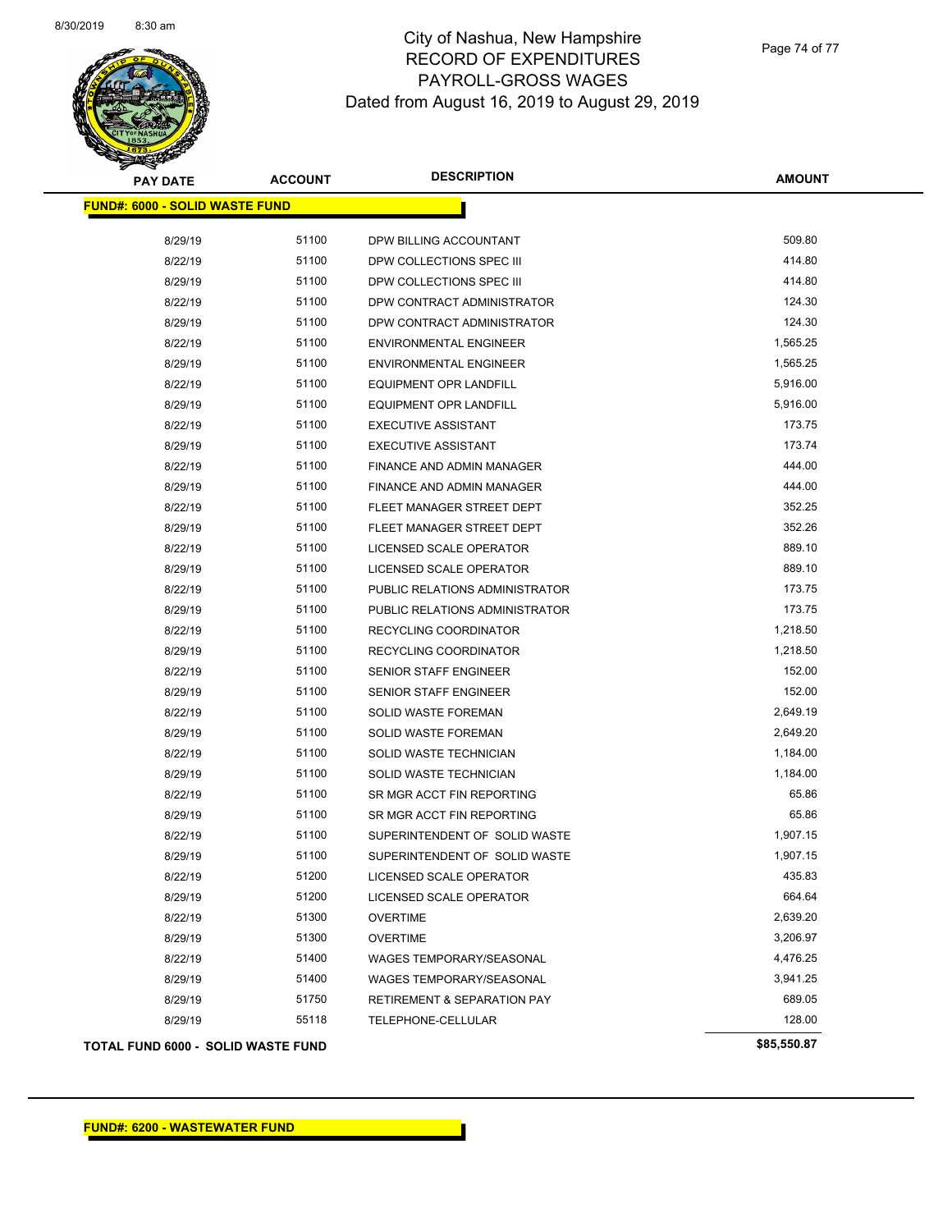

Page 74 of 77

| <b>PAY DATE</b>                       | <b>ACCOUNT</b> | <b>DESCRIPTION</b>                     | <b>AMOUNT</b> |
|---------------------------------------|----------------|----------------------------------------|---------------|
| <b>FUND#: 6000 - SOLID WASTE FUND</b> |                |                                        |               |
| 8/29/19                               | 51100          | DPW BILLING ACCOUNTANT                 | 509.80        |
| 8/22/19                               | 51100          | DPW COLLECTIONS SPEC III               | 414.80        |
| 8/29/19                               | 51100          | DPW COLLECTIONS SPEC III               | 414.80        |
| 8/22/19                               | 51100          | DPW CONTRACT ADMINISTRATOR             | 124.30        |
| 8/29/19                               | 51100          | DPW CONTRACT ADMINISTRATOR             | 124.30        |
| 8/22/19                               | 51100          | <b>ENVIRONMENTAL ENGINEER</b>          | 1,565.25      |
| 8/29/19                               | 51100          | <b>ENVIRONMENTAL ENGINEER</b>          | 1,565.25      |
| 8/22/19                               | 51100          | <b>EQUIPMENT OPR LANDFILL</b>          | 5,916.00      |
| 8/29/19                               | 51100          | <b>EQUIPMENT OPR LANDFILL</b>          | 5,916.00      |
| 8/22/19                               | 51100          | <b>EXECUTIVE ASSISTANT</b>             | 173.75        |
| 8/29/19                               | 51100          | <b>EXECUTIVE ASSISTANT</b>             | 173.74        |
| 8/22/19                               | 51100          | FINANCE AND ADMIN MANAGER              | 444.00        |
| 8/29/19                               | 51100          | FINANCE AND ADMIN MANAGER              | 444.00        |
| 8/22/19                               | 51100          | FLEET MANAGER STREET DEPT              | 352.25        |
| 8/29/19                               | 51100          | FLEET MANAGER STREET DEPT              | 352.26        |
| 8/22/19                               | 51100          | LICENSED SCALE OPERATOR                | 889.10        |
| 8/29/19                               | 51100          | LICENSED SCALE OPERATOR                | 889.10        |
| 8/22/19                               | 51100          | PUBLIC RELATIONS ADMINISTRATOR         | 173.75        |
| 8/29/19                               | 51100          | PUBLIC RELATIONS ADMINISTRATOR         | 173.75        |
| 8/22/19                               | 51100          | RECYCLING COORDINATOR                  | 1,218.50      |
| 8/29/19                               | 51100          | RECYCLING COORDINATOR                  | 1,218.50      |
| 8/22/19                               | 51100          | SENIOR STAFF ENGINEER                  | 152.00        |
| 8/29/19                               | 51100          | <b>SENIOR STAFF ENGINEER</b>           | 152.00        |
| 8/22/19                               | 51100          | SOLID WASTE FOREMAN                    | 2,649.19      |
| 8/29/19                               | 51100          | SOLID WASTE FOREMAN                    | 2,649.20      |
| 8/22/19                               | 51100          | SOLID WASTE TECHNICIAN                 | 1,184.00      |
| 8/29/19                               | 51100          | SOLID WASTE TECHNICIAN                 | 1,184.00      |
| 8/22/19                               | 51100          | SR MGR ACCT FIN REPORTING              | 65.86         |
| 8/29/19                               | 51100          | SR MGR ACCT FIN REPORTING              | 65.86         |
| 8/22/19                               | 51100          | SUPERINTENDENT OF SOLID WASTE          | 1,907.15      |
| 8/29/19                               | 51100          | SUPERINTENDENT OF SOLID WASTE          | 1,907.15      |
| 8/22/19                               | 51200          | LICENSED SCALE OPERATOR                | 435.83        |
| 8/29/19                               | 51200          | LICENSED SCALE OPERATOR                | 664.64        |
| 8/22/19                               | 51300          | <b>OVERTIME</b>                        | 2,639.20      |
| 8/29/19                               | 51300          | <b>OVERTIME</b>                        | 3,206.97      |
| 8/22/19                               | 51400          | WAGES TEMPORARY/SEASONAL               | 4,476.25      |
| 8/29/19                               | 51400          | <b>WAGES TEMPORARY/SEASONAL</b>        | 3,941.25      |
| 8/29/19                               | 51750          | <b>RETIREMENT &amp; SEPARATION PAY</b> | 689.05        |
| 8/29/19                               | 55118          | TELEPHONE-CELLULAR                     | 128.00        |
| TOTAL FUND 6000 - SOLID WASTE FUND    |                |                                        | \$85,550.87   |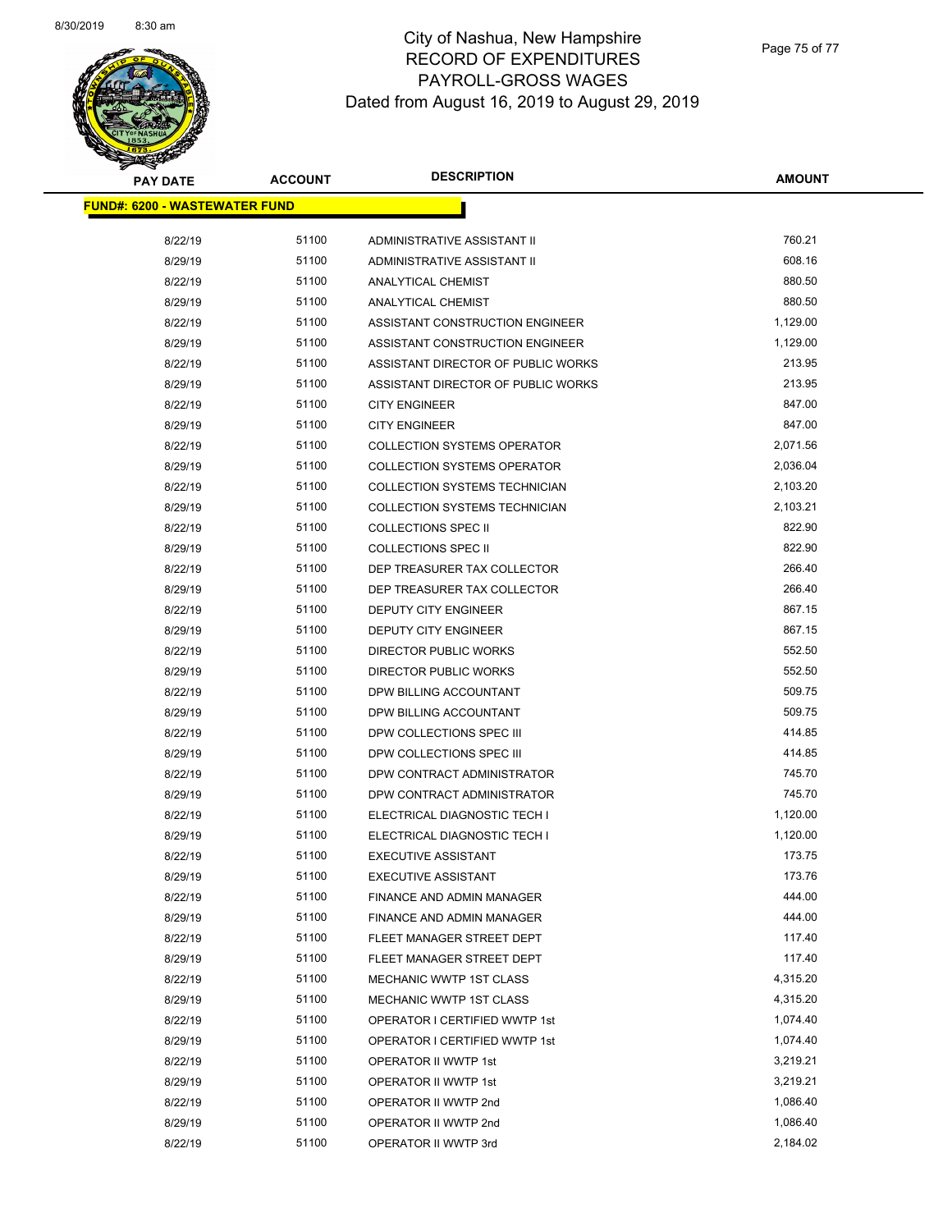

| <b>PAY DATE</b>                      | <b>ACCOUNT</b> | <b>DESCRIPTION</b>                   | <b>AMOUNT</b>    |
|--------------------------------------|----------------|--------------------------------------|------------------|
| <b>FUND#: 6200 - WASTEWATER FUND</b> |                |                                      |                  |
|                                      |                |                                      |                  |
| 8/22/19                              | 51100          | ADMINISTRATIVE ASSISTANT II          | 760.21<br>608.16 |
| 8/29/19                              | 51100          | ADMINISTRATIVE ASSISTANT II          |                  |
| 8/22/19                              | 51100          | <b>ANALYTICAL CHEMIST</b>            | 880.50           |
| 8/29/19                              | 51100          | <b>ANALYTICAL CHEMIST</b>            | 880.50           |
| 8/22/19                              | 51100          | ASSISTANT CONSTRUCTION ENGINEER      | 1,129.00         |
| 8/29/19                              | 51100          | ASSISTANT CONSTRUCTION ENGINEER      | 1,129.00         |
| 8/22/19                              | 51100          | ASSISTANT DIRECTOR OF PUBLIC WORKS   | 213.95           |
| 8/29/19                              | 51100          | ASSISTANT DIRECTOR OF PUBLIC WORKS   | 213.95           |
| 8/22/19                              | 51100          | <b>CITY ENGINEER</b>                 | 847.00           |
| 8/29/19                              | 51100          | <b>CITY ENGINEER</b>                 | 847.00           |
| 8/22/19                              | 51100          | <b>COLLECTION SYSTEMS OPERATOR</b>   | 2,071.56         |
| 8/29/19                              | 51100          | <b>COLLECTION SYSTEMS OPERATOR</b>   | 2,036.04         |
| 8/22/19                              | 51100          | COLLECTION SYSTEMS TECHNICIAN        | 2,103.20         |
| 8/29/19                              | 51100          | <b>COLLECTION SYSTEMS TECHNICIAN</b> | 2,103.21         |
| 8/22/19                              | 51100          | <b>COLLECTIONS SPEC II</b>           | 822.90           |
| 8/29/19                              | 51100          | <b>COLLECTIONS SPEC II</b>           | 822.90           |
| 8/22/19                              | 51100          | DEP TREASURER TAX COLLECTOR          | 266.40           |
| 8/29/19                              | 51100          | DEP TREASURER TAX COLLECTOR          | 266.40           |
| 8/22/19                              | 51100          | DEPUTY CITY ENGINEER                 | 867.15           |
| 8/29/19                              | 51100          | DEPUTY CITY ENGINEER                 | 867.15           |
| 8/22/19                              | 51100          | <b>DIRECTOR PUBLIC WORKS</b>         | 552.50           |
| 8/29/19                              | 51100          | <b>DIRECTOR PUBLIC WORKS</b>         | 552.50           |
| 8/22/19                              | 51100          | DPW BILLING ACCOUNTANT               | 509.75           |
| 8/29/19                              | 51100          | DPW BILLING ACCOUNTANT               | 509.75           |
| 8/22/19                              | 51100          | DPW COLLECTIONS SPEC III             | 414.85           |
| 8/29/19                              | 51100          | DPW COLLECTIONS SPEC III             | 414.85           |
| 8/22/19                              | 51100          | DPW CONTRACT ADMINISTRATOR           | 745.70           |
| 8/29/19                              | 51100          | DPW CONTRACT ADMINISTRATOR           | 745.70           |
| 8/22/19                              | 51100          | ELECTRICAL DIAGNOSTIC TECH I         | 1,120.00         |
| 8/29/19                              | 51100          | ELECTRICAL DIAGNOSTIC TECH I         | 1,120.00         |
| 8/22/19                              | 51100          | <b>EXECUTIVE ASSISTANT</b>           | 173.75           |
| 8/29/19                              | 51100          | <b>EXECUTIVE ASSISTANT</b>           | 173.76           |
| 8/22/19                              | 51100          | FINANCE AND ADMIN MANAGER            | 444.00           |
| 8/29/19                              | 51100          | FINANCE AND ADMIN MANAGER            | 444.00           |
| 8/22/19                              | 51100          | FLEET MANAGER STREET DEPT            | 117.40           |
| 8/29/19                              | 51100          | FLEET MANAGER STREET DEPT            | 117.40           |
| 8/22/19                              | 51100          | MECHANIC WWTP 1ST CLASS              | 4,315.20         |
| 8/29/19                              | 51100          | MECHANIC WWTP 1ST CLASS              | 4,315.20         |
| 8/22/19                              | 51100          | OPERATOR I CERTIFIED WWTP 1st        | 1,074.40         |
| 8/29/19                              | 51100          | OPERATOR I CERTIFIED WWTP 1st        | 1,074.40         |
| 8/22/19                              | 51100          | OPERATOR II WWTP 1st                 | 3,219.21         |
| 8/29/19                              | 51100          | OPERATOR II WWTP 1st                 | 3,219.21         |
| 8/22/19                              | 51100          | OPERATOR II WWTP 2nd                 | 1,086.40         |
| 8/29/19                              | 51100          | OPERATOR II WWTP 2nd                 | 1,086.40         |
| 8/22/19                              | 51100          | OPERATOR II WWTP 3rd                 | 2,184.02         |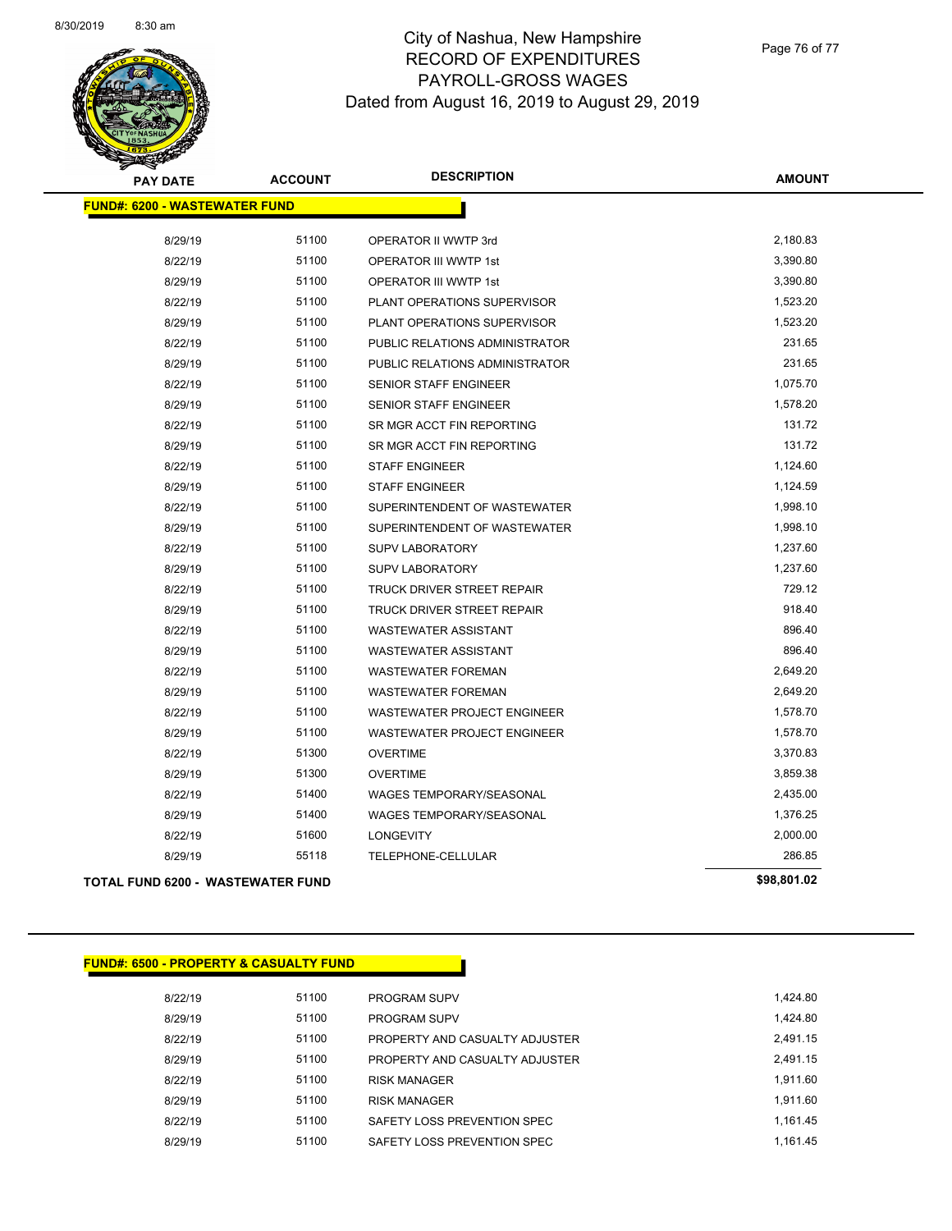

Page 76 of 77

| <b>PAY DATE</b>                          | <b>ACCOUNT</b> | <b>DESCRIPTION</b>              | <b>AMOUNT</b> |
|------------------------------------------|----------------|---------------------------------|---------------|
| <b>FUND#: 6200 - WASTEWATER FUND</b>     |                |                                 |               |
| 8/29/19                                  | 51100          | OPERATOR II WWTP 3rd            | 2,180.83      |
| 8/22/19                                  | 51100          | OPERATOR III WWTP 1st           | 3,390.80      |
| 8/29/19                                  | 51100          | <b>OPERATOR III WWTP 1st</b>    | 3,390.80      |
| 8/22/19                                  | 51100          | PLANT OPERATIONS SUPERVISOR     | 1,523.20      |
| 8/29/19                                  | 51100          | PLANT OPERATIONS SUPERVISOR     | 1,523.20      |
| 8/22/19                                  | 51100          | PUBLIC RELATIONS ADMINISTRATOR  | 231.65        |
| 8/29/19                                  | 51100          | PUBLIC RELATIONS ADMINISTRATOR  | 231.65        |
| 8/22/19                                  | 51100          | <b>SENIOR STAFF ENGINEER</b>    | 1,075.70      |
| 8/29/19                                  | 51100          | <b>SENIOR STAFF ENGINEER</b>    | 1,578.20      |
| 8/22/19                                  | 51100          | SR MGR ACCT FIN REPORTING       | 131.72        |
| 8/29/19                                  | 51100          | SR MGR ACCT FIN REPORTING       | 131.72        |
| 8/22/19                                  | 51100          | <b>STAFF ENGINEER</b>           | 1,124.60      |
| 8/29/19                                  | 51100          | <b>STAFF ENGINEER</b>           | 1,124.59      |
| 8/22/19                                  | 51100          | SUPERINTENDENT OF WASTEWATER    | 1,998.10      |
| 8/29/19                                  | 51100          | SUPERINTENDENT OF WASTEWATER    | 1,998.10      |
| 8/22/19                                  | 51100          | <b>SUPV LABORATORY</b>          | 1,237.60      |
| 8/29/19                                  | 51100          | <b>SUPV LABORATORY</b>          | 1,237.60      |
| 8/22/19                                  | 51100          | TRUCK DRIVER STREET REPAIR      | 729.12        |
| 8/29/19                                  | 51100          | TRUCK DRIVER STREET REPAIR      | 918.40        |
| 8/22/19                                  | 51100          | <b>WASTEWATER ASSISTANT</b>     | 896.40        |
| 8/29/19                                  | 51100          | <b>WASTEWATER ASSISTANT</b>     | 896.40        |
| 8/22/19                                  | 51100          | <b>WASTEWATER FOREMAN</b>       | 2,649.20      |
| 8/29/19                                  | 51100          | <b>WASTEWATER FOREMAN</b>       | 2,649.20      |
| 8/22/19                                  | 51100          | WASTEWATER PROJECT ENGINEER     | 1,578.70      |
| 8/29/19                                  | 51100          | WASTEWATER PROJECT ENGINEER     | 1,578.70      |
| 8/22/19                                  | 51300          | <b>OVERTIME</b>                 | 3,370.83      |
| 8/29/19                                  | 51300          | <b>OVERTIME</b>                 | 3,859.38      |
| 8/22/19                                  | 51400          | <b>WAGES TEMPORARY/SEASONAL</b> | 2,435.00      |
| 8/29/19                                  | 51400          | WAGES TEMPORARY/SEASONAL        | 1,376.25      |
| 8/22/19                                  | 51600          | <b>LONGEVITY</b>                | 2,000.00      |
| 8/29/19                                  | 55118          | TELEPHONE-CELLULAR              | 286.85        |
| <b>TOTAL FUND 6200 - WASTEWATER FUND</b> |                |                                 | \$98,801.02   |

|         | <b>FUND#: 6500 - PROPERTY &amp; CASUALTY FUND</b> |                                |
|---------|---------------------------------------------------|--------------------------------|
| 8/22/19 | 51100                                             | <b>PROGRAM SUPV</b>            |
| 8/29/19 | 51100                                             | <b>PROGRAM SUPV</b>            |
| 8/22/19 | 51100                                             | PROPERTY AND CASUALTY ADJUSTER |
| 8/29/19 | 51100                                             | PROPERTY AND CASUALTY ADJUSTER |
| 8/22/19 | 51100                                             | <b>RISK MANAGER</b>            |
| 8/29/19 | 51100                                             | <b>RISK MANAGER</b>            |
| 8/22/19 | 51100                                             | SAFETY LOSS PREVENTION SPEC    |
| 8/29/19 | 51100                                             | SAFETY LOSS PREVENTION SPEC    |